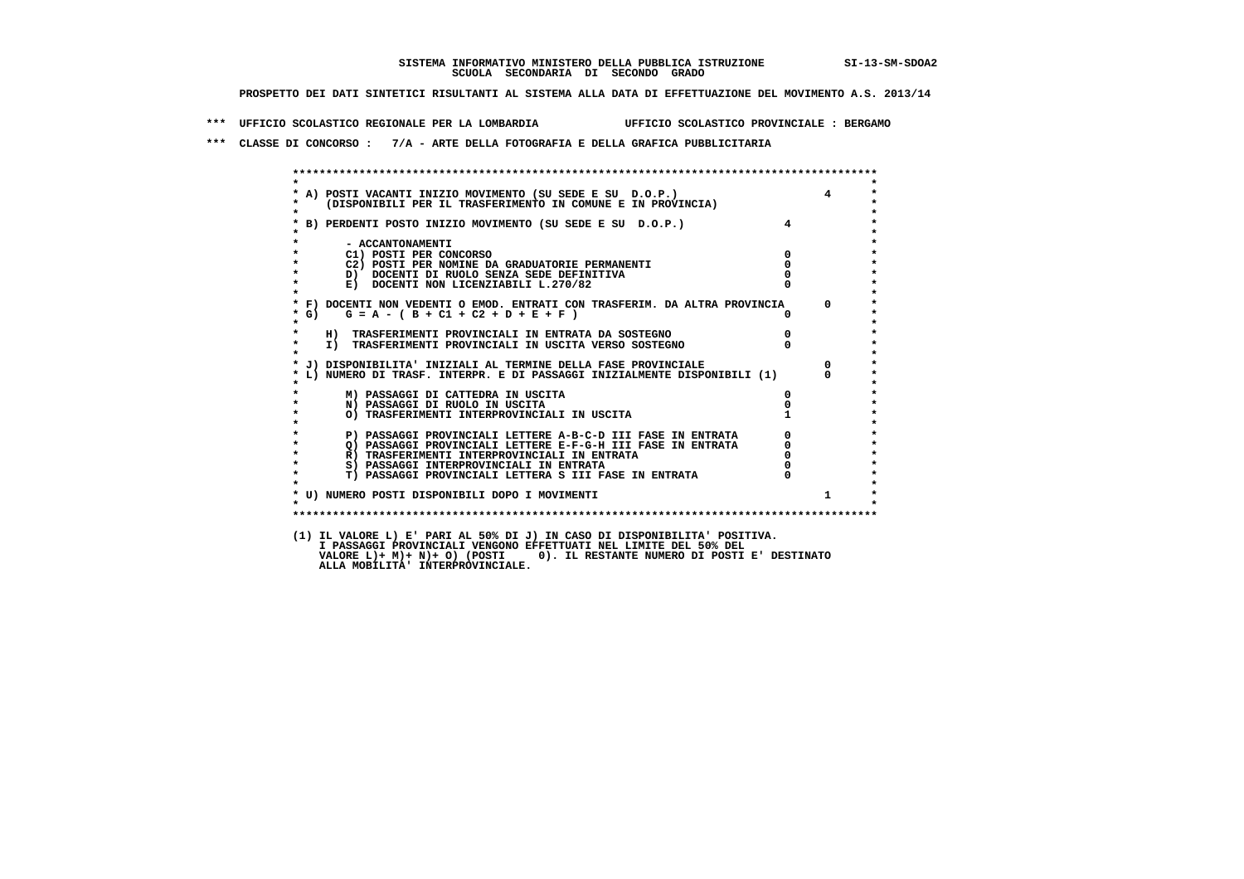## **SISTEMA INFORMATIVO MINISTERO DELLA PUBBLICA ISTRUZIONE SI-13-SM-SDOA2 SCUOLA SECONDARIA DI SECONDO GRADO**

 **PROSPETTO DEI DATI SINTETICI RISULTANTI AL SISTEMA ALLA DATA DI EFFETTUAZIONE DEL MOVIMENTO A.S. 2013/14**

 **\*\*\* UFFICIO SCOLASTICO REGIONALE PER LA LOMBARDIA UFFICIO SCOLASTICO PROVINCIALE : BERGAMO**

 **\*\*\* CLASSE DI CONCORSO : 7/A - ARTE DELLA FOTOGRAFIA E DELLA GRAFICA PUBBLICITARIA**

|                      | A) POSTI VACANTI INIZIO MOVIMENTO (SU SEDE E SU D.O.P.)                    |          |
|----------------------|----------------------------------------------------------------------------|----------|
|                      | (DISPONIBILI PER IL TRASFERIMENTO IN COMUNE E IN PROVINCIA)                |          |
|                      | B) PERDENTI POSTO INIZIO MOVIMENTO (SU SEDE E SU D.O.P.)                   |          |
|                      | - ACCANTONAMENTI                                                           |          |
|                      | C1) POSTI PER CONCORSO                                                     |          |
|                      | C2) POSTI PER NOMINE DA GRADUATORIE PERMANENTI                             |          |
|                      | D) DOCENTI DI RUOLO SENZA SEDE DEFINITIVA                                  |          |
|                      | E) DOCENTI NON LICENZIABILI L.270/82                                       |          |
|                      | * F) DOCENTI NON VEDENTI O EMOD. ENTRATI CON TRASFERIM. DA ALTRA PROVINCIA | $\Omega$ |
| $*$ G)               | $G = A - (B + C1 + C2 + D + E + F)$                                        |          |
|                      | H) TRASFERIMENTI PROVINCIALI IN ENTRATA DA SOSTEGNO                        |          |
| $\star$<br>$\bullet$ | I) TRASFERIMENTI PROVINCIALI IN USCITA VERSO SOSTEGNO                      |          |
|                      | * J) DISPONIBILITA' INIZIALI AL TERMINE DELLA FASE PROVINCIALE             |          |
|                      | L) NUMERO DI TRASF. INTERPR. E DI PASSAGGI INIZIALMENTE DISPONIBILI (1)    |          |
|                      | M) PASSAGGI DI CATTEDRA IN USCITA                                          |          |
|                      | N) PASSAGGI DI RUOLO IN USCITA                                             |          |
|                      | O) TRASFERIMENTI INTERPROVINCIALI IN USCITA                                |          |
|                      | P) PASSAGGI PROVINCIALI LETTERE A-B-C-D III FASE IN ENTRATA                |          |
| $\star$              | O) PASSAGGI PROVINCIALI LETTERE E-F-G-H III FASE IN ENTRATA                |          |
| $\star$              | R) TRASFERIMENTI INTERPROVINCIALI IN ENTRATA                               |          |
| $\star$              | S) PASSAGGI INTERPROVINCIALI IN ENTRATA                                    |          |
| $\star$              | T) PASSAGGI PROVINCIALI LETTERA S III FASE IN ENTRATA                      |          |
|                      | * U) NUMERO POSTI DISPONIBILI DOPO I MOVIMENTI                             | 1        |

 **(1) IL VALORE L) E' PARI AL 50% DI J) IN CASO DI DISPONIBILITA' POSITIVA. I PASSAGGI PROVINCIALI VENGONO EFFETTUATI NEL LIMITE DEL 50% DEL**I PASSAGGI PROVINCIALI VENGONO EFFEIIOAII NEL LIMIIE DEL 30% DEL<br>VALORE L)+ M)+ N)+ O) (POSTI 0). IL RESTANTE NUMERO DI POSTI E' DESTINATO<br>ALLA MOBILITA' INTERPROVINCIALE.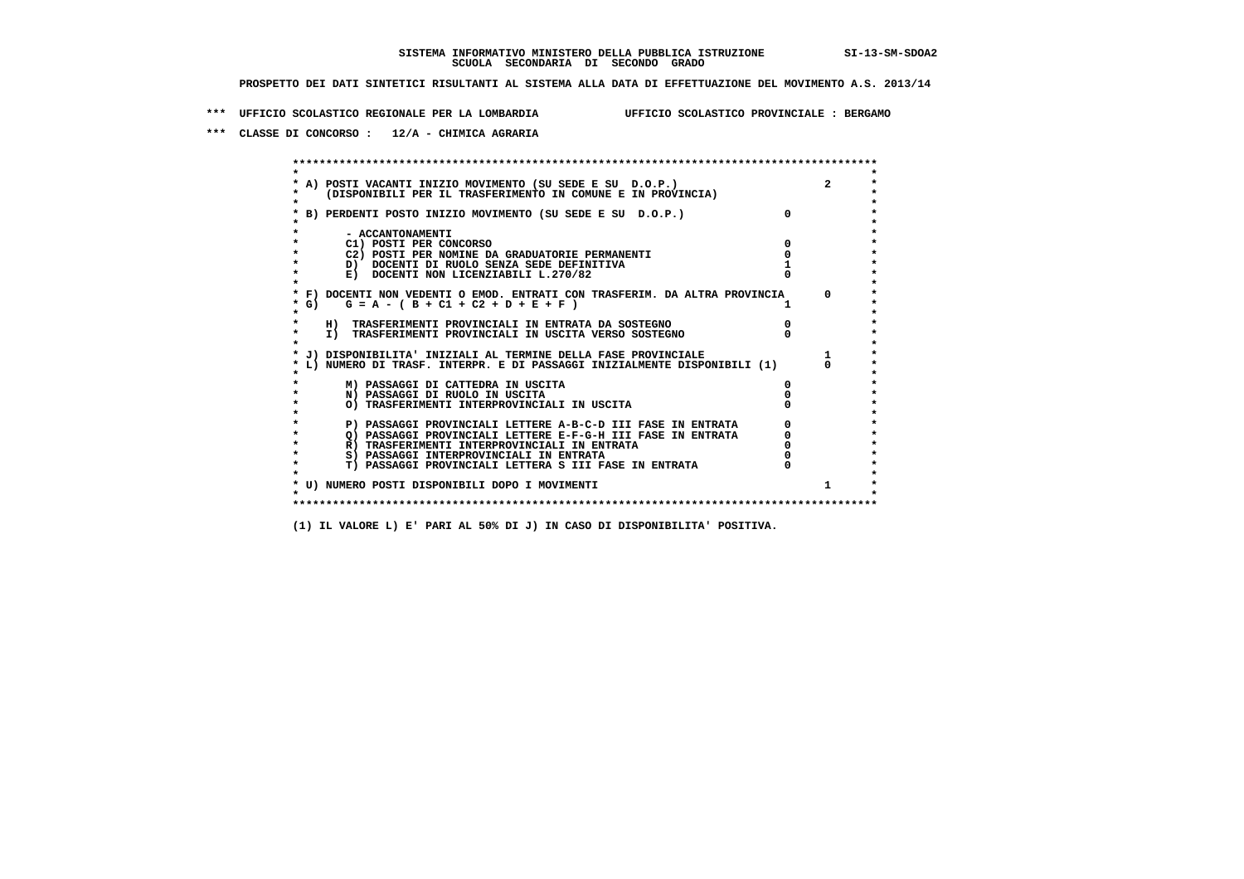**\*\*\* UFFICIO SCOLASTICO REGIONALE PER LA LOMBARDIA UFFICIO SCOLASTICO PROVINCIALE : BERGAMO**

 **\*\*\* CLASSE DI CONCORSO : 12/A - CHIMICA AGRARIA**

 **\*\*\*\*\*\*\*\*\*\*\*\*\*\*\*\*\*\*\*\*\*\*\*\*\*\*\*\*\*\*\*\*\*\*\*\*\*\*\*\*\*\*\*\*\*\*\*\*\*\*\*\*\*\*\*\*\*\*\*\*\*\*\*\*\*\*\*\*\*\*\*\*\*\*\*\*\*\*\*\*\*\*\*\*\*\*\*\* \* \*** $\bullet$  **\* A) POSTI VACANTI INIZIO MOVIMENTO (SU SEDE E SU D.O.P.) 2 \*** $\star$  **\* (DISPONIBILI PER IL TRASFERIMENTO IN COMUNE E IN PROVINCIA) \*** $\bullet$  **\* \* \* B) PERDENTI POSTO INIZIO MOVIMENTO (SU SEDE E SU D.O.P.) 0 \* \* \* \* - ACCANTONAMENTI \* \* C1) POSTI PER CONCORSO 0 \* \* C2) POSTI PER NOMINE DA GRADUATORIE PERMANENTI 0 \*D)** DOCENTI DI RUOLO SENZA SEDE DEFINITIVA 1<br> **E)** DOCENTI NON LICENZIABILI L. 270/82 0 **E) DOCENTI NON LICENZIABILI L.270/82 \* \* \* F) DOCENTI NON VEDENTI O EMOD. ENTRATI CON TRASFERIM. DA ALTRA PROVINCIA 0 \***  $\star$  **G)** G = A - ( B + C1 + C2 + D + E + F )  **\* \* \* H) TRASFERIMENTI PROVINCIALI IN ENTRATA DA SOSTEGNO 0 \* \* I) TRASFERIMENTI PROVINCIALI IN USCITA VERSO SOSTEGNO 0 \* \* \* \* J) DISPONIBILITA' INIZIALI AL TERMINE DELLA FASE PROVINCIALE 1 \* \* L) NUMERO DI TRASF. INTERPR. E DI PASSAGGI INIZIALMENTE DISPONIBILI (1) 0 \* \* \* \* M) PASSAGGI DI CATTEDRA IN USCITA 0 \* \* N) PASSAGGI DI RUOLO IN USCITA 0 \* \* O) TRASFERIMENTI INTERPROVINCIALI IN USCITA 0 \* \* \* P) PASSAGGI PROVINCIALI LETTERE A-B-C-D III FASE IN ENTRATA** 0 <sup>0</sup> **DASSAGGI PROVINCIALI LETTERE E-F-G-H** III FASE IN ENTRATA 0 <sup>0</sup> **2) PASSAGGI PROVINCIALI LETTERE E-F-G-H III FASE IN ENTRATA**  $\overline{Q}$ **) PASSAGGI PROVINCIALI LETTERE E-F-G-H III FASE IN ENTRATA**  $\overline{Q}$  $\overline{Q}$  $\overline{Q}$  $\overline{Q}$  $\overline{Q}$  $\overline{Q}$  $\overline{Q}$  $\overline{Q}$  $\overline{Q}$  $\overline{Q}$  **\overline R)** TRASFERIMENTI INTERPROVINCIALI IN ENTRATA  $\begin{bmatrix} 0 & 0 \\ 0 & 0 \\ 0 & 0 \end{bmatrix}$  PASSAGGI INTERPROVINCIALI IN ENTRATA  $\begin{bmatrix} 0 & 0 \\ 0 & 0 \\ 0 & 0 \end{bmatrix}$  **\* S) PASSAGGI INTERPROVINCIALI IN ENTRATA 0 \*** $\ddot{\phantom{1}}$  **\* T) PASSAGGI PROVINCIALI LETTERA S III FASE IN ENTRATA 0 \*** $\star$  **\* \* \* U) NUMERO POSTI DISPONIBILI DOPO I MOVIMENTI 1 \* \* \* \*\*\*\*\*\*\*\*\*\*\*\*\*\*\*\*\*\*\*\*\*\*\*\*\*\*\*\*\*\*\*\*\*\*\*\*\*\*\*\*\*\*\*\*\*\*\*\*\*\*\*\*\*\*\*\*\*\*\*\*\*\*\*\*\*\*\*\*\*\*\*\*\*\*\*\*\*\*\*\*\*\*\*\*\*\*\*\***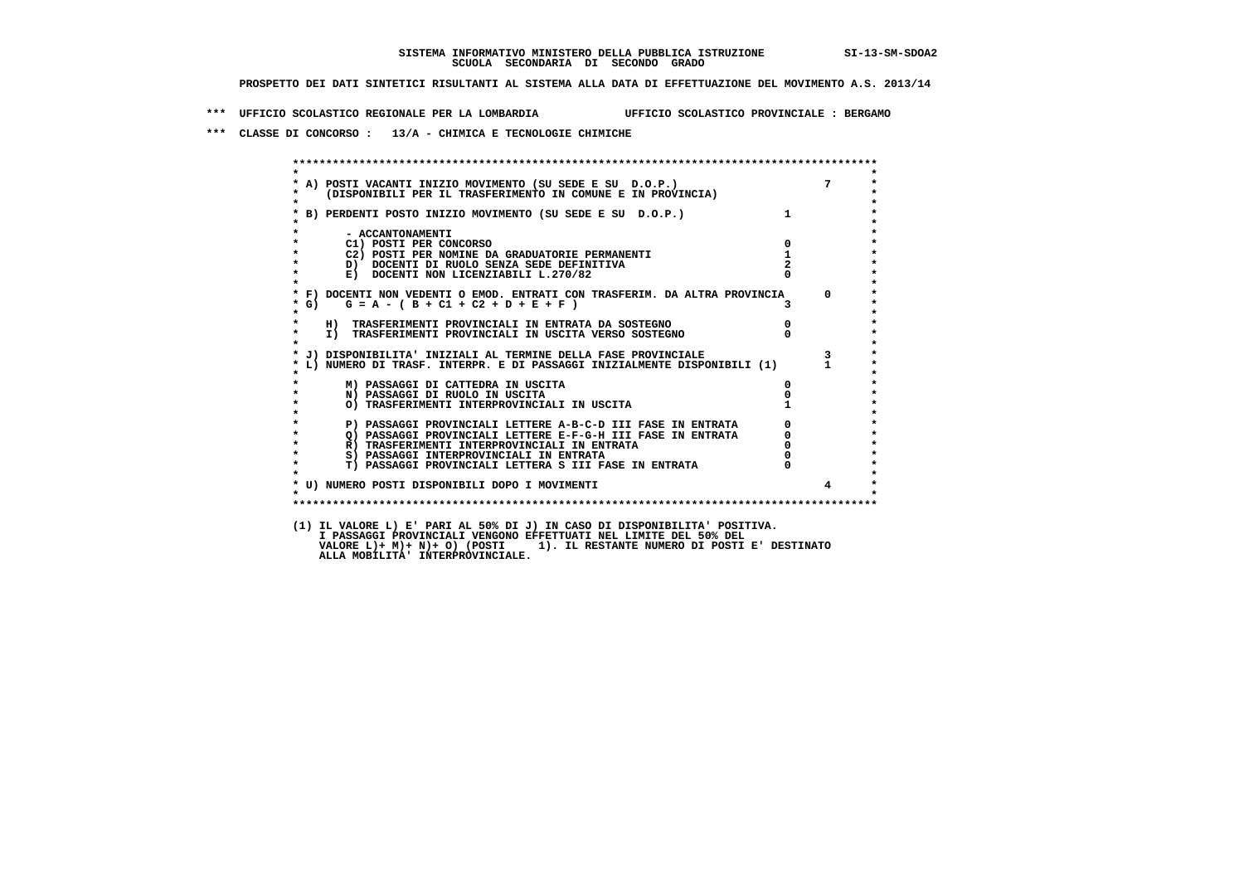**\*\*\* UFFICIO SCOLASTICO REGIONALE PER LA LOMBARDIA UFFICIO SCOLASTICO PROVINCIALE : BERGAMO**

 **\*\*\* CLASSE DI CONCORSO : 13/A - CHIMICA E TECNOLOGIE CHIMICHE**

|                                                                                             | A) POSTI VACANTI INIZIO MOVIMENTO (SU SEDE E SU D.O.P.) 7<br>(DISPONIBILI PER IL TRASFERIMENTO IN COMUNE E IN PROVINCIA) |                                             |                         |
|---------------------------------------------------------------------------------------------|--------------------------------------------------------------------------------------------------------------------------|---------------------------------------------|-------------------------|
|                                                                                             |                                                                                                                          |                                             |                         |
|                                                                                             | * B) PERDENTI POSTO INIZIO MOVIMENTO (SU SEDE E SU D.O.P.)                                                               |                                             |                         |
|                                                                                             |                                                                                                                          |                                             |                         |
| - ACCANTONAMENTI                                                                            |                                                                                                                          |                                             |                         |
| C1) POSTI PER CONCORSO                                                                      |                                                                                                                          | $\mathbf{0}$                                |                         |
| C2) POSTI PER NOMINE DA GRADUATORIE PERMANENTI<br>D) DOCENTI DI RUOLO SENZA SEDE DEFINITIVA |                                                                                                                          | $\mathbf{1}$                                |                         |
| E) DOCENTI NON LICENZIABILI L.270/82                                                        |                                                                                                                          |                                             |                         |
|                                                                                             |                                                                                                                          |                                             |                         |
|                                                                                             | * F) DOCENTI NON VEDENTI O EMOD. ENTRATI CON TRASFERIM. DA ALTRA PROVINCIA 0                                             |                                             |                         |
| $G = A - (B + C1 + C2 + D + E + F)$<br>$*$ G)                                               |                                                                                                                          |                                             |                         |
|                                                                                             |                                                                                                                          |                                             |                         |
| H) TRASFERIMENTI PROVINCIALI IN ENTRATA DA SOSTEGNO                                         |                                                                                                                          | $\overline{0}$                              |                         |
|                                                                                             | I) TRASFERIMENTI PROVINCIALI IN USCITA VERSO SOSTEGNO                                                                    |                                             |                         |
|                                                                                             | J) DISPONIBILITA' INIZIALI AL TERMINE DELLA FASE PROVINCIALE                                                             |                                             | $\overline{\mathbf{3}}$ |
|                                                                                             | L) NUMERO DI TRASF. INTERPR. E DI PASSAGGI INIZIALMENTE DISPONIBILI (1) 1                                                |                                             |                         |
|                                                                                             |                                                                                                                          |                                             |                         |
| M) PASSAGGI DI CATTEDRA IN USCITA                                                           |                                                                                                                          |                                             |                         |
| N) PASSAGGI DI RUOLO IN USCITA                                                              |                                                                                                                          |                                             |                         |
| O) TRASFERIMENTI INTERPROVINCIALI IN USCITA                                                 |                                                                                                                          |                                             |                         |
|                                                                                             | P) PASSAGGI PROVINCIALI LETTERE A-B-C-D III FASE IN ENTRATA                                                              | $\begin{bmatrix} 0 \\ 0 \\ 0 \end{bmatrix}$ |                         |
|                                                                                             | 2) PASSAGGI PROVINCIALI LETTERE E-F-G-H III FASE IN ENTRATA                                                              |                                             |                         |
| R) TRASFERIMENTI INTERPROVINCIALI IN ENTRATA                                                |                                                                                                                          |                                             |                         |
| S) PASSAGGI INTERPROVINCIALI IN ENTRATA                                                     |                                                                                                                          |                                             |                         |
|                                                                                             | T) PASSAGGI PROVINCIALI LETTERA S III FASE IN ENTRATA                                                                    |                                             |                         |
|                                                                                             |                                                                                                                          |                                             |                         |
| * U) NUMERO POSTI DISPONIBILI DOPO I MOVIMENTI                                              |                                                                                                                          |                                             | $\overline{4}$          |
|                                                                                             |                                                                                                                          |                                             |                         |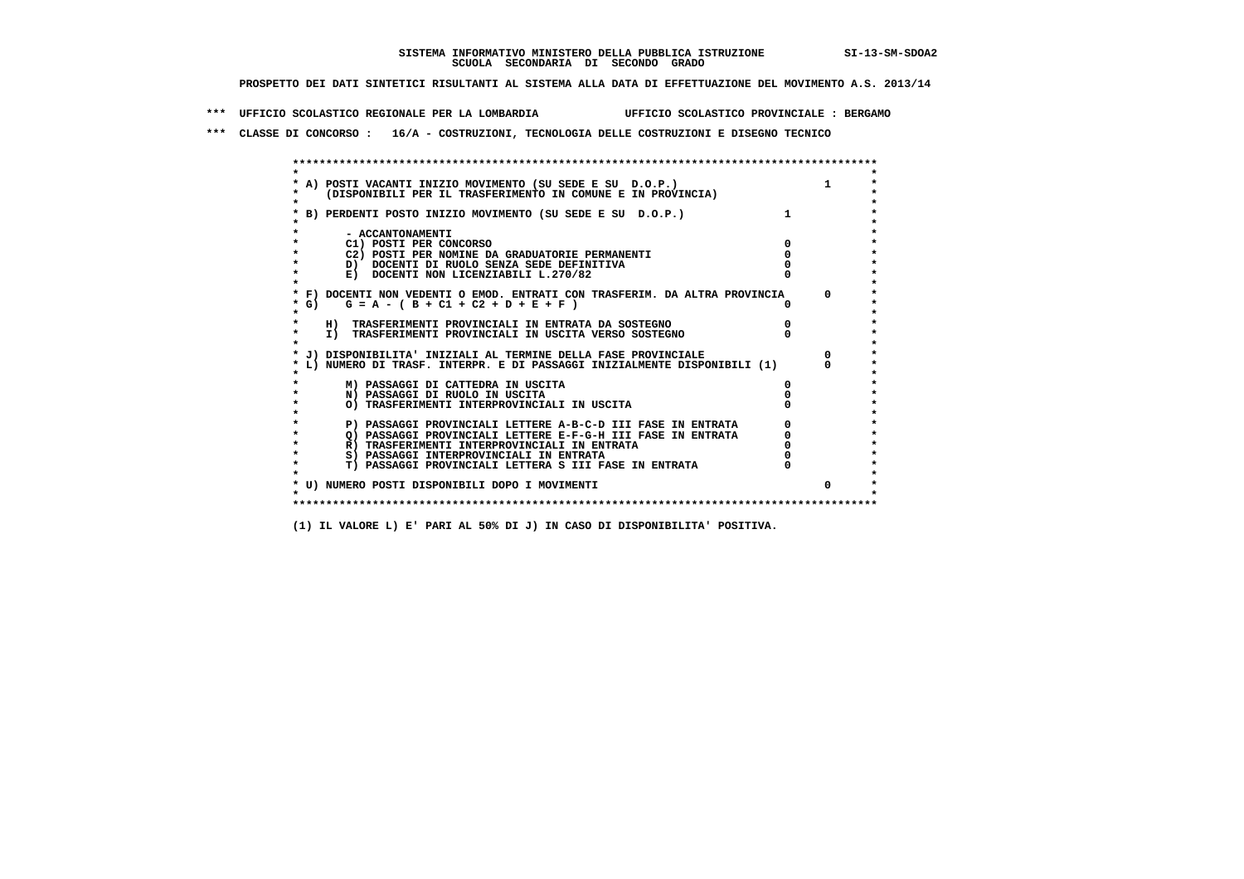**\*\*\* UFFICIO SCOLASTICO REGIONALE PER LA LOMBARDIA UFFICIO SCOLASTICO PROVINCIALE : BERGAMO**

 **\*\*\* CLASSE DI CONCORSO : 16/A - COSTRUZIONI, TECNOLOGIA DELLE COSTRUZIONI E DISEGNO TECNICO**

 **\*\*\*\*\*\*\*\*\*\*\*\*\*\*\*\*\*\*\*\*\*\*\*\*\*\*\*\*\*\*\*\*\*\*\*\*\*\*\*\*\*\*\*\*\*\*\*\*\*\*\*\*\*\*\*\*\*\*\*\*\*\*\*\*\*\*\*\*\*\*\*\*\*\*\*\*\*\*\*\*\*\*\*\*\*\*\*\* \* \*** $\ddot{\phantom{0}}$  **\* A) POSTI VACANTI INIZIO MOVIMENTO (SU SEDE E SU D.O.P.) 1 \*** $\star$  **\* (DISPONIBILI PER IL TRASFERIMENTO IN COMUNE E IN PROVINCIA) \* \* \* \* B) PERDENTI POSTO INIZIO MOVIMENTO (SU SEDE E SU D.O.P.) 1 \* \* \* \* - ACCANTONAMENTI \* \* C1) POSTI PER CONCORSO 0 \* \* C2) POSTI PER NOMINE DA GRADUATORIE PERMANENTI 0 \*b**  $\overline{D}$  **docenti di RUOLO SENZA SEDE DEFINITIVA**  $\overline{D}$  **0**  $\overline{D}$  **0**  $\overline{D}$  **0**  $\overline{D}$  **0**  $\overline{D}$  **0**  $\overline{D}$  **0**  $\overline{D}$  **0**  $\overline{D}$  **0**  $\overline{D}$  **0**  $\overline{D}$  **0**  $\overline{D}$  **0**  $\overline{D}$  **0**  $\overline{D}$  **0 E) DOCENTI NON LICENZIABILI L.270/82 \* \* \* F) DOCENTI NON VEDENTI O EMOD. ENTRATI CON TRASFERIM. DA ALTRA PROVINCIA 0 \* \* G) G = A - ( B + C1 + C2 + D + E + F ) 0 \* \* \* \* H) TRASFERIMENTI PROVINCIALI IN ENTRATA DA SOSTEGNO 0 \* \* I) TRASFERIMENTI PROVINCIALI IN USCITA VERSO SOSTEGNO 0 \* \* \* \* J) DISPONIBILITA' INIZIALI AL TERMINE DELLA FASE PROVINCIALE 0 \* \* L) NUMERO DI TRASF. INTERPR. E DI PASSAGGI INIZIALMENTE DISPONIBILI (1) 0 \* \* \* \* M) PASSAGGI DI CATTEDRA IN USCITA 0 \* \* N) PASSAGGI DI RUOLO IN USCITA 0 \* \* O) TRASFERIMENTI INTERPROVINCIALI IN USCITA 0 \* \* \*** $\star$  **P) PASSAGGI PROVINCIALI LETTERE A-B-C-D III FASE IN ENTRATA** 0 <sup>0</sup> **DASSAGGI PROVINCIALI LETTERE E-F-G-H** III FASE IN ENTRATA 0 <sup>0</sup>  $\star$ **2) PASSAGGI PROVINCIALI LETTERE E-F-G-H III FASE IN ENTRATA**  $\overline{Q}$ **) PASSAGGI PROVINCIALI LETTERE E-F-G-H III FASE IN ENTRATA**  $\overline{Q}$  $\overline{Q}$  $\overline{Q}$  $\overline{Q}$  $\overline{Q}$  $\overline{Q}$  $\overline{Q}$  $\overline{Q}$  $\overline{Q}$  $\overline{Q}$  **\overline \* R) TRASFERIMENTI INTERPROVINCIALI IN ENTRATA 0 \*8) PASSAGGI INTERPROVINCIALI IN ENTRATA 6 \*\*\*** 0 \*\*\*<br> **T) PASSAGGI PROVINCIALI LETTERA S III FASE IN ENTRATA** 0 \*\*\*  $\ddot{\phantom{1}}$  **\* T) PASSAGGI PROVINCIALI LETTERA S III FASE IN ENTRATA 0 \*** $\star$  **\* \* \* U) NUMERO POSTI DISPONIBILI DOPO I MOVIMENTI 0 \* \* \* \*\*\*\*\*\*\*\*\*\*\*\*\*\*\*\*\*\*\*\*\*\*\*\*\*\*\*\*\*\*\*\*\*\*\*\*\*\*\*\*\*\*\*\*\*\*\*\*\*\*\*\*\*\*\*\*\*\*\*\*\*\*\*\*\*\*\*\*\*\*\*\*\*\*\*\*\*\*\*\*\*\*\*\*\*\*\*\***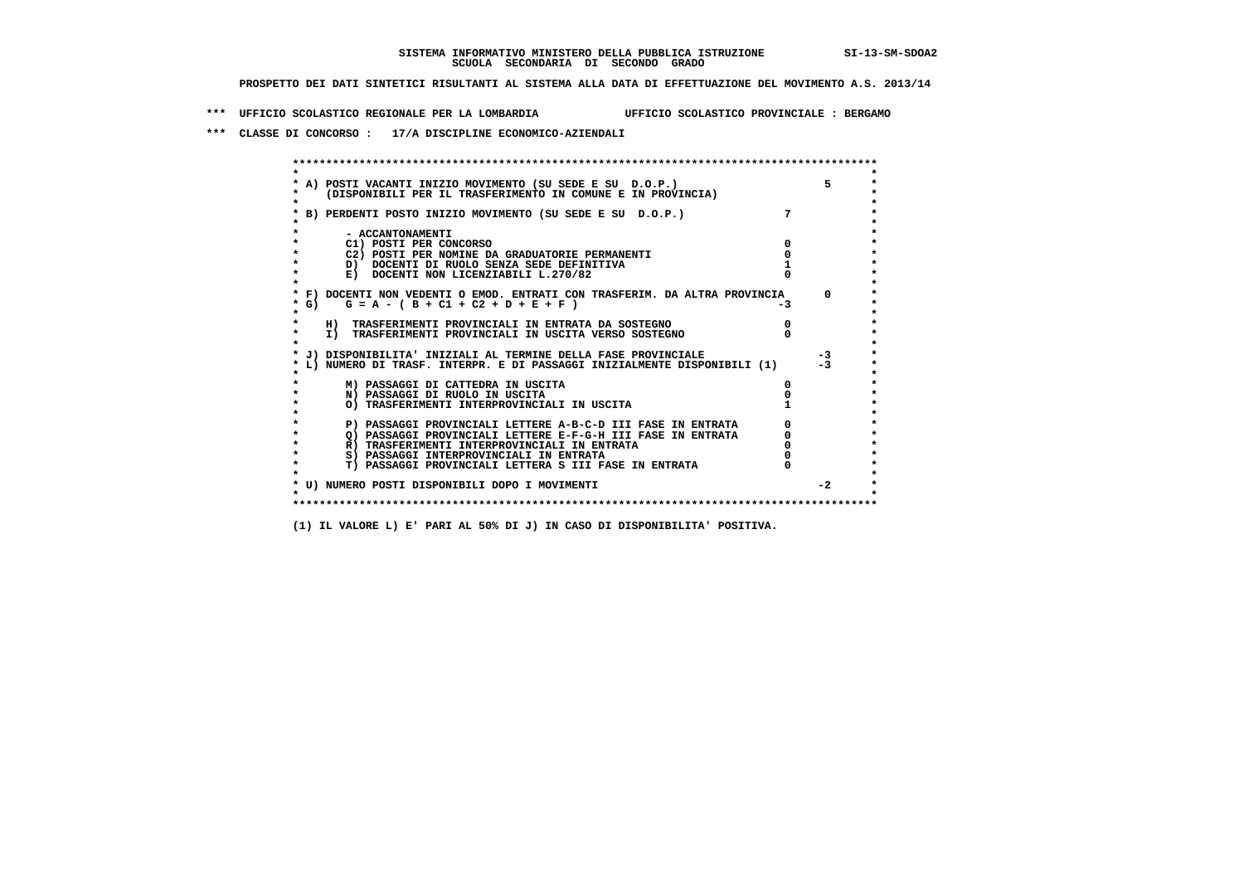**\*\*\* UFFICIO SCOLASTICO REGIONALE PER LA LOMBARDIA UFFICIO SCOLASTICO PROVINCIALE : BERGAMO**

 **\*\*\* CLASSE DI CONCORSO : 17/A DISCIPLINE ECONOMICO-AZIENDALI**

| A) POSTI VACANTI INIZIO MOVIMENTO (SU SEDE E SU D.O.P.)<br>(DISPONIBILI PER IL TRASFERIMENTO IN COMUNE E IN PROVINCIA) |     |            |
|------------------------------------------------------------------------------------------------------------------------|-----|------------|
| B) PERDENTI POSTO INIZIO MOVIMENTO (SU SEDE E SU D.O.P.)                                                               |     |            |
| - ACCANTONAMENTI                                                                                                       |     |            |
| C1) POSTI PER CONCORSO                                                                                                 |     |            |
| C2) POSTI PER NOMINE DA GRADUATORIE PERMANENTI                                                                         |     |            |
| D) DOCENTI DI RUOLO SENZA SEDE DEFINITIVA                                                                              |     |            |
| E) DOCENTI NON LICENZIABILI L.270/82                                                                                   |     |            |
| * F) DOCENTI NON VEDENTI O EMOD. ENTRATI CON TRASFERIM. DA ALTRA PROVINCIA                                             |     | $^{\circ}$ |
| * G) $G = A - (B + C1 + C2 + D + E + F)$                                                                               | -3. |            |
| H) TRASFERIMENTI PROVINCIALI IN ENTRATA DA SOSTEGNO                                                                    |     |            |
| I) TRASFERIMENTI PROVINCIALI IN USCITA VERSO SOSTEGNO                                                                  |     |            |
| J) DISPONIBILITA' INIZIALI AL TERMINE DELLA FASE PROVINCIALE                                                           |     | $-3$       |
| L) NUMERO DI TRASF. INTERPR. E DI PASSAGGI INIZIALMENTE DISPONIBILI (1)                                                |     | $-3$       |
|                                                                                                                        |     |            |
| M) PASSAGGI DI CATTEDRA IN USCITA                                                                                      |     |            |
| N) PASSAGGI DI RUOLO IN USCITA                                                                                         |     |            |
| O) TRASFERIMENTI INTERPROVINCIALI IN USCITA                                                                            |     |            |
| P) PASSAGGI PROVINCIALI LETTERE A-B-C-D III FASE IN ENTRATA                                                            |     |            |
| O) PASSAGGI PROVINCIALI LETTERE E-F-G-H III FASE IN ENTRATA                                                            |     |            |
| R) TRASFERIMENTI INTERPROVINCIALI IN ENTRATA                                                                           |     |            |
| S) PASSAGGI INTERPROVINCIALI IN ENTRATA                                                                                |     |            |
| T) PASSAGGI PROVINCIALI LETTERA S III FASE IN ENTRATA                                                                  |     |            |
| * U) NUMERO POSTI DISPONIBILI DOPO I MOVIMENTI                                                                         |     | $-2$       |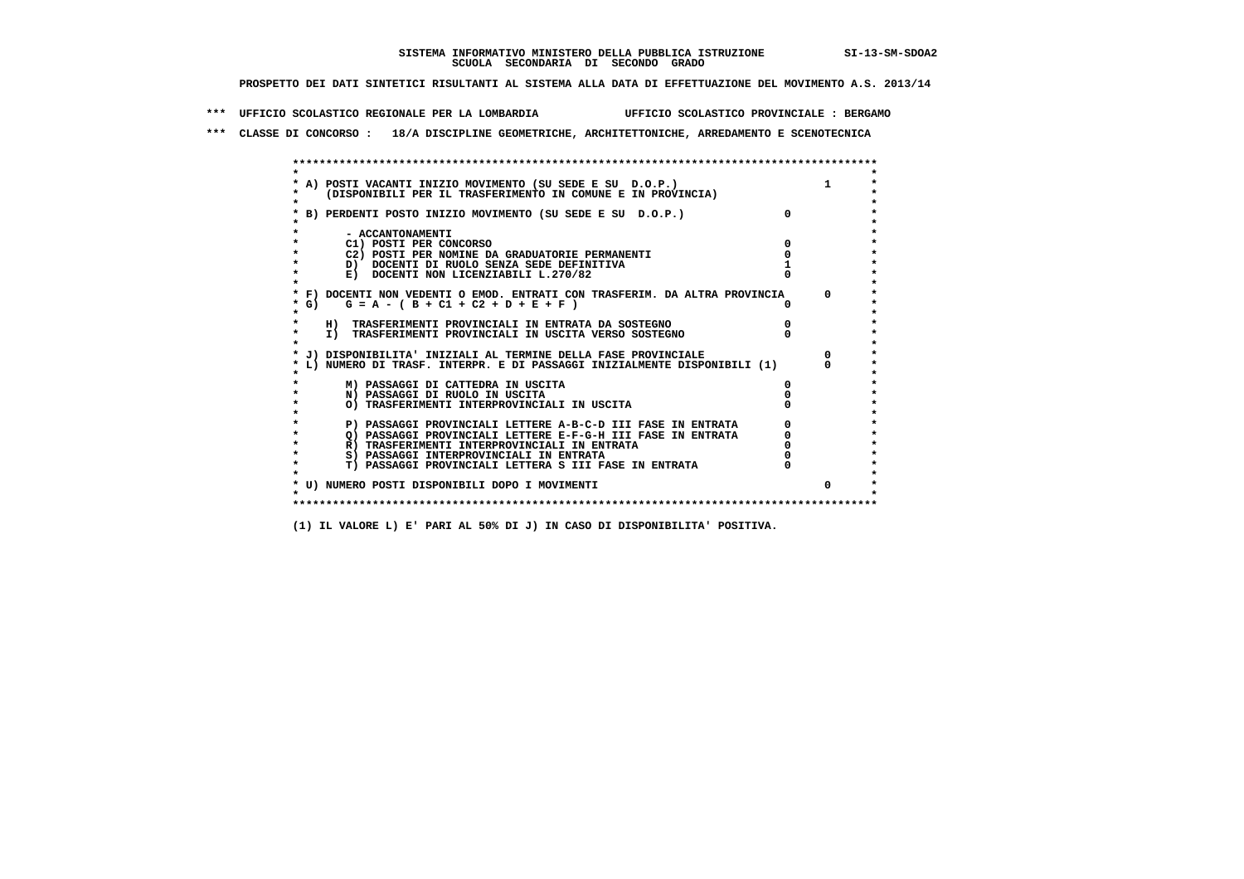**\*\*\* UFFICIO SCOLASTICO REGIONALE PER LA LOMBARDIA UFFICIO SCOLASTICO PROVINCIALE : BERGAMO**

 **\*\*\* CLASSE DI CONCORSO : 18/A DISCIPLINE GEOMETRICHE, ARCHITETTONICHE, ARREDAMENTO E SCENOTECNICA**

| * A) POSTI VACANTI INIZIO MOVIMENTO (SU SEDE E SU D.O.P.)                  |          |  |
|----------------------------------------------------------------------------|----------|--|
| (DISPONIBILI PER IL TRASFERIMENTO IN COMUNE E IN PROVINCIA)                |          |  |
| * B) PERDENTI POSTO INIZIO MOVIMENTO (SU SEDE E SU D.O.P.)                 | $\Omega$ |  |
|                                                                            |          |  |
| - ACCANTONAMENTI                                                           |          |  |
| C1) POSTI PER CONCORSO                                                     |          |  |
| C2) POSTI PER NOMINE DA GRADUATORIE PERMANENTI                             |          |  |
| D) DOCENTI DI RUOLO SENZA SEDE DEFINITIVA                                  |          |  |
| E) DOCENTI NON LICENZIABILI L.270/82                                       |          |  |
|                                                                            |          |  |
| * F) DOCENTI NON VEDENTI O EMOD. ENTRATI CON TRASFERIM. DA ALTRA PROVINCIA |          |  |
| $*$ G)<br>$G = A - (B + C1 + C2 + D + E + F)$                              |          |  |
|                                                                            |          |  |
| H) TRASFERIMENTI PROVINCIALI IN ENTRATA DA SOSTEGNO                        |          |  |
| I) TRASFERIMENTI PROVINCIALI IN USCITA VERSO SOSTEGNO                      |          |  |
|                                                                            |          |  |
| J) DISPONIBILITA' INIZIALI AL TERMINE DELLA FASE PROVINCIALE               |          |  |
| L) NUMERO DI TRASF. INTERPR. E DI PASSAGGI INIZIALMENTE DISPONIBILI (1)    |          |  |
| M) PASSAGGI DI CATTEDRA IN USCITA                                          |          |  |
| N) PASSAGGI DI RUOLO IN USCITA                                             |          |  |
| O) TRASFERIMENTI INTERPROVINCIALI IN USCITA                                |          |  |
|                                                                            |          |  |
| P) PASSAGGI PROVINCIALI LETTERE A-B-C-D III FASE IN ENTRATA                |          |  |
| Q) PASSAGGI PROVINCIALI LETTERE E-F-G-H III FASE IN ENTRATA                |          |  |
| R) TRASFERIMENTI INTERPROVINCIALI IN ENTRATA                               |          |  |
| S) PASSAGGI INTERPROVINCIALI IN ENTRATA                                    |          |  |
| T) PASSAGGI PROVINCIALI LETTERA S III FASE IN ENTRATA                      |          |  |
|                                                                            |          |  |
| * U) NUMERO POSTI DISPONIBILI DOPO I MOVIMENTI                             |          |  |
|                                                                            |          |  |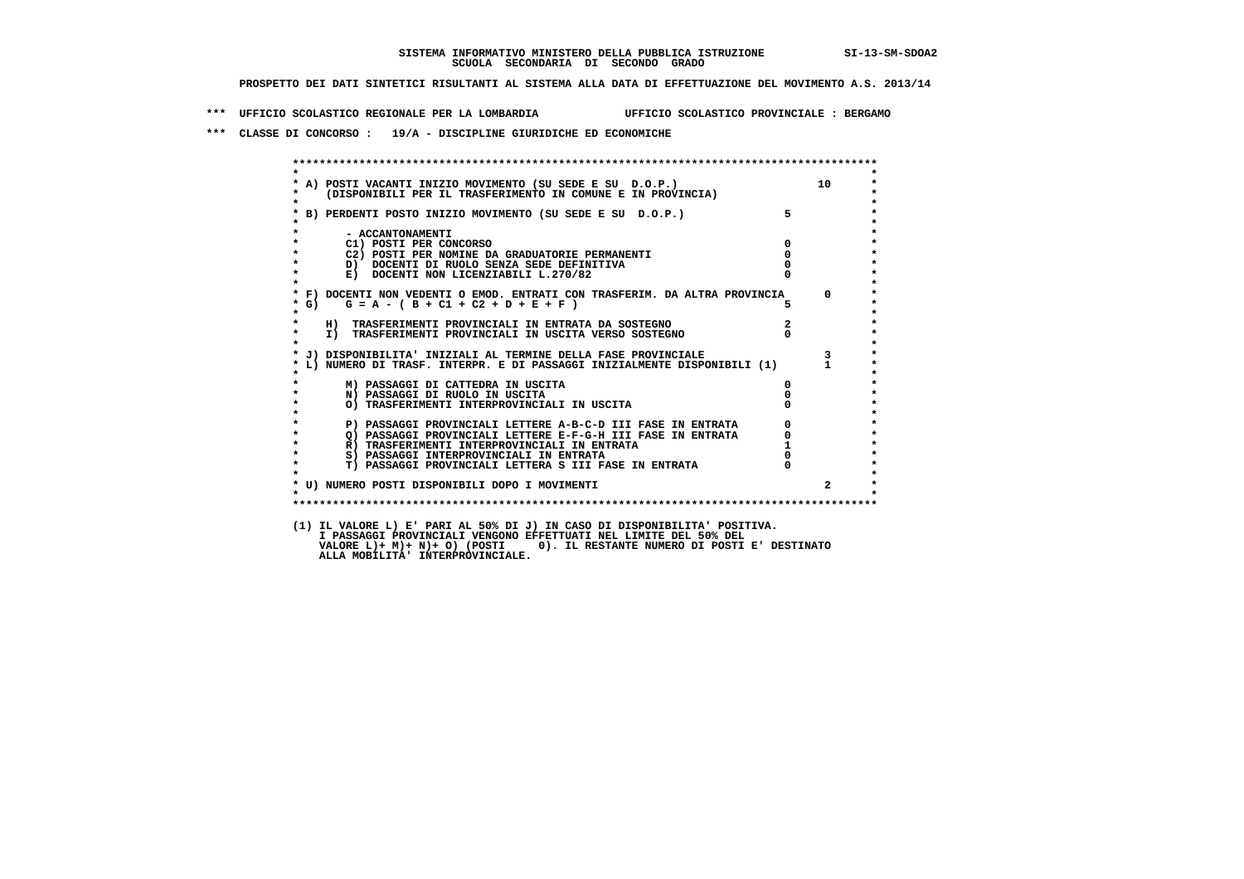**\*\*\* UFFICIO SCOLASTICO REGIONALE PER LA LOMBARDIA UFFICIO SCOLASTICO PROVINCIALE : BERGAMO**

 **\*\*\* CLASSE DI CONCORSO : 19/A - DISCIPLINE GIURIDICHE ED ECONOMICHE**

| $\star$            |                                                                                                                            |               | 10                      |
|--------------------|----------------------------------------------------------------------------------------------------------------------------|---------------|-------------------------|
| $\star$            | * A) POSTI VACANTI INIZIO MOVIMENTO (SU SEDE E SU D.O.P.)<br>* (DISPONIBILI PER IL TRASFERIMENTO IN COMUNE E IN PROVINCIA) |               |                         |
|                    | * B) PERDENTI POSTO INIZIO MOVIMENTO (SU SEDE E SU D.O.P.)                                                                 | $5^{\circ}$   |                         |
| $\star$            | - ACCANTONAMENTI                                                                                                           |               |                         |
| $\star$            | C1) POSTI PER CONCORSO                                                                                                     | $^{\circ}$    |                         |
| $\star$            | C2) POSTI PER NOMINE DA GRADUATORIE PERMANENTI                                                                             | $\mathbf{o}$  |                         |
| $\star$            | D) DOCENTI DI RUOLO SENZA SEDE DEFINITIVA                                                                                  |               |                         |
| $\star$<br>$\star$ | E) DOCENTI NON LICENZIABILI L.270/82                                                                                       |               |                         |
|                    | * F) DOCENTI NON VEDENTI O EMOD. ENTRATI CON TRASFERIM. DA ALTRA PROVINCIA 0                                               |               |                         |
| * G)<br>$\star$    | $G = A - (B + C1 + C2 + D + E + F)$                                                                                        |               |                         |
| $\star$            | H) TRASFERIMENTI PROVINCIALI IN ENTRATA DA SOSTEGNO                                                                        | $\frac{2}{0}$ |                         |
| $\star$<br>$\star$ | I) TRASFERIMENTI PROVINCIALI IN USCITA VERSO SOSTEGNO                                                                      |               |                         |
|                    | * J) DISPONIBILITA' INIZIALI AL TERMINE DELLA FASE PROVINCIALE                                                             |               | $\overline{\mathbf{3}}$ |
|                    | * L) NUMERO DI TRASF. INTERPR. E DI PASSAGGI INIZIALMENTE DISPONIBILI (1) 1                                                |               |                         |
|                    | M) PASSAGGI DI CATTEDRA IN USCITA                                                                                          | 0             |                         |
| $\star$            | N) PASSAGGI DI RUOLO IN USCITA                                                                                             |               |                         |
| $\star$<br>$\star$ | O) TRASFERIMENTI INTERPROVINCIALI IN USCITA                                                                                |               |                         |
| $\star$            | P) PASSAGGI PROVINCIALI LETTERE A-B-C-D III FASE IN ENTRATA<br>Q) PASSAGGI PROVINCIALI LETTERE E-F-G-H_III FASE IN ENTRATA |               |                         |
| $\star$            |                                                                                                                            |               |                         |
| $\star$            | R) TRASFERIMENTI INTERPROVINCIALI IN ENTRATA                                                                               |               |                         |
| $\star$            | S) PASSAGGI INTERPROVINCIALI IN ENTRATA                                                                                    |               |                         |
| $\star$            | T) PASSAGGI PROVINCIALI LETTERA S III FASE IN ENTRATA                                                                      |               |                         |
|                    | * U) NUMERO POSTI DISPONIBILI DOPO I MOVIMENTI                                                                             |               |                         |
| $\star$            |                                                                                                                            |               |                         |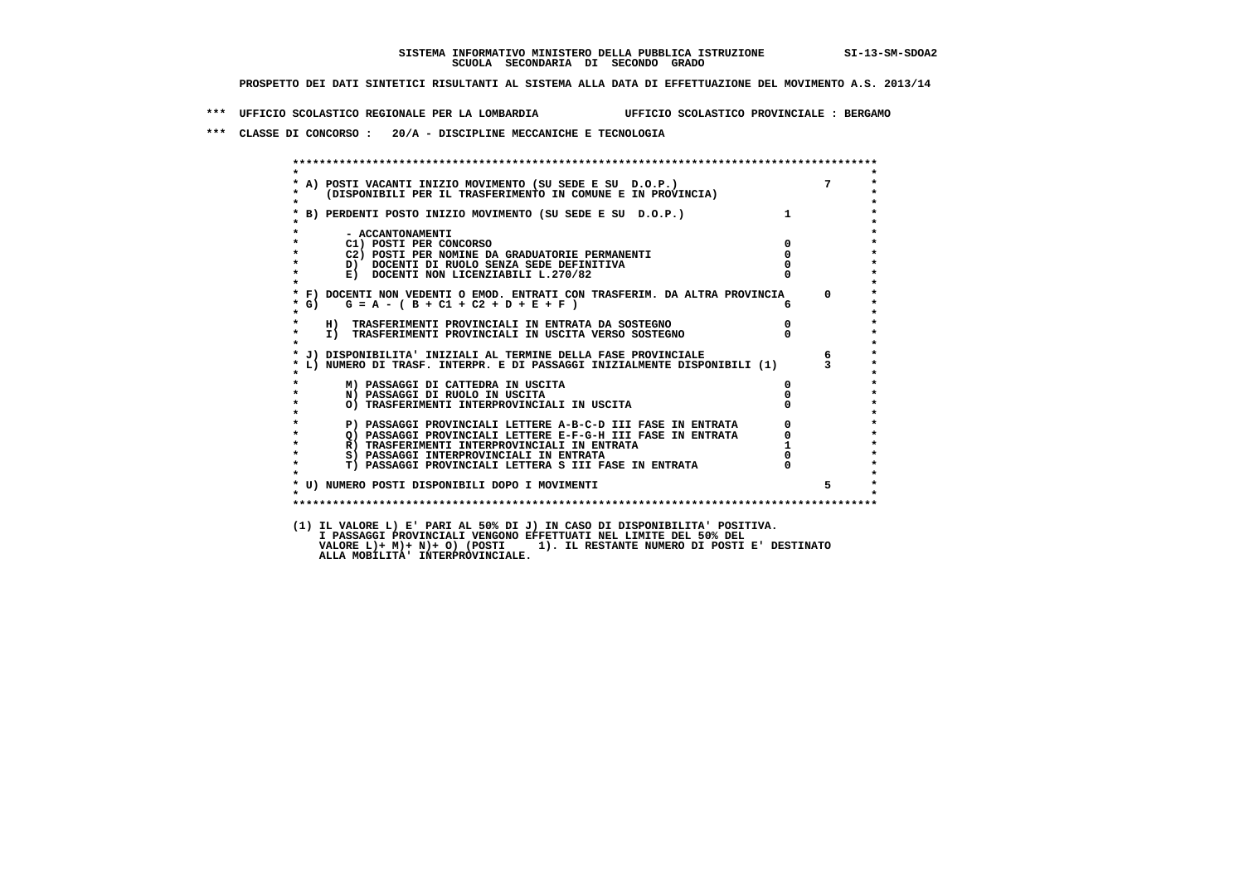**\*\*\* UFFICIO SCOLASTICO REGIONALE PER LA LOMBARDIA UFFICIO SCOLASTICO PROVINCIALE : BERGAMO**

 **\*\*\* CLASSE DI CONCORSO : 20/A - DISCIPLINE MECCANICHE E TECNOLOGIA**

| $\star$ |                                                                                                                                                                                           |                                                 |                 |
|---------|-------------------------------------------------------------------------------------------------------------------------------------------------------------------------------------------|-------------------------------------------------|-----------------|
| $\star$ | A) POSTI VACANTI INIZIO MOVIMENTO (SU SEDE E SU D.O.P.) 7<br>(DISPONIBILI PER IL TRASFERIMENTO IN COMUNE E IN PROVINCIA)                                                                  |                                                 |                 |
|         | B) PERDENTI POSTO INIZIO MOVIMENTO (SU SEDE E SU D.O.P.)                                                                                                                                  |                                                 |                 |
|         |                                                                                                                                                                                           |                                                 |                 |
|         | - ACCANTONAMENTI                                                                                                                                                                          |                                                 |                 |
|         | C1) POSTI PER CONCORSO                                                                                                                                                                    | $\mathbf{0}$                                    |                 |
|         | C2) POSTI PER NOMINE DA GRADUATORIE PERMANENTI                                                                                                                                            | $\overline{0}$                                  |                 |
|         | D) DOCENTI DI RUOLO SENZA SEDE DEFINITIVA                                                                                                                                                 |                                                 |                 |
| $\star$ | E) DOCENTI NON LICENZIABILI L.270/82                                                                                                                                                      |                                                 |                 |
|         | * F) DOCENTI NON VEDENTI O EMOD. ENTRATI CON TRASFERIM. DA ALTRA PROVINCIA 0                                                                                                              |                                                 |                 |
| $*$ G)  | $G = A - (B + C1 + C2 + D + E + F)$                                                                                                                                                       |                                                 |                 |
| $\star$ |                                                                                                                                                                                           | $\overline{0}$                                  |                 |
| $\star$ | H) TRASFERIMENTI PROVINCIALI IN ENTRATA DA SOSTEGNO<br>I) TRASFERIMENTI PROVINCIALI IN USCITA VERSO SOSTEGNO                                                                              |                                                 |                 |
|         |                                                                                                                                                                                           |                                                 |                 |
|         | J) DISPONIBILITA' INIZIALI AL TERMINE DELLA FASE PROVINCIALE                                                                                                                              |                                                 | $6\overline{6}$ |
|         | L) NUMERO DI TRASF. INTERPR. E DI PASSAGGI INIZIALMENTE DISPONIBILI (1) 3                                                                                                                 |                                                 |                 |
|         | M) PASSAGGI DI CATTEDRA IN USCITA                                                                                                                                                         | $\mathbf{0}$                                    |                 |
|         | N) PASSAGGI DI RUOLO IN USCITA                                                                                                                                                            |                                                 |                 |
|         | O) TRASFERIMENTI INTERPROVINCIALI IN USCITA                                                                                                                                               |                                                 |                 |
|         | P) PASSAGGI PROVINCIALI LETTERE A-B-C-D III FASE IN ENTRATA<br>Q) PASSAGGI PROVINCIALI LETTERE E-F-G-H III FASE IN ENTRATA<br>C) TASSAGGI PROVINCIALI LETTERE E-F-G-H III FASE IN ENTRATA | $\begin{array}{c} 0 \\ 0 \\ 1 \\ 0 \end{array}$ |                 |
| $\star$ |                                                                                                                                                                                           |                                                 |                 |
| $\star$ |                                                                                                                                                                                           |                                                 |                 |
| $\star$ |                                                                                                                                                                                           |                                                 |                 |
| $\star$ | T) PASSAGGI PROVINCIALI LETTERA S III FASE IN ENTRATA                                                                                                                                     |                                                 |                 |
|         | * U) NUMERO POSTI DISPONIBILI DOPO I MOVIMENTI                                                                                                                                            |                                                 |                 |
|         |                                                                                                                                                                                           |                                                 |                 |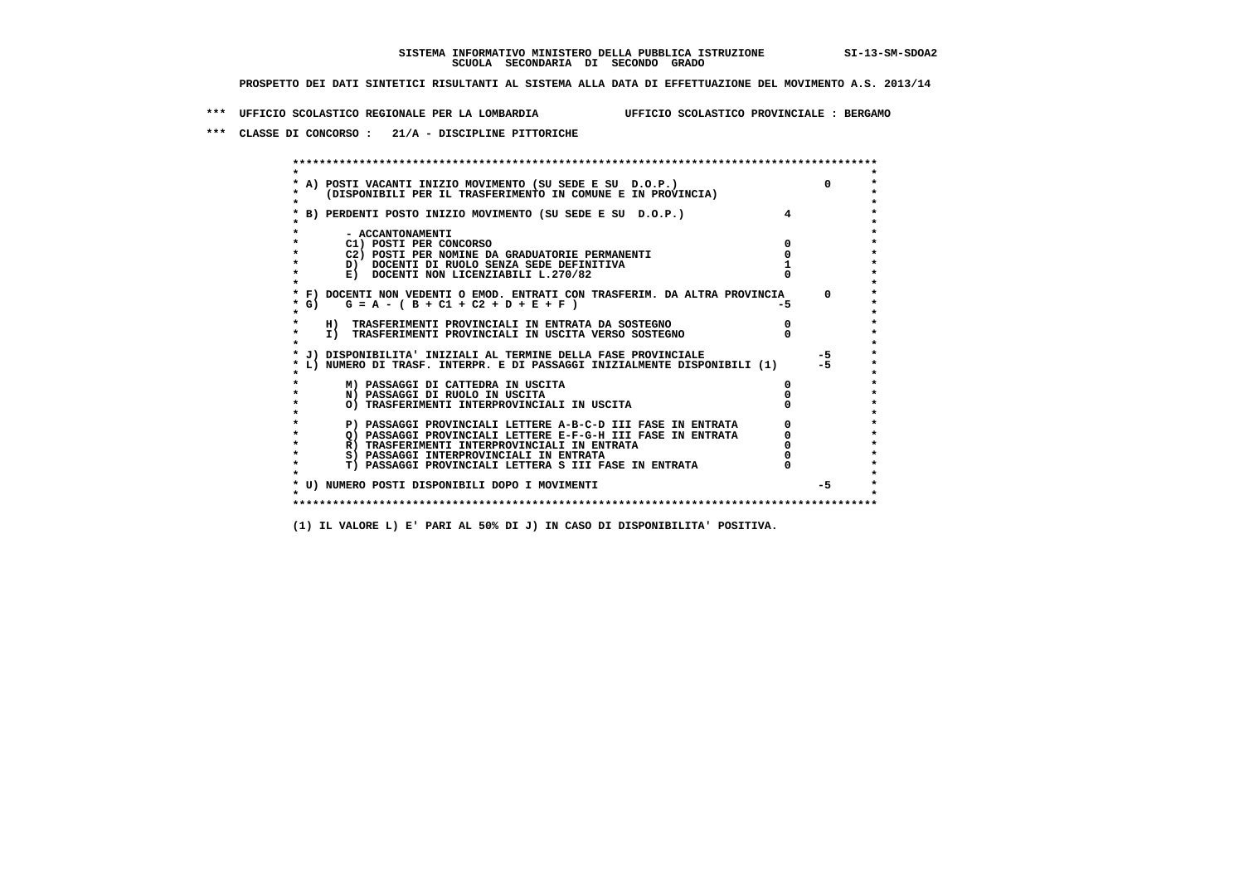**\*\*\* UFFICIO SCOLASTICO REGIONALE PER LA LOMBARDIA UFFICIO SCOLASTICO PROVINCIALE : BERGAMO**

 **\*\*\* CLASSE DI CONCORSO : 21/A - DISCIPLINE PITTORICHE**

|        | A) POSTI VACANTI INIZIO MOVIMENTO (SU SEDE E SU D.O.P.)                    |     | $\Omega$ |
|--------|----------------------------------------------------------------------------|-----|----------|
|        | (DISPONIBILI PER IL TRASFERIMENTO IN COMUNE E IN PROVINCIA)                |     |          |
|        | B) PERDENTI POSTO INIZIO MOVIMENTO (SU SEDE E SU D.O.P.)                   |     |          |
|        | - ACCANTONAMENTI                                                           |     |          |
|        | C1) POSTI PER CONCORSO                                                     |     |          |
|        | C2) POSTI PER NOMINE DA GRADUATORIE PERMANENTI                             |     |          |
|        | D) DOCENTI DI RUOLO SENZA SEDE DEFINITIVA                                  |     |          |
|        | E) DOCENTI NON LICENZIABILI L.270/82                                       |     |          |
|        | * F) DOCENTI NON VEDENTI O EMOD. ENTRATI CON TRASFERIM. DA ALTRA PROVINCIA |     | $\Omega$ |
| $*$ G) | $G = A - (B + C1 + C2 + D + E + F)$                                        | -5. |          |
|        | H) TRASFERIMENTI PROVINCIALI IN ENTRATA DA SOSTEGNO                        |     |          |
|        | I) TRASFERIMENTI PROVINCIALI IN USCITA VERSO SOSTEGNO                      |     |          |
|        | J) DISPONIBILITA' INIZIALI AL TERMINE DELLA FASE PROVINCIALE               |     | $-5$     |
|        | L) NUMERO DI TRASF. INTERPR. E DI PASSAGGI INIZIALMENTE DISPONIBILI (1)    |     | $-5$     |
|        | M) PASSAGGI DI CATTEDRA IN USCITA                                          |     |          |
|        | N) PASSAGGI DI RUOLO IN USCITA                                             |     |          |
|        | O) TRASFERIMENTI INTERPROVINCIALI IN USCITA                                |     |          |
|        | P) PASSAGGI PROVINCIALI LETTERE A-B-C-D III FASE IN ENTRATA                |     |          |
|        | O) PASSAGGI PROVINCIALI LETTERE E-F-G-H III FASE IN ENTRATA                |     |          |
|        | R) TRASFERIMENTI INTERPROVINCIALI IN ENTRATA                               |     |          |
|        | S) PASSAGGI INTERPROVINCIALI IN ENTRATA                                    |     |          |
|        | T) PASSAGGI PROVINCIALI LETTERA S III FASE IN ENTRATA                      |     |          |
|        |                                                                            |     |          |
|        | * U) NUMERO POSTI DISPONIBILI DOPO I MOVIMENTI                             |     | $-5$     |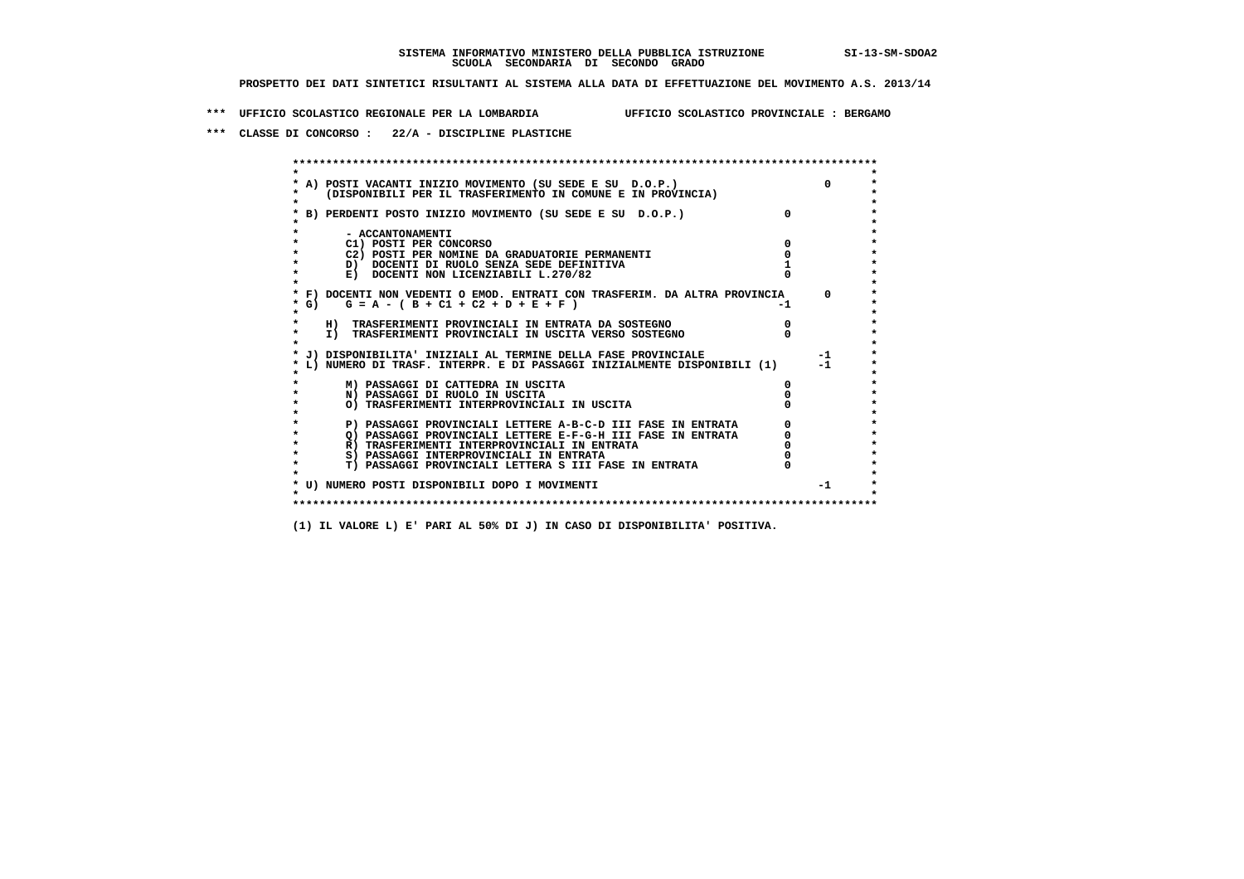**\*\*\* UFFICIO SCOLASTICO REGIONALE PER LA LOMBARDIA UFFICIO SCOLASTICO PROVINCIALE : BERGAMO**

 **\*\*\* CLASSE DI CONCORSO : 22/A - DISCIPLINE PLASTICHE**

 **\*\*\*\*\*\*\*\*\*\*\*\*\*\*\*\*\*\*\*\*\*\*\*\*\*\*\*\*\*\*\*\*\*\*\*\*\*\*\*\*\*\*\*\*\*\*\*\*\*\*\*\*\*\*\*\*\*\*\*\*\*\*\*\*\*\*\*\*\*\*\*\*\*\*\*\*\*\*\*\*\*\*\*\*\*\*\*\* \* \*** $\bullet$  **\* A) POSTI VACANTI INIZIO MOVIMENTO (SU SEDE E SU D.O.P.) 0 \*** $\star$  **\* (DISPONIBILI PER IL TRASFERIMENTO IN COMUNE E IN PROVINCIA) \*** $\bullet$  **\* \* \* B) PERDENTI POSTO INIZIO MOVIMENTO (SU SEDE E SU D.O.P.) 0 \* \* \* \* - ACCANTONAMENTI \* \* C1) POSTI PER CONCORSO 0 \* \* C2) POSTI PER NOMINE DA GRADUATORIE PERMANENTI 0 \*D)** DOCENTI DI RUOLO SENZA SEDE DEFINITIVA 1<br> **E)** DOCENTI NON LICENZIABILI L. 270/82 0 **E) DOCENTI NON LICENZIABILI L.270/82 \* \* \* F) DOCENTI NON VEDENTI O EMOD. ENTRATI CON TRASFERIM. DA ALTRA PROVINCIA 0 \***  $\star$  **G)** G = A - ( B + C1 + C2 + D + E + F)  **\* \* \* H) TRASFERIMENTI PROVINCIALI IN ENTRATA DA SOSTEGNO 0 \* \* I) TRASFERIMENTI PROVINCIALI IN USCITA VERSO SOSTEGNO 0 \* \* \* \* J) DISPONIBILITA' INIZIALI AL TERMINE DELLA FASE PROVINCIALE -1 \* \* L) NUMERO DI TRASF. INTERPR. E DI PASSAGGI INIZIALMENTE DISPONIBILI (1) -1 \* \* \* \* M) PASSAGGI DI CATTEDRA IN USCITA 0 \* \* N) PASSAGGI DI RUOLO IN USCITA 0 \* \* O) TRASFERIMENTI INTERPROVINCIALI IN USCITA 0 \* \* \* P) PASSAGGI PROVINCIALI LETTERE A-B-C-D III FASE IN ENTRATA** 0 <sup>0</sup> **DASSAGGI PROVINCIALI LETTERE E-F-G-H** III FASE IN ENTRATA 0 <sup>0</sup> **2) PASSAGGI PROVINCIALI LETTERE E-F-G-H III FASE IN ENTRATA 6 0 R**) TRASFERIMENTI INTERPROVINCIALI IN ENTRATA 6 **0 R)** TRASFERIMENTI INTERPROVINCIALI IN ENTRATA  $\begin{bmatrix} 0 & 0 \\ 0 & 0 \\ 0 & 0 \end{bmatrix}$  PASSAGGI INTERPROVINCIALI IN ENTRATA  $\begin{bmatrix} 0 & 0 \\ 0 & 0 \\ 0 & 0 \end{bmatrix}$  **\* S) PASSAGGI INTERPROVINCIALI IN ENTRATA 0 \*** $\ddot{\phantom{1}}$  **\* T) PASSAGGI PROVINCIALI LETTERA S III FASE IN ENTRATA 0 \*** $\star$  **\* \* \* U) NUMERO POSTI DISPONIBILI DOPO I MOVIMENTI -1 \* \* \* \*\*\*\*\*\*\*\*\*\*\*\*\*\*\*\*\*\*\*\*\*\*\*\*\*\*\*\*\*\*\*\*\*\*\*\*\*\*\*\*\*\*\*\*\*\*\*\*\*\*\*\*\*\*\*\*\*\*\*\*\*\*\*\*\*\*\*\*\*\*\*\*\*\*\*\*\*\*\*\*\*\*\*\*\*\*\*\***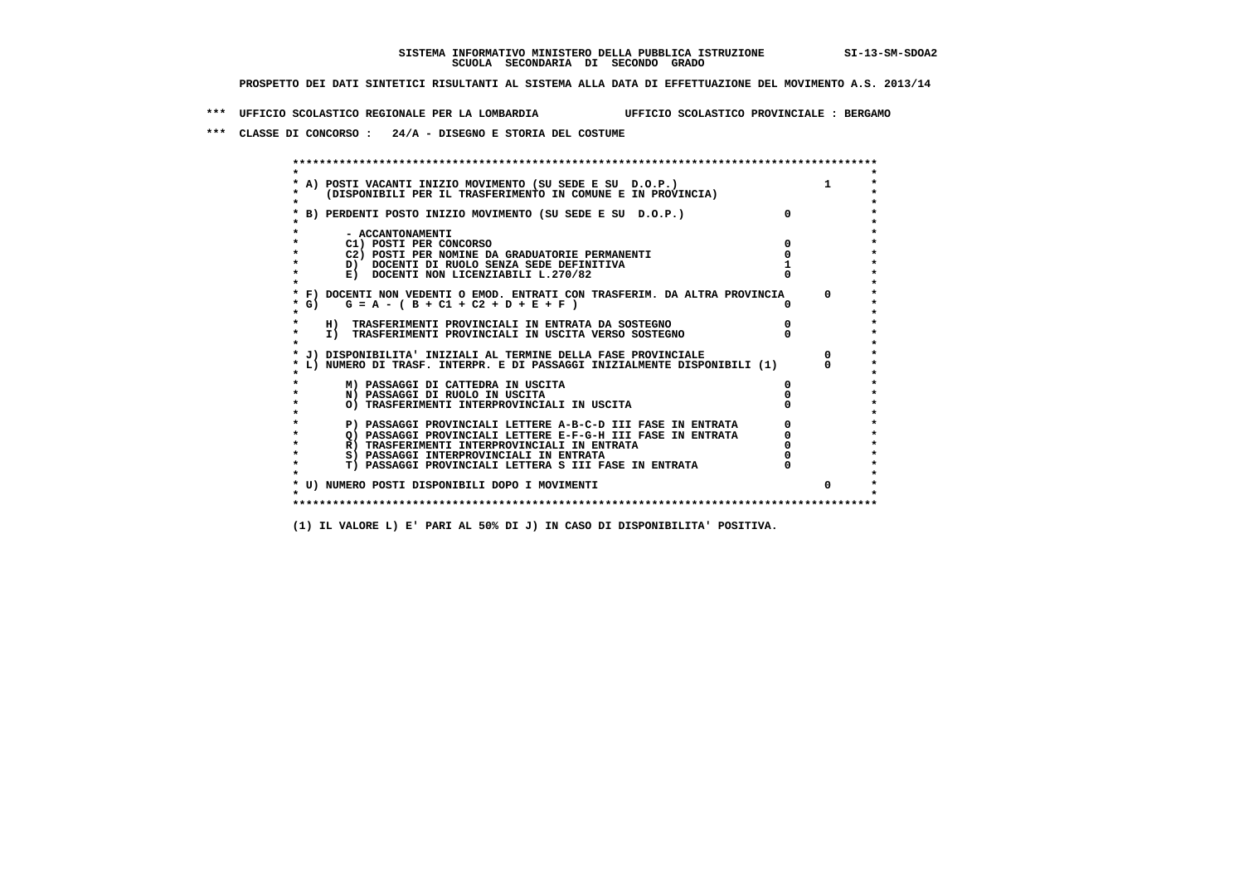**\*\*\* UFFICIO SCOLASTICO REGIONALE PER LA LOMBARDIA UFFICIO SCOLASTICO PROVINCIALE : BERGAMO**

 **\*\*\* CLASSE DI CONCORSO : 24/A - DISEGNO E STORIA DEL COSTUME**

| A) POSTI VACANTI INIZIO MOVIMENTO (SU SEDE E SU D.O.P.)<br>(DISPONIBILI PER IL TRASFERIMENTO IN COMUNE E IN PROVINCIA) |          |
|------------------------------------------------------------------------------------------------------------------------|----------|
| B) PERDENTI POSTO INIZIO MOVIMENTO (SU SEDE E SU D.O.P.)                                                               |          |
| - ACCANTONAMENTI                                                                                                       |          |
| C1) POSTI PER CONCORSO                                                                                                 |          |
| C2) POSTI PER NOMINE DA GRADUATORIE PERMANENTI                                                                         |          |
| D) DOCENTI DI RUOLO SENZA SEDE DEFINITIVA                                                                              |          |
| E) DOCENTI NON LICENZIABILI L.270/82                                                                                   |          |
| * F) DOCENTI NON VEDENTI O EMOD. ENTRATI CON TRASFERIM. DA ALTRA PROVINCIA                                             | $\Omega$ |
| * G) $G = A - (B + C1 + C2 + D + E + F)$                                                                               |          |
| H) TRASFERIMENTI PROVINCIALI IN ENTRATA DA SOSTEGNO                                                                    |          |
| I) TRASFERIMENTI PROVINCIALI IN USCITA VERSO SOSTEGNO                                                                  |          |
| J) DISPONIBILITA' INIZIALI AL TERMINE DELLA FASE PROVINCIALE                                                           |          |
| L) NUMERO DI TRASF. INTERPR. E DI PASSAGGI INIZIALMENTE DISPONIBILI (1)                                                |          |
| M) PASSAGGI DI CATTEDRA IN USCITA                                                                                      |          |
| N) PASSAGGI DI RUOLO IN USCITA                                                                                         |          |
| O) TRASFERIMENTI INTERPROVINCIALI IN USCITA                                                                            |          |
| P) PASSAGGI PROVINCIALI LETTERE A-B-C-D III FASE IN ENTRATA                                                            |          |
| O) PASSAGGI PROVINCIALI LETTERE E-F-G-H III FASE IN ENTRATA                                                            |          |
| R) TRASFERIMENTI INTERPROVINCIALI IN ENTRATA                                                                           |          |
| S) PASSAGGI INTERPROVINCIALI IN ENTRATA                                                                                |          |
| T) PASSAGGI PROVINCIALI LETTERA S III FASE IN ENTRATA                                                                  |          |
| * U) NUMERO POSTI DISPONIBILI DOPO I MOVIMENTI                                                                         | $\Omega$ |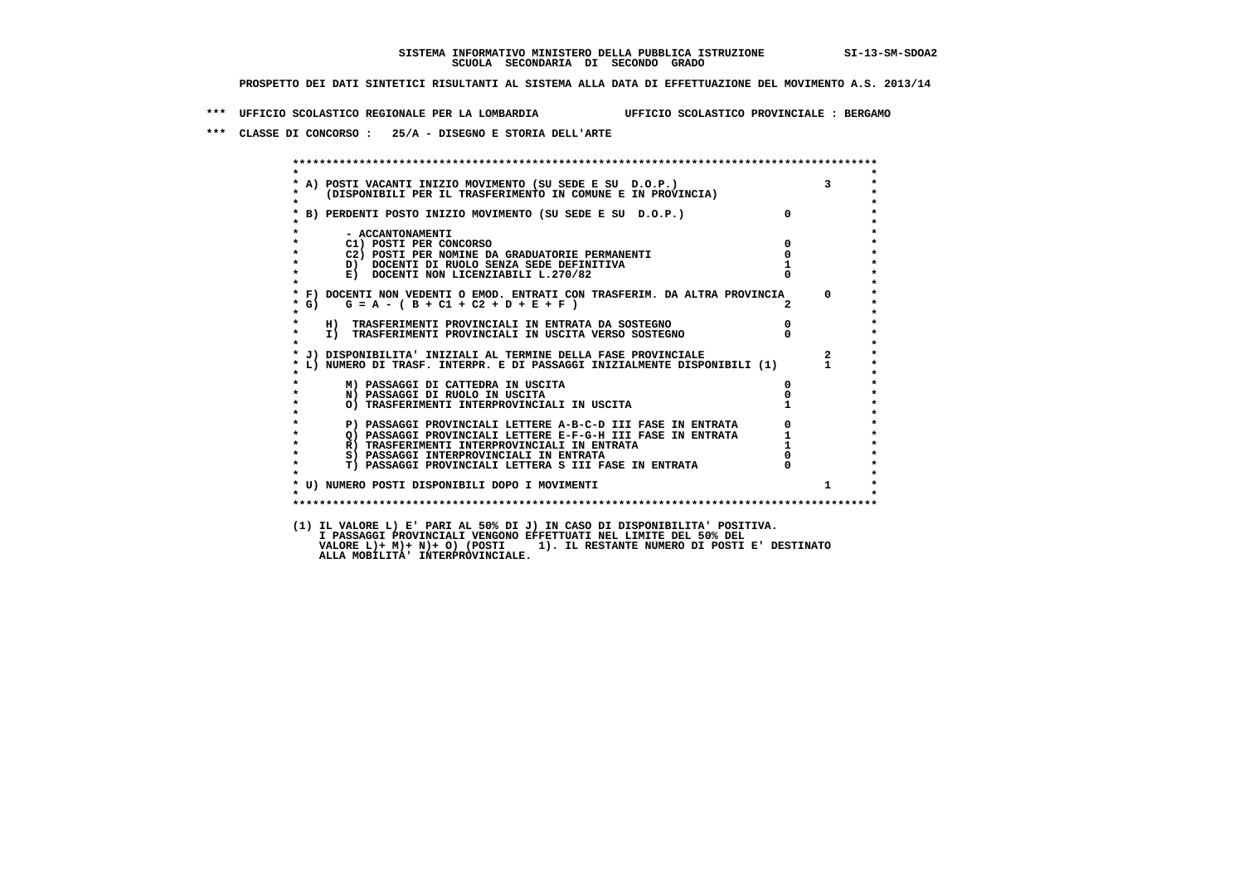**\*\*\* UFFICIO SCOLASTICO REGIONALE PER LA LOMBARDIA UFFICIO SCOLASTICO PROVINCIALE : BERGAMO**

 **\*\*\* CLASSE DI CONCORSO : 25/A - DISEGNO E STORIA DELL'ARTE**

 **\*\*\*\*\*\*\*\*\*\*\*\*\*\*\*\*\*\*\*\*\*\*\*\*\*\*\*\*\*\*\*\*\*\*\*\*\*\*\*\*\*\*\*\*\*\*\*\*\*\*\*\*\*\*\*\*\*\*\*\*\*\*\*\*\*\*\*\*\*\*\*\*\*\*\*\*\*\*\*\*\*\*\*\*\*\*\*\* \* \* \* A) POSTI VACANTI INIZIO MOVIMENTO (SU SEDE E SU D.O.P.) 3 \* \* (DISPONIBILI PER IL TRASFERIMENTO IN COMUNE E IN PROVINCIA) \* \* \* \* B) PERDENTI POSTO INIZIO MOVIMENTO (SU SEDE E SU D.O.P.) 0 \* \* \* \* - ACCANTONAMENTI \* \* C1) POSTI PER CONCORSO 0 \* \* C2) POSTI PER NOMINE DA GRADUATORIE PERMANENTI 0 \*D)** DOCENTI DI RUOLO SENZA SEDE DEFINITIVA 1<br> **E)** DOCENTI NON LICENZIABILI L. 270/82 0 **E) DOCENTI NON LICENZIABILI L.270/82 \* \* \* F) DOCENTI NON VEDENTI O EMOD. ENTRATI CON TRASFERIM. DA ALTRA PROVINCIA 0 \* \* G) G = A - ( B + C1 + C2 + D + E + F ) 2 \* \* \* \* H) TRASFERIMENTI PROVINCIALI IN ENTRATA DA SOSTEGNO 0 \* \* I) TRASFERIMENTI PROVINCIALI IN USCITA VERSO SOSTEGNO 0 \* \* \* \* J) DISPONIBILITA' INIZIALI AL TERMINE DELLA FASE PROVINCIALE 2 \* \* L) NUMERO DI TRASF. INTERPR. E DI PASSAGGI INIZIALMENTE DISPONIBILI (1) 1 \* \* \* \* M) PASSAGGI DI CATTEDRA IN USCITA 0 \* \* N) PASSAGGI DI RUOLO IN USCITA 0 \*O) TRASFERIMENTI INTERPROVINCIALI IN USCITA \* \* P) PASSAGGI PROVINCIALI LETTERE A-B-C-D III FASE IN ENTRATA** 0 <sup>0</sup> **DASSAGGI PROVINCIALI LETTERE E-F-G-H** III FASE IN ENTRATA 1 **2) PASSAGGI PROVINCIALI LETTERE E-F-G-H III FASE IN ENTRATA 1 \*** 1 **R**) **TRASFERIMENTI INTERPROVINCIALI** IN ENTRATA 1 \* <sup>1</sup> **R) TRASFERIMENTI INTERPROVINCIALI IN ENTRATA 1**<br> **8**) PASSAGGI INTERPROVINCIALI IN ENTRATA **1 8) PASSAGGI INTERPROVINCIALI IN ENTRATA 6 \*\*\*** 0 \*\*\*<br> **T) PASSAGGI PROVINCIALI LETTERA S III FASE IN ENTRATA** 0 \*\*\*  $\ddot{\phantom{1}}$  **\* T) PASSAGGI PROVINCIALI LETTERA S III FASE IN ENTRATA 0 \*** $\star$  **\* \* \* U) NUMERO POSTI DISPONIBILI DOPO I MOVIMENTI 1 \* \* \* \*\*\*\*\*\*\*\*\*\*\*\*\*\*\*\*\*\*\*\*\*\*\*\*\*\*\*\*\*\*\*\*\*\*\*\*\*\*\*\*\*\*\*\*\*\*\*\*\*\*\*\*\*\*\*\*\*\*\*\*\*\*\*\*\*\*\*\*\*\*\*\*\*\*\*\*\*\*\*\*\*\*\*\*\*\*\*\* (1) IL VALORE L) E' PARI AL 50% DI J) IN CASO DI DISPONIBILITA' POSITIVA. VALORE L)+ M)+ N)+ O) (POSTI 1). IL RESTANTE NUMERO DI POSTI E' DESTINATO ALLA MOBILITA' INTERPROVINCIALE. I PASSAGGI PROVINCIALI VENGONO EFFETTUATI NEL LIMITE DEL 50% DEL**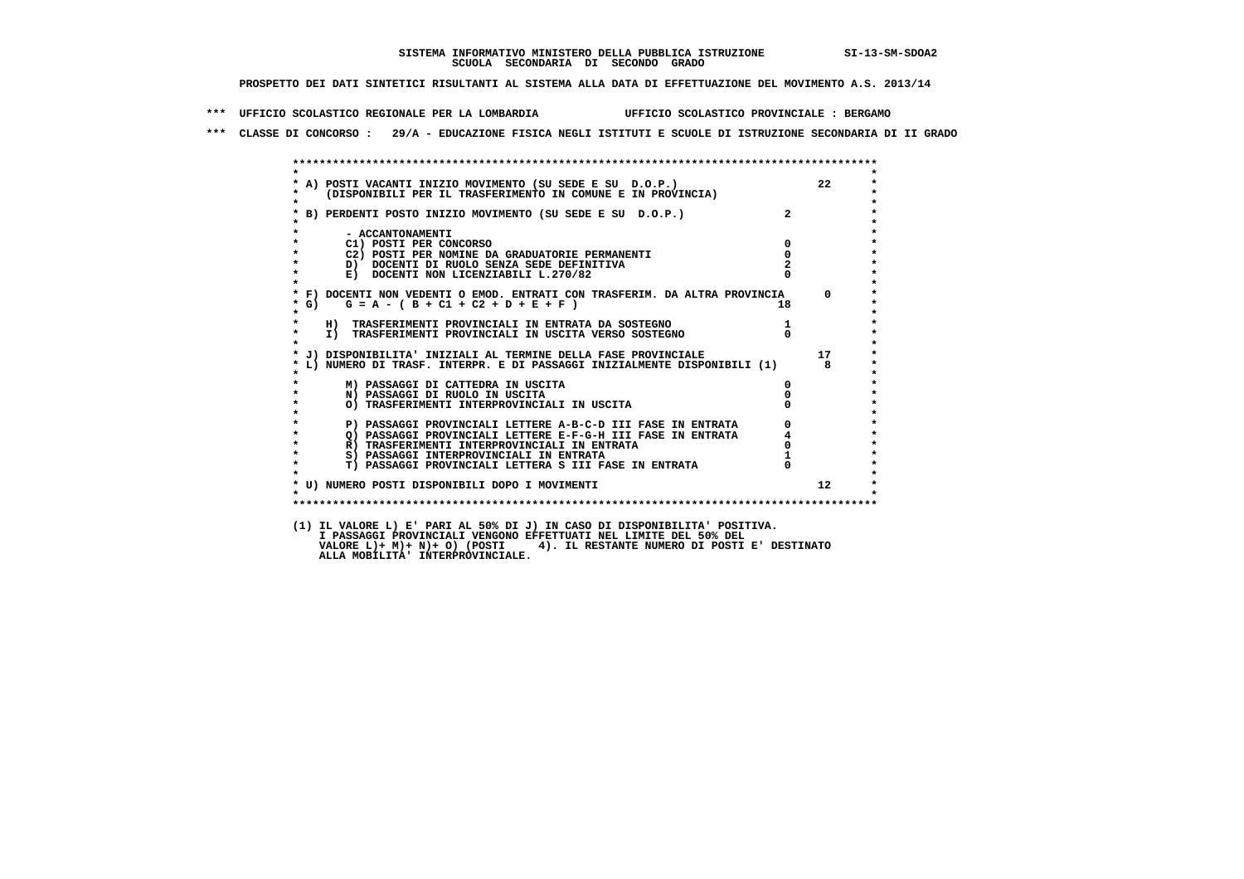**\*\*\* UFFICIO SCOLASTICO REGIONALE PER LA LOMBARDIA UFFICIO SCOLASTICO PROVINCIALE : BERGAMO**

 **\*\*\* CLASSE DI CONCORSO : 29/A - EDUCAZIONE FISICA NEGLI ISTITUTI E SCUOLE DI ISTRUZIONE SECONDARIA DI II GRADO**

| $\mathbf{r}$ | * A) POSTI VACANTI INIZIO MOVIMENTO (SU SEDE E SU D.O.P.)<br>*    (DISPONIBILI PER IL TRASFERIMENTO IN COMUNE E IN PROVINCIA) |                | 22              |
|--------------|-------------------------------------------------------------------------------------------------------------------------------|----------------|-----------------|
|              | * B) PERDENTI POSTO INIZIO MOVIMENTO (SU SEDE E SU D.O.P.)                                                                    | $\overline{2}$ |                 |
|              | - ACCANTONAMENTI                                                                                                              |                |                 |
| $\star$      | C1) POSTI PER CONCORSO                                                                                                        | $\Omega$       |                 |
|              | C2) POSTI PER NOMINE DA GRADUATORIE PERMANENTI                                                                                | $\mathbf 0$    |                 |
| $\star$      | D) DOCENTI DI RUOLO SENZA SEDE DEFINITIVA                                                                                     |                |                 |
| $\star$      | E) DOCENTI NON LICENZIABILI L.270/82                                                                                          |                |                 |
|              | * F) DOCENTI NON VEDENTI O EMOD. ENTRATI CON TRASFERIM. DA ALTRA PROVINCIA                                                    |                | $^{\circ}$      |
| $*$ G)       | $G = A - (B + C1 + C2 + D + E + F)$                                                                                           | 18             |                 |
| $\star$      | H) TRASFERIMENTI PROVINCIALI IN ENTRATA DA SOSTEGNO                                                                           |                |                 |
| $\star$      | I) TRASFERIMENTI PROVINCIALI IN USCITA VERSO SOSTEGNO                                                                         | $\Omega$       |                 |
|              | * J) DISPONIBILITA' INIZIALI AL TERMINE DELLA FASE PROVINCIALE                                                                |                | 17              |
|              | * L) NUMERO DI TRASF. INTERPR. E DI PASSAGGI INIZIALMENTE DISPONIBILI (1)                                                     |                | 8               |
|              | M) PASSAGGI DI CATTEDRA IN USCITA                                                                                             | 0              |                 |
| $\star$      | N) PASSAGGI DI RUOLO IN USCITA                                                                                                |                |                 |
| $\star$      | O) TRASFERIMENTI INTERPROVINCIALI IN USCITA                                                                                   |                |                 |
| $\star$      | P) PASSAGGI PROVINCIALI LETTERE A-B-C-D III FASE IN ENTRATA                                                                   |                |                 |
| $\star$      | Q) PASSAGGI PROVINCIALI LETTERE E-F-G-H III FASE IN ENTRATA                                                                   |                |                 |
| $\star$      | R) TRASFERIMENTI INTERPROVINCIALI IN ENTRATA                                                                                  |                |                 |
| $\star$      | S) PASSAGGI INTERPROVINCIALI IN ENTRATA                                                                                       |                |                 |
| $\star$      | T) PASSAGGI PROVINCIALI LETTERA S III FASE IN ENTRATA                                                                         |                |                 |
|              | * U) NUMERO POSTI DISPONIBILI DOPO I MOVIMENTI                                                                                |                | 12 <sup>7</sup> |
| $\star$      |                                                                                                                               |                |                 |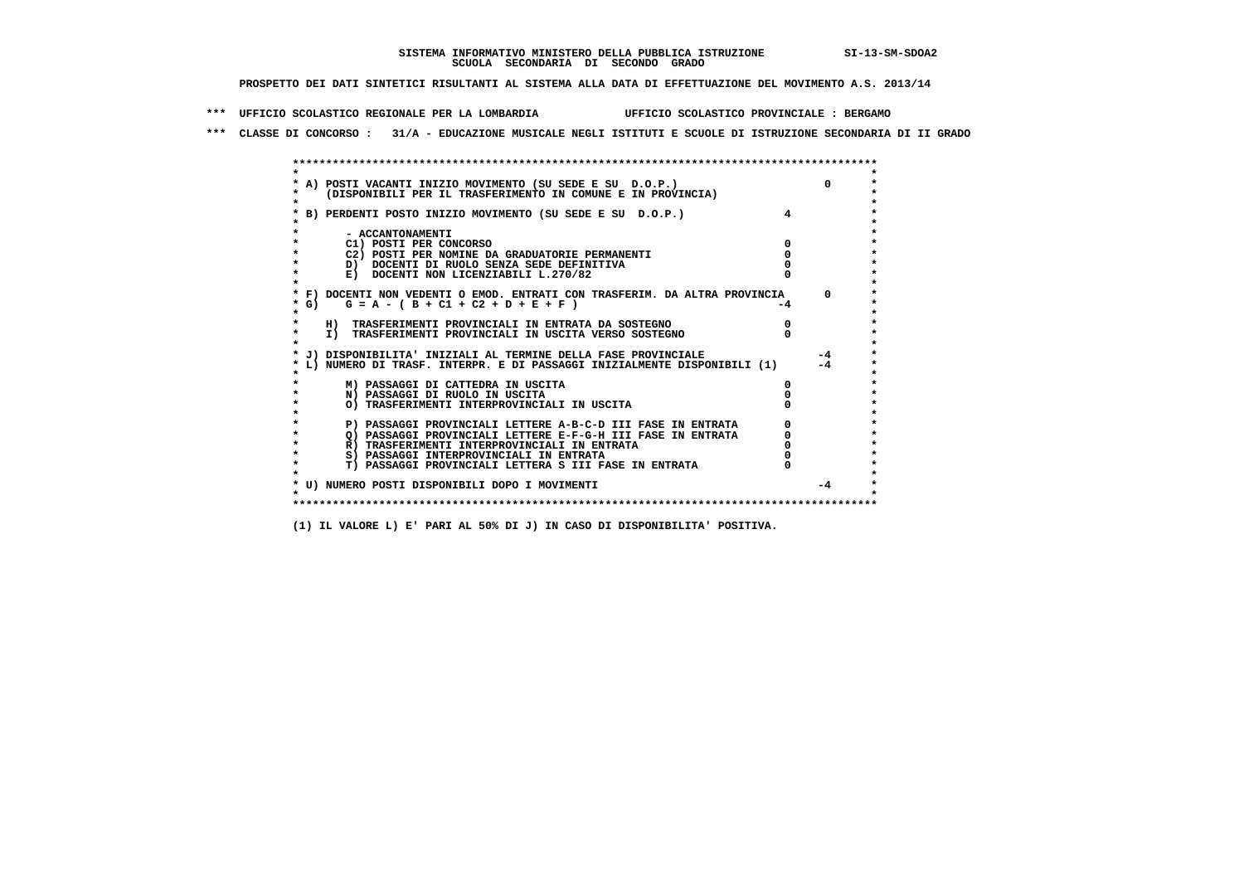**\*\*\* UFFICIO SCOLASTICO REGIONALE PER LA LOMBARDIA UFFICIO SCOLASTICO PROVINCIALE : BERGAMO**

 **\*\*\* CLASSE DI CONCORSO : 31/A - EDUCAZIONE MUSICALE NEGLI ISTITUTI E SCUOLE DI ISTRUZIONE SECONDARIA DI II GRADO**

|            | A) POSTI VACANTI INIZIO MOVIMENTO (SU SEDE E SU D.O.P.)                                                                                 |    | $\Omega$     |
|------------|-----------------------------------------------------------------------------------------------------------------------------------------|----|--------------|
|            | (DISPONIBILI PER IL TRASFERIMENTO IN COMUNE E IN PROVINCIA)                                                                             |    |              |
|            |                                                                                                                                         |    |              |
|            | B) PERDENTI POSTO INIZIO MOVIMENTO (SU SEDE E SU D.O.P.)                                                                                |    |              |
|            |                                                                                                                                         |    |              |
|            | - ACCANTONAMENTI                                                                                                                        |    |              |
|            | C1) POSTI PER CONCORSO<br>C2) POSTI PER NOMINE DA GRADUATORIE PERMANENTI                                                                |    |              |
|            | D) DOCENTI DI RUOLO SENZA SEDE DEFINITIVA                                                                                               |    |              |
|            | E) DOCENTI NON LICENZIABILI L.270/82                                                                                                    |    |              |
|            |                                                                                                                                         |    |              |
|            | * F) DOCENTI NON VEDENTI O EMOD. ENTRATI CON TRASFERIM. DA ALTRA PROVINCIA                                                              |    | $\Omega$     |
| $\star$ G) | $G = A - (B + C1 + C2 + D + E + F)$                                                                                                     | -4 |              |
|            |                                                                                                                                         |    |              |
|            | H) TRASFERIMENTI PROVINCIALI IN ENTRATA DA SOSTEGNO                                                                                     |    |              |
| $\star$    | I) TRASFERIMENTI PROVINCIALI IN USCITA VERSO SOSTEGNO                                                                                   |    |              |
|            |                                                                                                                                         |    |              |
|            | J) DISPONIBILITA' INIZIALI AL TERMINE DELLA FASE PROVINCIALE<br>L) NUMERO DI TRASF. INTERPR. E DI PASSAGGI INIZIALMENTE DISPONIBILI (1) |    | $-4$<br>$-4$ |
|            |                                                                                                                                         |    |              |
|            | M) PASSAGGI DI CATTEDRA IN USCITA                                                                                                       |    |              |
|            | N) PASSAGGI DI RUOLO IN USCITA                                                                                                          |    |              |
|            | O) TRASFERIMENTI INTERPROVINCIALI IN USCITA                                                                                             |    |              |
|            |                                                                                                                                         |    |              |
|            | P) PASSAGGI PROVINCIALI LETTERE A-B-C-D III FASE IN ENTRATA                                                                             |    |              |
|            | O) PASSAGGI PROVINCIALI LETTERE E-F-G-H III FASE IN ENTRATA                                                                             |    |              |
|            | R) TRASFERIMENTI INTERPROVINCIALI IN ENTRATA                                                                                            |    |              |
|            | S) PASSAGGI INTERPROVINCIALI IN ENTRATA                                                                                                 |    |              |
|            | T) PASSAGGI PROVINCIALI LETTERA S III FASE IN ENTRATA                                                                                   |    |              |
|            |                                                                                                                                         |    | $-4$         |
|            | * U) NUMERO POSTI DISPONIBILI DOPO I MOVIMENTI                                                                                          |    |              |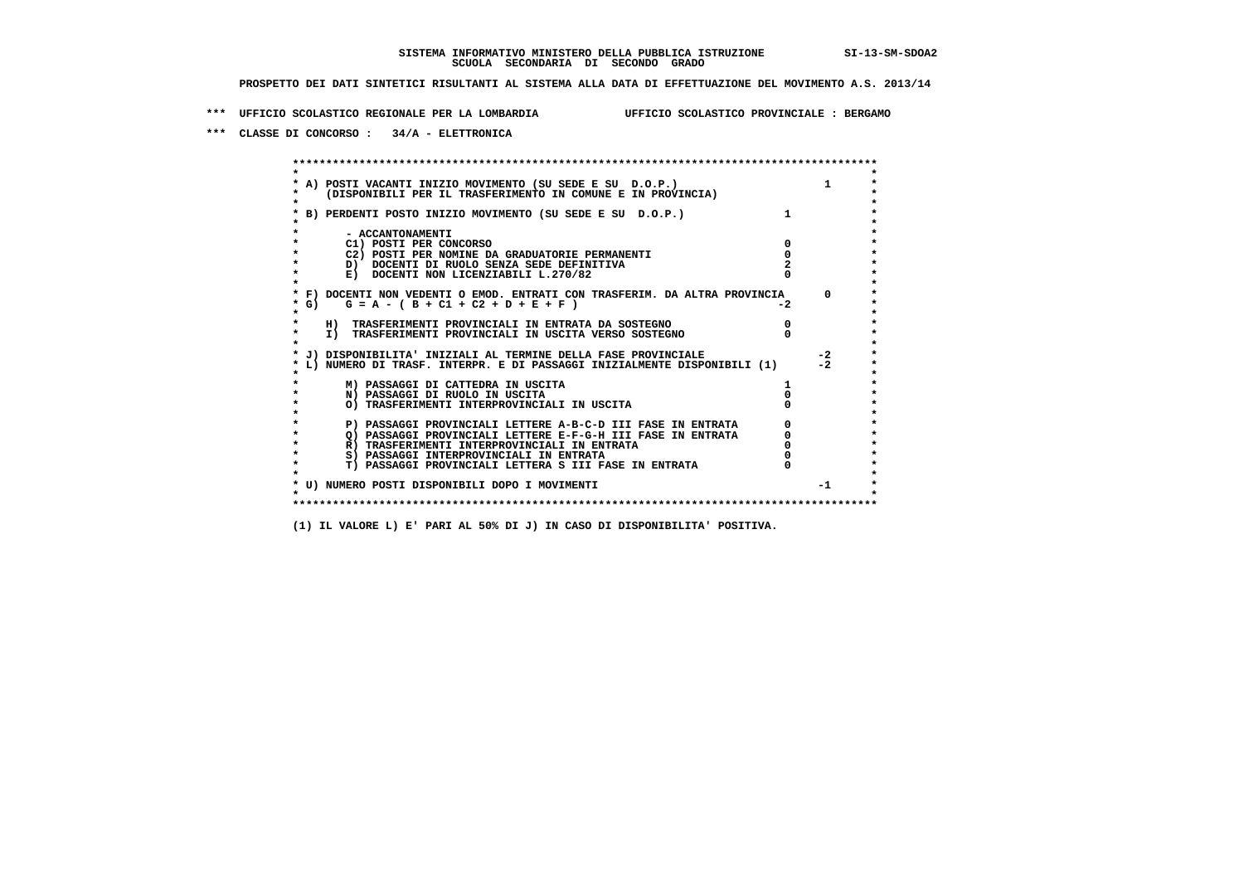**\*\*\* UFFICIO SCOLASTICO REGIONALE PER LA LOMBARDIA UFFICIO SCOLASTICO PROVINCIALE : BERGAMO**

 **\*\*\* CLASSE DI CONCORSO : 34/A - ELETTRONICA**

 **\*\*\*\*\*\*\*\*\*\*\*\*\*\*\*\*\*\*\*\*\*\*\*\*\*\*\*\*\*\*\*\*\*\*\*\*\*\*\*\*\*\*\*\*\*\*\*\*\*\*\*\*\*\*\*\*\*\*\*\*\*\*\*\*\*\*\*\*\*\*\*\*\*\*\*\*\*\*\*\*\*\*\*\*\*\*\*\* \* \*** $\bullet$  **\* A) POSTI VACANTI INIZIO MOVIMENTO (SU SEDE E SU D.O.P.) 1 \*** $\star$  **\* (DISPONIBILI PER IL TRASFERIMENTO IN COMUNE E IN PROVINCIA) \* \* \* \* B) PERDENTI POSTO INIZIO MOVIMENTO (SU SEDE E SU D.O.P.) 1 \* \* \* \* - ACCANTONAMENTI \* \* C1) POSTI PER CONCORSO 0 \* \* C2) POSTI PER NOMINE DA GRADUATORIE PERMANENTI 0 \*D)** DOCENTI DI RUOLO SENZA SEDE DEFINITIVA  $\overline{z}$  **2**  $\overline{z}$  **b** DOCENTI NON LICENZIABILI L. 270/82 0 **E) DOCENTI NON LICENZIABILI L.270/82 \* \* \* F) DOCENTI NON VEDENTI O EMOD. ENTRATI CON TRASFERIM. DA ALTRA PROVINCIA 0 \*** $\star$  G) G = A - ( B + C1 + C2 + D + E + F )  **\* \* \* H) TRASFERIMENTI PROVINCIALI IN ENTRATA DA SOSTEGNO 0 \*The CONSTRUCTION CONSTRUCTED IN CONTRACT CONSTRUES I TRASFERIMENTI PROVINCIALI IN USCITA VERSO SOSTEGNO \* \* \* J) DISPONIBILITA' INIZIALI AL TERMINE DELLA FASE PROVINCIALE -2 \* \* L) NUMERO DI TRASF. INTERPR. E DI PASSAGGI INIZIALMENTE DISPONIBILI (1) -2 \* \* \* \* M) PASSAGGI DI CATTEDRA IN USCITA 1 \* \* N) PASSAGGI DI RUOLO IN USCITA 0 \* \* O) TRASFERIMENTI INTERPROVINCIALI IN USCITA 0 \* \* \* P) PASSAGGI PROVINCIALI LETTERE A-B-C-D III FASE IN ENTRATA** 0 <sup>0</sup> **DASSAGGI PROVINCIALI LETTERE E-F-G-H** III FASE IN ENTRATA 0 <sup>0</sup> **2) PASSAGGI PROVINCIALI LETTERE E-F-G-H III FASE IN ENTRATA 6 0 R**) TRASFERIMENTI INTERPROVINCIALI IN ENTRATA 6 **0 R)** TRASFERIMENTI INTERPROVINCIALI IN ENTRATA  $\begin{bmatrix} 0 & 0 \\ 0 & 0 \\ 0 & 0 \end{bmatrix}$  PASSAGGI INTERPROVINCIALI IN ENTRATA  $\begin{bmatrix} 0 & 0 \\ 0 & 0 \\ 0 & 0 \end{bmatrix}$  **\* S) PASSAGGI INTERPROVINCIALI IN ENTRATA 0 \*** $\ddot{\phantom{1}}$  **\* T) PASSAGGI PROVINCIALI LETTERA S III FASE IN ENTRATA 0 \*** $\star$  **\* \* \* U) NUMERO POSTI DISPONIBILI DOPO I MOVIMENTI -1 \* \* \* \*\*\*\*\*\*\*\*\*\*\*\*\*\*\*\*\*\*\*\*\*\*\*\*\*\*\*\*\*\*\*\*\*\*\*\*\*\*\*\*\*\*\*\*\*\*\*\*\*\*\*\*\*\*\*\*\*\*\*\*\*\*\*\*\*\*\*\*\*\*\*\*\*\*\*\*\*\*\*\*\*\*\*\*\*\*\*\***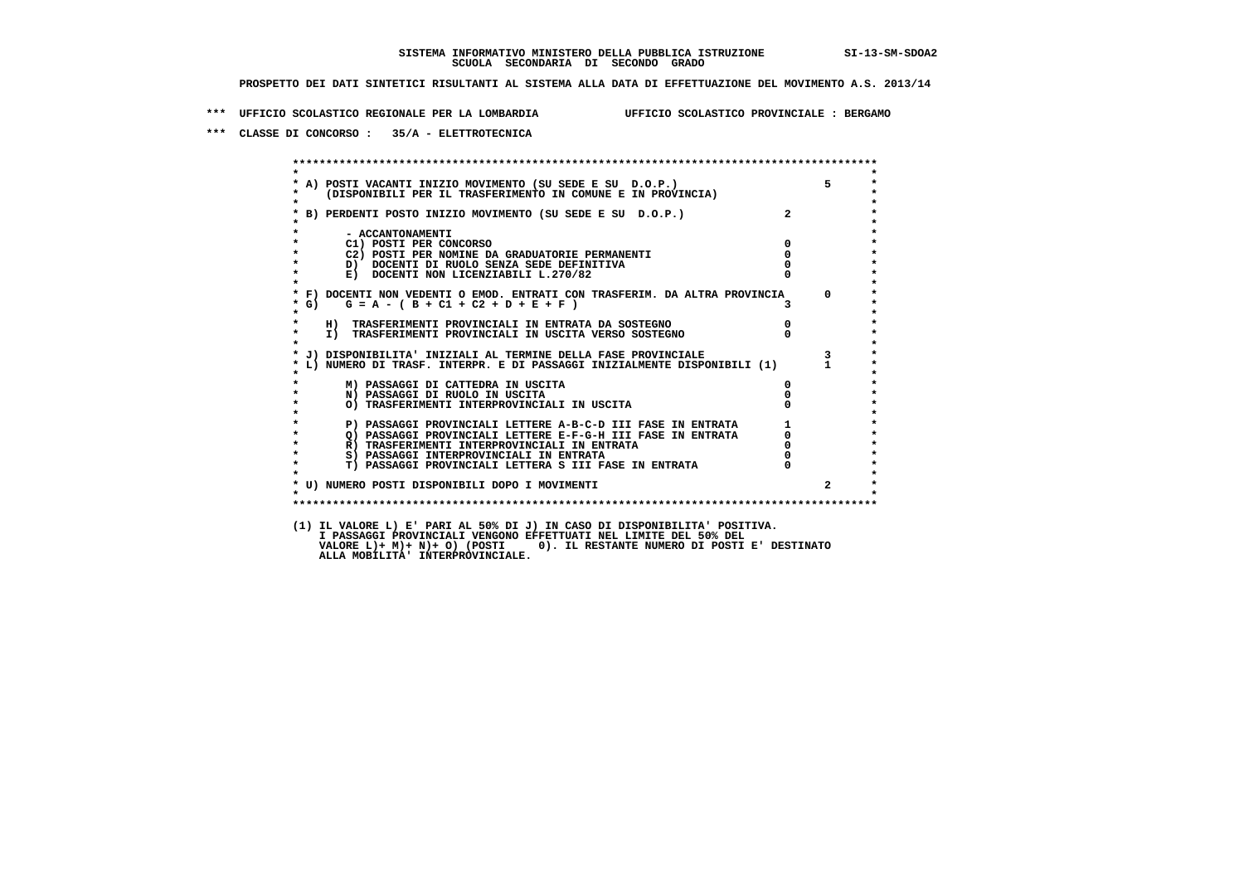**\*\*\* UFFICIO SCOLASTICO REGIONALE PER LA LOMBARDIA UFFICIO SCOLASTICO PROVINCIALE : BERGAMO**

 **\*\*\* CLASSE DI CONCORSO : 35/A - ELETTROTECNICA**

 **\*\*\*\*\*\*\*\*\*\*\*\*\*\*\*\*\*\*\*\*\*\*\*\*\*\*\*\*\*\*\*\*\*\*\*\*\*\*\*\*\*\*\*\*\*\*\*\*\*\*\*\*\*\*\*\*\*\*\*\*\*\*\*\*\*\*\*\*\*\*\*\*\*\*\*\*\*\*\*\*\*\*\*\*\*\*\*\* \* \*** $\bullet$  **\* A) POSTI VACANTI INIZIO MOVIMENTO (SU SEDE E SU D.O.P.) 5 \* \* (DISPONIBILI PER IL TRASFERIMENTO IN COMUNE E IN PROVINCIA) \* \* \* \* B) PERDENTI POSTO INIZIO MOVIMENTO (SU SEDE E SU D.O.P.) 2 \* \* \* \* - ACCANTONAMENTI \* \* C1) POSTI PER CONCORSO 0 \* \* C2) POSTI PER NOMINE DA GRADUATORIE PERMANENTI 0 \*b b** docenti di RUOLO SENZA SEDE DEFINITIVA  $\overline{D}$  **b**  $\overline{D}$  0  $\overline{D}$  0  $\overline{D}$  0  $\overline{D}$  0  $\overline{D}$  0  $\overline{D}$  0  $\overline{D}$  0  $\overline{D}$  0  $\overline{D}$  0  $\overline{D}$  0  $\overline{D}$  0  $\overline{D}$  0  $\overline{D}$  0  $\overline{D}$  0  $\overline{D}$ **E) DOCENTI NON LICENZIABILI L.270/82 \* \* \* F) DOCENTI NON VEDENTI O EMOD. ENTRATI CON TRASFERIM. DA ALTRA PROVINCIA 0 \***  $\star$  **G)** G = A - ( B + C1 + C2 + D + E + F )  **\* \* \* H) TRASFERIMENTI PROVINCIALI IN ENTRATA DA SOSTEGNO 0 \* \* I) TRASFERIMENTI PROVINCIALI IN USCITA VERSO SOSTEGNO 0 \* \* \* \* J) DISPONIBILITA' INIZIALI AL TERMINE DELLA FASE PROVINCIALE 3 \* \* L) NUMERO DI TRASF. INTERPR. E DI PASSAGGI INIZIALMENTE DISPONIBILI (1) 1 \* \* \* \* M) PASSAGGI DI CATTEDRA IN USCITA 0 \* \* N) PASSAGGI DI RUOLO IN USCITA 0 \* \* O) TRASFERIMENTI INTERPROVINCIALI IN USCITA 0 \* \* \* \* P) PASSAGGI PROVINCIALI LETTERE A-B-C-D III FASE IN ENTRATA 1 \* \* Q) PASSAGGI PROVINCIALI LETTERE E-F-G-H III FASE IN ENTRATA 0 \*R)** TRASFERIMENTI INTERPROVINCIALI IN ENTRATA  $\begin{bmatrix} 0 & 0 \\ 0 & 0 \\ 0 & 0 \end{bmatrix}$  PASSAGGI INTERPROVINCIALI IN ENTRATA  $\begin{bmatrix} 0 & 0 \\ 0 & 0 \\ 0 & 0 \end{bmatrix}$  **\* S) PASSAGGI INTERPROVINCIALI IN ENTRATA 0 \*** $\ddot{\phantom{1}}$  **\* T) PASSAGGI PROVINCIALI LETTERA S III FASE IN ENTRATA 0 \*** $\star$  **\* \* \* U) NUMERO POSTI DISPONIBILI DOPO I MOVIMENTI 2 \* \* \* \*\*\*\*\*\*\*\*\*\*\*\*\*\*\*\*\*\*\*\*\*\*\*\*\*\*\*\*\*\*\*\*\*\*\*\*\*\*\*\*\*\*\*\*\*\*\*\*\*\*\*\*\*\*\*\*\*\*\*\*\*\*\*\*\*\*\*\*\*\*\*\*\*\*\*\*\*\*\*\*\*\*\*\*\*\*\*\* (1) IL VALORE L) E' PARI AL 50% DI J) IN CASO DI DISPONIBILITA' POSITIVA. I PASSAGGI PROVINCIALI VENGONO EFFETTUATI NEL LIMITE DEL 50% DEL VALORE L)+ M)+ N)+ O) (POSTI 0). IL RESTANTE NUMERO DI POSTI E' DESTINATO ALLA MOBILITA' INTERPROVINCIALE.**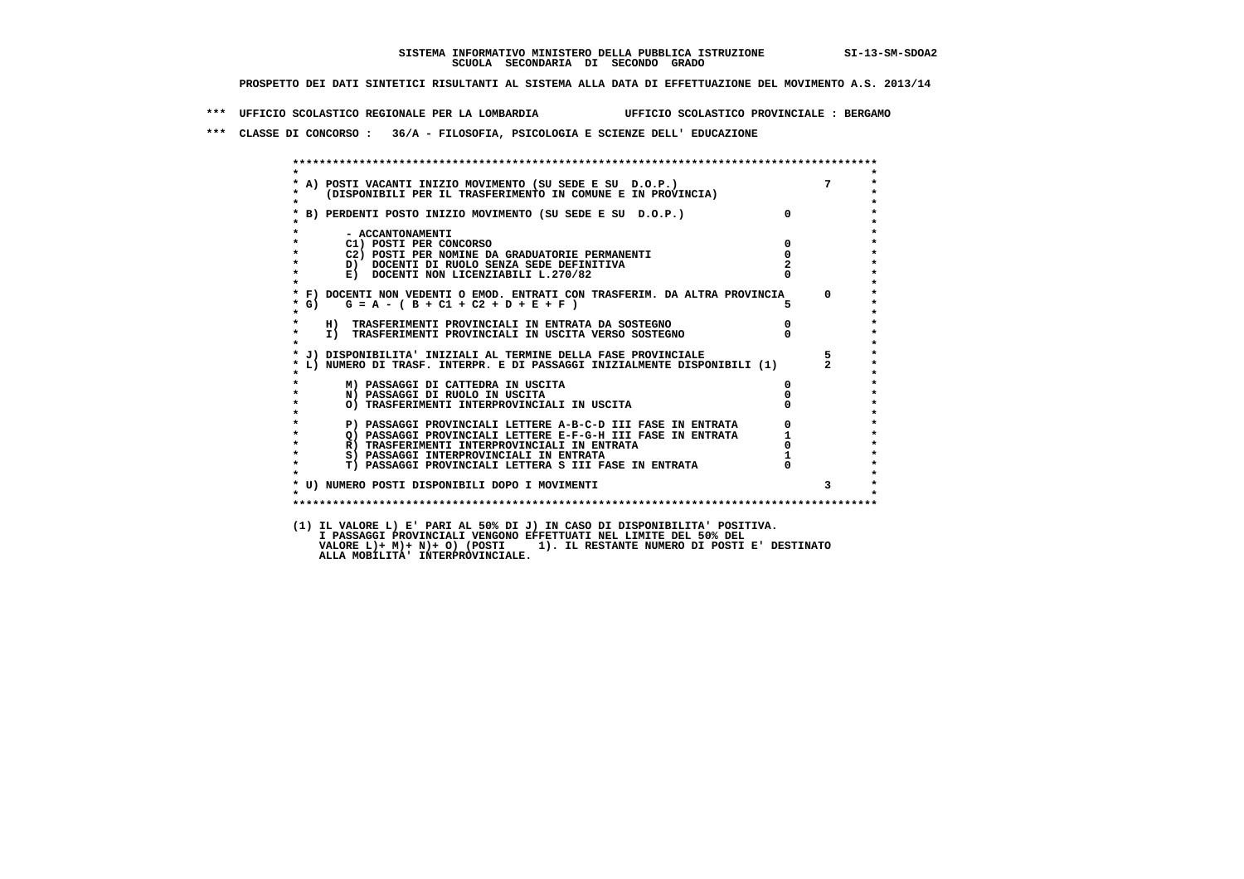**\*\*\* UFFICIO SCOLASTICO REGIONALE PER LA LOMBARDIA UFFICIO SCOLASTICO PROVINCIALE : BERGAMO**

 **\*\*\* CLASSE DI CONCORSO : 36/A - FILOSOFIA, PSICOLOGIA E SCIENZE DELL' EDUCAZIONE**

 **\*\*\*\*\*\*\*\*\*\*\*\*\*\*\*\*\*\*\*\*\*\*\*\*\*\*\*\*\*\*\*\*\*\*\*\*\*\*\*\*\*\*\*\*\*\*\*\*\*\*\*\*\*\*\*\*\*\*\*\*\*\*\*\*\*\*\*\*\*\*\*\*\*\*\*\*\*\*\*\*\*\*\*\*\*\*\*\* \* \* \* A) POSTI VACANTI INIZIO MOVIMENTO (SU SEDE E SU D.O.P.) 7 \* \* (DISPONIBILI PER IL TRASFERIMENTO IN COMUNE E IN PROVINCIA) \* \* \* \* B) PERDENTI POSTO INIZIO MOVIMENTO (SU SEDE E SU D.O.P.) 0 \* \* \* \* - ACCANTONAMENTI \* \* C1) POSTI PER CONCORSO 0 \* \* C2) POSTI PER NOMINE DA GRADUATORIE PERMANENTI 0 \* \* D) DOCENTI DI RUOLO SENZA SEDE DEFINITIVA 2 \*E) DOCENTI NON LICENZIABILI L.270/82 \* \* \* F) DOCENTI NON VEDENTI O EMOD. ENTRATI CON TRASFERIM. DA ALTRA PROVINCIA 0 \***  $\star$  **G)** G = A - ( B + C1 + C2 + D + E + F )  **\* \* \* H) TRASFERIMENTI PROVINCIALI IN ENTRATA DA SOSTEGNO 0 \*TO TRASFERIMENTI PROVINCIALI IN USCITA VERSO SOSTEGNO** 0  **\* \* \* J) DISPONIBILITA' INIZIALI AL TERMINE DELLA FASE PROVINCIALE 5 \* \* L) NUMERO DI TRASF. INTERPR. E DI PASSAGGI INIZIALMENTE DISPONIBILI (1) 2 \* \* \* \* M) PASSAGGI DI CATTEDRA IN USCITA 0 \* \* N) PASSAGGI DI RUOLO IN USCITA 0 \* \* O) TRASFERIMENTI INTERPROVINCIALI IN USCITA 0 \* \* \* \* P) PASSAGGI PROVINCIALI LETTERE A-B-C-D III FASE IN ENTRATA 0 \*2) PASSAGGI PROVINCIALI LETTERE E-F-G-H III FASE IN ENTRATA 1 1 R**) TRASFERIMENTI INTERPROVINCIALI IN ENTRATA 1 0 **R**) TRASFERIMENTI INTERPROVINCIALI IN ENTRATA  $\begin{bmatrix} 0 & 0 & 0 \\ 0 & 0 & 0 \\ 0 & 0 & 0 & 0 \\ 0 & 0 & 0 & 0 \\ 0 & 0 & 0 & 0 \\ 0 & 0 & 0 & 0 \\ 0 & 0 & 0 & 0 \\ 0 & 0 & 0 & 0 \\ 0 & 0 & 0 & 0 \\ 0 & 0 & 0 & 0 \\ 0 & 0 & 0 & 0 \\ 0 & 0 & 0 & 0 \\ 0 & 0 & 0 & 0 \\ 0 & 0 & 0 & 0 \\ 0 & 0 &$  **\* S) PASSAGGI INTERPROVINCIALI IN ENTRATA 1 \*** $\ddot{\phantom{1}}$  **\* T) PASSAGGI PROVINCIALI LETTERA S III FASE IN ENTRATA 0 \*** $\star$  **\* \* \* U) NUMERO POSTI DISPONIBILI DOPO I MOVIMENTI 3 \* \* \* \*\*\*\*\*\*\*\*\*\*\*\*\*\*\*\*\*\*\*\*\*\*\*\*\*\*\*\*\*\*\*\*\*\*\*\*\*\*\*\*\*\*\*\*\*\*\*\*\*\*\*\*\*\*\*\*\*\*\*\*\*\*\*\*\*\*\*\*\*\*\*\*\*\*\*\*\*\*\*\*\*\*\*\*\*\*\*\* (1) IL VALORE L) E' PARI AL 50% DI J) IN CASO DI DISPONIBILITA' POSITIVA. I PASSAGGI PROVINCIALI VENGONO EFFETTUATI NEL LIMITE DEL 50% DEL VALORE L)+ M)+ N)+ O) (POSTI 1). IL RESTANTE NUMERO DI POSTI E' DESTINATO ALLA MOBILITA' INTERPROVINCIALE.**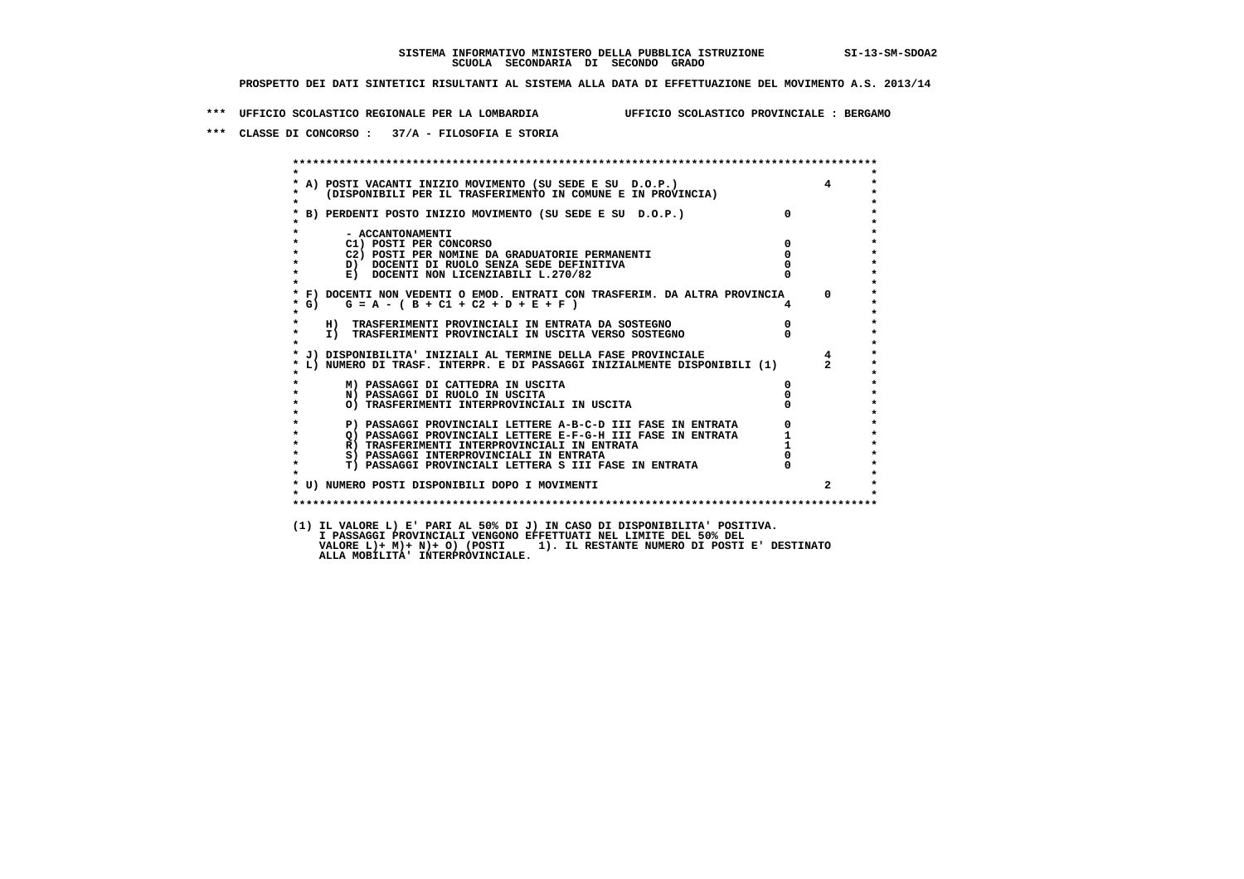**\*\*\* UFFICIO SCOLASTICO REGIONALE PER LA LOMBARDIA UFFICIO SCOLASTICO PROVINCIALE : BERGAMO**

 **\*\*\* CLASSE DI CONCORSO : 37/A - FILOSOFIA E STORIA**

 **\*\*\*\*\*\*\*\*\*\*\*\*\*\*\*\*\*\*\*\*\*\*\*\*\*\*\*\*\*\*\*\*\*\*\*\*\*\*\*\*\*\*\*\*\*\*\*\*\*\*\*\*\*\*\*\*\*\*\*\*\*\*\*\*\*\*\*\*\*\*\*\*\*\*\*\*\*\*\*\*\*\*\*\*\*\*\*\* \* \* \* A) POSTI VACANTI INIZIO MOVIMENTO (SU SEDE E SU D.O.P.) 4 \* \* (DISPONIBILI PER IL TRASFERIMENTO IN COMUNE E IN PROVINCIA) \* \* \* \* B) PERDENTI POSTO INIZIO MOVIMENTO (SU SEDE E SU D.O.P.) 0 \* \* \* \* - ACCANTONAMENTI \* \* C1) POSTI PER CONCORSO 0 \* \* C2) POSTI PER NOMINE DA GRADUATORIE PERMANENTI 0 \*D)** DOCENTI DI RUOLO SENZA SEDE DEFINITIVA  $\overline{a}$  0  $\overline{b}$  0  $\overline{c}$  0  $\overline{c}$  0  $\overline{c}$  0  $\overline{a}$  0  $\overline{c}$ **E) DOCENTI NON LICENZIABILI L.270/82 \* \* \* F) DOCENTI NON VEDENTI O EMOD. ENTRATI CON TRASFERIM. DA ALTRA PROVINCIA 0 \* \* G) G = A - ( B + C1 + C2 + D + E + F ) 4 \* \* \* \* H) TRASFERIMENTI PROVINCIALI IN ENTRATA DA SOSTEGNO 0 \* \* I) TRASFERIMENTI PROVINCIALI IN USCITA VERSO SOSTEGNO 0 \* \* \* \* J) DISPONIBILITA' INIZIALI AL TERMINE DELLA FASE PROVINCIALE 4 \* \* L) NUMERO DI TRASF. INTERPR. E DI PASSAGGI INIZIALMENTE DISPONIBILI (1) 2 \* \* \* \* M) PASSAGGI DI CATTEDRA IN USCITA 0 \* \* N) PASSAGGI DI RUOLO IN USCITA 0 \* \* O) TRASFERIMENTI INTERPROVINCIALI IN USCITA 0 \* \* \* P) PASSAGGI PROVINCIALI LETTERE A-B-C-D III FASE IN ENTRATA** 0 <sup>0</sup> **DASSAGGI PROVINCIALI LETTERE E-F-G-H** III FASE IN ENTRATA 1 **2) PASSAGGI PROVINCIALI LETTERE E-F-G-H III FASE IN ENTRATA 1 \*** 1 **R**) **TRASFERIMENTI INTERPROVINCIALI** IN ENTRATA 1 \* <sup>1</sup>  **\* R) TRASFERIMENTI INTERPROVINCIALI IN ENTRATA 1 \*8) PASSAGGI INTERPROVINCIALI IN ENTRATA 6 \*\*\*** 0 \*\*\*<br> **T) PASSAGGI PROVINCIALI LETTERA S III FASE IN ENTRATA** 0 \*\*\*  $\ddot{\phantom{1}}$  **\* T) PASSAGGI PROVINCIALI LETTERA S III FASE IN ENTRATA 0 \*** $\star$  **\* \*** $\pmb{\ast}$  **\* U) NUMERO POSTI DISPONIBILI DOPO I MOVIMENTI 2 \* \* \* \*\*\*\*\*\*\*\*\*\*\*\*\*\*\*\*\*\*\*\*\*\*\*\*\*\*\*\*\*\*\*\*\*\*\*\*\*\*\*\*\*\*\*\*\*\*\*\*\*\*\*\*\*\*\*\*\*\*\*\*\*\*\*\*\*\*\*\*\*\*\*\*\*\*\*\*\*\*\*\*\*\*\*\*\*\*\*\* (1) IL VALORE L) E' PARI AL 50% DI J) IN CASO DI DISPONIBILITA' POSITIVA. I PASSAGGI PROVINCIALI VENGONO EFFETTUATI NEL LIMITE DEL 50% DEL VALORE L)+ M)+ N)+ O) (POSTI 1). IL RESTANTE NUMERO DI POSTI E' DESTINATO ALLA MOBILITA' INTERPROVINCIALE.**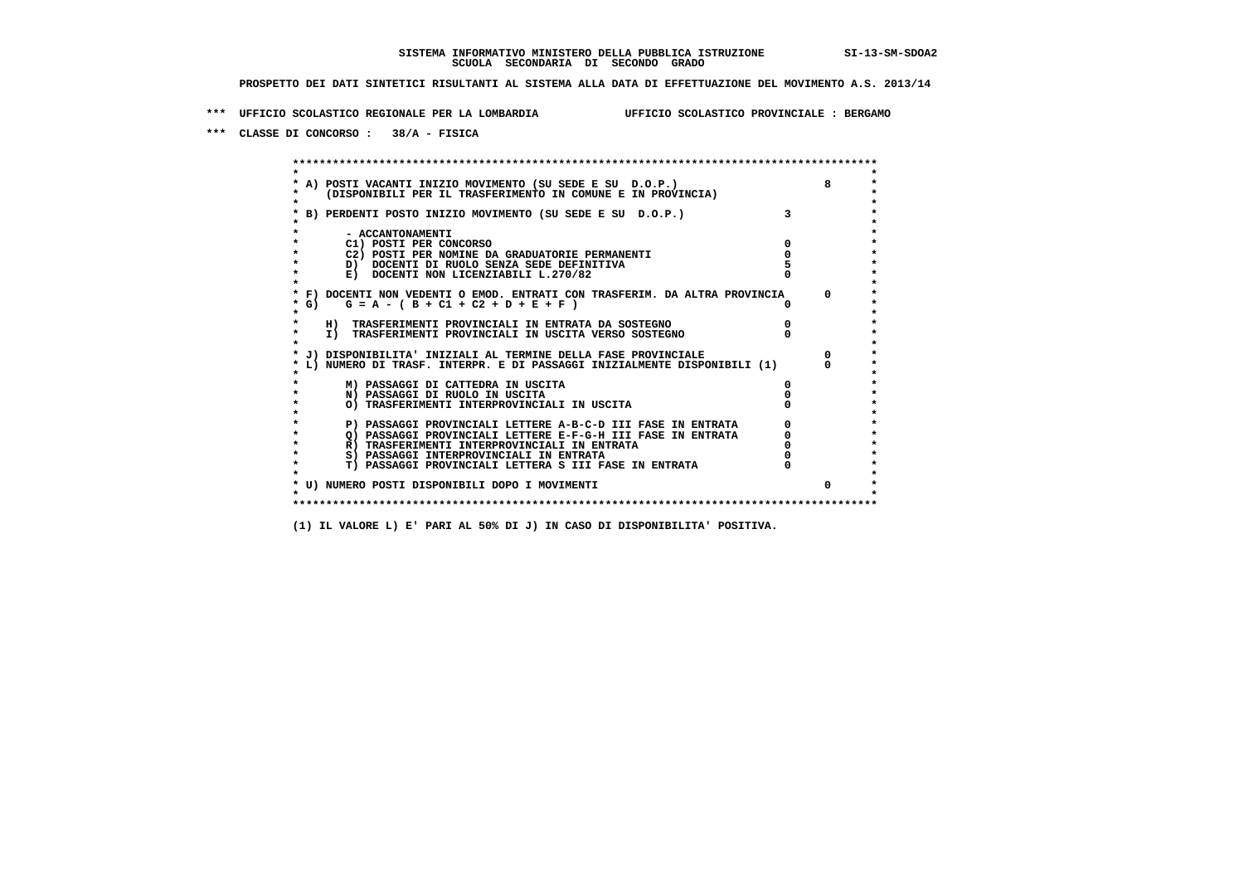**\*\*\* UFFICIO SCOLASTICO REGIONALE PER LA LOMBARDIA UFFICIO SCOLASTICO PROVINCIALE : BERGAMO**

 **\*\*\* CLASSE DI CONCORSO : 38/A - FISICA**

 **\*\*\*\*\*\*\*\*\*\*\*\*\*\*\*\*\*\*\*\*\*\*\*\*\*\*\*\*\*\*\*\*\*\*\*\*\*\*\*\*\*\*\*\*\*\*\*\*\*\*\*\*\*\*\*\*\*\*\*\*\*\*\*\*\*\*\*\*\*\*\*\*\*\*\*\*\*\*\*\*\*\*\*\*\*\*\*\* \* \*** $\bullet$  **\* A) POSTI VACANTI INIZIO MOVIMENTO (SU SEDE E SU D.O.P.) 8 \*** $\star$  **\* (DISPONIBILI PER IL TRASFERIMENTO IN COMUNE E IN PROVINCIA) \*** $\bullet$  **\* \* \* B) PERDENTI POSTO INIZIO MOVIMENTO (SU SEDE E SU D.O.P.) 3 \* \* \* \* - ACCANTONAMENTI \* \* C1) POSTI PER CONCORSO 0 \* \* C2) POSTI PER NOMINE DA GRADUATORIE PERMANENTI 0 \* \* D) DOCENTI DI RUOLO SENZA SEDE DEFINITIVA 5 \*E) DOCENTI NON LICENZIABILI L.270/82 \* \* \* F) DOCENTI NON VEDENTI O EMOD. ENTRATI CON TRASFERIM. DA ALTRA PROVINCIA 0 \* \* G) G = A - ( B + C1 + C2 + D + E + F ) 0 \* \* \* \* H) TRASFERIMENTI PROVINCIALI IN ENTRATA DA SOSTEGNO 0 \* \* I) TRASFERIMENTI PROVINCIALI IN USCITA VERSO SOSTEGNO 0 \* \* \* \* J) DISPONIBILITA' INIZIALI AL TERMINE DELLA FASE PROVINCIALE 0 \* \* L) NUMERO DI TRASF. INTERPR. E DI PASSAGGI INIZIALMENTE DISPONIBILI (1) 0 \* \* \* \* M) PASSAGGI DI CATTEDRA IN USCITA 0 \* \* N) PASSAGGI DI RUOLO IN USCITA 0 \* \* O) TRASFERIMENTI INTERPROVINCIALI IN USCITA 0 \* \* \* P) PASSAGGI PROVINCIALI LETTERE A-B-C-D III FASE IN ENTRATA** 0 <sup>0</sup> **DASSAGGI PROVINCIALI LETTERE E-F-G-H** III FASE IN ENTRATA 0 <sup>0</sup>  $\star$ **2) PASSAGGI PROVINCIALI LETTERE E-F-G-H III FASE IN ENTRATA**  $\overline{Q}$ **) PASSAGGI PROVINCIALI LETTERE E-F-G-H III FASE IN ENTRATA**  $\overline{Q}$  $\overline{Q}$  $\overline{Q}$  $\overline{Q}$  $\overline{Q}$  $\overline{Q}$  $\overline{Q}$  $\overline{Q}$  $\overline{Q}$  $\overline{Q}$  **\overline R)** TRASFERIMENTI INTERPROVINCIALI IN ENTRATA  $\begin{bmatrix} 0 & 0 \\ 0 & 0 \\ 0 & 0 \end{bmatrix}$  PASSAGGI INTERPROVINCIALI IN ENTRATA  $\begin{bmatrix} 0 & 0 \\ 0 & 0 \\ 0 & 0 \end{bmatrix}$  **\* S) PASSAGGI INTERPROVINCIALI IN ENTRATA 0 \*** $\ddot{\phantom{1}}$  **\* T) PASSAGGI PROVINCIALI LETTERA S III FASE IN ENTRATA 0 \*** $\star$  **\* \* \* U) NUMERO POSTI DISPONIBILI DOPO I MOVIMENTI 0 \* \* \* \*\*\*\*\*\*\*\*\*\*\*\*\*\*\*\*\*\*\*\*\*\*\*\*\*\*\*\*\*\*\*\*\*\*\*\*\*\*\*\*\*\*\*\*\*\*\*\*\*\*\*\*\*\*\*\*\*\*\*\*\*\*\*\*\*\*\*\*\*\*\*\*\*\*\*\*\*\*\*\*\*\*\*\*\*\*\*\***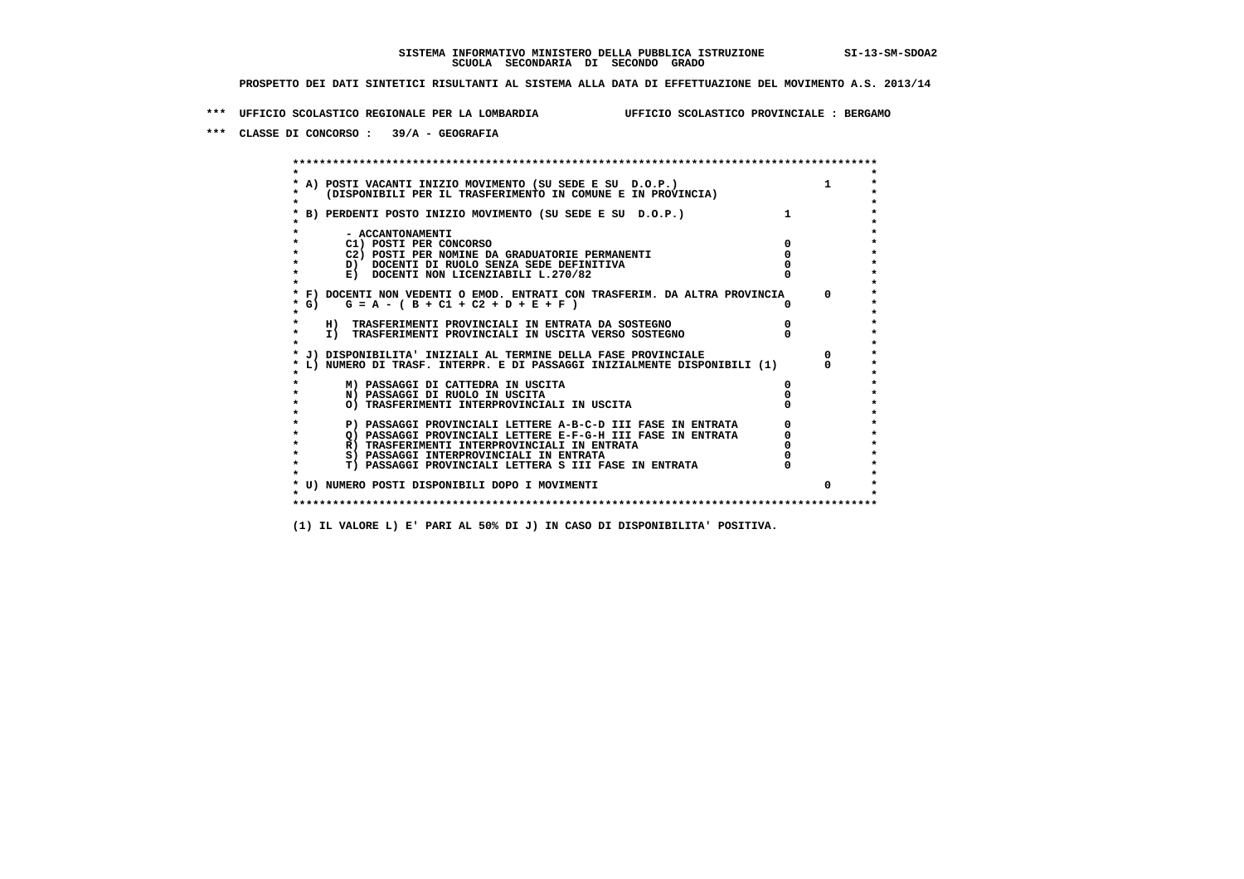**\*\*\* UFFICIO SCOLASTICO REGIONALE PER LA LOMBARDIA UFFICIO SCOLASTICO PROVINCIALE : BERGAMO**

 **\*\*\* CLASSE DI CONCORSO : 39/A - GEOGRAFIA**

 **\*\*\*\*\*\*\*\*\*\*\*\*\*\*\*\*\*\*\*\*\*\*\*\*\*\*\*\*\*\*\*\*\*\*\*\*\*\*\*\*\*\*\*\*\*\*\*\*\*\*\*\*\*\*\*\*\*\*\*\*\*\*\*\*\*\*\*\*\*\*\*\*\*\*\*\*\*\*\*\*\*\*\*\*\*\*\*\* \* \*** $\bullet$  **\* A) POSTI VACANTI INIZIO MOVIMENTO (SU SEDE E SU D.O.P.) 1 \*** $\star$  **\* (DISPONIBILI PER IL TRASFERIMENTO IN COMUNE E IN PROVINCIA) \* \* \* \* B) PERDENTI POSTO INIZIO MOVIMENTO (SU SEDE E SU D.O.P.) 1 \* \* \* \* - ACCANTONAMENTI \* \* C1) POSTI PER CONCORSO 0 \* \* C2) POSTI PER NOMINE DA GRADUATORIE PERMANENTI 0 \*D)** DOCENTI DI RUOLO SENZA SEDE DEFINITIVA  $\overline{a}$  0  $\overline{b}$  0  $\overline{c}$  0  $\overline{c}$  0  $\overline{c}$  0  $\overline{a}$  0  $\overline{c}$ **E) DOCENTI NON LICENZIABILI L.270/82 \* \* \* F) DOCENTI NON VEDENTI O EMOD. ENTRATI CON TRASFERIM. DA ALTRA PROVINCIA 0 \* \* G) G = A - ( B + C1 + C2 + D + E + F ) 0 \* \* \* \* H) TRASFERIMENTI PROVINCIALI IN ENTRATA DA SOSTEGNO 0 \* \* I) TRASFERIMENTI PROVINCIALI IN USCITA VERSO SOSTEGNO 0 \* \* \* \* J) DISPONIBILITA' INIZIALI AL TERMINE DELLA FASE PROVINCIALE 0 \* \* L) NUMERO DI TRASF. INTERPR. E DI PASSAGGI INIZIALMENTE DISPONIBILI (1) 0 \* \* \* \* M) PASSAGGI DI CATTEDRA IN USCITA 0 \* \* N) PASSAGGI DI RUOLO IN USCITA 0 \* \* O) TRASFERIMENTI INTERPROVINCIALI IN USCITA 0 \* \* \* P) PASSAGGI PROVINCIALI LETTERE A-B-C-D III FASE IN ENTRATA** 0 <sup>0</sup> **DASSAGGI PROVINCIALI LETTERE E-F-G-H** III FASE IN ENTRATA 0 <sup>0</sup>  $\star$ **2) PASSAGGI PROVINCIALI LETTERE E-F-G-H III FASE IN ENTRATA**  $\overline{Q}$ **) PASSAGGI PROVINCIALI LETTERE E-F-G-H III FASE IN ENTRATA**  $\overline{Q}$  $\overline{Q}$  $\overline{Q}$  $\overline{Q}$  $\overline{Q}$  $\overline{Q}$  $\overline{Q}$  $\overline{Q}$  $\overline{Q}$  $\overline{Q}$  **\overline R)** TRASFERIMENTI INTERPROVINCIALI IN ENTRATA  $\begin{bmatrix} 0 & 0 \\ 0 & 0 \\ 0 & 0 \end{bmatrix}$  PASSAGGI INTERPROVINCIALI IN ENTRATA  $\begin{bmatrix} 0 & 0 \\ 0 & 0 \\ 0 & 0 \end{bmatrix}$  **\* S) PASSAGGI INTERPROVINCIALI IN ENTRATA 0 \*** $\ddot{\phantom{1}}$  **\* T) PASSAGGI PROVINCIALI LETTERA S III FASE IN ENTRATA 0 \*** $\star$  **\* \* \* U) NUMERO POSTI DISPONIBILI DOPO I MOVIMENTI 0 \* \* \* \*\*\*\*\*\*\*\*\*\*\*\*\*\*\*\*\*\*\*\*\*\*\*\*\*\*\*\*\*\*\*\*\*\*\*\*\*\*\*\*\*\*\*\*\*\*\*\*\*\*\*\*\*\*\*\*\*\*\*\*\*\*\*\*\*\*\*\*\*\*\*\*\*\*\*\*\*\*\*\*\*\*\*\*\*\*\*\***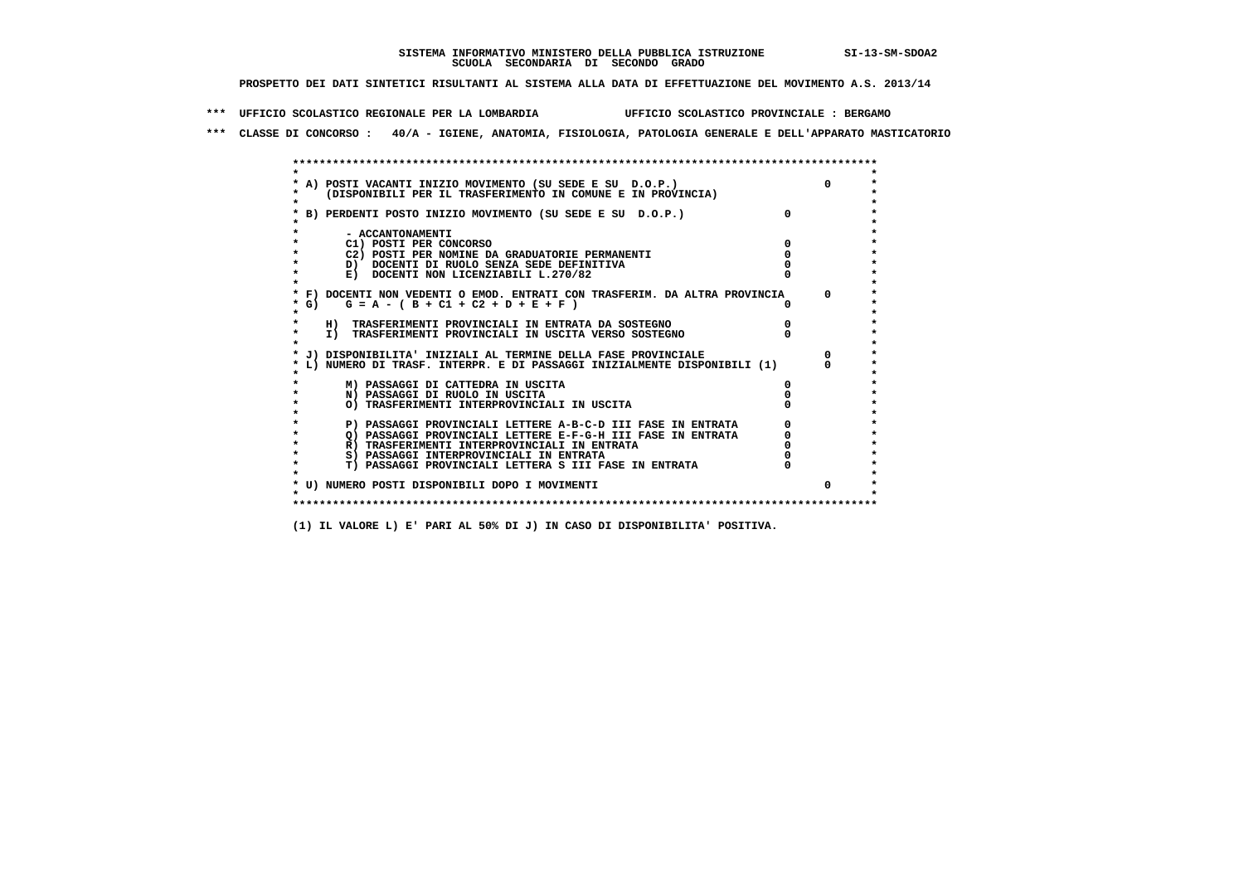**\*\*\* UFFICIO SCOLASTICO REGIONALE PER LA LOMBARDIA UFFICIO SCOLASTICO PROVINCIALE : BERGAMO**

 **\*\*\* CLASSE DI CONCORSO : 40/A - IGIENE, ANATOMIA, FISIOLOGIA, PATOLOGIA GENERALE E DELL'APPARATO MASTICATORIO**

| * F) DOCENTI NON VEDENTI O EMOD. ENTRATI CON TRASFERIM. DA ALTRA PROVINCIA<br>$G = A - (B + C1 + C2 + D + E + F)$<br>$*$ G)<br>H) TRASFERIMENTI PROVINCIALI IN ENTRATA DA SOSTEGNO<br>I) TRASFERIMENTI PROVINCIALI IN USCITA VERSO SOSTEGNO<br>J) DISPONIBILITA' INIZIALI AL TERMINE DELLA FASE PROVINCIALE<br>L) NUMERO DI TRASF. INTERPR. E DI PASSAGGI INIZIALMENTE DISPONIBILI (1)<br>M) PASSAGGI DI CATTEDRA IN USCITA<br>N) PASSAGGI DI RUOLO IN USCITA<br>O) TRASFERIMENTI INTERPROVINCIALI IN USCITA<br>P) PASSAGGI PROVINCIALI LETTERE A-B-C-D III FASE IN ENTRATA<br>O) PASSAGGI PROVINCIALI LETTERE E-F-G-H III FASE IN ENTRATA<br>R) TRASFERIMENTI INTERPROVINCIALI IN ENTRATA<br>S) PASSAGGI INTERPROVINCIALI IN ENTRATA |   | E) DOCENTI NON LICENZIABILI L.270/82                  |  |
|---------------------------------------------------------------------------------------------------------------------------------------------------------------------------------------------------------------------------------------------------------------------------------------------------------------------------------------------------------------------------------------------------------------------------------------------------------------------------------------------------------------------------------------------------------------------------------------------------------------------------------------------------------------------------------------------------------------------------------------|---|-------------------------------------------------------|--|
|                                                                                                                                                                                                                                                                                                                                                                                                                                                                                                                                                                                                                                                                                                                                       |   |                                                       |  |
|                                                                                                                                                                                                                                                                                                                                                                                                                                                                                                                                                                                                                                                                                                                                       | * |                                                       |  |
|                                                                                                                                                                                                                                                                                                                                                                                                                                                                                                                                                                                                                                                                                                                                       |   |                                                       |  |
|                                                                                                                                                                                                                                                                                                                                                                                                                                                                                                                                                                                                                                                                                                                                       | * |                                                       |  |
|                                                                                                                                                                                                                                                                                                                                                                                                                                                                                                                                                                                                                                                                                                                                       |   |                                                       |  |
|                                                                                                                                                                                                                                                                                                                                                                                                                                                                                                                                                                                                                                                                                                                                       |   |                                                       |  |
|                                                                                                                                                                                                                                                                                                                                                                                                                                                                                                                                                                                                                                                                                                                                       |   |                                                       |  |
|                                                                                                                                                                                                                                                                                                                                                                                                                                                                                                                                                                                                                                                                                                                                       |   |                                                       |  |
|                                                                                                                                                                                                                                                                                                                                                                                                                                                                                                                                                                                                                                                                                                                                       |   |                                                       |  |
|                                                                                                                                                                                                                                                                                                                                                                                                                                                                                                                                                                                                                                                                                                                                       |   |                                                       |  |
|                                                                                                                                                                                                                                                                                                                                                                                                                                                                                                                                                                                                                                                                                                                                       |   |                                                       |  |
|                                                                                                                                                                                                                                                                                                                                                                                                                                                                                                                                                                                                                                                                                                                                       |   |                                                       |  |
|                                                                                                                                                                                                                                                                                                                                                                                                                                                                                                                                                                                                                                                                                                                                       |   |                                                       |  |
|                                                                                                                                                                                                                                                                                                                                                                                                                                                                                                                                                                                                                                                                                                                                       |   |                                                       |  |
|                                                                                                                                                                                                                                                                                                                                                                                                                                                                                                                                                                                                                                                                                                                                       | * | T) PASSAGGI PROVINCIALI LETTERA S III FASE IN ENTRATA |  |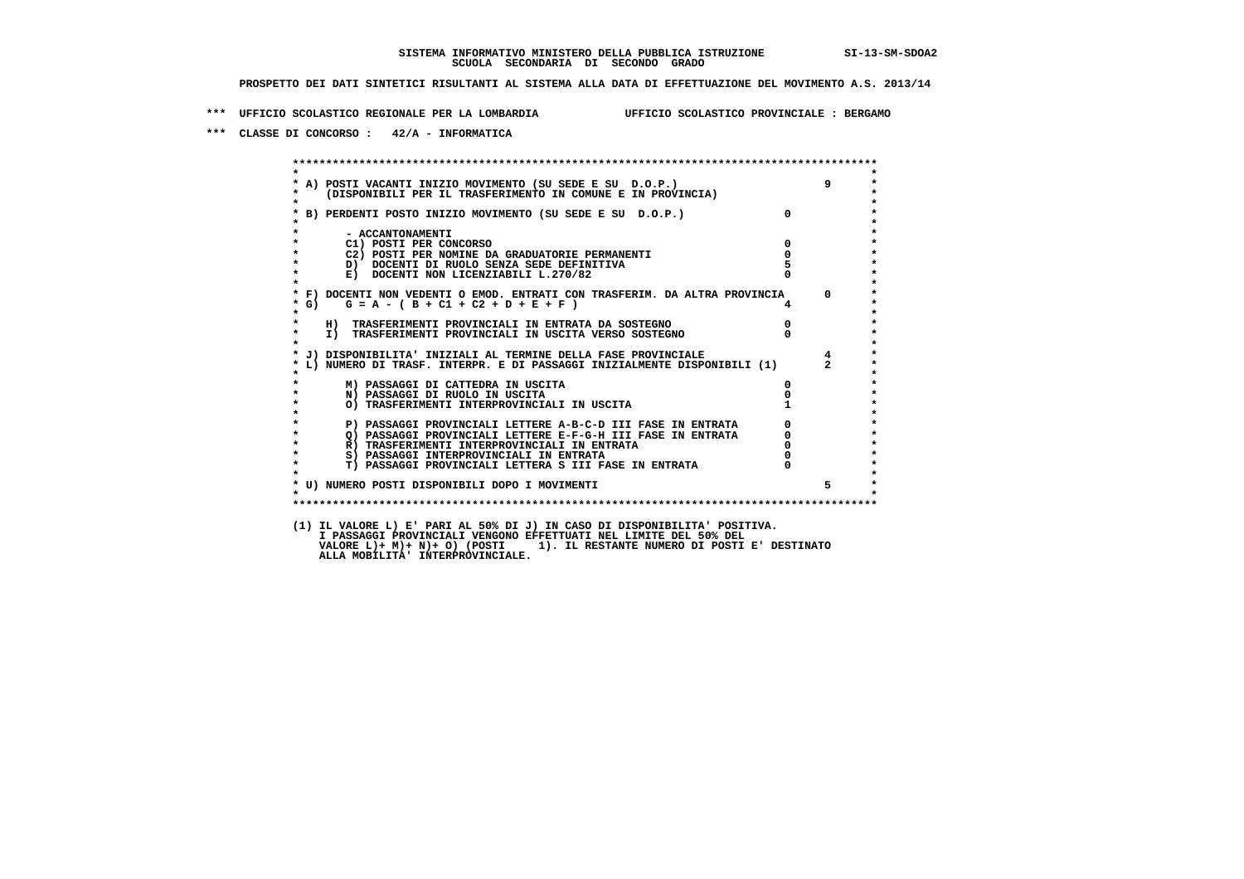**\*\*\* UFFICIO SCOLASTICO REGIONALE PER LA LOMBARDIA UFFICIO SCOLASTICO PROVINCIALE : BERGAMO**

 **\*\*\* CLASSE DI CONCORSO : 42/A - INFORMATICA**

 **\*\*\*\*\*\*\*\*\*\*\*\*\*\*\*\*\*\*\*\*\*\*\*\*\*\*\*\*\*\*\*\*\*\*\*\*\*\*\*\*\*\*\*\*\*\*\*\*\*\*\*\*\*\*\*\*\*\*\*\*\*\*\*\*\*\*\*\*\*\*\*\*\*\*\*\*\*\*\*\*\*\*\*\*\*\*\*\* \* \*** $\bullet$  **\* A) POSTI VACANTI INIZIO MOVIMENTO (SU SEDE E SU D.O.P.) 9 \* \* (DISPONIBILI PER IL TRASFERIMENTO IN COMUNE E IN PROVINCIA) \* \* \* \* B) PERDENTI POSTO INIZIO MOVIMENTO (SU SEDE E SU D.O.P.) 0 \* \* \* \* - ACCANTONAMENTI \* \* C1) POSTI PER CONCORSO 0 \* \* C2) POSTI PER NOMINE DA GRADUATORIE PERMANENTI 0 \* \* D) DOCENTI DI RUOLO SENZA SEDE DEFINITIVA 5 \*E) DOCENTI NON LICENZIABILI L.270/82 \* \*\* F) DOCENTI NON VEDENTI O EMOD. ENTRATI CON TRASFERIM. DA ALTRA PROVINCIA**  $\begin{bmatrix} 1 & 0 \\ 0 & 0 \\ 0 & 0 \end{bmatrix}$  $\begin{bmatrix} 2 & 3 & 4 \\ 4 & 0 & 0 \\ 0 & 0 & 0 \end{bmatrix}$  **\* G) G = A - ( B + C1 + C2 + D + E + F ) 4 \* \* \* \* H) TRASFERIMENTI PROVINCIALI IN ENTRATA DA SOSTEGNO 0 \* \* I) TRASFERIMENTI PROVINCIALI IN USCITA VERSO SOSTEGNO 0 \* \* \* \* J) DISPONIBILITA' INIZIALI AL TERMINE DELLA FASE PROVINCIALE 4 \* \* L) NUMERO DI TRASF. INTERPR. E DI PASSAGGI INIZIALMENTE DISPONIBILI (1) 2 \* \* \* \* M) PASSAGGI DI CATTEDRA IN USCITA 0 \* \* N) PASSAGGI DI RUOLO IN USCITA 0 \*O) TRASFERIMENTI INTERPROVINCIALI IN USCITA \* \* P) PASSAGGI PROVINCIALI LETTERE A-B-C-D III FASE IN ENTRATA** 0 <sup>0</sup> **DASSAGGI PROVINCIALI LETTERE E-F-G-H** III FASE IN ENTRATA 0 <sup>0</sup> **2) PASSAGGI PROVINCIALI LETTERE E-F-G-H III FASE IN ENTRATA 6 0 R**) TRASFERIMENTI INTERPROVINCIALI IN ENTRATA 6 **0 R)** TRASFERIMENTI INTERPROVINCIALI IN ENTRATA  $\begin{bmatrix} 0 & 0 \\ 0 & 0 \\ 0 & 0 \end{bmatrix}$  passaggi interprovinciali in entrata  $\begin{bmatrix} 0 & 0 \\ 0 & 0 \\ 0 & 0 \end{bmatrix}$  **\* S) PASSAGGI INTERPROVINCIALI IN ENTRATA 0 \*** $\ddot{\phantom{1}}$  **\* T) PASSAGGI PROVINCIALI LETTERA S III FASE IN ENTRATA 0 \*** $\star$  **\* \* \* U) NUMERO POSTI DISPONIBILI DOPO I MOVIMENTI 5 \* \* \* \*\*\*\*\*\*\*\*\*\*\*\*\*\*\*\*\*\*\*\*\*\*\*\*\*\*\*\*\*\*\*\*\*\*\*\*\*\*\*\*\*\*\*\*\*\*\*\*\*\*\*\*\*\*\*\*\*\*\*\*\*\*\*\*\*\*\*\*\*\*\*\*\*\*\*\*\*\*\*\*\*\*\*\*\*\*\*\* (1) IL VALORE L) E' PARI AL 50% DI J) IN CASO DI DISPONIBILITA' POSITIVA. I PASSAGGI PROVINCIALI VENGONO EFFETTUATI NEL LIMITE DEL 50% DEL VALORE L)+ M)+ N)+ O) (POSTI 1). IL RESTANTE NUMERO DI POSTI E' DESTINATO ALLA MOBILITA' INTERPROVINCIALE.**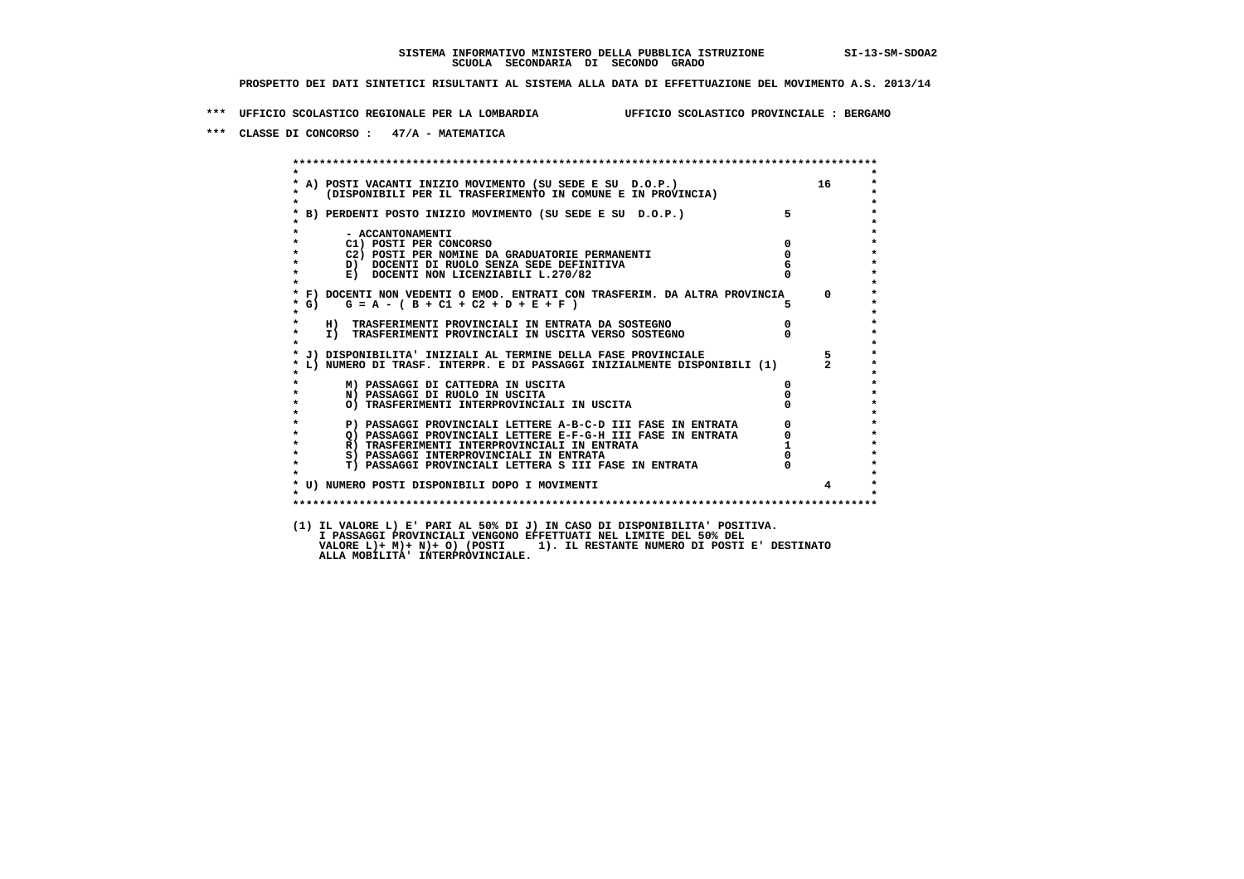**\*\*\* UFFICIO SCOLASTICO REGIONALE PER LA LOMBARDIA UFFICIO SCOLASTICO PROVINCIALE : BERGAMO**

 **\*\*\* CLASSE DI CONCORSO : 47/A - MATEMATICA**

 **\*\*\*\*\*\*\*\*\*\*\*\*\*\*\*\*\*\*\*\*\*\*\*\*\*\*\*\*\*\*\*\*\*\*\*\*\*\*\*\*\*\*\*\*\*\*\*\*\*\*\*\*\*\*\*\*\*\*\*\*\*\*\*\*\*\*\*\*\*\*\*\*\*\*\*\*\*\*\*\*\*\*\*\*\*\*\*\* \* \*** $\ddot{\phantom{0}}$  **\* A) POSTI VACANTI INIZIO MOVIMENTO (SU SEDE E SU D.O.P.) 16 \*** $\star$  **\* (DISPONIBILI PER IL TRASFERIMENTO IN COMUNE E IN PROVINCIA) \* \* \* \* B) PERDENTI POSTO INIZIO MOVIMENTO (SU SEDE E SU D.O.P.) 5 \* \* \* \* - ACCANTONAMENTI \* \* C1) POSTI PER CONCORSO 0 \* \* C2) POSTI PER NOMINE DA GRADUATORIE PERMANENTI 0 \*D)** DOCENTI DI RUOLO SENZA SEDE DEFINITIVA  $\overline{6}$ <br> **E)** DOCENTI NON LICENZIABILI I. 270/82 0 **E) DOCENTI NON LICENZIABILI L.270/82 \* \* \* F) DOCENTI NON VEDENTI O EMOD. ENTRATI CON TRASFERIM. DA ALTRA PROVINCIA 0 \***  $\star$  **G)** G = A - ( B + C1 + C2 + D + E + F )  **\* \* \* H) TRASFERIMENTI PROVINCIALI IN ENTRATA DA SOSTEGNO 0 \* \* I) TRASFERIMENTI PROVINCIALI IN USCITA VERSO SOSTEGNO 0 \* \* \* \* J) DISPONIBILITA' INIZIALI AL TERMINE DELLA FASE PROVINCIALE 5 \* \* L) NUMERO DI TRASF. INTERPR. E DI PASSAGGI INIZIALMENTE DISPONIBILI (1) 2 \* \* \* \* M) PASSAGGI DI CATTEDRA IN USCITA 0 \* \* N) PASSAGGI DI RUOLO IN USCITA 0 \* \* O) TRASFERIMENTI INTERPROVINCIALI IN USCITA 0 \* \* \* P) PASSAGGI PROVINCIALI LETTERE A-B-C-D III FASE IN ENTRATA** 0 <sup>0</sup> **DASSAGGI PROVINCIALI LETTERE E-F-G-H** III FASE IN ENTRATA 0 <sup>0</sup> **2) PASSAGGI PROVINCIALI LETTERE E-F-G-H III FASE IN ENTRATA 6**  $\overline{Q}$  **PASSAGGI PROVINCIALI LETTERE E-F-G-H III FASE IN ENTRATA** 0  **\* R) TRASFERIMENTI INTERPROVINCIALI IN ENTRATA 1 \*8) PASSAGGI INTERPROVINCIALI IN ENTRATA 6 \*\*\*** 0 \*\*\*<br> **T) PASSAGGI PROVINCIALI LETTERA S III FASE IN ENTRATA** 0 \*\*\*  $\ddot{\phantom{1}}$  **\* T) PASSAGGI PROVINCIALI LETTERA S III FASE IN ENTRATA 0 \*** $\star$  **\* \* \* U) NUMERO POSTI DISPONIBILI DOPO I MOVIMENTI 4 \* \* \* \*\*\*\*\*\*\*\*\*\*\*\*\*\*\*\*\*\*\*\*\*\*\*\*\*\*\*\*\*\*\*\*\*\*\*\*\*\*\*\*\*\*\*\*\*\*\*\*\*\*\*\*\*\*\*\*\*\*\*\*\*\*\*\*\*\*\*\*\*\*\*\*\*\*\*\*\*\*\*\*\*\*\*\*\*\*\*\* (1) IL VALORE L) E' PARI AL 50% DI J) IN CASO DI DISPONIBILITA' POSITIVA. I PASSAGGI PROVINCIALI VENGONO EFFETTUATI NEL LIMITE DEL 50% DEL VALORE L)+ M)+ N)+ O) (POSTI 1). IL RESTANTE NUMERO DI POSTI E' DESTINATO ALLA MOBILITA' INTERPROVINCIALE.**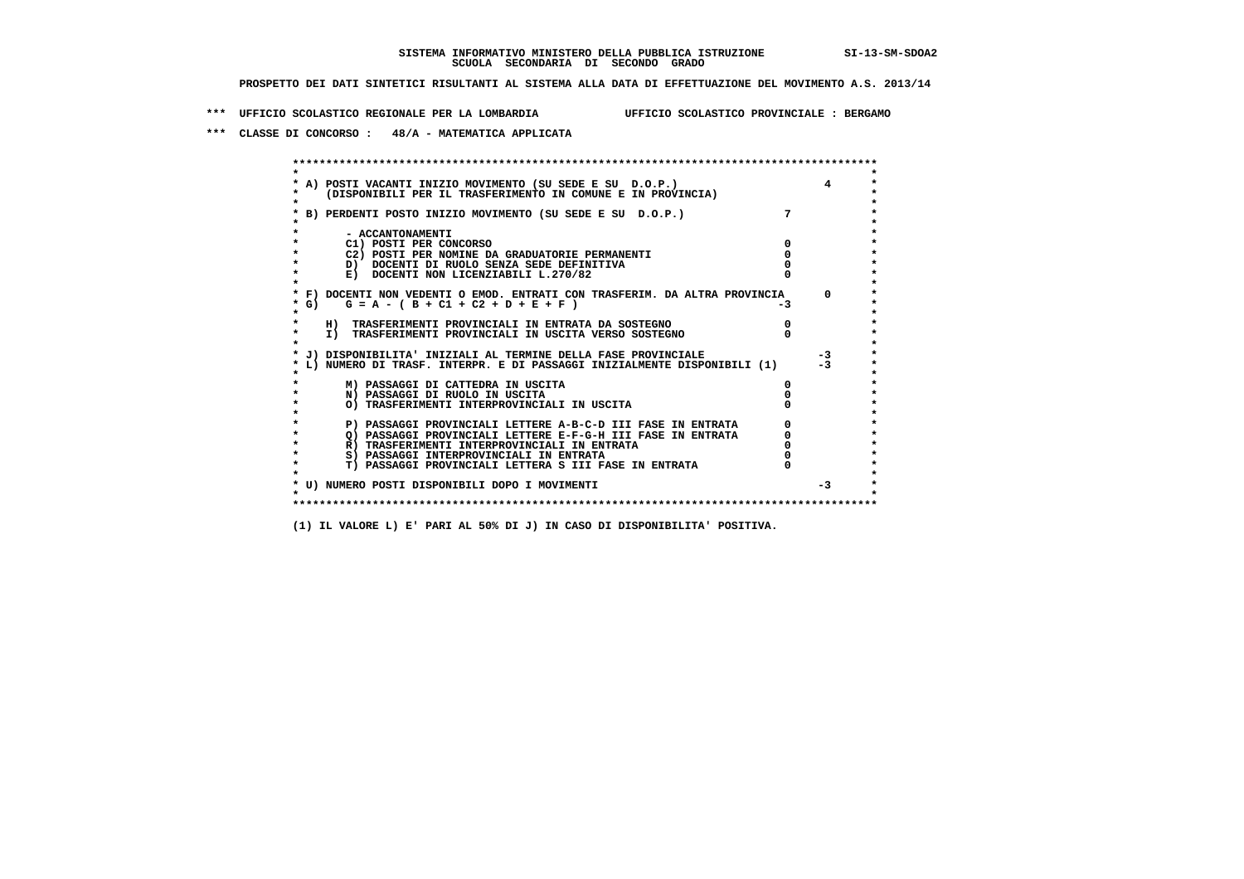**\*\*\* UFFICIO SCOLASTICO REGIONALE PER LA LOMBARDIA UFFICIO SCOLASTICO PROVINCIALE : BERGAMO**

 **\*\*\* CLASSE DI CONCORSO : 48/A - MATEMATICA APPLICATA**

 **\*\*\*\*\*\*\*\*\*\*\*\*\*\*\*\*\*\*\*\*\*\*\*\*\*\*\*\*\*\*\*\*\*\*\*\*\*\*\*\*\*\*\*\*\*\*\*\*\*\*\*\*\*\*\*\*\*\*\*\*\*\*\*\*\*\*\*\*\*\*\*\*\*\*\*\*\*\*\*\*\*\*\*\*\*\*\*\* \* \*** $\bullet$  **\* A) POSTI VACANTI INIZIO MOVIMENTO (SU SEDE E SU D.O.P.) 4 \* \* (DISPONIBILI PER IL TRASFERIMENTO IN COMUNE E IN PROVINCIA) \* \* \* \* B) PERDENTI POSTO INIZIO MOVIMENTO (SU SEDE E SU D.O.P.) 7 \* \* \* \* - ACCANTONAMENTI \* \* C1) POSTI PER CONCORSO 0 \* \* C2) POSTI PER NOMINE DA GRADUATORIE PERMANENTI 0 \*D)** DOCENTI DI RUOLO SENZA SEDE DEFINITIVA  $\overline{a}$  0  $\overline{b}$  0  $\overline{c}$  0  $\overline{c}$  0  $\overline{c}$  0  $\overline{a}$  0  $\overline{b}$ **E) DOCENTI NON LICENZIABILI L.270/82 \* \* \* F) DOCENTI NON VEDENTI O EMOD. ENTRATI CON TRASFERIM. DA ALTRA PROVINCIA 0 \*** $\star$  G) G = A - ( B + C1 + C2 + D + E + F )  **\* \* \* H) TRASFERIMENTI PROVINCIALI IN ENTRATA DA SOSTEGNO 0 \*The CONSTRUCTION CONSTRUCTED IN CONSTRUCTION CONSTRUES IN TRASFERIMENTI PROVINCIALI IN USCITA VERSO SOSTEGNO \* \* \* J) DISPONIBILITA' INIZIALI AL TERMINE DELLA FASE PROVINCIALE -3 \* \* L) NUMERO DI TRASF. INTERPR. E DI PASSAGGI INIZIALMENTE DISPONIBILI (1) -3 \* \* \* \* M) PASSAGGI DI CATTEDRA IN USCITA 0 \* \* N) PASSAGGI DI RUOLO IN USCITA 0 \* \* O) TRASFERIMENTI INTERPROVINCIALI IN USCITA 0 \* \* \* P) PASSAGGI PROVINCIALI LETTERE A-B-C-D III FASE IN ENTRATA** 0 <sup>0</sup> **DASSAGGI PROVINCIALI LETTERE E-F-G-H** III FASE IN ENTRATA 0 <sup>0</sup> **2) PASSAGGI PROVINCIALI LETTERE E-F-G-H III FASE IN ENTRATA 6**<br> **R**) TRASFERIMENTI INTERPROVINCIALI IN ENTRATA 6 **R)** TRASFERIMENTI INTERPROVINCIALI IN ENTRATA  $\begin{bmatrix} 0 & 0 \\ 0 & 0 \\ 0 & 0 \end{bmatrix}$  PASSAGGI INTERPROVINCIALI IN ENTRATA  $\begin{bmatrix} 0 & 0 \\ 0 & 0 \\ 0 & 0 \end{bmatrix}$  **\* S) PASSAGGI INTERPROVINCIALI IN ENTRATA 0 \*** $\ddot{\phantom{1}}$  **\* T) PASSAGGI PROVINCIALI LETTERA S III FASE IN ENTRATA 0 \*** $\star$  **\* \* \* U) NUMERO POSTI DISPONIBILI DOPO I MOVIMENTI -3 \* \* \* \*\*\*\*\*\*\*\*\*\*\*\*\*\*\*\*\*\*\*\*\*\*\*\*\*\*\*\*\*\*\*\*\*\*\*\*\*\*\*\*\*\*\*\*\*\*\*\*\*\*\*\*\*\*\*\*\*\*\*\*\*\*\*\*\*\*\*\*\*\*\*\*\*\*\*\*\*\*\*\*\*\*\*\*\*\*\*\***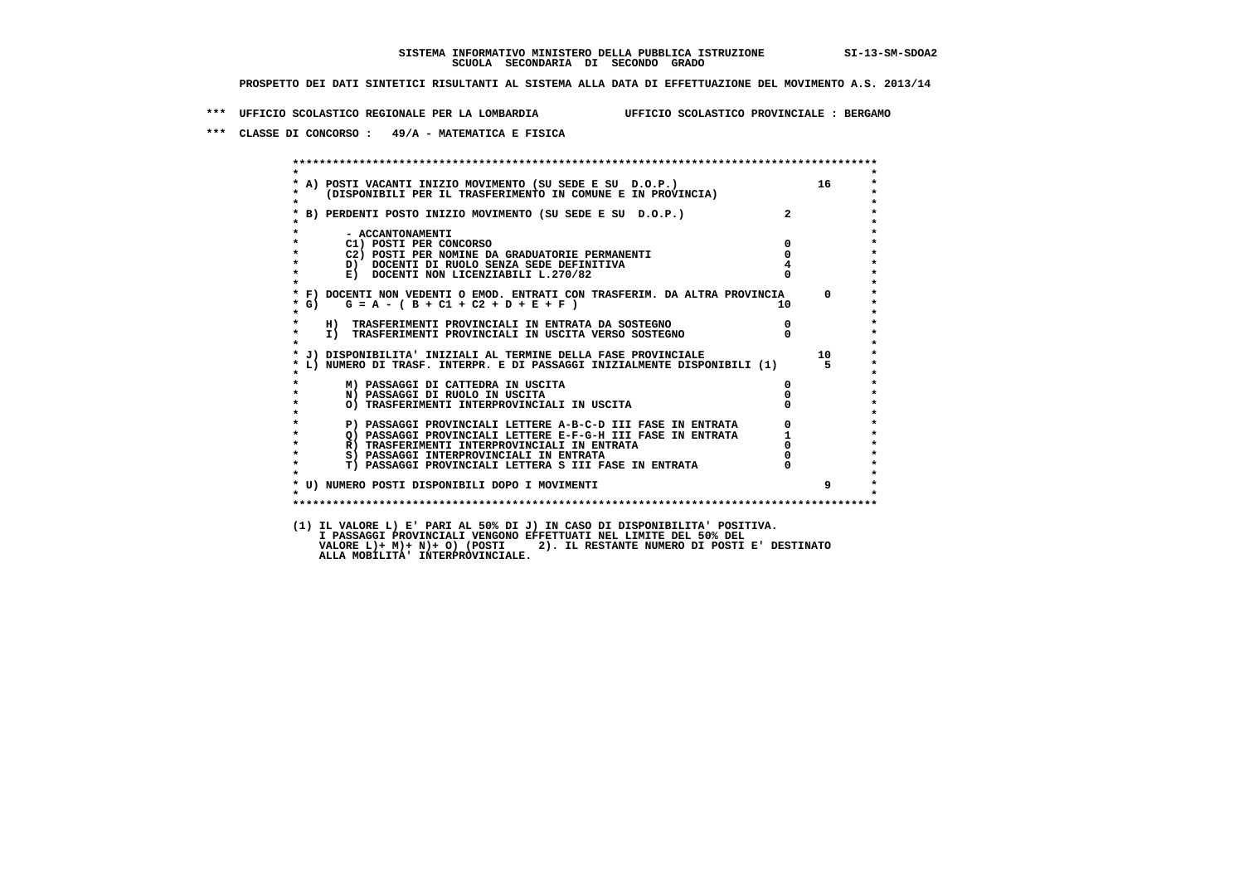**\*\*\* UFFICIO SCOLASTICO REGIONALE PER LA LOMBARDIA UFFICIO SCOLASTICO PROVINCIALE : BERGAMO**

 **\*\*\* CLASSE DI CONCORSO : 49/A - MATEMATICA E FISICA**

 **\*\*\*\*\*\*\*\*\*\*\*\*\*\*\*\*\*\*\*\*\*\*\*\*\*\*\*\*\*\*\*\*\*\*\*\*\*\*\*\*\*\*\*\*\*\*\*\*\*\*\*\*\*\*\*\*\*\*\*\*\*\*\*\*\*\*\*\*\*\*\*\*\*\*\*\*\*\*\*\*\*\*\*\*\*\*\*\* \* \*** $\ddot{\phantom{0}}$  **\* A) POSTI VACANTI INIZIO MOVIMENTO (SU SEDE E SU D.O.P.) 16 \*** $\star$  **\* (DISPONIBILI PER IL TRASFERIMENTO IN COMUNE E IN PROVINCIA) \* \* \* \* B) PERDENTI POSTO INIZIO MOVIMENTO (SU SEDE E SU D.O.P.) 2 \* \* \* \* - ACCANTONAMENTI \* \* C1) POSTI PER CONCORSO 0 \* \* C2) POSTI PER NOMINE DA GRADUATORIE PERMANENTI 0 \*D)** DOCENTI DI RUOLO SENZA SEDE DEFINITIVA  $\overline{4}$ <br> **E)** DOCENTI NON LICENZIABILI L. 270/82 0 **E) DOCENTI NON LICENZIABILI L.270/82 \* \* \* F) DOCENTI NON VEDENTI O EMOD. ENTRATI CON TRASFERIM. DA ALTRA PROVINCIA 0 \***  $\star$  **G)** G = A - ( B + C1 + C2 + D + E + F )  **\* \* \* H) TRASFERIMENTI PROVINCIALI IN ENTRATA DA SOSTEGNO 0 \* \* I) TRASFERIMENTI PROVINCIALI IN USCITA VERSO SOSTEGNO 0 \* \* \* \* J) DISPONIBILITA' INIZIALI AL TERMINE DELLA FASE PROVINCIALE 10 \* \* L) NUMERO DI TRASF. INTERPR. E DI PASSAGGI INIZIALMENTE DISPONIBILI (1) 5 \* \* \* \* M) PASSAGGI DI CATTEDRA IN USCITA 0 \* \* N) PASSAGGI DI RUOLO IN USCITA 0 \* \* O) TRASFERIMENTI INTERPROVINCIALI IN USCITA 0 \* \* \* P) PASSAGGI PROVINCIALI LETTERE A-B-C-D III FASE IN ENTRATA** 0 <sup>0</sup> **DASSAGGI PROVINCIALI LETTERE E-F-G-H** III FASE IN ENTRATA 1 **2) PASSAGGI PROVINCIALI LETTERE E-F-G-H III FASE IN ENTRATA 1 1 R**) TRASFERIMENTI INTERPROVINCIALI IN ENTRATA 1 0 **R**) TRASFERIMENTI INTERPROVINCIALI IN ENTRATA  $\begin{bmatrix} 0 & 0 & 0 \\ 0 & 0 & 0 \\ 0 & 0 & 0 \\ 0 & 0 & 0 \end{bmatrix}$  **\* S) PASSAGGI INTERPROVINCIALI IN ENTRATA 0 \*** $\ddot{\phantom{1}}$  **\* T) PASSAGGI PROVINCIALI LETTERA S III FASE IN ENTRATA 0 \*** $\star$  **\* \* \* U) NUMERO POSTI DISPONIBILI DOPO I MOVIMENTI 9 \* \* \* \*\*\*\*\*\*\*\*\*\*\*\*\*\*\*\*\*\*\*\*\*\*\*\*\*\*\*\*\*\*\*\*\*\*\*\*\*\*\*\*\*\*\*\*\*\*\*\*\*\*\*\*\*\*\*\*\*\*\*\*\*\*\*\*\*\*\*\*\*\*\*\*\*\*\*\*\*\*\*\*\*\*\*\*\*\*\*\* (1) IL VALORE L) E' PARI AL 50% DI J) IN CASO DI DISPONIBILITA' POSITIVA. VALORE L)+ M)+ N)+ O) (POSTI 2). IL RESTANTE NUMERO DI POSTI E' DESTINATO ALLA MOBILITA' INTERPROVINCIALE. I PASSAGGI PROVINCIALI VENGONO EFFETTUATI NEL LIMITE DEL 50% DEL**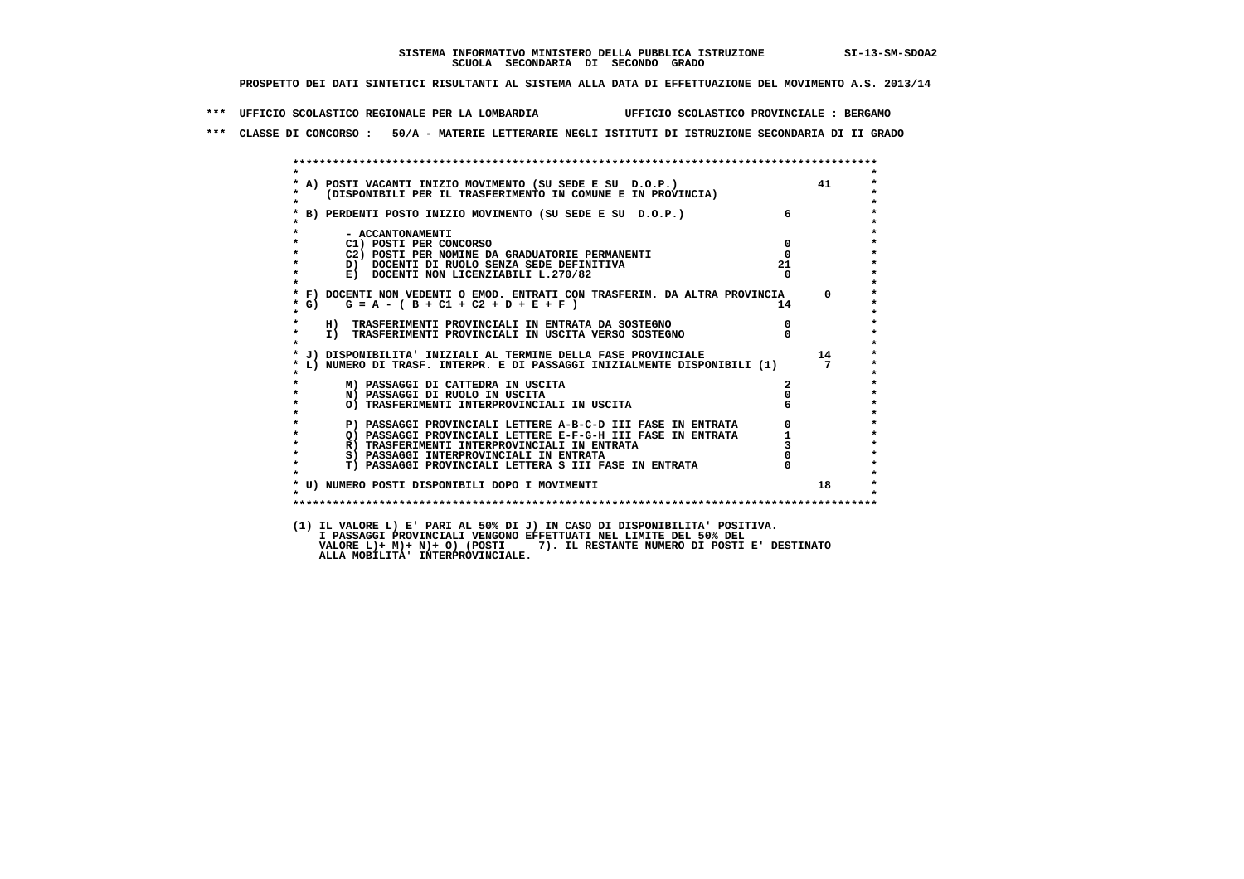**\*\*\* UFFICIO SCOLASTICO REGIONALE PER LA LOMBARDIA UFFICIO SCOLASTICO PROVINCIALE : BERGAMO**

 **\*\*\* CLASSE DI CONCORSO : 50/A - MATERIE LETTERARIE NEGLI ISTITUTI DI ISTRUZIONE SECONDARIA DI II GRADO**

| $\star$            |                                                                                                                            |                  |                |
|--------------------|----------------------------------------------------------------------------------------------------------------------------|------------------|----------------|
|                    | * A) POSTI VACANTI INIZIO MOVIMENTO (SU SEDE E SU D.O.P.)<br>* (DISPONIBILI PER IL TRASFERIMENTO IN COMUNE E IN PROVINCIA) |                  | 41             |
| $\star$            |                                                                                                                            |                  |                |
|                    | * B) PERDENTI POSTO INIZIO MOVIMENTO (SU SEDE E SU D.O.P.)                                                                 | $6\overline{6}$  |                |
|                    |                                                                                                                            |                  |                |
|                    | - ACCANTONAMENTI                                                                                                           |                  |                |
| $\star$<br>$\star$ | C1) POSTI PER CONCORSO<br>C2) POSTI PER NOMINE DA GRADUATORIE PERMANENTI                                                   | $\mathbf 0$      |                |
| $\star$            | D) DOCENTI DI RUOLO SENZA SEDE DEFINITIVA                                                                                  | $^{\circ}$<br>21 |                |
| $\star$            | E) DOCENTI NON LICENZIABILI L.270/82                                                                                       |                  |                |
| $\star$            |                                                                                                                            |                  |                |
|                    | * F) DOCENTI NON VEDENTI O EMOD. ENTRATI CON TRASFERIM. DA ALTRA PROVINCIA 0                                               |                  |                |
| $*$ G)             | $G = A - (B + C1 + C2 + D + E + F)$                                                                                        | 14               |                |
| $\star$            |                                                                                                                            |                  |                |
| $\star$<br>$\star$ | H) TRASFERIMENTI PROVINCIALI IN ENTRATA DA SOSTEGNO                                                                        | $\overline{0}$   |                |
|                    | I) TRASFERIMENTI PROVINCIALI IN USCITA VERSO SOSTEGNO                                                                      |                  |                |
|                    | * J) DISPONIBILITA' INIZIALI AL TERMINE DELLA FASE PROVINCIALE                                                             |                  | 14             |
|                    | * L) NUMERO DI TRASF. INTERPR. E DI PASSAGGI INIZIALMENTE DISPONIBILI (1)                                                  |                  | $\overline{7}$ |
|                    |                                                                                                                            |                  |                |
| *<br>$\star$       | M) PASSAGGI DI CATTEDRA IN USCITA                                                                                          |                  |                |
|                    | N) PASSAGGI DI RUOLO IN USCITA                                                                                             | $\Omega$         |                |
| $\star$<br>$\star$ | O) TRASFERIMENTI INTERPROVINCIALI IN USCITA                                                                                |                  |                |
| $\star$            | P) PASSAGGI PROVINCIALI LETTERE A-B-C-D III FASE IN ENTRATA                                                                |                  |                |
| $\star$            | Q) PASSAGGI PROVINCIALI LETTERE E-F-G-H III FASE IN ENTRATA                                                                |                  |                |
| $\star$            | R) TRASFERIMENTI INTERPROVINCIALI IN ENTRATA                                                                               |                  |                |
| $\star$            | S) PASSAGGI INTERPROVINCIALI IN ENTRATA                                                                                    |                  |                |
| $\star$            | T) PASSAGGI PROVINCIALI LETTERA S III FASE IN ENTRATA                                                                      |                  |                |
|                    |                                                                                                                            |                  |                |
| $\cdot$            | * U) NUMERO POSTI DISPONIBILI DOPO I MOVIMENTI                                                                             |                  | 18             |
|                    |                                                                                                                            |                  |                |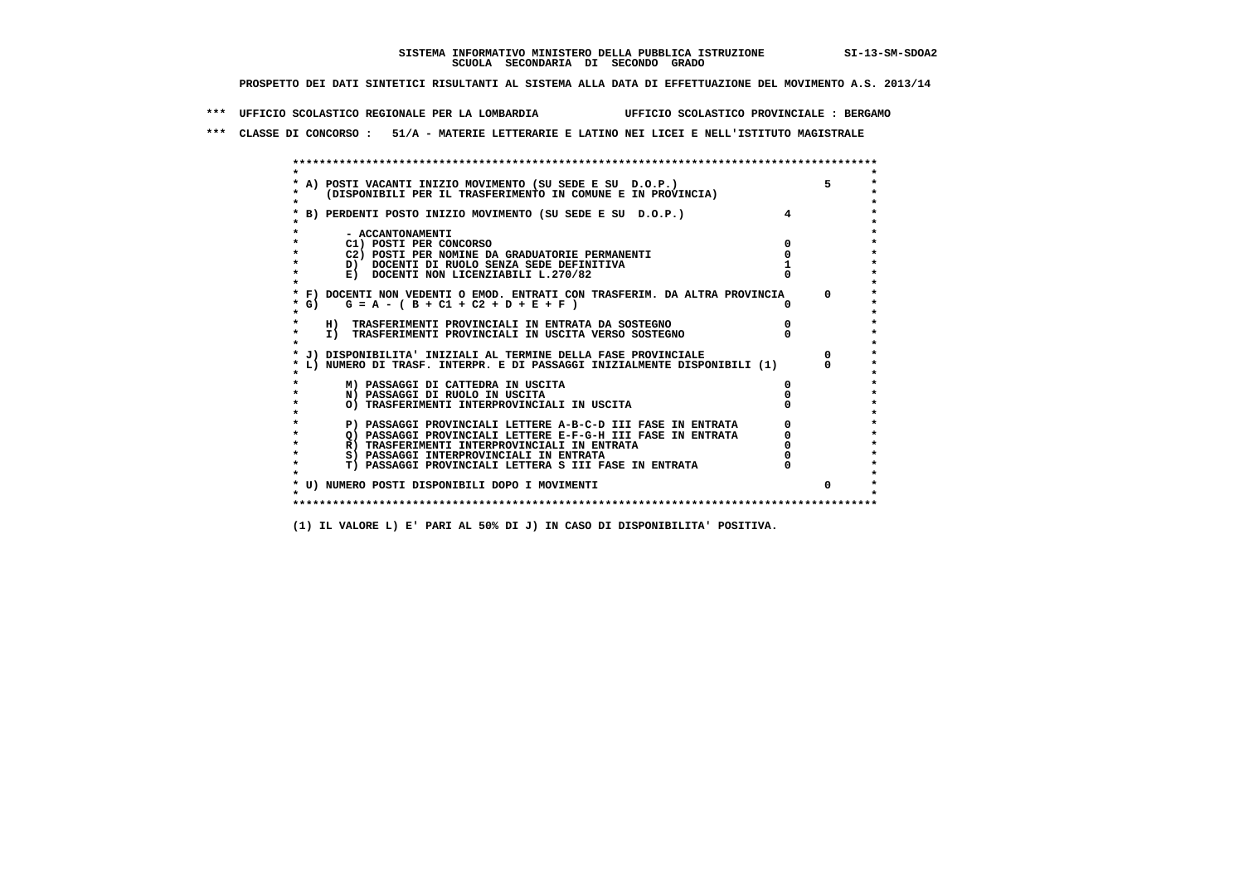**\*\*\* UFFICIO SCOLASTICO REGIONALE PER LA LOMBARDIA UFFICIO SCOLASTICO PROVINCIALE : BERGAMO**

 **\*\*\* CLASSE DI CONCORSO : 51/A - MATERIE LETTERARIE E LATINO NEI LICEI E NELL'ISTITUTO MAGISTRALE**

| A) POSTI VACANTI INIZIO MOVIMENTO (SU SEDE E SU D.O.P.)                    |    |
|----------------------------------------------------------------------------|----|
| (DISPONIBILI PER IL TRASFERIMENTO IN COMUNE E IN PROVINCIA)                |    |
| B) PERDENTI POSTO INIZIO MOVIMENTO (SU SEDE E SU D.O.P.)                   |    |
|                                                                            |    |
| - ACCANTONAMENTI                                                           |    |
| C1) POSTI PER CONCORSO                                                     |    |
| C2) POSTI PER NOMINE DA GRADUATORIE PERMANENTI                             |    |
| D) DOCENTI DI RUOLO SENZA SEDE DEFINITIVA                                  |    |
| E) DOCENTI NON LICENZIABILI L.270/82                                       |    |
| * F) DOCENTI NON VEDENTI O EMOD. ENTRATI CON TRASFERIM. DA ALTRA PROVINCIA |    |
| $G = A - (B + C1 + C2 + D + E + F)$<br>$*$ G)                              | O. |
| $\star$                                                                    |    |
| H) TRASFERIMENTI PROVINCIALI IN ENTRATA DA SOSTEGNO                        |    |
| I) TRASFERIMENTI PROVINCIALI IN USCITA VERSO SOSTEGNO                      |    |
| J) DISPONIBILITA' INIZIALI AL TERMINE DELLA FASE PROVINCIALE               |    |
| L) NUMERO DI TRASF. INTERPR. E DI PASSAGGI INIZIALMENTE DISPONIBILI (1)    |    |
|                                                                            |    |
| M) PASSAGGI DI CATTEDRA IN USCITA                                          | 0  |
| N) PASSAGGI DI RUOLO IN USCITA                                             |    |
| O) TRASFERIMENTI INTERPROVINCIALI IN USCITA                                |    |
|                                                                            |    |
| P) PASSAGGI PROVINCIALI LETTERE A-B-C-D III FASE IN ENTRATA                |    |
| O) PASSAGGI PROVINCIALI LETTERE E-F-G-H III FASE IN ENTRATA                |    |
| R) TRASFERIMENTI INTERPROVINCIALI IN ENTRATA                               |    |
| S) PASSAGGI INTERPROVINCIALI IN ENTRATA                                    |    |
| T) PASSAGGI PROVINCIALI LETTERA S III FASE IN ENTRATA                      |    |
| * U) NUMERO POSTI DISPONIBILI DOPO I MOVIMENTI                             |    |
|                                                                            |    |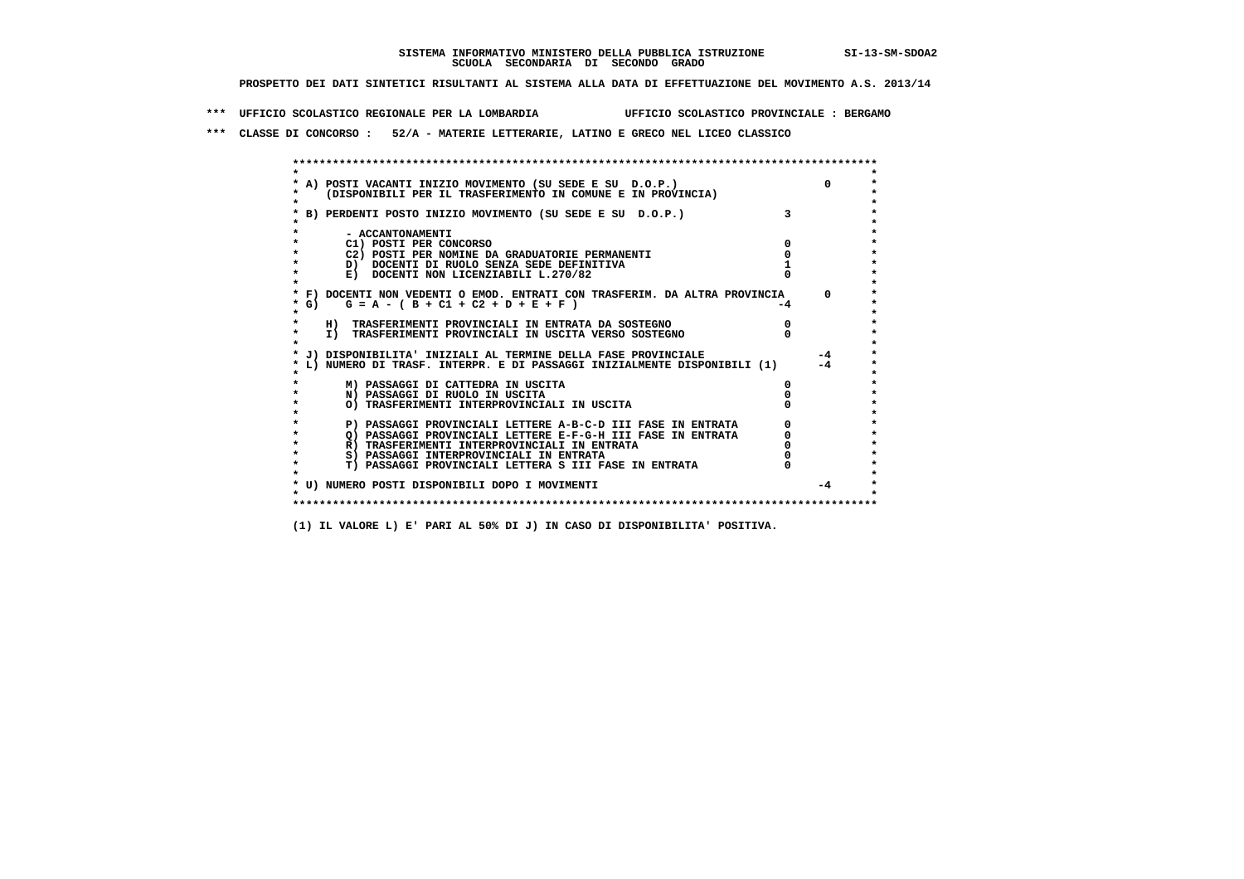**\*\*\* UFFICIO SCOLASTICO REGIONALE PER LA LOMBARDIA UFFICIO SCOLASTICO PROVINCIALE : BERGAMO**

 **\*\*\* CLASSE DI CONCORSO : 52/A - MATERIE LETTERARIE, LATINO E GRECO NEL LICEO CLASSICO**

 **\*\*\*\*\*\*\*\*\*\*\*\*\*\*\*\*\*\*\*\*\*\*\*\*\*\*\*\*\*\*\*\*\*\*\*\*\*\*\*\*\*\*\*\*\*\*\*\*\*\*\*\*\*\*\*\*\*\*\*\*\*\*\*\*\*\*\*\*\*\*\*\*\*\*\*\*\*\*\*\*\*\*\*\*\*\*\*\* \* \*** $\bullet$  **\* A) POSTI VACANTI INIZIO MOVIMENTO (SU SEDE E SU D.O.P.) 0 \*** $\star$  **\* (DISPONIBILI PER IL TRASFERIMENTO IN COMUNE E IN PROVINCIA) \*** $\bullet$  **\* \* \* B) PERDENTI POSTO INIZIO MOVIMENTO (SU SEDE E SU D.O.P.) 3 \* \* \* \* - ACCANTONAMENTI \* \* C1) POSTI PER CONCORSO 0 \* \* C2) POSTI PER NOMINE DA GRADUATORIE PERMANENTI 0 \*b**  $\overline{D}$  **docenti di RUOLO SENZA SEDE DEFINITIVA**  $\overline{D}$  **1**  $\overline{D}$  **1**  $\overline{D}$  **1**  $\overline{D}$  **1**  $\overline{D}$  **1**  $\overline{D}$  **1**  $\overline{D}$  **1**  $\overline{D}$  **1**  $\overline{D}$  **1**  $\overline{D}$  **1**  $\overline{D}$  **1**  $\overline{D}$  **1**  $\overline{D}$  **1 E) DOCENTI NON LICENZIABILI L.270/82 \* \* \* F) DOCENTI NON VEDENTI O EMOD. ENTRATI CON TRASFERIM. DA ALTRA PROVINCIA 0 \*** $*$  G) G = A - ( B + C1 + C2 + D + E + F )  **\* \* \* H) TRASFERIMENTI PROVINCIALI IN ENTRATA DA SOSTEGNO 0 \*The CONSTRUCTION CONSTRUCTED IN CONSTRUCTION CONSTRUES IN TRASFERIMENTI PROVINCIALI IN USCITA VERSO SOSTEGNO \* \* \* J) DISPONIBILITA' INIZIALI AL TERMINE DELLA FASE PROVINCIALE -4 \* \* L) NUMERO DI TRASF. INTERPR. E DI PASSAGGI INIZIALMENTE DISPONIBILI (1) -4 \* \* \* \* M) PASSAGGI DI CATTEDRA IN USCITA 0 \* \* N) PASSAGGI DI RUOLO IN USCITA 0 \* \* O) TRASFERIMENTI INTERPROVINCIALI IN USCITA 0 \* \* \* P) PASSAGGI PROVINCIALI LETTERE A-B-C-D III FASE IN ENTRATA** 0 <sup>0</sup> **DASSAGGI PROVINCIALI LETTERE E-F-G-H** III FASE IN ENTRATA 0 <sup>0</sup>  $\star$ **2) PASSAGGI PROVINCIALI LETTERE E-F-G-H III FASE IN ENTRATA**  $\overline{Q}$ **) PASSAGGI PROVINCIALI LETTERE E-F-G-H III FASE IN ENTRATA**  $\overline{Q}$  $\overline{Q}$  $\overline{Q}$  $\overline{Q}$  $\overline{Q}$  $\overline{Q}$  $\overline{Q}$  $\overline{Q}$  $\overline{Q}$  $\overline{Q}$  **\overline R)** TRASFERIMENTI INTERPROVINCIALI IN ENTRATA  $\begin{bmatrix} 0 & 0 \\ 0 & 0 \\ 0 & 0 \end{bmatrix}$  PASSAGGI INTERPROVINCIALI IN ENTRATA  $\begin{bmatrix} 0 & 0 \\ 0 & 0 \\ 0 & 0 \end{bmatrix}$  **\* S) PASSAGGI INTERPROVINCIALI IN ENTRATA 0 \*** $\ddot{\phantom{1}}$  **\* T) PASSAGGI PROVINCIALI LETTERA S III FASE IN ENTRATA 0 \*** $\star$  **\* \* \* U) NUMERO POSTI DISPONIBILI DOPO I MOVIMENTI -4 \* \* \* \*\*\*\*\*\*\*\*\*\*\*\*\*\*\*\*\*\*\*\*\*\*\*\*\*\*\*\*\*\*\*\*\*\*\*\*\*\*\*\*\*\*\*\*\*\*\*\*\*\*\*\*\*\*\*\*\*\*\*\*\*\*\*\*\*\*\*\*\*\*\*\*\*\*\*\*\*\*\*\*\*\*\*\*\*\*\*\***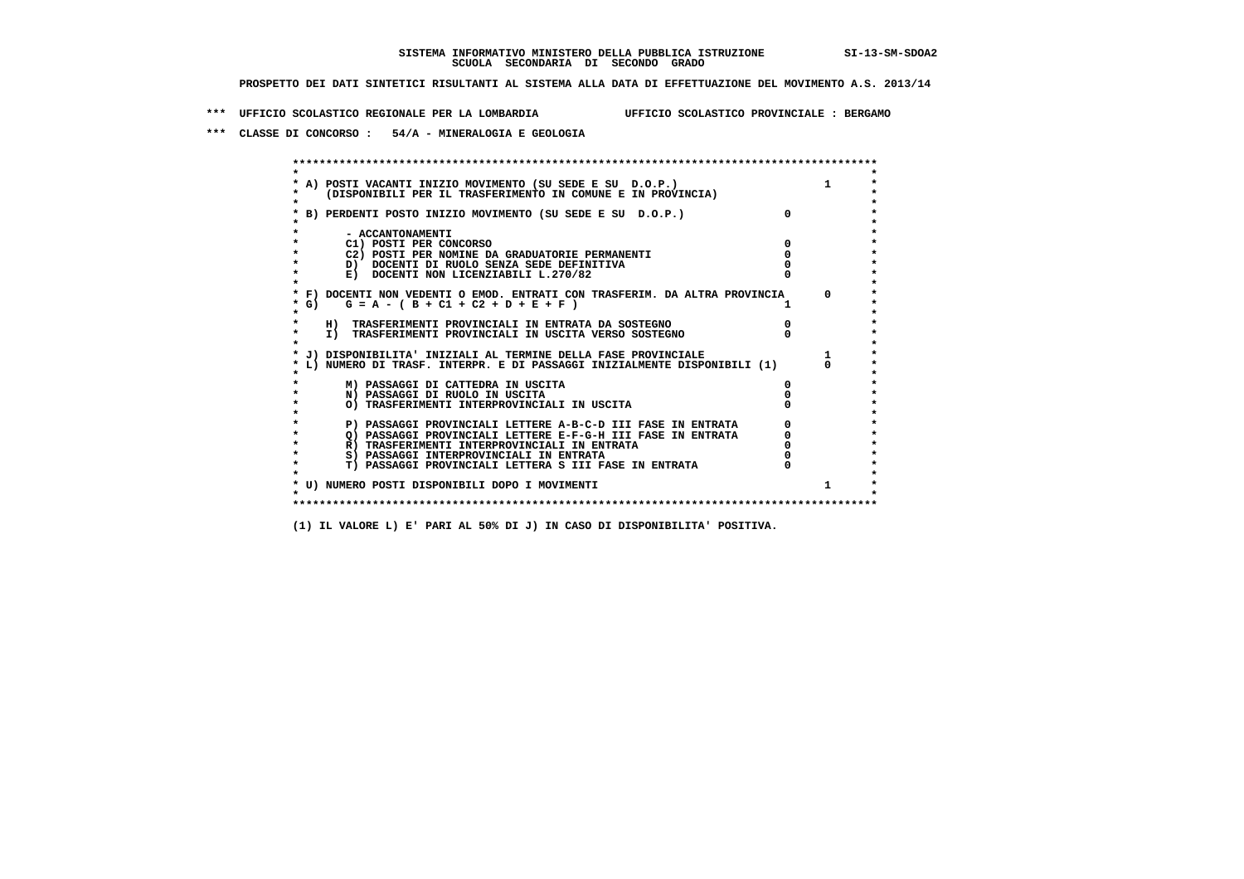**\*\*\* UFFICIO SCOLASTICO REGIONALE PER LA LOMBARDIA UFFICIO SCOLASTICO PROVINCIALE : BERGAMO**

 **\*\*\* CLASSE DI CONCORSO : 54/A - MINERALOGIA E GEOLOGIA**

 **\*\*\*\*\*\*\*\*\*\*\*\*\*\*\*\*\*\*\*\*\*\*\*\*\*\*\*\*\*\*\*\*\*\*\*\*\*\*\*\*\*\*\*\*\*\*\*\*\*\*\*\*\*\*\*\*\*\*\*\*\*\*\*\*\*\*\*\*\*\*\*\*\*\*\*\*\*\*\*\*\*\*\*\*\*\*\*\* \* \*** $\bullet$  **\* A) POSTI VACANTI INIZIO MOVIMENTO (SU SEDE E SU D.O.P.) 1 \*** $\star$  **\* (DISPONIBILI PER IL TRASFERIMENTO IN COMUNE E IN PROVINCIA) \*** $\bullet$  **\* \* \* B) PERDENTI POSTO INIZIO MOVIMENTO (SU SEDE E SU D.O.P.) 0 \* \* \* \* - ACCANTONAMENTI \* \* C1) POSTI PER CONCORSO 0 \* \* C2) POSTI PER NOMINE DA GRADUATORIE PERMANENTI 0 \*D)** DOCENTI DI RUOLO SENZA SEDE DEFINITIVA  $\overline{a}$  0  $\overline{b}$  0  $\overline{c}$  0  $\overline{c}$  0  $\overline{c}$  0  $\overline{a}$  0  $\overline{c}$ **E) DOCENTI NON LICENZIABILI L.270/82 \* \* \* F) DOCENTI NON VEDENTI O EMOD. ENTRATI CON TRASFERIM. DA ALTRA PROVINCIA 0 \***  $\star$  **G)** G = A - ( B + C1 + C2 + D + E + F )  **\* \* \* H) TRASFERIMENTI PROVINCIALI IN ENTRATA DA SOSTEGNO 0 \* \* I) TRASFERIMENTI PROVINCIALI IN USCITA VERSO SOSTEGNO 0 \* \* \* \* J) DISPONIBILITA' INIZIALI AL TERMINE DELLA FASE PROVINCIALE 1 \* \* L) NUMERO DI TRASF. INTERPR. E DI PASSAGGI INIZIALMENTE DISPONIBILI (1) 0 \* \* \* \* M) PASSAGGI DI CATTEDRA IN USCITA 0 \* \* N) PASSAGGI DI RUOLO IN USCITA 0 \* \* O) TRASFERIMENTI INTERPROVINCIALI IN USCITA 0 \* \* \* P) PASSAGGI PROVINCIALI LETTERE A-B-C-D III FASE IN ENTRATA** 0 <sup>0</sup> **DASSAGGI PROVINCIALI LETTERE E-F-G-H** III FASE IN ENTRATA 0 <sup>0</sup> **2) PASSAGGI PROVINCIALI LETTERE E-F-G-H III FASE IN ENTRATA 6 0 R**) TRASFERIMENTI INTERPROVINCIALI IN ENTRATA 6 **0 R)** TRASFERIMENTI INTERPROVINCIALI IN ENTRATA  $\begin{bmatrix} 0 & 0 \\ 0 & 0 \\ 0 & 0 \end{bmatrix}$  PASSAGGI INTERPROVINCIALI IN ENTRATA  $\begin{bmatrix} 0 & 0 \\ 0 & 0 \\ 0 & 0 \end{bmatrix}$  **\* S) PASSAGGI INTERPROVINCIALI IN ENTRATA 0 \*** $\ddot{\phantom{1}}$  **\* T) PASSAGGI PROVINCIALI LETTERA S III FASE IN ENTRATA 0 \*** $\star$  **\* \* \* U) NUMERO POSTI DISPONIBILI DOPO I MOVIMENTI 1 \* \* \* \*\*\*\*\*\*\*\*\*\*\*\*\*\*\*\*\*\*\*\*\*\*\*\*\*\*\*\*\*\*\*\*\*\*\*\*\*\*\*\*\*\*\*\*\*\*\*\*\*\*\*\*\*\*\*\*\*\*\*\*\*\*\*\*\*\*\*\*\*\*\*\*\*\*\*\*\*\*\*\*\*\*\*\*\*\*\*\***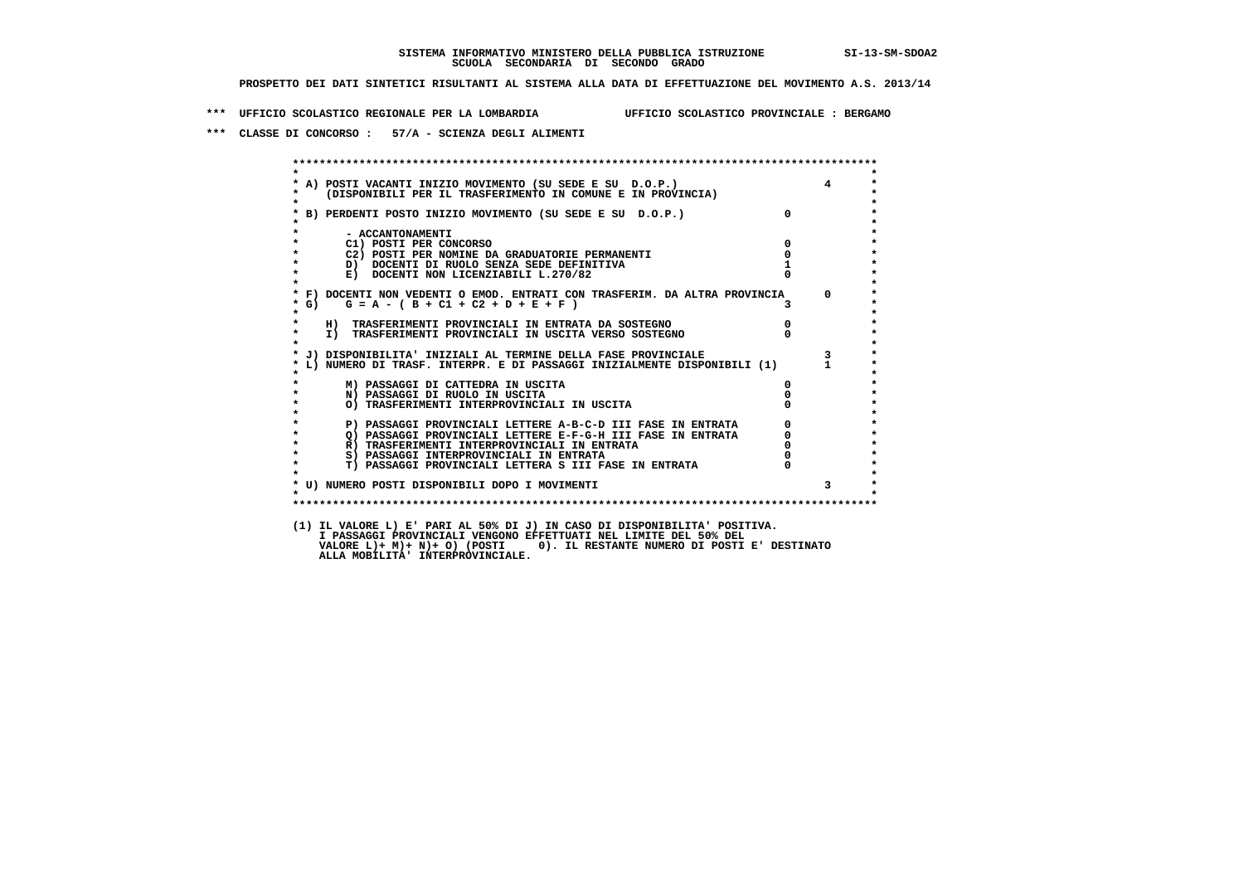**\*\*\* UFFICIO SCOLASTICO REGIONALE PER LA LOMBARDIA UFFICIO SCOLASTICO PROVINCIALE : BERGAMO**

 **\*\*\* CLASSE DI CONCORSO : 57/A - SCIENZA DEGLI ALIMENTI**

|                    | A) POSTI VACANTI INIZIO MOVIMENTO (SU SEDE E SU D.O.P.)<br>(DISPONIBILI PER IL TRASFERIMENTO IN COMUNE E IN PROVINCIA) |                                             | $\overline{4}$          |
|--------------------|------------------------------------------------------------------------------------------------------------------------|---------------------------------------------|-------------------------|
|                    | * B) PERDENTI POSTO INIZIO MOVIMENTO (SU SEDE E SU D.O.P.)                                                             | $\overline{0}$                              |                         |
|                    | - ACCANTONAMENTI                                                                                                       |                                             |                         |
| $\star$            | $\overline{\mathbf{0}}$<br>C1) POSTI PER CONCORSO                                                                      |                                             |                         |
| $\mathbf{r}$       | C2) POSTI PER NOMINE DA GRADUATORIE PERMANENTI<br>D) DOCENTI DI RUOLO SENZA SEDE DEFINITIVA                            | $\overline{0}$                              |                         |
| $\star$            | E) DOCENTI NON LICENZIABILI L.270/82                                                                                   |                                             |                         |
| $*$ G)             | * F) DOCENTI NON VEDENTI O EMOD. ENTRATI CON TRASFERIM. DA ALTRA PROVINCIA 0<br>$G = A - (B + C1 + C2 + D + E + F)$    |                                             |                         |
| $\star$<br>$\star$ | H) TRASFERIMENTI PROVINCIALI IN ENTRATA DA SOSTEGNO                                                                    | $\overline{0}$                              |                         |
| $\star$            | I) IKASFERIMENII PROVINCIALI IN ENIKAIA DA SOSIEGNO<br>I) TRASFERIMENTI PROVINCIALI IN USCITA VERSO SOSTEGNO           |                                             |                         |
|                    | * J) DISPONIBILITA' INIZIALI AL TERMINE DELLA FASE PROVINCIALE                                                         |                                             | $\overline{\mathbf{3}}$ |
|                    | L) NUMERO DI TRASF. INTERPR. E DI PASSAGGI INIZIALMENTE DISPONIBILI (1) 1                                              |                                             |                         |
|                    | M) PASSAGGI DI CATTEDRA IN USCITA                                                                                      |                                             |                         |
| $\star$            | N) PASSAGGI DI RUOLO IN USCITA                                                                                         |                                             |                         |
|                    | O) TRASFERIMENTI INTERPROVINCIALI IN USCITA                                                                            |                                             |                         |
|                    | P) PASSAGGI PROVINCIALI LETTERE A-B-C-D III FASE IN ENTRATA                                                            | $\begin{bmatrix} 0 \\ 0 \\ 0 \end{bmatrix}$ |                         |
| $\star$            |                                                                                                                        |                                             |                         |
| $\star$            |                                                                                                                        |                                             |                         |
| $\star$            | S) PASSAGGI INTERPROVINCIALI IN ENTRATA                                                                                |                                             |                         |
| $\star$            | T) PASSAGGI PROVINCIALI LETTERA S III FASE IN ENTRATA                                                                  |                                             |                         |
| $\star$            | * U) NUMERO POSTI DISPONIBILI DOPO I MOVIMENTI                                                                         |                                             |                         |
|                    |                                                                                                                        |                                             |                         |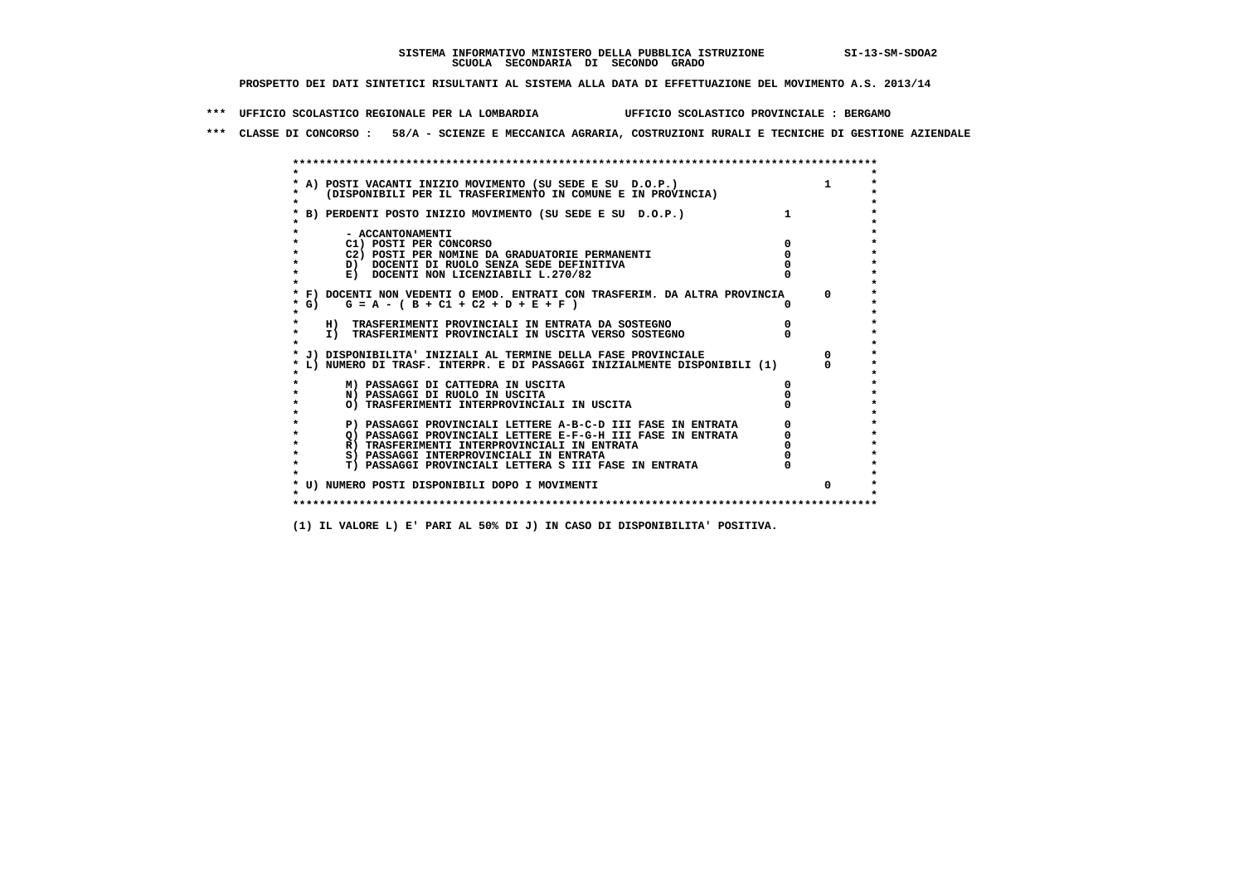**\*\*\* UFFICIO SCOLASTICO REGIONALE PER LA LOMBARDIA UFFICIO SCOLASTICO PROVINCIALE : BERGAMO**

 **\*\*\* CLASSE DI CONCORSO : 58/A - SCIENZE E MECCANICA AGRARIA, COSTRUZIONI RURALI E TECNICHE DI GESTIONE AZIENDALE**

|         | A) POSTI VACANTI INIZIO MOVIMENTO (SU SEDE E SU D.O.P.)<br>(DISPONIBILI PER IL TRASFERIMENTO IN COMUNE E IN PROVINCIA) |  |
|---------|------------------------------------------------------------------------------------------------------------------------|--|
|         |                                                                                                                        |  |
|         | B) PERDENTI POSTO INIZIO MOVIMENTO (SU SEDE E SU D.O.P.)                                                               |  |
|         |                                                                                                                        |  |
|         | - ACCANTONAMENTI                                                                                                       |  |
|         | C1) POSTI PER CONCORSO                                                                                                 |  |
|         | C2) POSTI PER NOMINE DA GRADUATORIE PERMANENTI<br>D) DOCENTI DI RUOLO SENZA SEDE DEFINITIVA                            |  |
|         | E) DOCENTI NON LICENZIABILI L.270/82                                                                                   |  |
|         |                                                                                                                        |  |
|         | * F) DOCENTI NON VEDENTI O EMOD. ENTRATI CON TRASFERIM. DA ALTRA PROVINCIA                                             |  |
| * G) =  | $G = A - (B + C1 + C2 + D + E + F)$                                                                                    |  |
|         |                                                                                                                        |  |
|         | H) TRASFERIMENTI PROVINCIALI IN ENTRATA DA SOSTEGNO                                                                    |  |
| $\star$ | I) TRASFERIMENTI PROVINCIALI IN USCITA VERSO SOSTEGNO                                                                  |  |
|         | J) DISPONIBILITA' INIZIALI AL TERMINE DELLA FASE PROVINCIALE                                                           |  |
|         | L) NUMERO DI TRASF. INTERPR. E DI PASSAGGI INIZIALMENTE DISPONIBILI (1)                                                |  |
|         |                                                                                                                        |  |
|         | M) PASSAGGI DI CATTEDRA IN USCITA                                                                                      |  |
|         | N) PASSAGGI DI RUOLO IN USCITA                                                                                         |  |
|         | O) TRASFERIMENTI INTERPROVINCIALI IN USCITA                                                                            |  |
|         |                                                                                                                        |  |
|         | P) PASSAGGI PROVINCIALI LETTERE A-B-C-D III FASE IN ENTRATA                                                            |  |
|         | O) PASSAGGI PROVINCIALI LETTERE E-F-G-H III FASE IN ENTRATA<br>R) TRASFERIMENTI INTERPROVINCIALI IN ENTRATA            |  |
|         | S) PASSAGGI INTERPROVINCIALI IN ENTRATA                                                                                |  |
| $\star$ | T) PASSAGGI PROVINCIALI LETTERA S III FASE IN ENTRATA                                                                  |  |
|         |                                                                                                                        |  |
|         | * U) NUMERO POSTI DISPONIBILI DOPO I MOVIMENTI                                                                         |  |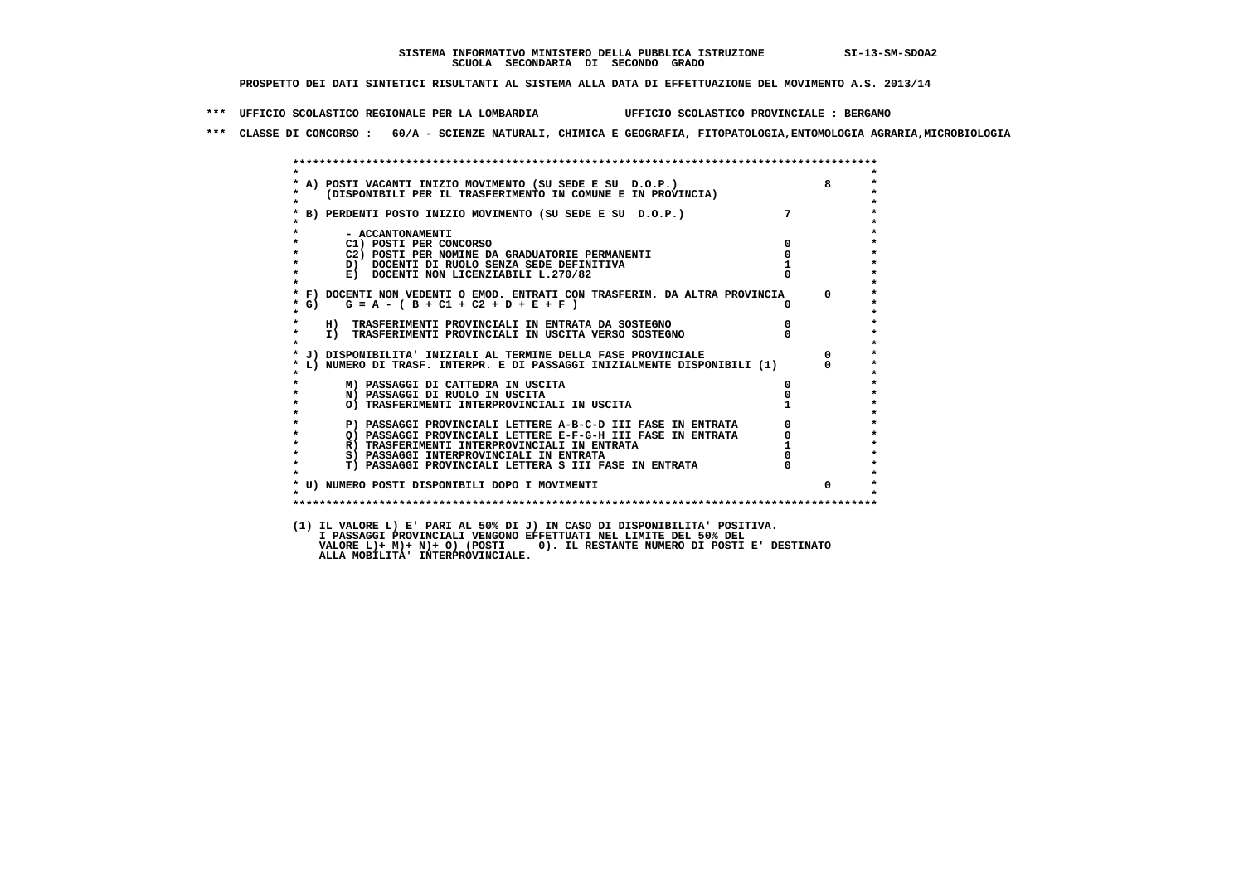**\*\*\* UFFICIO SCOLASTICO REGIONALE PER LA LOMBARDIA UFFICIO SCOLASTICO PROVINCIALE : BERGAMO**

 **\*\*\* CLASSE DI CONCORSO : 60/A - SCIENZE NATURALI, CHIMICA E GEOGRAFIA, FITOPATOLOGIA,ENTOMOLOGIA AGRARIA,MICROBIOLOGIA**

| $\star$              | * A) POSTI VACANTI INIZIO MOVIMENTO (SU SEDE E SU D.O.P.) (DISPONIBILI PER IL TRASFERIMENTO IN COMUNE E IN PROVINCIA) |             |            |
|----------------------|-----------------------------------------------------------------------------------------------------------------------|-------------|------------|
|                      | * B) PERDENTI POSTO INIZIO MOVIMENTO (SU SEDE E SU D.O.P.)                                                            | $7^{\circ}$ |            |
|                      | - ACCANTONAMENTI                                                                                                      |             |            |
|                      | C1) POSTI PER CONCORSO                                                                                                | $\Omega$    |            |
| $\star$              | C2) POSTI PER NOMINE DA GRADUATORIE PERMANENTI                                                                        | 0           |            |
| $\star$              | D) DOCENTI DI RUOLO SENZA SEDE DEFINITIVA                                                                             |             |            |
| $\star$              | E) DOCENTI NON LICENZIABILI L.270/82                                                                                  |             |            |
|                      | * F) DOCENTI NON VEDENTI O EMOD. ENTRATI CON TRASFERIM. DA ALTRA PROVINCIA                                            |             | $^{\circ}$ |
| * G)                 | $G = A - (B + C1 + C2 + D + E + F)$                                                                                   |             |            |
| $\star$              | H) TRASFERIMENTI PROVINCIALI IN ENTRATA DA SOSTEGNO                                                                   |             |            |
| $\star$<br>$\bullet$ | I) TRASFERIMENTI PROVINCIALI IN USCITA VERSO SOSTEGNO                                                                 |             |            |
|                      | * J) DISPONIBILITA' INIZIALI AL TERMINE DELLA FASE PROVINCIALE                                                        |             | $^{\circ}$ |
|                      | L) NUMERO DI TRASF. INTERPR. E DI PASSAGGI INIZIALMENTE DISPONIBILI (1)                                               |             | $\Omega$   |
|                      | M) PASSAGGI DI CATTEDRA IN USCITA                                                                                     | O.          |            |
| $\star$              | N) PASSAGGI DI RUOLO IN USCITA                                                                                        |             |            |
| $\star$              | O) TRASFERIMENTI INTERPROVINCIALI IN USCITA                                                                           |             |            |
|                      | P) PASSAGGI PROVINCIALI LETTERE A-B-C-D III FASE IN ENTRATA                                                           |             |            |
| $\star$              | Q) PASSAGGI PROVINCIALI LETTERE E-F-G-H III FASE IN ENTRATA                                                           |             |            |
| $\star$              | R) TRASFERIMENTI INTERPROVINCIALI IN ENTRATA                                                                          |             |            |
| $\star$              | S) PASSAGGI INTERPROVINCIALI IN ENTRATA                                                                               |             |            |
| $\star$              | T) PASSAGGI PROVINCIALI LETTERA S III FASE IN ENTRATA                                                                 |             |            |
|                      |                                                                                                                       |             |            |
|                      | * U) NUMERO POSTI DISPONIBILI DOPO I MOVIMENTI                                                                        |             | $\Omega$   |
|                      |                                                                                                                       |             |            |

 **I PASSAGGI PROVINCIALI VENGONO EFFETTUATI NEL LIMITE DEL 50% DEL VALORE L)+ M)+ N)+ O) (POSTI 0). IL RESTANTE NUMERO DI POSTI E' DESTINATO ALLA MOBILITA' INTERPROVINCIALE.**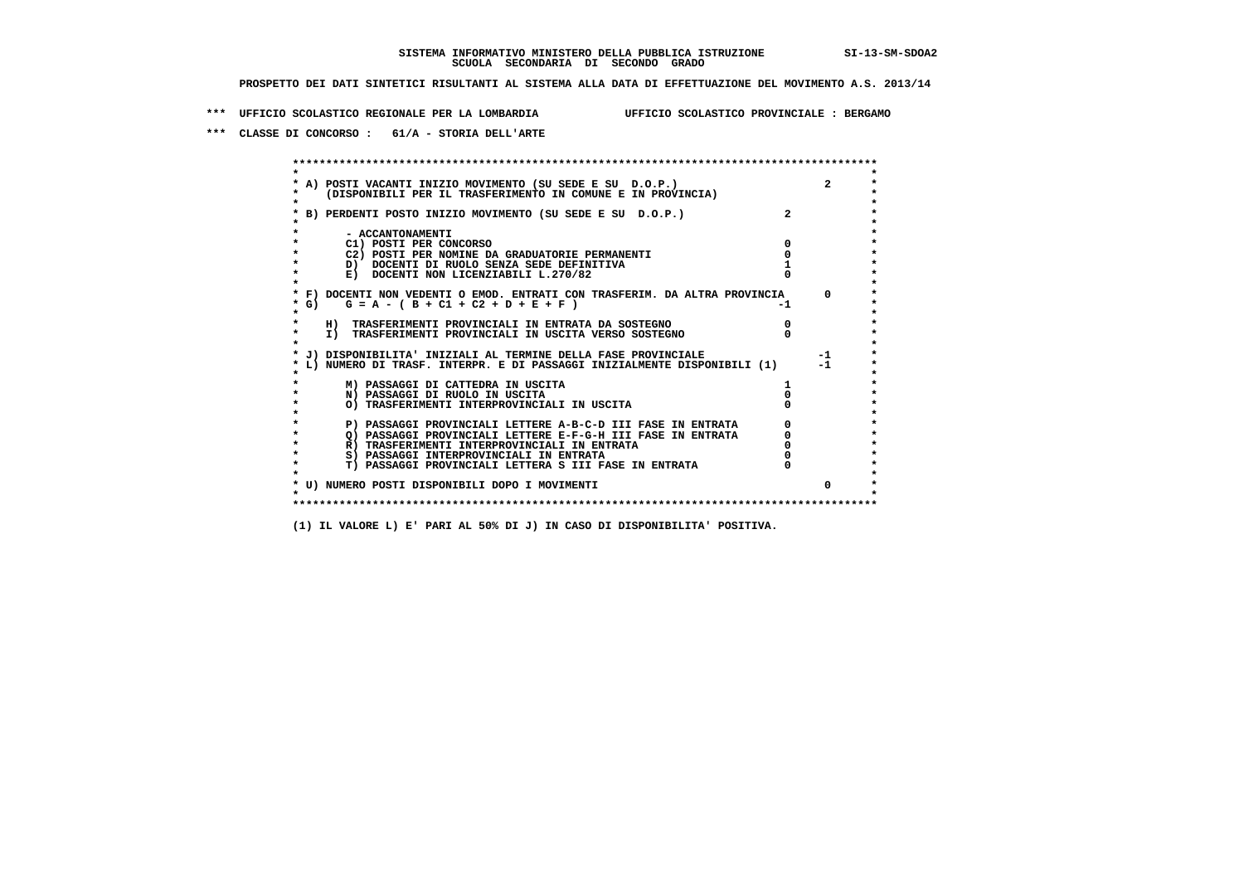**\*\*\* UFFICIO SCOLASTICO REGIONALE PER LA LOMBARDIA UFFICIO SCOLASTICO PROVINCIALE : BERGAMO**

 **\*\*\* CLASSE DI CONCORSO : 61/A - STORIA DELL'ARTE**

 **\*\*\*\*\*\*\*\*\*\*\*\*\*\*\*\*\*\*\*\*\*\*\*\*\*\*\*\*\*\*\*\*\*\*\*\*\*\*\*\*\*\*\*\*\*\*\*\*\*\*\*\*\*\*\*\*\*\*\*\*\*\*\*\*\*\*\*\*\*\*\*\*\*\*\*\*\*\*\*\*\*\*\*\*\*\*\*\* \* \*** $\bullet$  **\* A) POSTI VACANTI INIZIO MOVIMENTO (SU SEDE E SU D.O.P.) 2 \*** $\star$  **\* (DISPONIBILI PER IL TRASFERIMENTO IN COMUNE E IN PROVINCIA) \*** $\bullet$  **\* \* \* B) PERDENTI POSTO INIZIO MOVIMENTO (SU SEDE E SU D.O.P.) 2 \* \* \* \* - ACCANTONAMENTI \* \* C1) POSTI PER CONCORSO 0 \* \* C2) POSTI PER NOMINE DA GRADUATORIE PERMANENTI 0 \*D)** DOCENTI DI RUOLO SENZA SEDE DEFINITIVA 1<br> **E)** DOCENTI NON LICENZIABILI L. 270/82 0 **E) DOCENTI NON LICENZIABILI L.270/82 \* \* \* F) DOCENTI NON VEDENTI O EMOD. ENTRATI CON TRASFERIM. DA ALTRA PROVINCIA 0 \***  $\star$  **G)** G = A - ( B + C1 + C2 + D + E + F)  **\* \* \* H) TRASFERIMENTI PROVINCIALI IN ENTRATA DA SOSTEGNO 0 \* \* I) TRASFERIMENTI PROVINCIALI IN USCITA VERSO SOSTEGNO 0 \* \* \* \* J) DISPONIBILITA' INIZIALI AL TERMINE DELLA FASE PROVINCIALE -1 \* \* L) NUMERO DI TRASF. INTERPR. E DI PASSAGGI INIZIALMENTE DISPONIBILI (1) -1 \* \* \* \* M) PASSAGGI DI CATTEDRA IN USCITA 1 \* \* N) PASSAGGI DI RUOLO IN USCITA 0 \* \* O) TRASFERIMENTI INTERPROVINCIALI IN USCITA 0 \* \* \* P) PASSAGGI PROVINCIALI LETTERE A-B-C-D III FASE IN ENTRATA** 0 <sup>0</sup> **DASSAGGI PROVINCIALI LETTERE E-F-G-H** III FASE IN ENTRATA 0 <sup>0</sup> **2) PASSAGGI PROVINCIALI LETTERE E-F-G-H III FASE IN ENTRATA 6 0 R**) TRASFERIMENTI INTERPROVINCIALI IN ENTRATA 6 **0 R)** TRASFERIMENTI INTERPROVINCIALI IN ENTRATA  $\begin{bmatrix} 0 & 0 \\ 0 & 0 \\ 0 & 0 \end{bmatrix}$  PASSAGGI INTERPROVINCIALI IN ENTRATA  $\begin{bmatrix} 0 & 0 \\ 0 & 0 \\ 0 & 0 \end{bmatrix}$  **\* S) PASSAGGI INTERPROVINCIALI IN ENTRATA 0 \*** $\ddot{\phantom{1}}$  **\* T) PASSAGGI PROVINCIALI LETTERA S III FASE IN ENTRATA 0 \*** $\star$  **\* \* \* U) NUMERO POSTI DISPONIBILI DOPO I MOVIMENTI 0 \* \* \* \*\*\*\*\*\*\*\*\*\*\*\*\*\*\*\*\*\*\*\*\*\*\*\*\*\*\*\*\*\*\*\*\*\*\*\*\*\*\*\*\*\*\*\*\*\*\*\*\*\*\*\*\*\*\*\*\*\*\*\*\*\*\*\*\*\*\*\*\*\*\*\*\*\*\*\*\*\*\*\*\*\*\*\*\*\*\*\***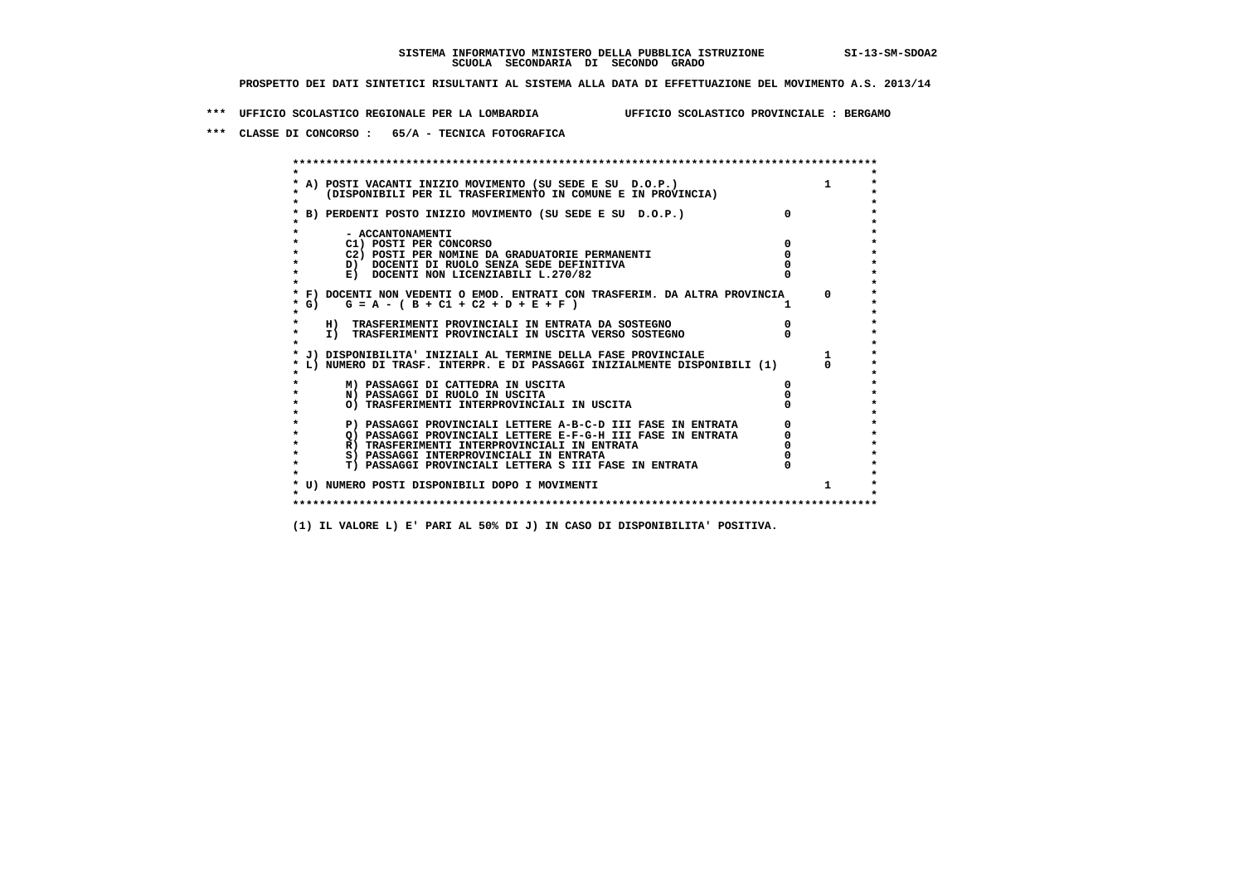**\*\*\* UFFICIO SCOLASTICO REGIONALE PER LA LOMBARDIA UFFICIO SCOLASTICO PROVINCIALE : BERGAMO**

 **\*\*\* CLASSE DI CONCORSO : 65/A - TECNICA FOTOGRAFICA**

 **\*\*\*\*\*\*\*\*\*\*\*\*\*\*\*\*\*\*\*\*\*\*\*\*\*\*\*\*\*\*\*\*\*\*\*\*\*\*\*\*\*\*\*\*\*\*\*\*\*\*\*\*\*\*\*\*\*\*\*\*\*\*\*\*\*\*\*\*\*\*\*\*\*\*\*\*\*\*\*\*\*\*\*\*\*\*\*\* \* \*** $\bullet$  **\* A) POSTI VACANTI INIZIO MOVIMENTO (SU SEDE E SU D.O.P.) 1 \*** $\star$  **\* (DISPONIBILI PER IL TRASFERIMENTO IN COMUNE E IN PROVINCIA) \*** $\bullet$  **\* \* \* B) PERDENTI POSTO INIZIO MOVIMENTO (SU SEDE E SU D.O.P.) 0 \* \* \* \* - ACCANTONAMENTI \* \* C1) POSTI PER CONCORSO 0 \* \* C2) POSTI PER NOMINE DA GRADUATORIE PERMANENTI 0 \*D)** DOCENTI DI RUOLO SENZA SEDE DEFINITIVA  $\overline{a}$  0  $\overline{b}$  0  $\overline{c}$  0  $\overline{c}$  0  $\overline{c}$  0  $\overline{a}$  0  $\overline{c}$ **E) DOCENTI NON LICENZIABILI L.270/82 \* \* \* F) DOCENTI NON VEDENTI O EMOD. ENTRATI CON TRASFERIM. DA ALTRA PROVINCIA 0 \***  $\star$  **G)** G = A - ( B + C1 + C2 + D + E + F )  **\* \* \* H) TRASFERIMENTI PROVINCIALI IN ENTRATA DA SOSTEGNO 0 \* \* I) TRASFERIMENTI PROVINCIALI IN USCITA VERSO SOSTEGNO 0 \* \* \* \* J) DISPONIBILITA' INIZIALI AL TERMINE DELLA FASE PROVINCIALE 1 \* \* L) NUMERO DI TRASF. INTERPR. E DI PASSAGGI INIZIALMENTE DISPONIBILI (1) 0 \* \* \* \* M) PASSAGGI DI CATTEDRA IN USCITA 0 \* \* N) PASSAGGI DI RUOLO IN USCITA 0 \* \* O) TRASFERIMENTI INTERPROVINCIALI IN USCITA 0 \* \* \* P) PASSAGGI PROVINCIALI LETTERE A-B-C-D III FASE IN ENTRATA** 0 <sup>0</sup> **DASSAGGI PROVINCIALI LETTERE E-F-G-H** III FASE IN ENTRATA 0 <sup>0</sup> **2) PASSAGGI PROVINCIALI LETTERE E-F-G-H III FASE IN ENTRATA**  $\overline{Q}$ **) PASSAGGI PROVINCIALI LETTERE E-F-G-H III FASE IN ENTRATA**  $\overline{Q}$  $\overline{Q}$  $\overline{Q}$  $\overline{Q}$  $\overline{Q}$  $\overline{Q}$  $\overline{Q}$  $\overline{Q}$  $\overline{Q}$  $\overline{Q}$  **\overline R)** TRASFERIMENTI INTERPROVINCIALI IN ENTRATA  $\begin{bmatrix} 0 & 0 \\ 0 & 0 \\ 0 & 0 \end{bmatrix}$  PASSAGGI INTERPROVINCIALI IN ENTRATA  $\begin{bmatrix} 0 & 0 \\ 0 & 0 \\ 0 & 0 \end{bmatrix}$ **8) PASSAGGI INTERPROVINCIALI IN ENTRATA 6 \*\*\*** 0 \*\*\*<br> **T) PASSAGGI PROVINCIALI LETTERA S III FASE IN ENTRATA** 0 \*\*\*  $\ddot{\phantom{1}}$  **\* T) PASSAGGI PROVINCIALI LETTERA S III FASE IN ENTRATA 0 \*** $\star$  **\* \* \* U) NUMERO POSTI DISPONIBILI DOPO I MOVIMENTI 1 \* \* \* \*\*\*\*\*\*\*\*\*\*\*\*\*\*\*\*\*\*\*\*\*\*\*\*\*\*\*\*\*\*\*\*\*\*\*\*\*\*\*\*\*\*\*\*\*\*\*\*\*\*\*\*\*\*\*\*\*\*\*\*\*\*\*\*\*\*\*\*\*\*\*\*\*\*\*\*\*\*\*\*\*\*\*\*\*\*\*\***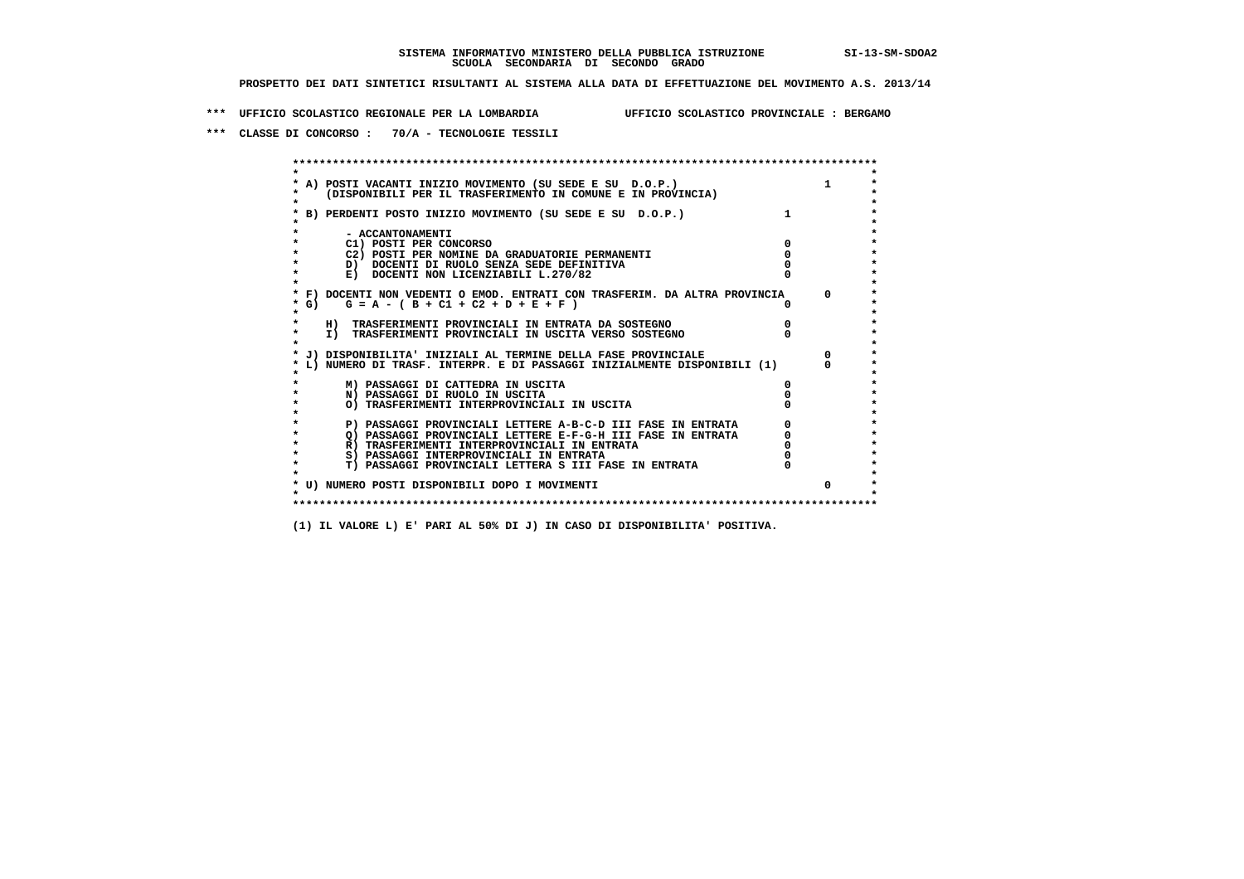**\*\*\* UFFICIO SCOLASTICO REGIONALE PER LA LOMBARDIA UFFICIO SCOLASTICO PROVINCIALE : BERGAMO**

 **\*\*\* CLASSE DI CONCORSO : 70/A - TECNOLOGIE TESSILI**

 **\*\*\*\*\*\*\*\*\*\*\*\*\*\*\*\*\*\*\*\*\*\*\*\*\*\*\*\*\*\*\*\*\*\*\*\*\*\*\*\*\*\*\*\*\*\*\*\*\*\*\*\*\*\*\*\*\*\*\*\*\*\*\*\*\*\*\*\*\*\*\*\*\*\*\*\*\*\*\*\*\*\*\*\*\*\*\*\* \* \*** $\bullet$  **\* A) POSTI VACANTI INIZIO MOVIMENTO (SU SEDE E SU D.O.P.) 1 \*** $\star$  **\* (DISPONIBILI PER IL TRASFERIMENTO IN COMUNE E IN PROVINCIA) \* \* \* \* B) PERDENTI POSTO INIZIO MOVIMENTO (SU SEDE E SU D.O.P.) 1 \* \* \* \* - ACCANTONAMENTI \* \* C1) POSTI PER CONCORSO 0 \* \* C2) POSTI PER NOMINE DA GRADUATORIE PERMANENTI 0 \*D)** DOCENTI DI RUOLO SENZA SEDE DEFINITIVA  $\overline{a}$  0  $\overline{b}$  0  $\overline{c}$  0  $\overline{c}$  0  $\overline{c}$  0  $\overline{a}$  0  $\overline{c}$ **E) DOCENTI NON LICENZIABILI L.270/82 \* \* \* F) DOCENTI NON VEDENTI O EMOD. ENTRATI CON TRASFERIM. DA ALTRA PROVINCIA 0 \* \* G) G = A - ( B + C1 + C2 + D + E + F ) 0 \* \* \* \* H) TRASFERIMENTI PROVINCIALI IN ENTRATA DA SOSTEGNO 0 \* \* I) TRASFERIMENTI PROVINCIALI IN USCITA VERSO SOSTEGNO 0 \* \* \* \* J) DISPONIBILITA' INIZIALI AL TERMINE DELLA FASE PROVINCIALE 0 \* \* L) NUMERO DI TRASF. INTERPR. E DI PASSAGGI INIZIALMENTE DISPONIBILI (1) 0 \* \* \* \* M) PASSAGGI DI CATTEDRA IN USCITA 0 \* \* N) PASSAGGI DI RUOLO IN USCITA 0 \* \* O) TRASFERIMENTI INTERPROVINCIALI IN USCITA 0 \* \* \* P) PASSAGGI PROVINCIALI LETTERE A-B-C-D III FASE IN ENTRATA** 0 <sup>0</sup> **DASSAGGI PROVINCIALI LETTERE E-F-G-H** III FASE IN ENTRATA 0 <sup>0</sup> **2) PASSAGGI PROVINCIALI LETTERE E-F-G-H III FASE IN ENTRATA 6 0 R**) TRASFERIMENTI INTERPROVINCIALI IN ENTRATA 6 **0 R)** TRASFERIMENTI INTERPROVINCIALI IN ENTRATA  $\begin{bmatrix} 0 & 0 \\ 0 & 0 \\ 0 & 0 \end{bmatrix}$  PASSAGGI INTERPROVINCIALI IN ENTRATA  $\begin{bmatrix} 0 & 0 \\ 0 & 0 \\ 0 & 0 \end{bmatrix}$  **\* S) PASSAGGI INTERPROVINCIALI IN ENTRATA 0 \*** $\ddot{\phantom{1}}$  **\* T) PASSAGGI PROVINCIALI LETTERA S III FASE IN ENTRATA 0 \*** $\star$  **\* \* \* U) NUMERO POSTI DISPONIBILI DOPO I MOVIMENTI 0 \* \* \* \*\*\*\*\*\*\*\*\*\*\*\*\*\*\*\*\*\*\*\*\*\*\*\*\*\*\*\*\*\*\*\*\*\*\*\*\*\*\*\*\*\*\*\*\*\*\*\*\*\*\*\*\*\*\*\*\*\*\*\*\*\*\*\*\*\*\*\*\*\*\*\*\*\*\*\*\*\*\*\*\*\*\*\*\*\*\*\***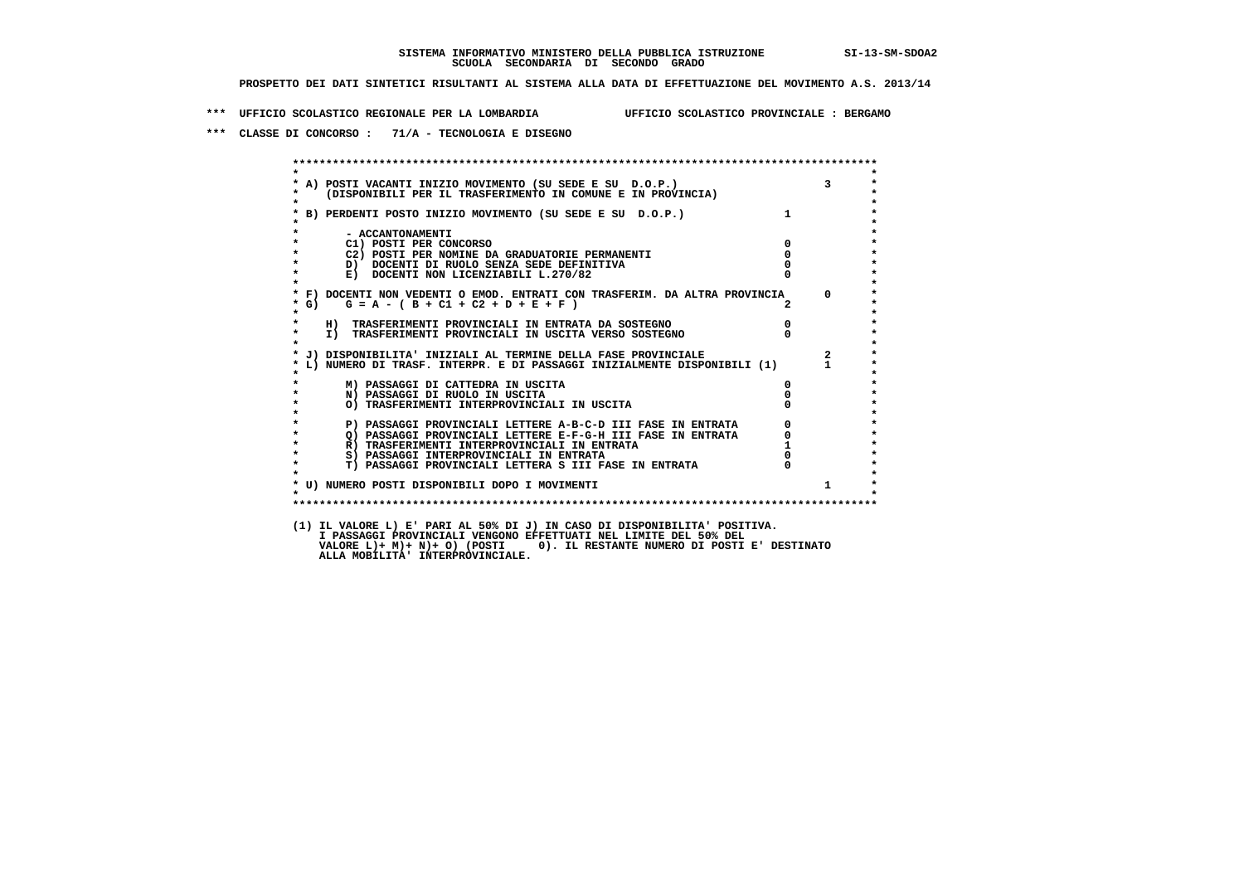**\*\*\* UFFICIO SCOLASTICO REGIONALE PER LA LOMBARDIA UFFICIO SCOLASTICO PROVINCIALE : BERGAMO**

 **\*\*\* CLASSE DI CONCORSO : 71/A - TECNOLOGIA E DISEGNO**

 **\*\*\*\*\*\*\*\*\*\*\*\*\*\*\*\*\*\*\*\*\*\*\*\*\*\*\*\*\*\*\*\*\*\*\*\*\*\*\*\*\*\*\*\*\*\*\*\*\*\*\*\*\*\*\*\*\*\*\*\*\*\*\*\*\*\*\*\*\*\*\*\*\*\*\*\*\*\*\*\*\*\*\*\*\*\*\*\* \* \*** $\bullet$  **\* A) POSTI VACANTI INIZIO MOVIMENTO (SU SEDE E SU D.O.P.) 3 \* \* (DISPONIBILI PER IL TRASFERIMENTO IN COMUNE E IN PROVINCIA) \* \* \* \* B) PERDENTI POSTO INIZIO MOVIMENTO (SU SEDE E SU D.O.P.) 1 \* \* \* \* - ACCANTONAMENTI \* \* C1) POSTI PER CONCORSO 0 \* \* C2) POSTI PER NOMINE DA GRADUATORIE PERMANENTI 0 \*D)** DOCENTI DI RUOLO SENZA SEDE DEFINITIVA  $\overline{a}$  0  $\overline{b}$  0  $\overline{c}$  0  $\overline{c}$  0  $\overline{c}$  0  $\overline{a}$  0  $\overline{c}$ **E) DOCENTI NON LICENZIABILI L.270/82 \* \* \* F) DOCENTI NON VEDENTI O EMOD. ENTRATI CON TRASFERIM. DA ALTRA PROVINCIA 0 \* \* G) G = A - ( B + C1 + C2 + D + E + F ) 2 \* \* \* \* H) TRASFERIMENTI PROVINCIALI IN ENTRATA DA SOSTEGNO 0 \* \* I) TRASFERIMENTI PROVINCIALI IN USCITA VERSO SOSTEGNO 0 \* \* \* \* J) DISPONIBILITA' INIZIALI AL TERMINE DELLA FASE PROVINCIALE 2 \* \* L) NUMERO DI TRASF. INTERPR. E DI PASSAGGI INIZIALMENTE DISPONIBILI (1) 1 \* \* \* \* M) PASSAGGI DI CATTEDRA IN USCITA 0 \* \* N) PASSAGGI DI RUOLO IN USCITA 0 \* \* O) TRASFERIMENTI INTERPROVINCIALI IN USCITA 0 \* \* \* P) PASSAGGI PROVINCIALI LETTERE A-B-C-D III FASE IN ENTRATA** 0 <sup>0</sup> **DASSAGGI PROVINCIALI LETTERE E-F-G-H** III FASE IN ENTRATA 0 <sup>0</sup> **2) PASSAGGI PROVINCIALI LETTERE E-F-G-H III FASE IN ENTRATA 6**  $\overline{Q}$  **PASSAGGI PROVINCIALI LETTERE E-F-G-H III FASE IN ENTRATA** 0  **\* R) TRASFERIMENTI INTERPROVINCIALI IN ENTRATA 1 \*8) PASSAGGI INTERPROVINCIALI IN ENTRATA 6 \*\*\*** 0 \*\*\*<br> **T) PASSAGGI PROVINCIALI LETTERA S III FASE IN ENTRATA** 0 \*\*\*  $\ddot{\phantom{1}}$  **\* T) PASSAGGI PROVINCIALI LETTERA S III FASE IN ENTRATA 0 \*** $\star$  **\* \* \* U) NUMERO POSTI DISPONIBILI DOPO I MOVIMENTI 1 \* \* \* \*\*\*\*\*\*\*\*\*\*\*\*\*\*\*\*\*\*\*\*\*\*\*\*\*\*\*\*\*\*\*\*\*\*\*\*\*\*\*\*\*\*\*\*\*\*\*\*\*\*\*\*\*\*\*\*\*\*\*\*\*\*\*\*\*\*\*\*\*\*\*\*\*\*\*\*\*\*\*\*\*\*\*\*\*\*\*\* (1) IL VALORE L) E' PARI AL 50% DI J) IN CASO DI DISPONIBILITA' POSITIVA. I PASSAGGI PROVINCIALI VENGONO EFFETTUATI NEL LIMITE DEL 50% DEL VALORE L)+ M)+ N)+ O) (POSTI 0). IL RESTANTE NUMERO DI POSTI E' DESTINATO ALLA MOBILITA' INTERPROVINCIALE.**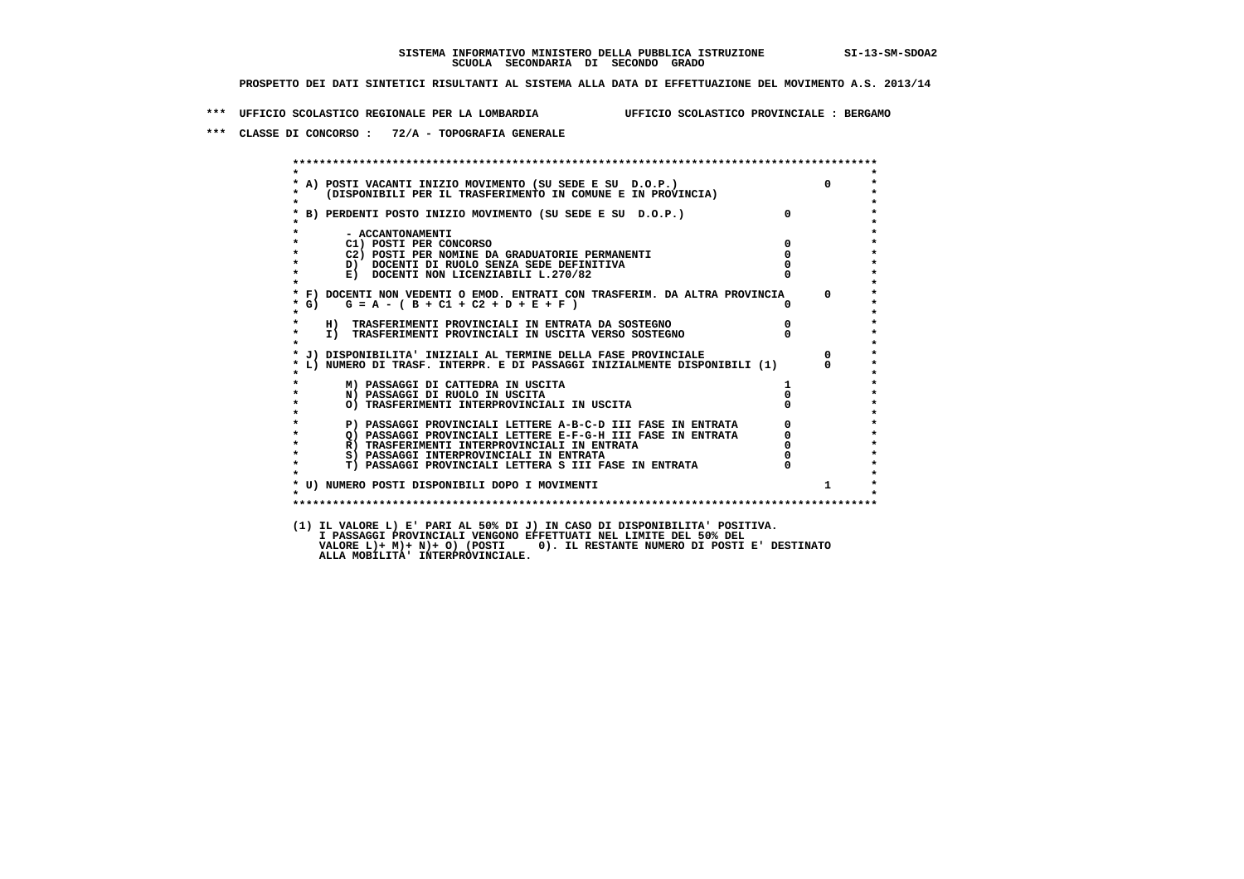**\*\*\* UFFICIO SCOLASTICO REGIONALE PER LA LOMBARDIA UFFICIO SCOLASTICO PROVINCIALE : BERGAMO**

 **\*\*\* CLASSE DI CONCORSO : 72/A - TOPOGRAFIA GENERALE**

| $\star$           |                                                                                                                                                         |                                                 |                |
|-------------------|---------------------------------------------------------------------------------------------------------------------------------------------------------|-------------------------------------------------|----------------|
|                   | A) POSTI VACANTI INIZIO MOVIMENTO (SU SEDE E SU D.O.P.)<br>(DISPONIBILI PER IL TRASFERIMENTO IN COMUNE E IN PROVINCIA)                                  |                                                 | $\Omega$       |
| $\star$           | * B) PERDENTI POSTO INIZIO MOVIMENTO (SU SEDE E SU D.O.P.)                                                                                              | $\overline{0}$                                  |                |
|                   | - ACCANTONAMENTI                                                                                                                                        |                                                 |                |
|                   | C1) POSTI PER CONCORSO                                                                                                                                  | $\overline{0}$                                  |                |
|                   | C2) POSTI PER NOMINE DA GRADUATORIE PERMANENTI                                                                                                          | $\mathbf{0}$                                    |                |
|                   | D) DOCENTI DI RUOLO SENZA SEDE DEFINITIVA                                                                                                               |                                                 |                |
| $\star$           | E) DOCENTI NON LICENZIABILI L.270/82                                                                                                                    |                                                 |                |
|                   | * F) DOCENTI NON VEDENTI O EMOD. ENTRATI CON TRASFERIM. DA ALTRA PROVINCIA                                                                              |                                                 | $\mathbf{0}$   |
| $*$ G)<br>$\star$ | $G = A - (B + C1 + C2 + D + E + F)$                                                                                                                     | $\mathsf{n}$                                    |                |
| $\star$           |                                                                                                                                                         | $\overline{0}$                                  |                |
| $\star$           | H) TRASFERIMENTI PROVINCIALI IN ENTRATA DA SOSTEGNO<br>I) TRASFERIMENTI PROVINCIALI IN USCITA VERSO SOSTEGNO                                            |                                                 |                |
|                   | * J) DISPONIBILITA' INIZIALI AL TERMINE DELLA FASE PROVINCIALE                                                                                          |                                                 | $\overline{0}$ |
|                   | L) NUMERO DI TRASF. INTERPR. E DI PASSAGGI INIZIALMENTE DISPONIBILI (1)                                                                                 |                                                 | $\Omega$       |
|                   | M) PASSAGGI DI CATTEDRA IN USCITA                                                                                                                       | $1 \quad$                                       |                |
| $\star$           | N) PASSAGGI DI RUOLO IN USCITA                                                                                                                          |                                                 |                |
|                   | O) TRASFERIMENTI INTERPROVINCIALI IN USCITA                                                                                                             |                                                 |                |
|                   | P) PASSAGGI PROVINCIALI LETTERE A-B-C-D III FASE IN ENTRATA                                                                                             | $\begin{array}{c} 0 \\ 0 \\ 0 \\ 0 \end{array}$ |                |
| $\star$           | THE RESEARCH PROVINCIALI LETTERE E-F-G-H III FASE IN ENTRATA<br>R) TRASFERIMENTI INTERPROVINCIALI IN ENTRATA<br>S) PASSAGGI INTERPROVINCIALI IN ENTRATA |                                                 |                |
| $\star$           |                                                                                                                                                         |                                                 |                |
| $\star$           | S) PASSAGGI INTERPROVINCIALI IN ENTRATA                                                                                                                 |                                                 |                |
| $\star$           | T) PASSAGGI PROVINCIALI LETTERA S III FASE IN ENTRATA                                                                                                   |                                                 |                |
|                   | * U) NUMERO POSTI DISPONIBILI DOPO I MOVIMENTI                                                                                                          |                                                 | $1 \quad$      |
| $\star$           |                                                                                                                                                         |                                                 |                |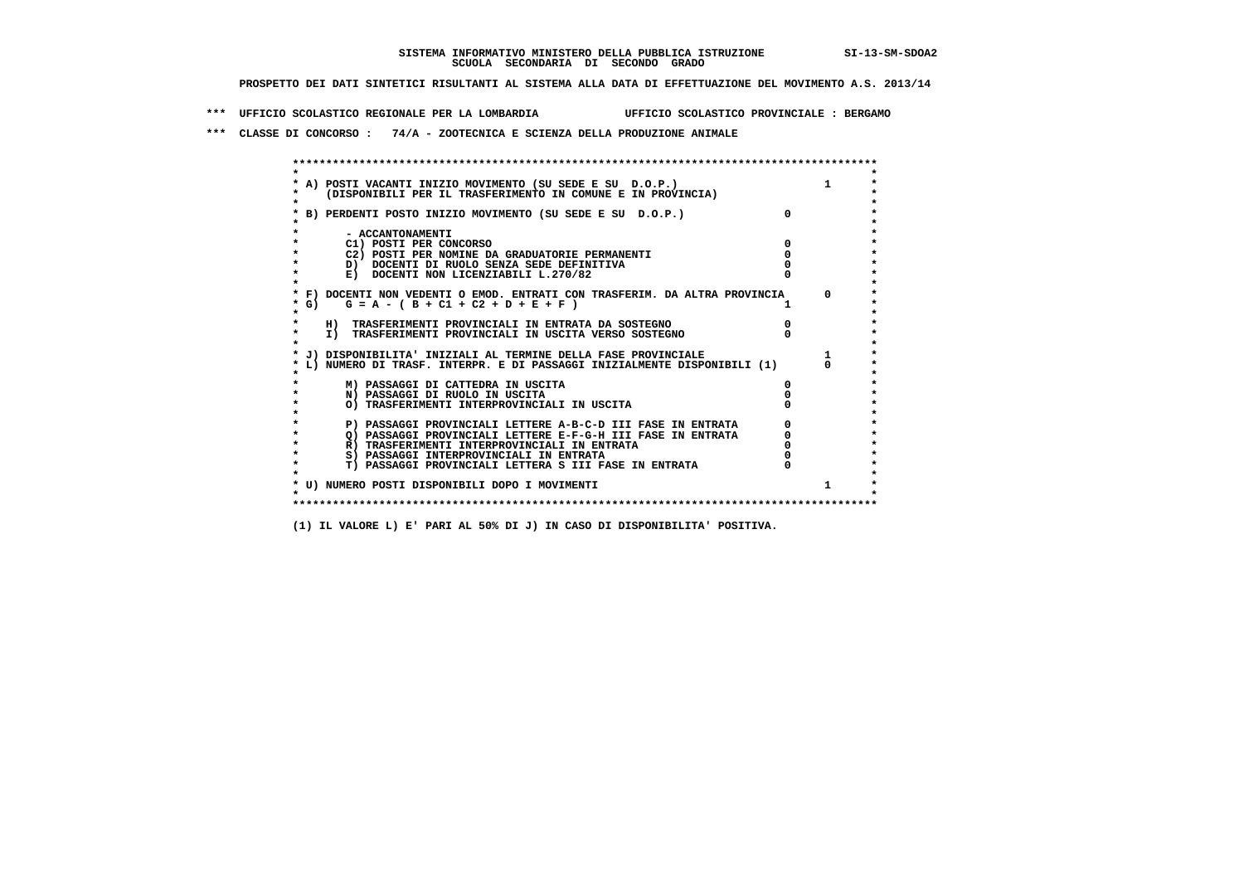**\*\*\* UFFICIO SCOLASTICO REGIONALE PER LA LOMBARDIA UFFICIO SCOLASTICO PROVINCIALE : BERGAMO**

 **\*\*\* CLASSE DI CONCORSO : 74/A - ZOOTECNICA E SCIENZA DELLA PRODUZIONE ANIMALE**

| * A) POSTI VACANTI INIZIO MOVIMENTO (SU SEDE E SU D.O.P.)      |                                                                            |  |
|----------------------------------------------------------------|----------------------------------------------------------------------------|--|
|                                                                | (DISPONIBILI PER IL TRASFERIMENTO IN COMUNE E IN PROVINCIA)                |  |
|                                                                |                                                                            |  |
| B) PERDENTI POSTO INIZIO MOVIMENTO (SU SEDE E SU D.O.P.)       |                                                                            |  |
|                                                                |                                                                            |  |
| - ACCANTONAMENTI                                               |                                                                            |  |
| C1) POSTI PER CONCORSO                                         |                                                                            |  |
| C2) POSTI PER NOMINE DA GRADUATORIE PERMANENTI                 |                                                                            |  |
| D) DOCENTI DI RUOLO SENZA SEDE DEFINITIVA                      |                                                                            |  |
| E) DOCENTI NON LICENZIABILI L.270/82                           |                                                                            |  |
|                                                                |                                                                            |  |
|                                                                | * F) DOCENTI NON VEDENTI O EMOD. ENTRATI CON TRASFERIM. DA ALTRA PROVINCIA |  |
| $*$ G)<br>$G = A - (B + C1 + C2 + D + E + F)$                  |                                                                            |  |
|                                                                |                                                                            |  |
| H) TRASFERIMENTI PROVINCIALI IN ENTRATA DA SOSTEGNO            |                                                                            |  |
| I) TRASFERIMENTI PROVINCIALI IN USCITA VERSO SOSTEGNO          |                                                                            |  |
|                                                                |                                                                            |  |
| * J) DISPONIBILITA' INIZIALI AL TERMINE DELLA FASE PROVINCIALE |                                                                            |  |
|                                                                | L) NUMERO DI TRASF. INTERPR. E DI PASSAGGI INIZIALMENTE DISPONIBILI (1)    |  |
| M) PASSAGGI DI CATTEDRA IN USCITA                              |                                                                            |  |
| N) PASSAGGI DI RUOLO IN USCITA                                 |                                                                            |  |
| O) TRASFERIMENTI INTERPROVINCIALI IN USCITA                    |                                                                            |  |
|                                                                |                                                                            |  |
|                                                                | P) PASSAGGI PROVINCIALI LETTERE A-B-C-D III FASE IN ENTRATA                |  |
|                                                                | O) PASSAGGI PROVINCIALI LETTERE E-F-G-H III FASE IN ENTRATA                |  |
| R) TRASFERIMENTI INTERPROVINCIALI IN ENTRATA                   |                                                                            |  |
| S) PASSAGGI INTERPROVINCIALI IN ENTRATA                        |                                                                            |  |
|                                                                | T) PASSAGGI PROVINCIALI LETTERA S III FASE IN ENTRATA                      |  |
|                                                                |                                                                            |  |
| * U) NUMERO POSTI DISPONIBILI DOPO I MOVIMENTI                 |                                                                            |  |
|                                                                |                                                                            |  |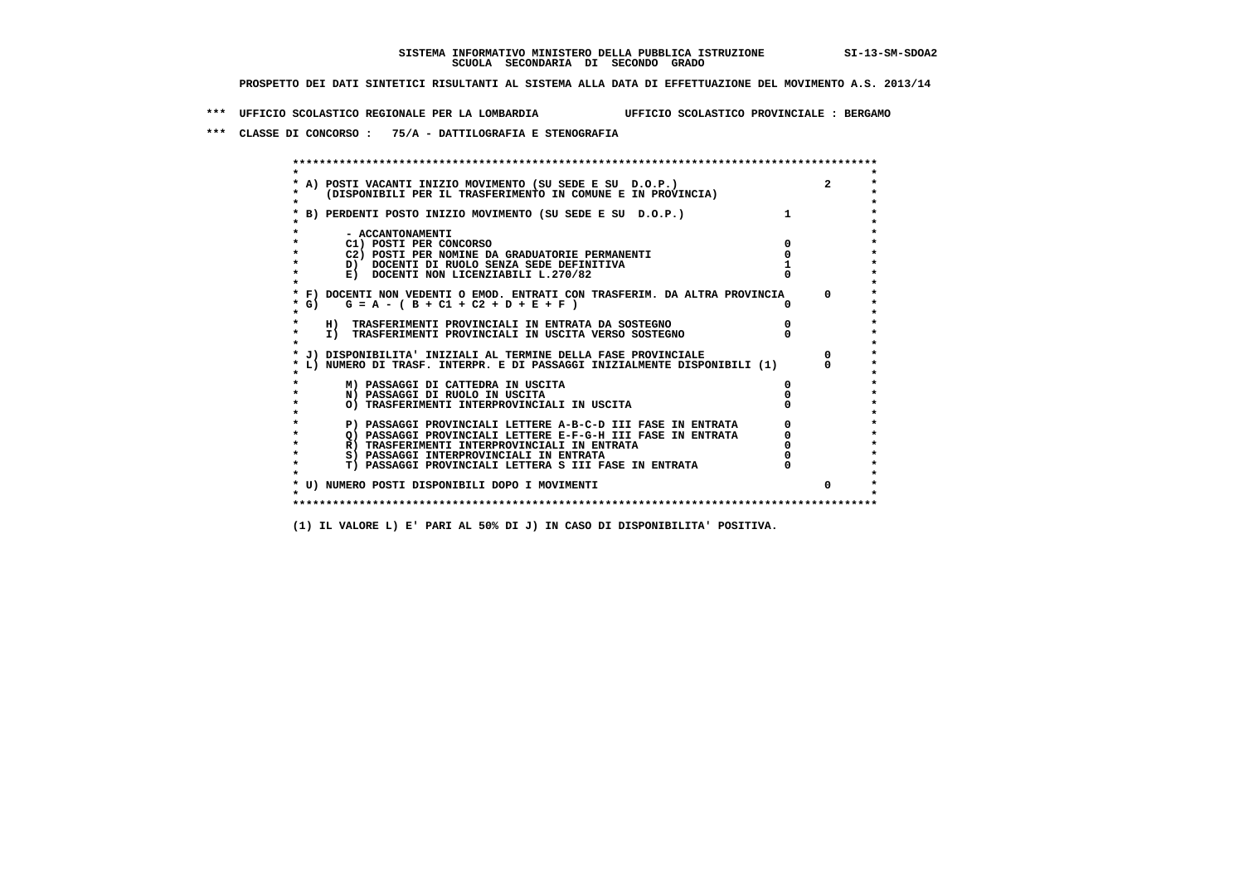**\*\*\* UFFICIO SCOLASTICO REGIONALE PER LA LOMBARDIA UFFICIO SCOLASTICO PROVINCIALE : BERGAMO**

 **\*\*\* CLASSE DI CONCORSO : 75/A - DATTILOGRAFIA E STENOGRAFIA**

| A) POSTI VACANTI INIZIO MOVIMENTO (SU SEDE E SU D.O.P.)<br>(DISPONIBILI PER IL TRASFERIMENTO IN COMUNE E IN PROVINCIA) |          |
|------------------------------------------------------------------------------------------------------------------------|----------|
| B) PERDENTI POSTO INIZIO MOVIMENTO (SU SEDE E SU D.O.P.)                                                               |          |
| - ACCANTONAMENTI                                                                                                       |          |
| C1) POSTI PER CONCORSO                                                                                                 |          |
| C2) POSTI PER NOMINE DA GRADUATORIE PERMANENTI                                                                         |          |
| D) DOCENTI DI RUOLO SENZA SEDE DEFINITIVA                                                                              |          |
| E) DOCENTI NON LICENZIABILI L.270/82                                                                                   |          |
| * F) DOCENTI NON VEDENTI O EMOD. ENTRATI CON TRASFERIM. DA ALTRA PROVINCIA                                             | $\Omega$ |
| * G) $G = A - (B + C1 + C2 + D + E + F)$                                                                               |          |
| H) TRASFERIMENTI PROVINCIALI IN ENTRATA DA SOSTEGNO                                                                    |          |
| I) TRASFERIMENTI PROVINCIALI IN USCITA VERSO SOSTEGNO                                                                  |          |
| J) DISPONIBILITA' INIZIALI AL TERMINE DELLA FASE PROVINCIALE                                                           |          |
| L) NUMERO DI TRASF. INTERPR. E DI PASSAGGI INIZIALMENTE DISPONIBILI (1)                                                |          |
| M) PASSAGGI DI CATTEDRA IN USCITA                                                                                      |          |
| N) PASSAGGI DI RUOLO IN USCITA                                                                                         |          |
| O) TRASFERIMENTI INTERPROVINCIALI IN USCITA                                                                            |          |
| P) PASSAGGI PROVINCIALI LETTERE A-B-C-D III FASE IN ENTRATA                                                            |          |
| O) PASSAGGI PROVINCIALI LETTERE E-F-G-H III FASE IN ENTRATA                                                            |          |
| R) TRASFERIMENTI INTERPROVINCIALI IN ENTRATA                                                                           |          |
| S) PASSAGGI INTERPROVINCIALI IN ENTRATA                                                                                |          |
| T) PASSAGGI PROVINCIALI LETTERA S III FASE IN ENTRATA                                                                  |          |
| * U) NUMERO POSTI DISPONIBILI DOPO I MOVIMENTI                                                                         | $\Omega$ |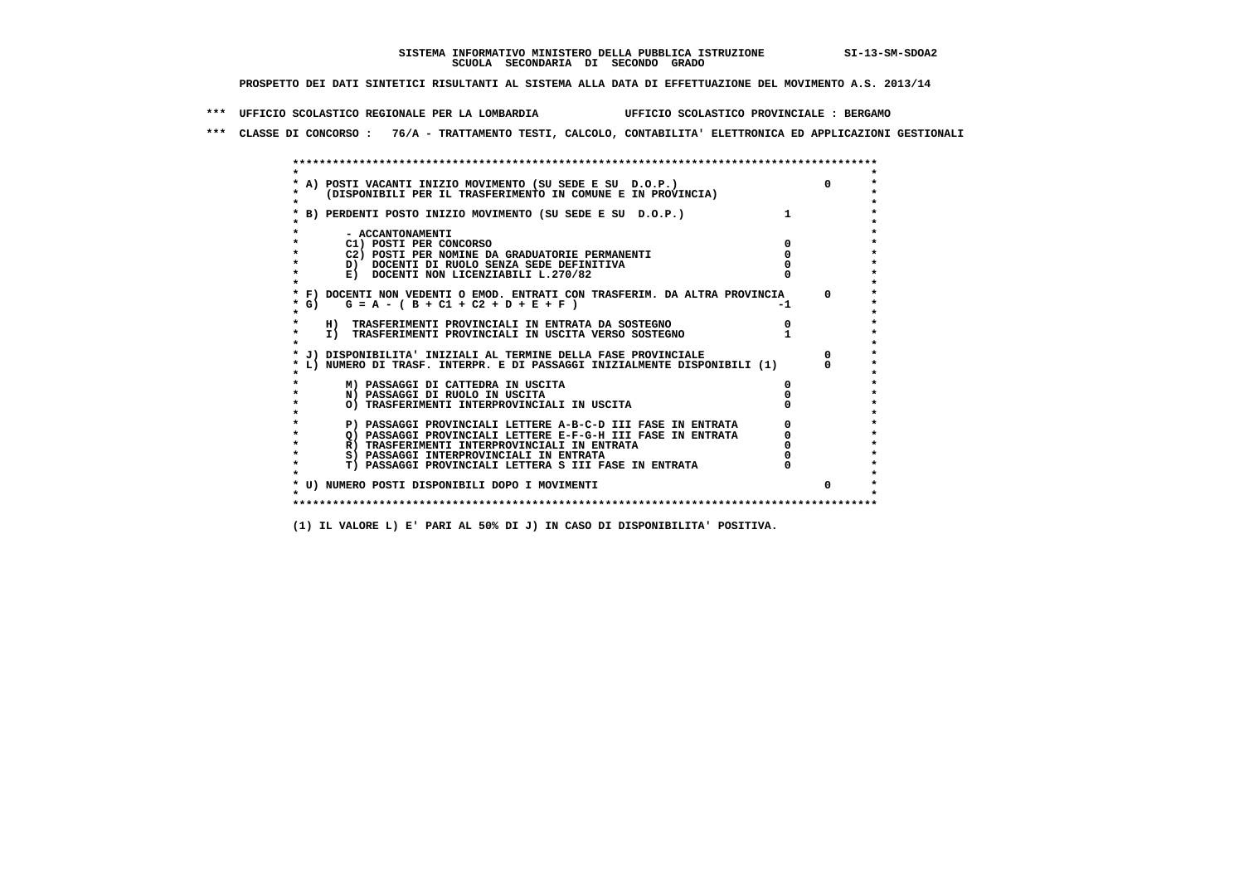**\*\*\* UFFICIO SCOLASTICO REGIONALE PER LA LOMBARDIA UFFICIO SCOLASTICO PROVINCIALE : BERGAMO**

 **\*\*\* CLASSE DI CONCORSO : 76/A - TRATTAMENTO TESTI, CALCOLO, CONTABILITA' ELETTRONICA ED APPLICAZIONI GESTIONALI**

|      | * A) POSTI VACANTI INIZIO MOVIMENTO (SU SEDE E SU D.O.P.)                  |  |
|------|----------------------------------------------------------------------------|--|
|      | (DISPONIBILI PER IL TRASFERIMENTO IN COMUNE E IN PROVINCIA)                |  |
|      | B) PERDENTI POSTO INIZIO MOVIMENTO (SU SEDE E SU D.O.P.)                   |  |
|      |                                                                            |  |
|      | - ACCANTONAMENTI                                                           |  |
|      | C1) POSTI PER CONCORSO                                                     |  |
|      | C2) POSTI PER NOMINE DA GRADUATORIE PERMANENTI                             |  |
|      | D) DOCENTI DI RUOLO SENZA SEDE DEFINITIVA                                  |  |
|      | E) DOCENTI NON LICENZIABILI L.270/82                                       |  |
|      | * F) DOCENTI NON VEDENTI O EMOD. ENTRATI CON TRASFERIM. DA ALTRA PROVINCIA |  |
| * G) | $G = A - (B + C1 + C2 + D + E + F)$                                        |  |
|      |                                                                            |  |
|      | H) TRASFERIMENTI PROVINCIALI IN ENTRATA DA SOSTEGNO                        |  |
|      | I) TRASFERIMENTI PROVINCIALI IN USCITA VERSO SOSTEGNO                      |  |
|      |                                                                            |  |
|      | J) DISPONIBILITA' INIZIALI AL TERMINE DELLA FASE PROVINCIALE               |  |
|      | L) NUMERO DI TRASF. INTERPR. E DI PASSAGGI INIZIALMENTE DISPONIBILI (1)    |  |
|      | M) PASSAGGI DI CATTEDRA IN USCITA                                          |  |
|      | N) PASSAGGI DI RUOLO IN USCITA                                             |  |
|      | O) TRASFERIMENTI INTERPROVINCIALI IN USCITA                                |  |
|      |                                                                            |  |
|      | P) PASSAGGI PROVINCIALI LETTERE A-B-C-D III FASE IN ENTRATA                |  |
|      | O) PASSAGGI PROVINCIALI LETTERE E-F-G-H III FASE IN ENTRATA                |  |
|      | R) TRASFERIMENTI INTERPROVINCIALI IN ENTRATA                               |  |
|      | S) PASSAGGI INTERPROVINCIALI IN ENTRATA                                    |  |
|      | T) PASSAGGI PROVINCIALI LETTERA S III FASE IN ENTRATA                      |  |
|      |                                                                            |  |
|      | * U) NUMERO POSTI DISPONIBILI DOPO I MOVIMENTI                             |  |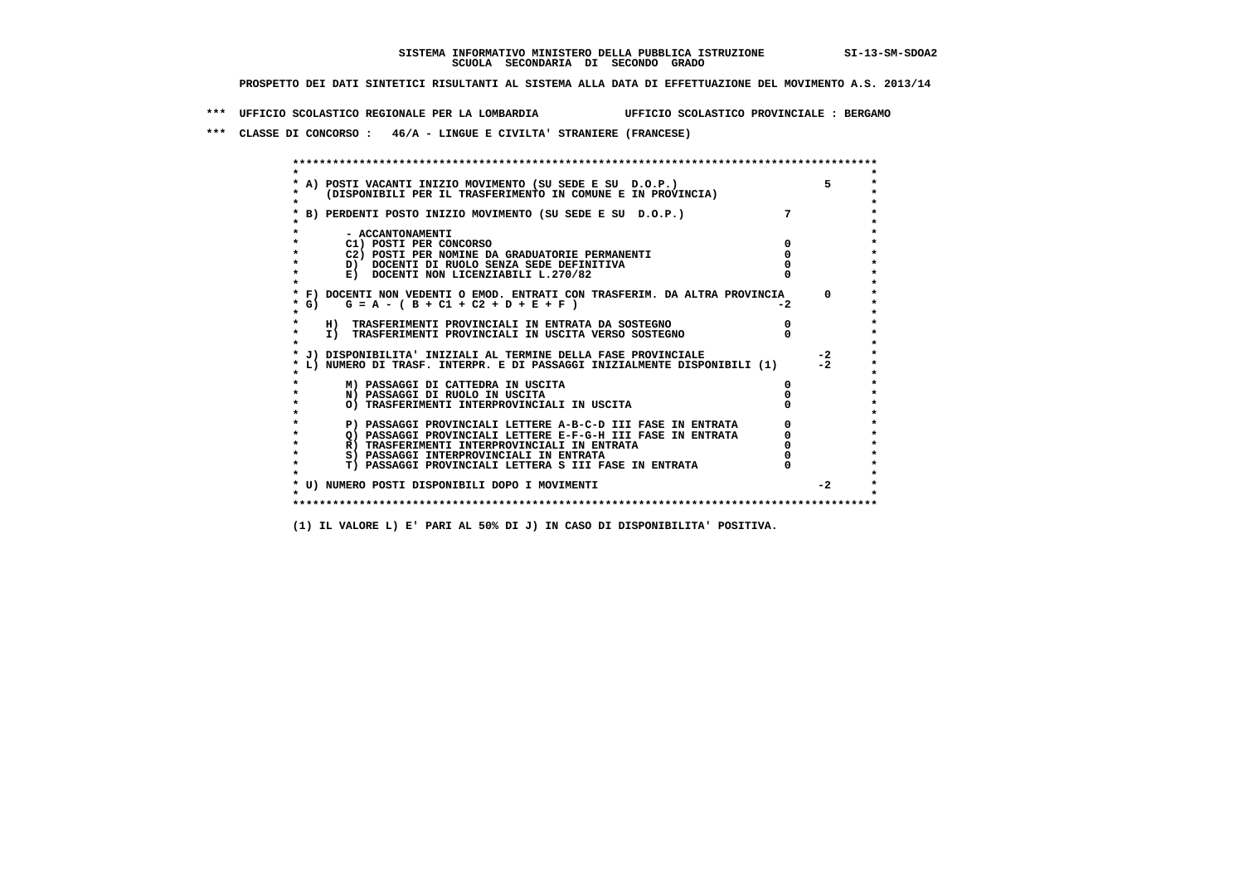**\*\*\* UFFICIO SCOLASTICO REGIONALE PER LA LOMBARDIA UFFICIO SCOLASTICO PROVINCIALE : BERGAMO**

 **\*\*\* CLASSE DI CONCORSO : 46/A - LINGUE E CIVILTA' STRANIERE (FRANCESE)**

|        | A) POSTI VACANTI INIZIO MOVIMENTO (SU SEDE E SU D.O.P.)                    |             | 5.         |
|--------|----------------------------------------------------------------------------|-------------|------------|
|        | (DISPONIBILI PER IL TRASFERIMENTO IN COMUNE E IN PROVINCIA)                |             |            |
|        | B) PERDENTI POSTO INIZIO MOVIMENTO (SU SEDE E SU D.O.P.)                   | $7^{\circ}$ |            |
|        | - ACCANTONAMENTI                                                           |             |            |
|        | C1) POSTI PER CONCORSO                                                     |             |            |
|        | C2) POSTI PER NOMINE DA GRADUATORIE PERMANENTI                             |             |            |
|        | D) DOCENTI DI RUOLO SENZA SEDE DEFINITIVA                                  |             |            |
|        | E) DOCENTI NON LICENZIABILI L.270/82                                       |             |            |
|        | * F) DOCENTI NON VEDENTI O EMOD. ENTRATI CON TRASFERIM. DA ALTRA PROVINCIA |             | $^{\circ}$ |
| $*$ G) | $G = A - (B + C1 + C2 + D + E + F)$                                        | -2          |            |
|        | H) TRASFERIMENTI PROVINCIALI IN ENTRATA DA SOSTEGNO                        |             |            |
|        | I) TRASFERIMENTI PROVINCIALI IN USCITA VERSO SOSTEGNO                      |             |            |
|        | J) DISPONIBILITA' INIZIALI AL TERMINE DELLA FASE PROVINCIALE               |             | $-2$       |
|        | L) NUMERO DI TRASF. INTERPR. E DI PASSAGGI INIZIALMENTE DISPONIBILI (1)    |             | $-2$       |
|        | M) PASSAGGI DI CATTEDRA IN USCITA                                          |             |            |
|        | N) PASSAGGI DI RUOLO IN USCITA                                             |             |            |
|        | O) TRASFERIMENTI INTERPROVINCIALI IN USCITA                                |             |            |
|        | P) PASSAGGI PROVINCIALI LETTERE A-B-C-D III FASE IN ENTRATA                |             |            |
|        | O) PASSAGGI PROVINCIALI LETTERE E-F-G-H III FASE IN ENTRATA                |             |            |
|        | R) TRASFERIMENTI INTERPROVINCIALI IN ENTRATA                               |             |            |
|        | S) PASSAGGI INTERPROVINCIALI IN ENTRATA                                    |             |            |
|        | T) PASSAGGI PROVINCIALI LETTERA S III FASE IN ENTRATA                      |             |            |
|        | * U) NUMERO POSTI DISPONIBILI DOPO I MOVIMENTI                             |             | $-2$       |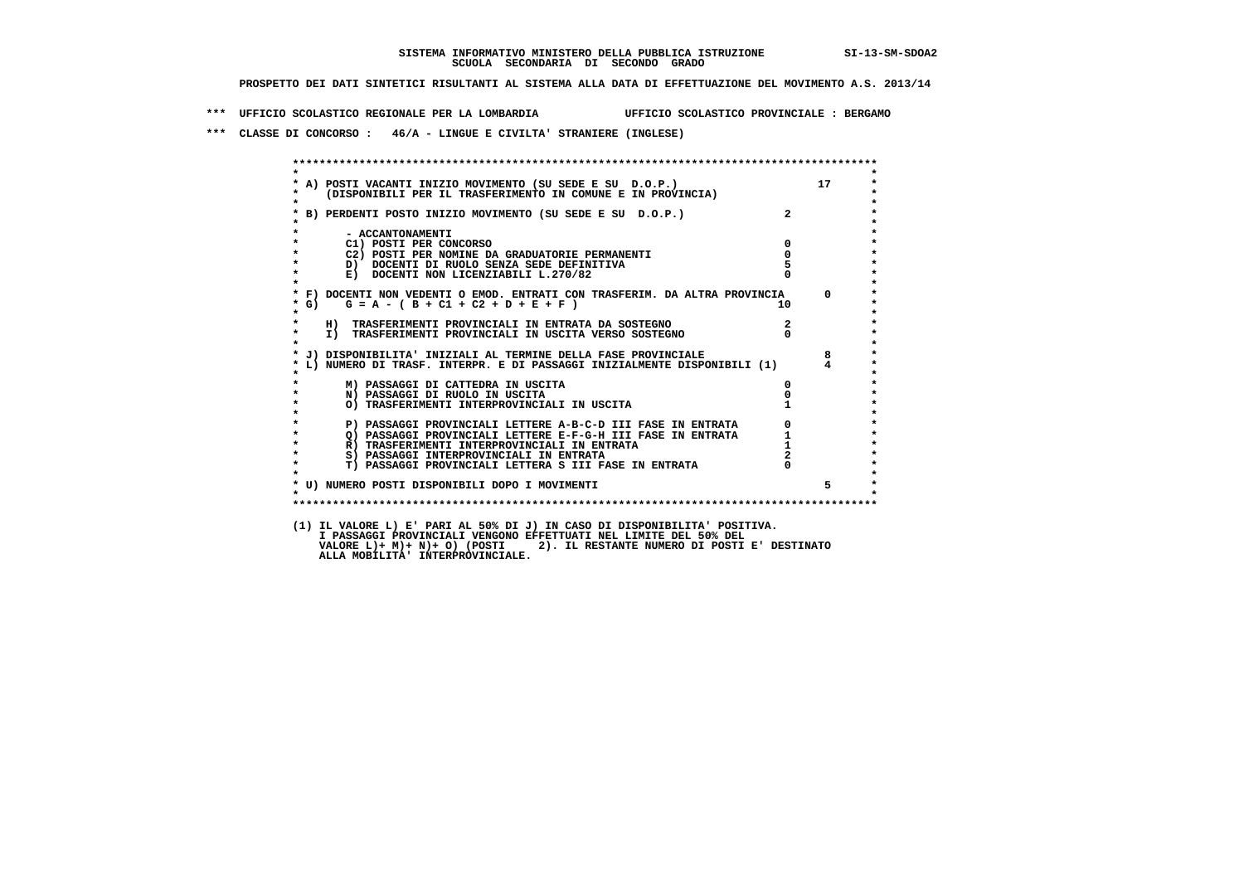**\*\*\* UFFICIO SCOLASTICO REGIONALE PER LA LOMBARDIA UFFICIO SCOLASTICO PROVINCIALE : BERGAMO**

 **\*\*\* CLASSE DI CONCORSO : 46/A - LINGUE E CIVILTA' STRANIERE (INGLESE)**

| $\star$   |                                                                                                                                                                                                                               |                         |          |
|-----------|-------------------------------------------------------------------------------------------------------------------------------------------------------------------------------------------------------------------------------|-------------------------|----------|
| $\star$   | A) POSTI VACANTI INIZIO MOVIMENTO (SU SEDE E SU D.O.P.)<br>(DISPONIBILI PER IL TRASFERIMENTO IN COMUNE E IN PROVINCIA)                                                                                                        |                         | 17       |
|           |                                                                                                                                                                                                                               |                         |          |
|           | * B) PERDENTI POSTO INIZIO MOVIMENTO (SU SEDE E SU D.O.P.)                                                                                                                                                                    |                         |          |
| $\star$   | - ACCANTONAMENTI                                                                                                                                                                                                              |                         |          |
|           | C1) POSTI PER CONCORSO                                                                                                                                                                                                        | $\mathbf{0}$            |          |
|           | C2) POSTI PER NOMINE DA GRADUATORIE PERMANENTI                                                                                                                                                                                | $\overline{\mathbf{0}}$ |          |
|           | D) DOCENTI DI RUOLO SENZA SEDE DEFINITIVA                                                                                                                                                                                     |                         |          |
| $\star$   | E) DOCENTI NON LICENZIABILI L.270/82                                                                                                                                                                                          |                         |          |
|           | * F) DOCENTI NON VEDENTI O EMOD. ENTRATI CON TRASFERIM. DA ALTRA PROVINCIA                                                                                                                                                    |                         | $\Omega$ |
| $*$ G)    | $G = A - (B + C1 + C2 + D + E + F)$                                                                                                                                                                                           | 10                      |          |
| $\star$   | H) TRASFERIMENTI PROVINCIALI IN ENTRATA DA SOSTEGNO                                                                                                                                                                           |                         |          |
| $\star$   | I) TRASFERIMENTI PROVINCIALI IN USCITA VERSO SOSTEGNO                                                                                                                                                                         |                         |          |
|           | J) DISPONIBILITA' INIZIALI AL TERMINE DELLA FASE PROVINCIALE                                                                                                                                                                  |                         | 8        |
|           | L) NUMERO DI TRASF. INTERPR. E DI PASSAGGI INIZIALMENTE DISPONIBILI (1) 4                                                                                                                                                     |                         |          |
|           | M) PASSAGGI DI CATTEDRA IN USCITA                                                                                                                                                                                             | $\mathbf{0}$            |          |
| $\star$   | N) PASSAGGI DI RUOLO IN USCITA                                                                                                                                                                                                |                         |          |
|           | O) TRASFERIMENTI INTERPROVINCIALI IN USCITA                                                                                                                                                                                   |                         |          |
| $\star$   | P) PASSAGGI PROVINCIALI LETTERE A-B-C-D III FASE IN ENTRATA 0<br>() PASSAGGI PROVINCIALI LETTERE E-F-G-H III FASE IN ENTRATA 1<br>R) TRASFERIMENTI INTERPROVINCIALI IN ENTRATA 1<br>S) PASSAGGI INTERPROVINCIALI IN ENTRATA 2 |                         |          |
| $\star$   |                                                                                                                                                                                                                               |                         |          |
| $\star$   |                                                                                                                                                                                                                               |                         |          |
| $\star$   |                                                                                                                                                                                                                               |                         |          |
| $\star$   | T) PASSAGGI PROVINCIALI LETTERA S III FASE IN ENTRATA 0                                                                                                                                                                       |                         |          |
|           | * U) NUMERO POSTI DISPONIBILI DOPO I MOVIMENTI                                                                                                                                                                                |                         |          |
| $\bullet$ |                                                                                                                                                                                                                               |                         |          |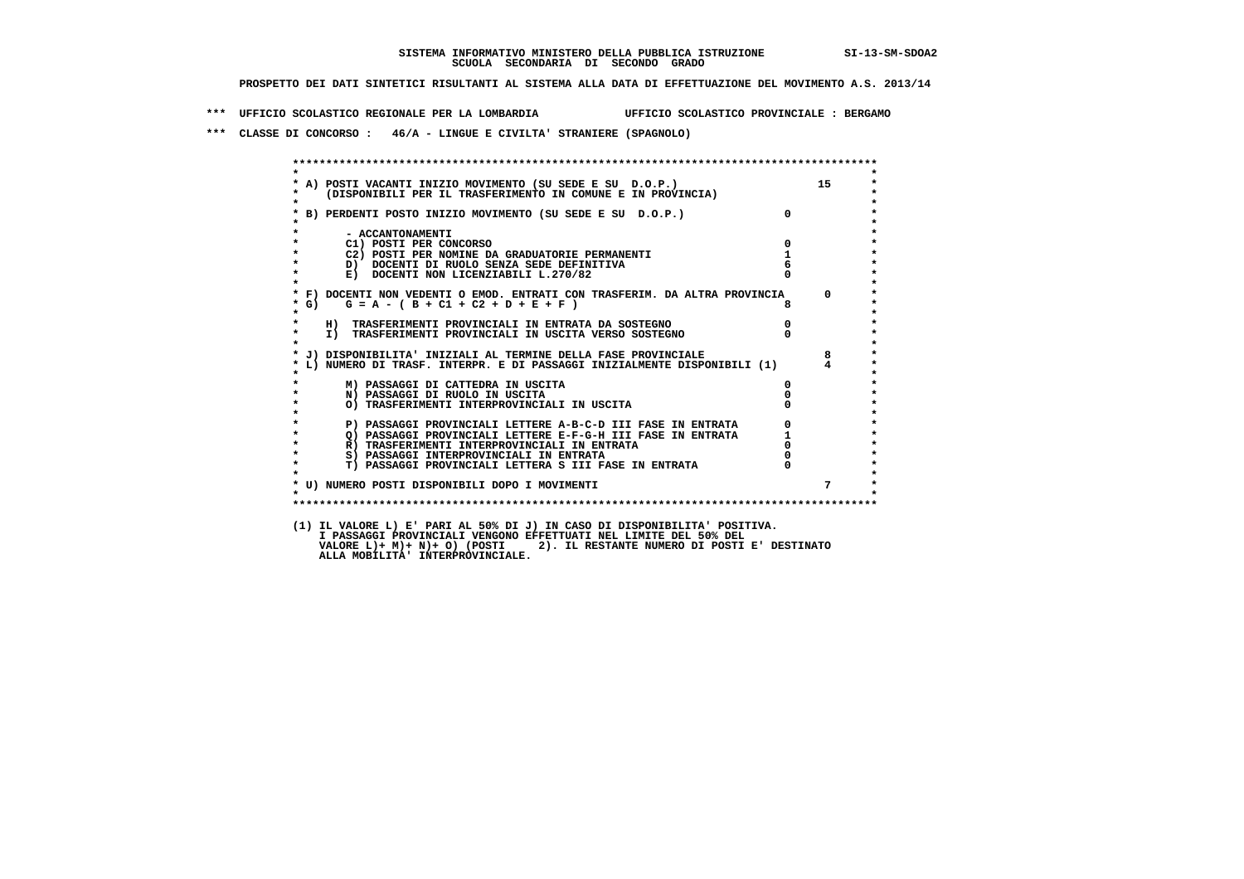**\*\*\* UFFICIO SCOLASTICO REGIONALE PER LA LOMBARDIA UFFICIO SCOLASTICO PROVINCIALE : BERGAMO**

 **\*\*\* CLASSE DI CONCORSO : 46/A - LINGUE E CIVILTA' STRANIERE (SPAGNOLO)**

|              | A) POSTI VACANTI INIZIO MOVIMENTO (SU SEDE E SU D.O.P.)<br>(DISPONIBILI PER IL TRASFERIMENTO IN COMUNE E IN PROVINCIA) |                | 15                                   |
|--------------|------------------------------------------------------------------------------------------------------------------------|----------------|--------------------------------------|
|              | B) PERDENTI POSTO INIZIO MOVIMENTO (SU SEDE E SU D.O.P.)                                                               |                |                                      |
|              | - ACCANTONAMENTI                                                                                                       |                |                                      |
| $\star$      | C1) POSTI PER CONCORSO                                                                                                 | $\Omega$       |                                      |
|              | C2) POSTI PER NOMINE DA GRADUATORIE PERMANENTI                                                                         | $\mathbf{1}$   |                                      |
|              | D) DOCENTI DI RUOLO SENZA SEDE DEFINITIVA                                                                              |                |                                      |
| $\star$      | E) DOCENTI NON LICENZIABILI L.270/82                                                                                   |                |                                      |
|              | * F) DOCENTI NON VEDENTI O EMOD. ENTRATI CON TRASFERIM. DA ALTRA PROVINCIA                                             |                | $\Omega$                             |
| $*$ G)       | $G = A - (B + C1 + C2 + D + E + F)$                                                                                    |                |                                      |
| $\star$      | H) TRASFERIMENTI PROVINCIALI IN ENTRATA DA SOSTEGNO                                                                    |                |                                      |
| $\star$      | I) TRASFERIMENTI PROVINCIALI IN USCITA VERSO SOSTEGNO                                                                  |                |                                      |
|              | J) DISPONIBILITA' INIZIALI AL TERMINE DELLA FASE PROVINCIALE                                                           |                | 8                                    |
|              | L) NUMERO DI TRASF. INTERPR. E DI PASSAGGI INIZIALMENTE DISPONIBILI (1)                                                |                | 4                                    |
|              | M) PASSAGGI DI CATTEDRA IN USCITA                                                                                      |                |                                      |
|              | N) PASSAGGI DI RUOLO IN USCITA                                                                                         |                |                                      |
|              | O) TRASFERIMENTI INTERPROVINCIALI IN USCITA                                                                            |                |                                      |
|              | P) PASSAGGI PROVINCIALI LETTERE A-B-C-D III FASE IN ENTRATA                                                            |                | $\begin{matrix} 0 \\ 1 \end{matrix}$ |
| $\star$      | Q) PASSAGGI PROVINCIALI LETTERE E-F-G-H III FASE IN ENTRATA                                                            |                |                                      |
| $\bullet$    | R) TRASFERIMENTI INTERPROVINCIALI IN ENTRATA                                                                           | $\overline{0}$ |                                      |
| $\star$      | S) PASSAGGI INTERPROVINCIALI IN ENTRATA                                                                                |                |                                      |
| $\star$      | T) PASSAGGI PROVINCIALI LETTERA S III FASE IN ENTRATA                                                                  |                |                                      |
|              | * U) NUMERO POSTI DISPONIBILI DOPO I MOVIMENTI                                                                         |                | $7^{\circ}$                          |
| $\mathbf{r}$ |                                                                                                                        |                |                                      |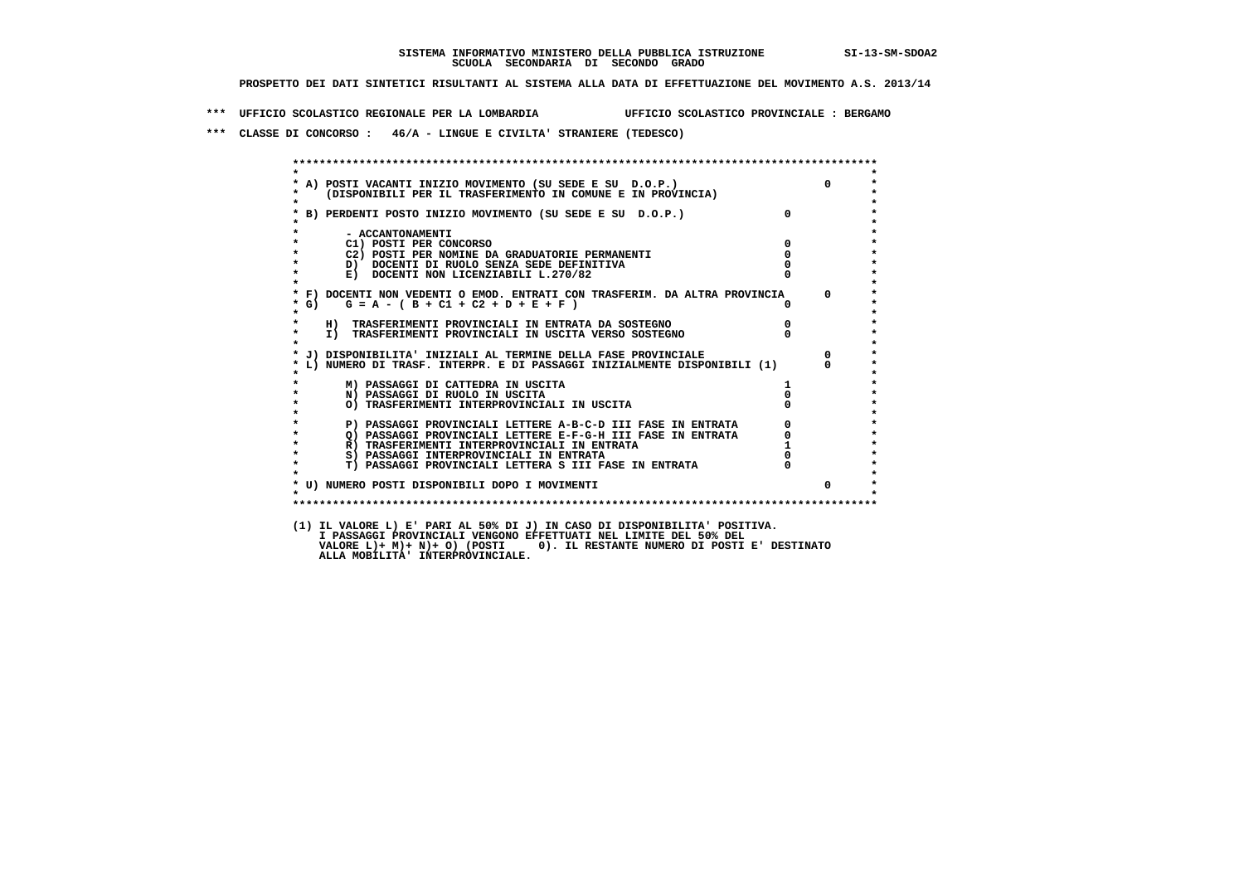**\*\*\* UFFICIO SCOLASTICO REGIONALE PER LA LOMBARDIA UFFICIO SCOLASTICO PROVINCIALE : BERGAMO**

 **\*\*\* CLASSE DI CONCORSO : 46/A - LINGUE E CIVILTA' STRANIERE (TEDESCO)**

| $\star$           |                                                                                                                        |                                            |          |
|-------------------|------------------------------------------------------------------------------------------------------------------------|--------------------------------------------|----------|
|                   | A) POSTI VACANTI INIZIO MOVIMENTO (SU SEDE E SU D.O.P.)<br>(DISPONIBILI PER IL TRASFERIMENTO IN COMUNE E IN PROVINCIA) |                                            | $\Omega$ |
|                   | * B) PERDENTI POSTO INIZIO MOVIMENTO (SU SEDE E SU D.O.P.)                                                             |                                            |          |
|                   | - ACCANTONAMENTI                                                                                                       |                                            |          |
|                   | C1) POSTI PER CONCORSO                                                                                                 | $\overline{0}$                             |          |
|                   | C2) POSTI PER NOMINE DA GRADUATORIE PERMANENTI                                                                         | $\Omega$                                   |          |
|                   | D) DOCENTI DI RUOLO SENZA SEDE DEFINITIVA                                                                              |                                            |          |
| $\star$           | E) DOCENTI NON LICENZIABILI L.270/82                                                                                   |                                            |          |
|                   | * F) DOCENTI NON VEDENTI O EMOD. ENTRATI CON TRASFERIM. DA ALTRA PROVINCIA 0                                           |                                            |          |
| $*$ G)<br>$\star$ | $G = A - (B + C1 + C2 + D + E + F)$                                                                                    |                                            |          |
|                   | H) TRASFERIMENTI PROVINCIALI IN ENTRATA DA SOSTEGNO                                                                    |                                            |          |
| $\star$           | I) TRASFERIMENTI PROVINCIALI IN USCITA VERSO SOSTEGNO                                                                  |                                            |          |
|                   | * J) DISPONIBILITA' INIZIALI AL TERMINE DELLA FASE PROVINCIALE                                                         |                                            | $\Omega$ |
|                   | L) NUMERO DI TRASF. INTERPR. E DI PASSAGGI INIZIALMENTE DISPONIBILI (1)                                                |                                            | $\Omega$ |
|                   | M) PASSAGGI DI CATTEDRA IN USCITA                                                                                      |                                            |          |
| $\star$           | N) PASSAGGI DI RUOLO IN USCITA                                                                                         |                                            |          |
|                   | O) TRASFERIMENTI INTERPROVINCIALI IN USCITA                                                                            |                                            |          |
|                   | P) PASSAGGI PROVINCIALI LETTERE A-B-C-D III FASE IN ENTRATA                                                            | $\begin{array}{c} 0 \\ 0 \\ 1 \end{array}$ |          |
| $\bullet$         |                                                                                                                        |                                            |          |
| $\star$           |                                                                                                                        |                                            |          |
| $\star$           | S) PASSAGGI INTERPROVINCIALI IN ENTRATA                                                                                |                                            |          |
| $\star$           | T) PASSAGGI PROVINCIALI LETTERA S III FASE IN ENTRATA                                                                  |                                            |          |
|                   | * U) NUMERO POSTI DISPONIBILI DOPO I MOVIMENTI                                                                         |                                            | $\Omega$ |
| $\star$           |                                                                                                                        |                                            |          |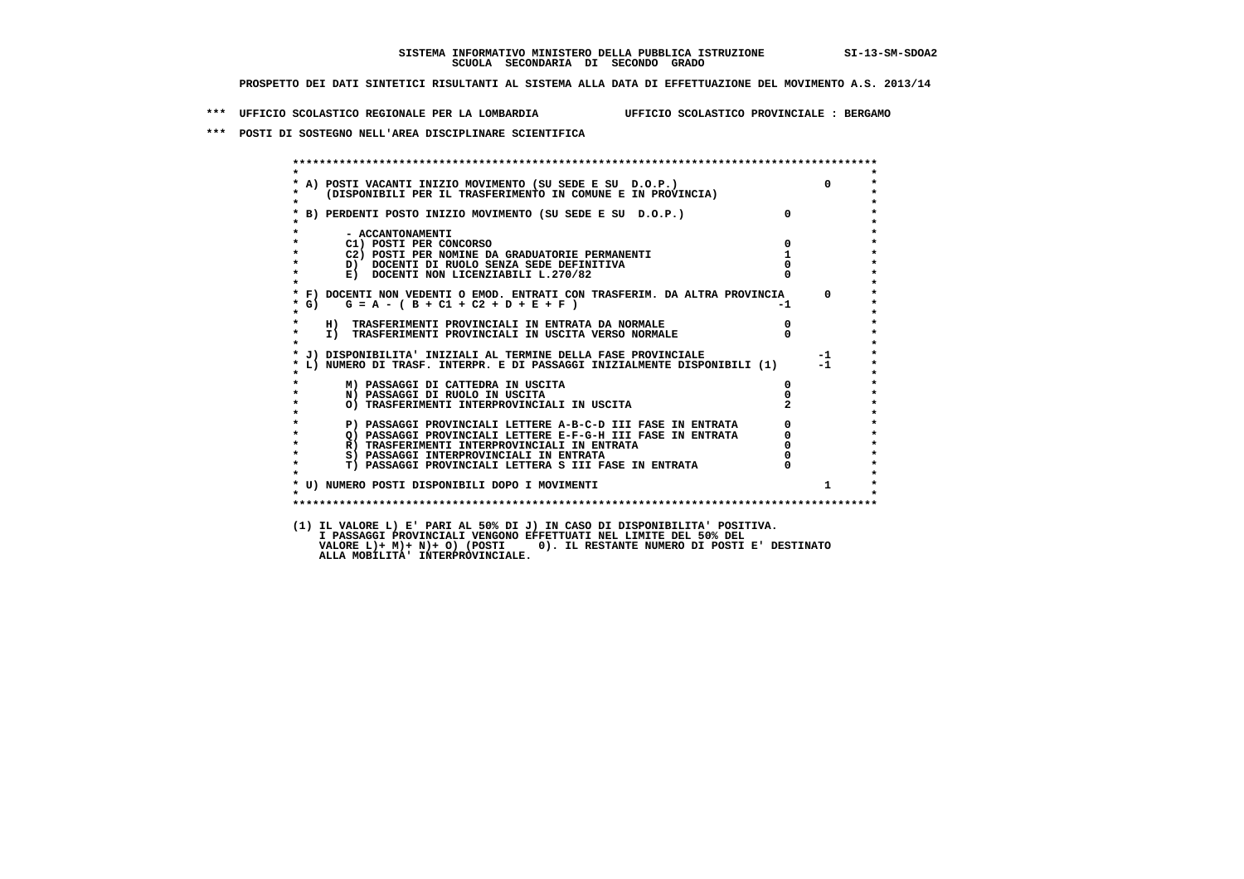**\*\*\* UFFICIO SCOLASTICO REGIONALE PER LA LOMBARDIA UFFICIO SCOLASTICO PROVINCIALE : BERGAMO**

 **\*\*\* POSTI DI SOSTEGNO NELL'AREA DISCIPLINARE SCIENTIFICA**

| * A) POSTI VACANTI INIZIO MOVIMENTO (SU SEDE E SU D.O.P.)<br>* (DISPONIBILI PER IL TRASFERIMENTO IN COMUNE E IN PROVINCIA)             | $\Omega$             |
|----------------------------------------------------------------------------------------------------------------------------------------|----------------------|
| * B) PERDENTI POSTO INIZIO MOVIMENTO (SU SEDE E SU D.O.P.)                                                                             | $\overline{0}$       |
| $\star$<br>- ACCANTONAMENTI                                                                                                            |                      |
| C1) POSTI PER CONCORSO                                                                                                                 | $\overline{0}$       |
| C2) POSTI PER NOMINE DA GRADUATORIE PERMANENTI<br>$\star$                                                                              | 1                    |
| D) DOCENTI DI RUOLO SENZA SEDE DEFINITIVA<br>$\star$<br>E) DOCENTI NON LICENZIABILI L.270/82                                           |                      |
| * F) DOCENTI NON VEDENTI O EMOD. ENTRATI CON TRASFERIM. DA ALTRA PROVINCIA<br>$G = A - (B + C1 + C2 + D + E + F)$<br>$*$ G)<br>$\star$ | $\mathbf{0}$<br>$-1$ |
| $\star$                                                                                                                                | $\mathbf{0}$         |
| H) TRASFERIMENTI PROVINCIALI IN ENTRATA DA NORMALE<br>I) TRASFERIMENTI PROVINCIALI IN USCITA VERSO NORMALE<br>$\star$                  |                      |
| * J) DISPONIBILITA' INIZIALI AL TERMINE DELLA FASE PROVINCIALE                                                                         | $-1$                 |
| * L) NUMERO DI TRASF. INTERPR. E DI PASSAGGI INIZIALMENTE DISPONIBILI (1)                                                              | $-1$                 |
| M) PASSAGGI DI CATTEDRA IN USCITA                                                                                                      | $\mathbf{0}$         |
| $\star$<br>N) PASSAGGI DI RUOLO IN USCITA                                                                                              |                      |
| $\star$<br>O) TRASFERIMENTI INTERPROVINCIALI IN USCITA                                                                                 |                      |
| P) PASSAGGI PROVINCIALI LETTERE A-B-C-D III FASE IN ENTRATA<br>$\star$                                                                 | $\frac{0}{0}$        |
| Q) PASSAGGI PROVINCIALI LETTERE E-F-G-H III FASE IN ENTRATA<br>$\star$                                                                 |                      |
| $\star$<br>R) TRASFERIMENTI INTERPROVINCIALI IN ENTRATA                                                                                |                      |
| $\star$<br>S) PASSAGGI INTERPROVINCIALI IN ENTRATA                                                                                     |                      |
| <b>T) PASSAGGI PROVINCIALI LETTERA S III FASE IN ENTRATA</b><br>$\star$                                                                | $\mathbf{0}$         |
| * U) NUMERO POSTI DISPONIBILI DOPO I MOVIMENTI                                                                                         | $1 \quad$            |
| $\star$                                                                                                                                |                      |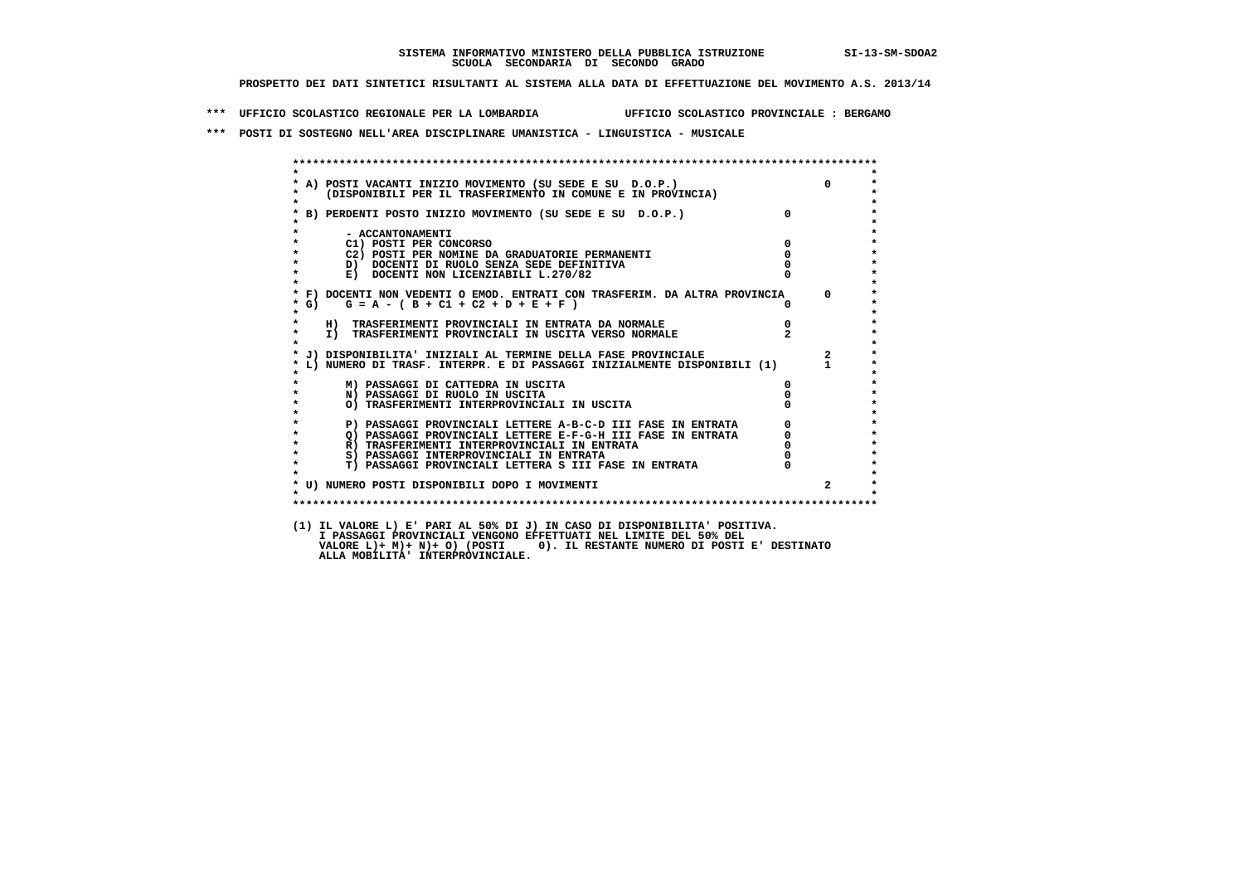**\*\*\* UFFICIO SCOLASTICO REGIONALE PER LA LOMBARDIA UFFICIO SCOLASTICO PROVINCIALE : BERGAMO**

 **\*\*\* POSTI DI SOSTEGNO NELL'AREA DISCIPLINARE UMANISTICA - LINGUISTICA - MUSICALE**

| $\star$            |                                                                                                                            |               |                         |
|--------------------|----------------------------------------------------------------------------------------------------------------------------|---------------|-------------------------|
|                    |                                                                                                                            |               | $\Omega$                |
|                    | * A) POSTI VACANTI INIZIO MOVIMENTO (SU SEDE E SU D.O.P.)<br>* (DISPONIBILI PER IL TRASFERIMENTO IN COMUNE E IN PROVINCIA) |               |                         |
| $\star$            |                                                                                                                            | $\Omega$      |                         |
|                    | * B) PERDENTI POSTO INIZIO MOVIMENTO (SU SEDE E SU D.O.P.)                                                                 |               |                         |
|                    | - ACCANTONAMENTI                                                                                                           |               |                         |
| $\star$            | C1) POSTI PER CONCORSO                                                                                                     | $^{\circ}$    |                         |
| $\star$            | C2) POSTI PER NOMINE DA GRADUATORIE PERMANENTI                                                                             | $\Omega$      |                         |
|                    | D) DOCENTI DI RUOLO SENZA SEDE DEFINITIVA                                                                                  |               |                         |
| $\star$            | E) DOCENTI NON LICENZIABILI L.270/82                                                                                       |               |                         |
|                    |                                                                                                                            |               |                         |
|                    | * F) DOCENTI NON VEDENTI O EMOD. ENTRATI CON TRASFERIM. DA ALTRA PROVINCIA 0                                               |               |                         |
| $*$ G)             | $G = A - (B + C1 + C2 + D + E + F)$                                                                                        |               |                         |
|                    |                                                                                                                            |               |                         |
| $\star$<br>$\star$ | H) TRASFERIMENTI PROVINCIALI IN ENTRATA DA NORMALE                                                                         | $\frac{0}{2}$ |                         |
| $\mathbf{r}$       | I) TRASFERIMENTI PROVINCIALI IN USCITA VERSO NORMALE                                                                       |               |                         |
|                    | * J) DISPONIBILITA' INIZIALI AL TERMINE DELLA FASE PROVINCIALE                                                             |               | $\overline{\mathbf{2}}$ |
|                    | * L) NUMERO DI TRASF. INTERPR. E DI PASSAGGI INIZIALMENTE DISPONIBILI (1) 1                                                |               |                         |
|                    |                                                                                                                            |               |                         |
|                    | M) PASSAGGI DI CATTEDRA IN USCITA                                                                                          | 0             |                         |
| $\star$            | N) PASSAGGI DI RUOLO IN USCITA                                                                                             |               |                         |
| $\star$            | O) TRASFERIMENTI INTERPROVINCIALI IN USCITA                                                                                |               |                         |
| $\star$            |                                                                                                                            |               |                         |
| $\star$<br>$\star$ | P) PASSAGGI PROVINCIALI LETTERE A-B-C-D III FASE IN ENTRATA                                                                |               |                         |
| $\star$            | Q) PASSAGGI PROVINCIALI LETTERE E-F-G-H III FASE IN ENTRATA<br>R) TRASFERIMENTI INTERPROVINCIALI IN ENTRATA                |               |                         |
| $\star$            | S) PASSAGGI INTERPROVINCIALI IN ENTRATA                                                                                    |               |                         |
| $\star$            | T) PASSAGGI PROVINCIALI LETTERA S III FASE IN ENTRATA                                                                      |               |                         |
|                    |                                                                                                                            |               |                         |
|                    | * U) NUMERO POSTI DISPONIBILI DOPO I MOVIMENTI                                                                             |               | $\overline{2}$          |
| $\star$            |                                                                                                                            |               |                         |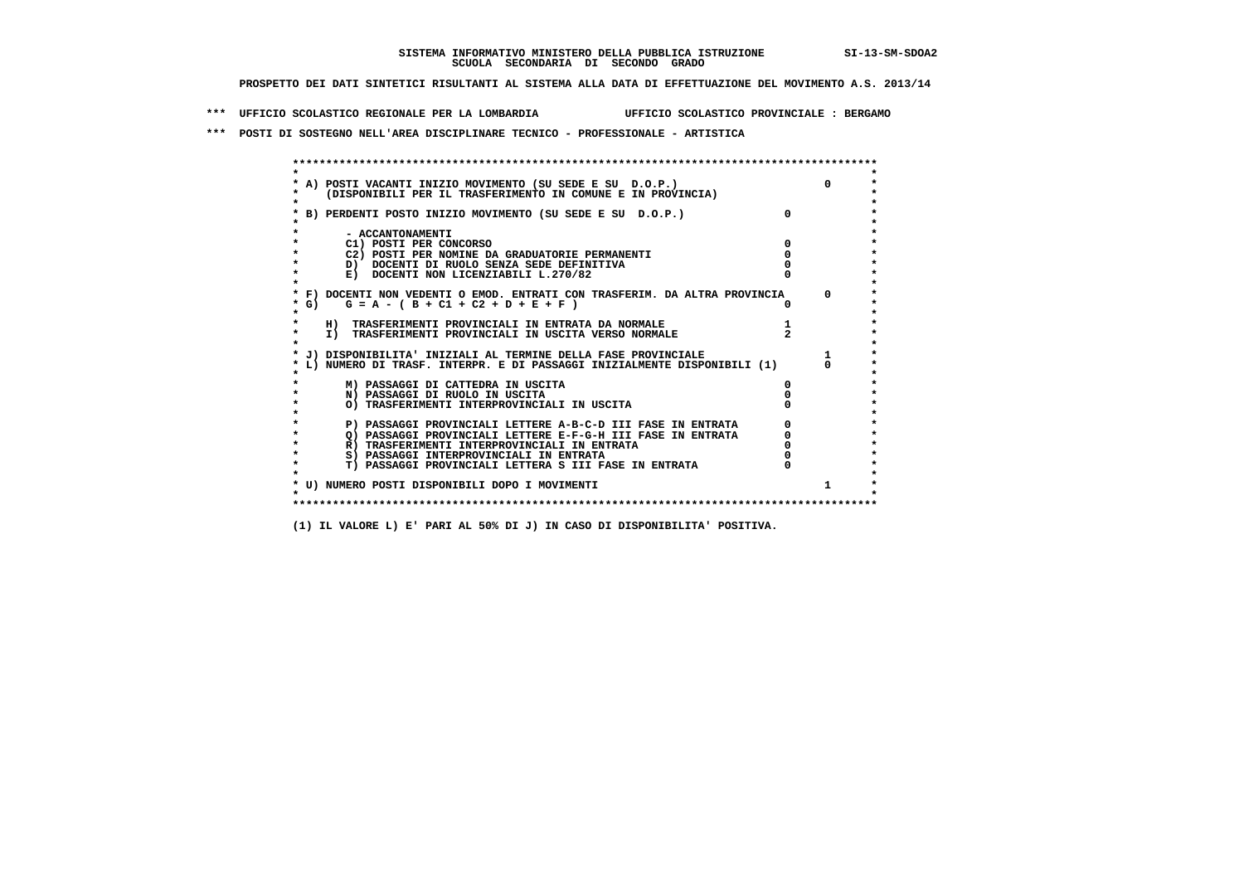**\*\*\* UFFICIO SCOLASTICO REGIONALE PER LA LOMBARDIA UFFICIO SCOLASTICO PROVINCIALE : BERGAMO**

 **\*\*\* POSTI DI SOSTEGNO NELL'AREA DISCIPLINARE TECNICO - PROFESSIONALE - ARTISTICA**

|         | A) POSTI VACANTI INIZIO MOVIMENTO (SU SEDE E SU D.O.P.)                    |  |
|---------|----------------------------------------------------------------------------|--|
|         | (DISPONIBILI PER IL TRASFERIMENTO IN COMUNE E IN PROVINCIA)                |  |
|         | B) PERDENTI POSTO INIZIO MOVIMENTO (SU SEDE E SU D.O.P.)                   |  |
|         | - ACCANTONAMENTI                                                           |  |
|         | C1) POSTI PER CONCORSO                                                     |  |
|         | C2) POSTI PER NOMINE DA GRADUATORIE PERMANENTI                             |  |
|         | D) DOCENTI DI RUOLO SENZA SEDE DEFINITIVA                                  |  |
|         | E) DOCENTI NON LICENZIABILI L.270/82                                       |  |
|         | * F) DOCENTI NON VEDENTI O EMOD. ENTRATI CON TRASFERIM. DA ALTRA PROVINCIA |  |
| $*$ G)  | $G = A - (B + C1 + C2 + D + E + F)$                                        |  |
|         | H) TRASFERIMENTI PROVINCIALI IN ENTRATA DA NORMALE                         |  |
| $\star$ | I) TRASFERIMENTI PROVINCIALI IN USCITA VERSO NORMALE                       |  |
|         | * J) DISPONIBILITA' INIZIALI AL TERMINE DELLA FASE PROVINCIALE             |  |
|         | L) NUMERO DI TRASF. INTERPR. E DI PASSAGGI INIZIALMENTE DISPONIBILI (1)    |  |
|         | M) PASSAGGI DI CATTEDRA IN USCITA                                          |  |
|         | N) PASSAGGI DI RUOLO IN USCITA                                             |  |
|         | O) TRASFERIMENTI INTERPROVINCIALI IN USCITA                                |  |
|         | P) PASSAGGI PROVINCIALI LETTERE A-B-C-D III FASE IN ENTRATA                |  |
|         | O) PASSAGGI PROVINCIALI LETTERE E-F-G-H III FASE IN ENTRATA                |  |
|         | R) TRASFERIMENTI INTERPROVINCIALI IN ENTRATA                               |  |
|         | S) PASSAGGI INTERPROVINCIALI IN ENTRATA                                    |  |
| $\star$ | T) PASSAGGI PROVINCIALI LETTERA S III FASE IN ENTRATA                      |  |
|         |                                                                            |  |
|         | * U) NUMERO POSTI DISPONIBILI DOPO I MOVIMENTI                             |  |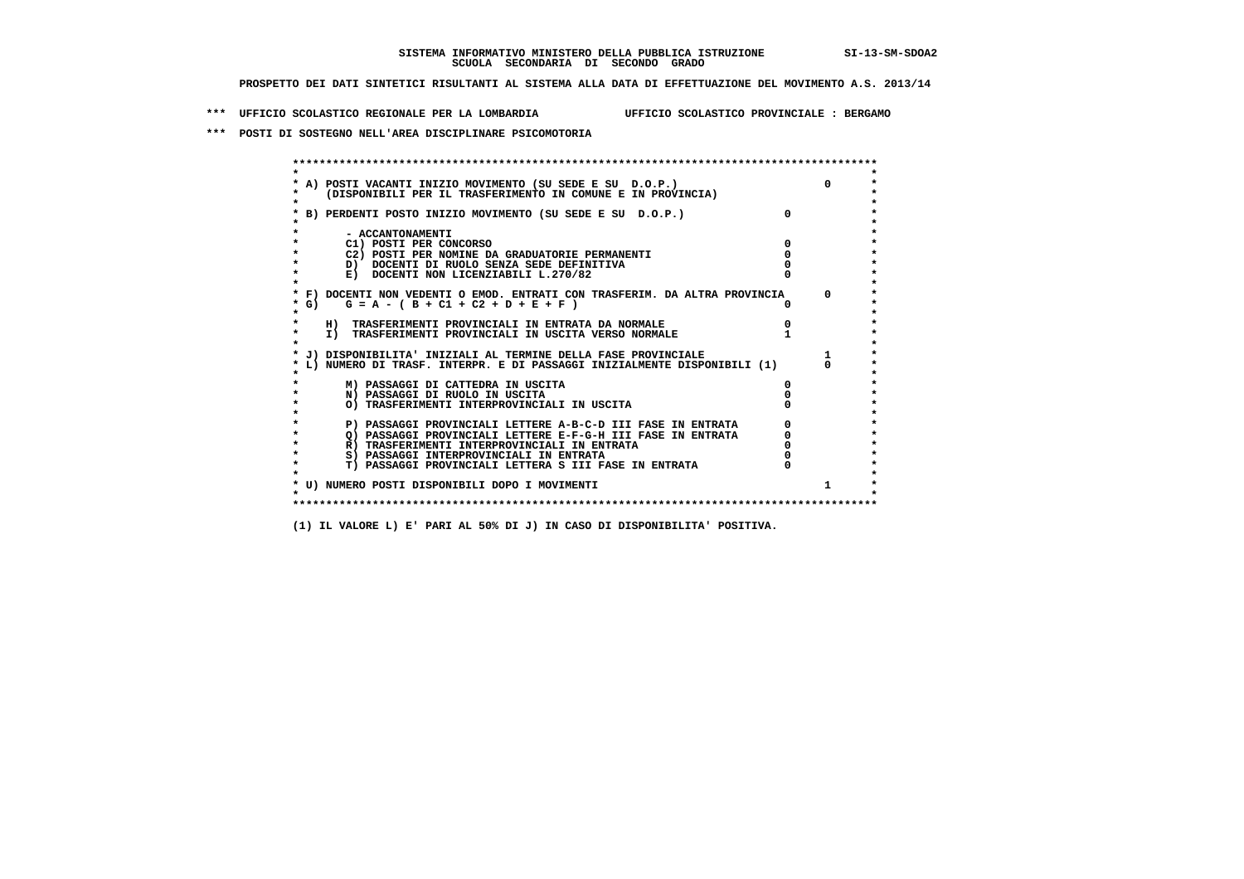**\*\*\* UFFICIO SCOLASTICO REGIONALE PER LA LOMBARDIA UFFICIO SCOLASTICO PROVINCIALE : BERGAMO**

 **\*\*\* POSTI DI SOSTEGNO NELL'AREA DISCIPLINARE PSICOMOTORIA**

|        | A) POSTI VACANTI INIZIO MOVIMENTO (SU SEDE E SU D.O.P.)<br>(DISPONIBILI PER IL TRASFERIMENTO IN COMUNE E IN PROVINCIA) | $\Omega$ |
|--------|------------------------------------------------------------------------------------------------------------------------|----------|
|        | B) PERDENTI POSTO INIZIO MOVIMENTO (SU SEDE E SU D.O.P.)                                                               |          |
|        | - ACCANTONAMENTI                                                                                                       |          |
|        | C1) POSTI PER CONCORSO                                                                                                 |          |
|        | C2) POSTI PER NOMINE DA GRADUATORIE PERMANENTI                                                                         |          |
|        | D) DOCENTI DI RUOLO SENZA SEDE DEFINITIVA                                                                              |          |
|        | E) DOCENTI NON LICENZIABILI L.270/82                                                                                   |          |
|        | * F) DOCENTI NON VEDENTI O EMOD. ENTRATI CON TRASFERIM. DA ALTRA PROVINCIA                                             | $\Omega$ |
| $*$ G) | $G = A - (B + C1 + C2 + D + E + F)$                                                                                    |          |
|        | H) TRASFERIMENTI PROVINCIALI IN ENTRATA DA NORMALE                                                                     |          |
|        | I) TRASFERIMENTI PROVINCIALI IN USCITA VERSO NORMALE                                                                   |          |
|        |                                                                                                                        |          |
|        | J) DISPONIBILITA' INIZIALI AL TERMINE DELLA FASE PROVINCIALE                                                           |          |
|        | L) NUMERO DI TRASF. INTERPR. E DI PASSAGGI INIZIALMENTE DISPONIBILI (1)                                                |          |
|        | M) PASSAGGI DI CATTEDRA IN USCITA                                                                                      |          |
|        | N) PASSAGGI DI RUOLO IN USCITA                                                                                         |          |
|        | O) TRASFERIMENTI INTERPROVINCIALI IN USCITA                                                                            |          |
|        | P) PASSAGGI PROVINCIALI LETTERE A-B-C-D III FASE IN ENTRATA                                                            |          |
|        | O) PASSAGGI PROVINCIALI LETTERE E-F-G-H III FASE IN ENTRATA                                                            |          |
|        | R) TRASFERIMENTI INTERPROVINCIALI IN ENTRATA                                                                           |          |
|        | S) PASSAGGI INTERPROVINCIALI IN ENTRATA                                                                                |          |
|        | T) PASSAGGI PROVINCIALI LETTERA S III FASE IN ENTRATA                                                                  |          |
|        |                                                                                                                        |          |
|        | * U) NUMERO POSTI DISPONIBILI DOPO I MOVIMENTI                                                                         | 1.       |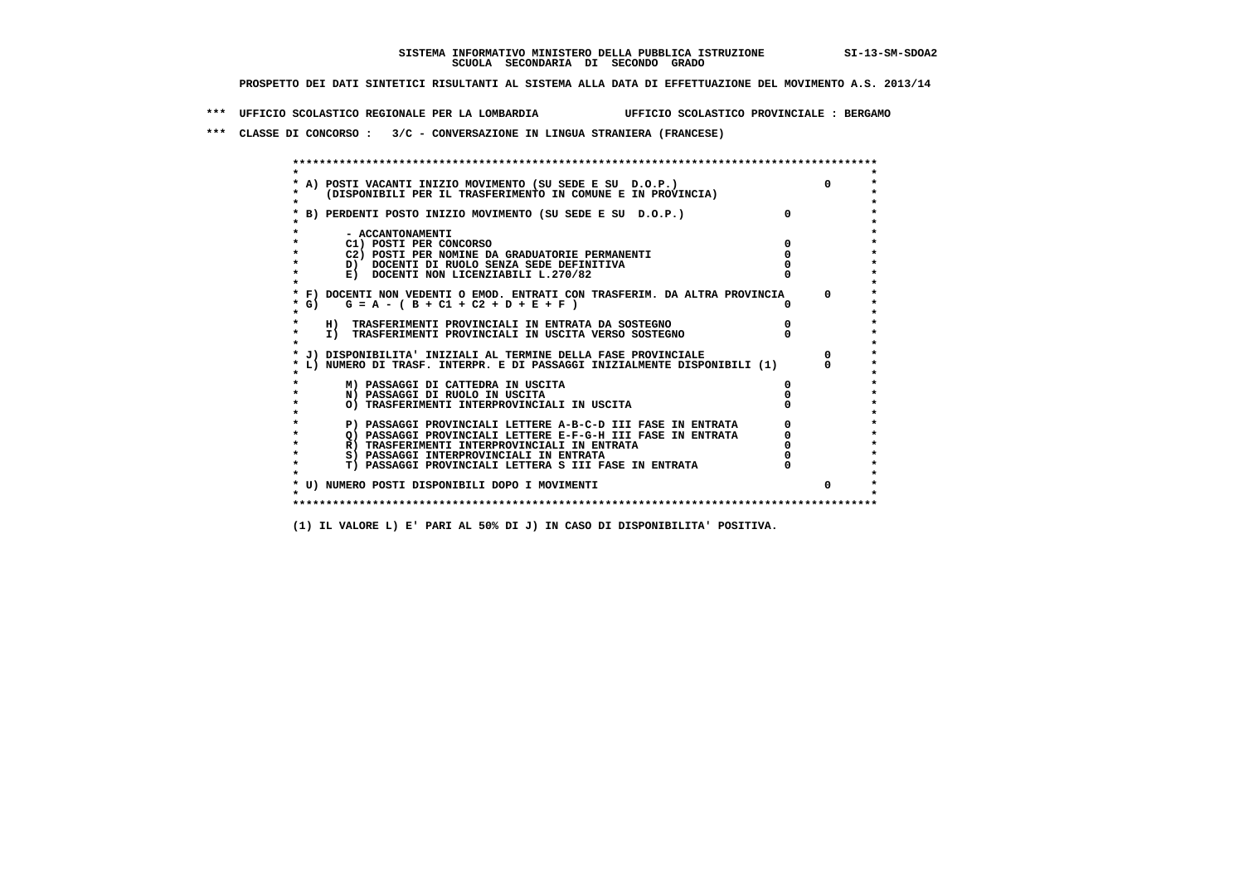**\*\*\* UFFICIO SCOLASTICO REGIONALE PER LA LOMBARDIA UFFICIO SCOLASTICO PROVINCIALE : BERGAMO**

 **\*\*\* CLASSE DI CONCORSO : 3/C - CONVERSAZIONE IN LINGUA STRANIERA (FRANCESE)**

|                   | * A) POSTI VACANTI INIZIO MOVIMENTO (SU SEDE E SU D.O.P.)                  |              |
|-------------------|----------------------------------------------------------------------------|--------------|
|                   | (DISPONIBILI PER IL TRASFERIMENTO IN COMUNE E IN PROVINCIA)                |              |
|                   | B) PERDENTI POSTO INIZIO MOVIMENTO (SU SEDE E SU D.O.P.)                   |              |
|                   |                                                                            |              |
|                   | - ACCANTONAMENTI                                                           |              |
|                   | C1) POSTI PER CONCORSO                                                     |              |
|                   | C2) POSTI PER NOMINE DA GRADUATORIE PERMANENTI                             |              |
|                   | D) DOCENTI DI RUOLO SENZA SEDE DEFINITIVA                                  |              |
|                   | E) DOCENTI NON LICENZIABILI L.270/82                                       |              |
|                   |                                                                            |              |
|                   | * F) DOCENTI NON VEDENTI O EMOD. ENTRATI CON TRASFERIM. DA ALTRA PROVINCIA | <sup>n</sup> |
| $*$ G)<br>$\star$ | $G = A - (B + C1 + C2 + D + E + F)$                                        |              |
|                   | H) TRASFERIMENTI PROVINCIALI IN ENTRATA DA SOSTEGNO                        |              |
| $\star$           | I) TRASFERIMENTI PROVINCIALI IN USCITA VERSO SOSTEGNO                      |              |
|                   |                                                                            |              |
|                   | J) DISPONIBILITA' INIZIALI AL TERMINE DELLA FASE PROVINCIALE               |              |
|                   | L) NUMERO DI TRASF. INTERPR. E DI PASSAGGI INIZIALMENTE DISPONIBILI (1)    |              |
|                   |                                                                            |              |
|                   | M) PASSAGGI DI CATTEDRA IN USCITA                                          |              |
|                   | N) PASSAGGI DI RUOLO IN USCITA                                             |              |
|                   | O) TRASFERIMENTI INTERPROVINCIALI IN USCITA                                |              |
|                   | P) PASSAGGI PROVINCIALI LETTERE A-B-C-D III FASE IN ENTRATA                |              |
|                   | O) PASSAGGI PROVINCIALI LETTERE E-F-G-H III FASE IN ENTRATA                |              |
| $\star$           | R) TRASFERIMENTI INTERPROVINCIALI IN ENTRATA                               |              |
|                   | S) PASSAGGI INTERPROVINCIALI IN ENTRATA                                    |              |
| $\star$           | T) PASSAGGI PROVINCIALI LETTERA S III FASE IN ENTRATA                      |              |
|                   |                                                                            |              |
|                   | * U) NUMERO POSTI DISPONIBILI DOPO I MOVIMENTI                             | <sup>n</sup> |
|                   |                                                                            |              |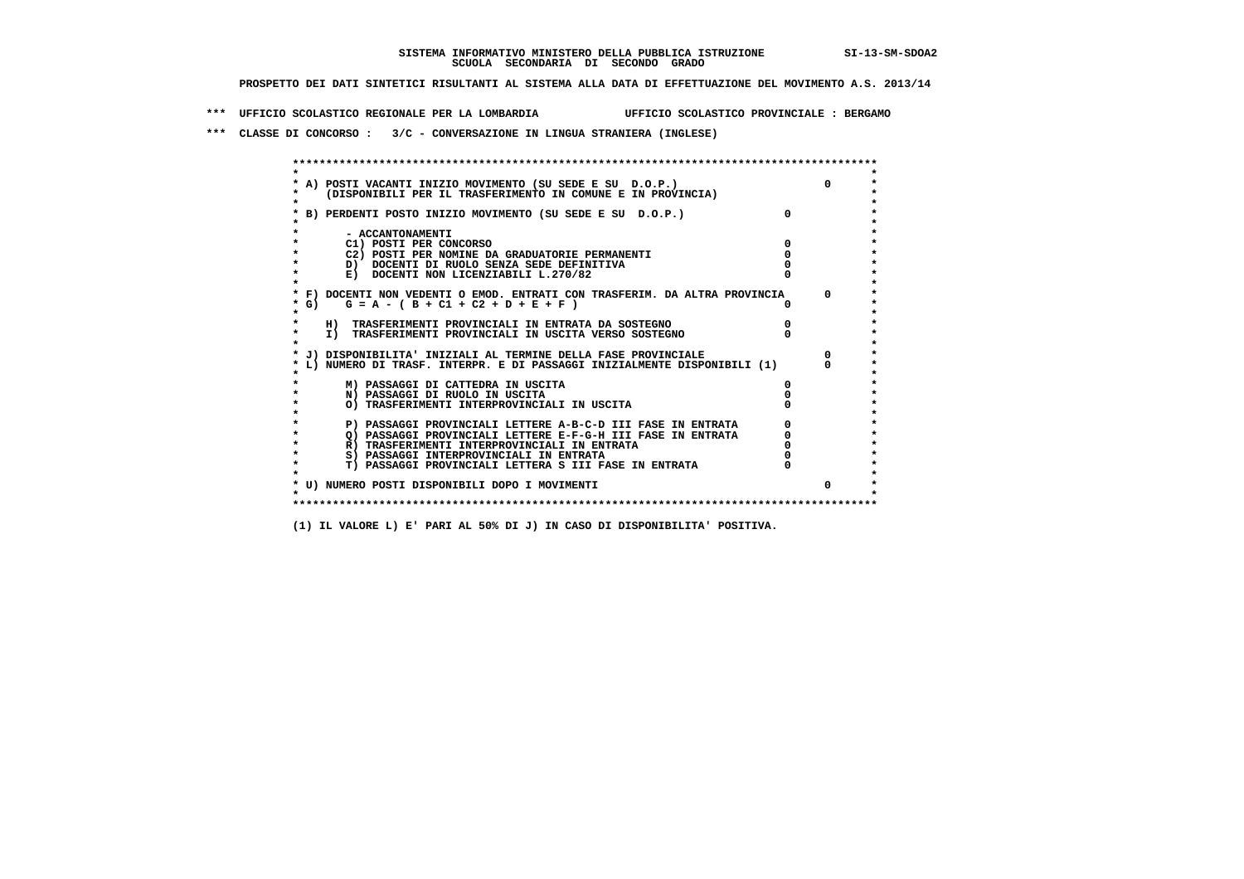**\*\*\* UFFICIO SCOLASTICO REGIONALE PER LA LOMBARDIA UFFICIO SCOLASTICO PROVINCIALE : BERGAMO**

 **\*\*\* CLASSE DI CONCORSO : 3/C - CONVERSAZIONE IN LINGUA STRANIERA (INGLESE)**

|         | * A) POSTI VACANTI INIZIO MOVIMENTO (SU SEDE E SU D.O.P.)                                                                                 |              |
|---------|-------------------------------------------------------------------------------------------------------------------------------------------|--------------|
|         | (DISPONIBILI PER IL TRASFERIMENTO IN COMUNE E IN PROVINCIA)                                                                               |              |
|         |                                                                                                                                           |              |
|         | * B) PERDENTI POSTO INIZIO MOVIMENTO (SU SEDE E SU D.O.P.)                                                                                |              |
|         |                                                                                                                                           |              |
|         | - ACCANTONAMENTI                                                                                                                          |              |
|         | C1) POSTI PER CONCORSO                                                                                                                    |              |
|         | C2) POSTI PER NOMINE DA GRADUATORIE PERMANENTI                                                                                            |              |
|         | D) DOCENTI DI RUOLO SENZA SEDE DEFINITIVA                                                                                                 |              |
|         | E) DOCENTI NON LICENZIABILI L.270/82                                                                                                      |              |
|         |                                                                                                                                           |              |
|         | * F) DOCENTI NON VEDENTI O EMOD. ENTRATI CON TRASFERIM. DA ALTRA PROVINCIA                                                                | $\Omega$     |
| $*$ G)  | $G = A - (B + C1 + C2 + D + E + F)$                                                                                                       |              |
| $\star$ |                                                                                                                                           |              |
|         | H) TRASFERIMENTI PROVINCIALI IN ENTRATA DA SOSTEGNO                                                                                       |              |
| $\star$ | I) TRASFERIMENTI PROVINCIALI IN USCITA VERSO SOSTEGNO                                                                                     |              |
|         |                                                                                                                                           |              |
|         | * J) DISPONIBILITA' INIZIALI AL TERMINE DELLA FASE PROVINCIALE<br>L) NUMERO DI TRASF. INTERPR. E DI PASSAGGI INIZIALMENTE DISPONIBILI (1) |              |
|         |                                                                                                                                           |              |
|         | M) PASSAGGI DI CATTEDRA IN USCITA                                                                                                         |              |
|         | N) PASSAGGI DI RUOLO IN USCITA                                                                                                            |              |
|         | O) TRASFERIMENTI INTERPROVINCIALI IN USCITA                                                                                               |              |
|         |                                                                                                                                           |              |
|         | P) PASSAGGI PROVINCIALI LETTERE A-B-C-D III FASE IN ENTRATA                                                                               |              |
| $\star$ | O) PASSAGGI PROVINCIALI LETTERE E-F-G-H III FASE IN ENTRATA                                                                               |              |
| $\star$ | R) TRASFERIMENTI INTERPROVINCIALI IN ENTRATA                                                                                              |              |
|         | S) PASSAGGI INTERPROVINCIALI IN ENTRATA                                                                                                   |              |
| $\star$ | T) PASSAGGI PROVINCIALI LETTERA S III FASE IN ENTRATA                                                                                     |              |
|         |                                                                                                                                           |              |
|         | * U) NUMERO POSTI DISPONIBILI DOPO I MOVIMENTI                                                                                            | <sup>n</sup> |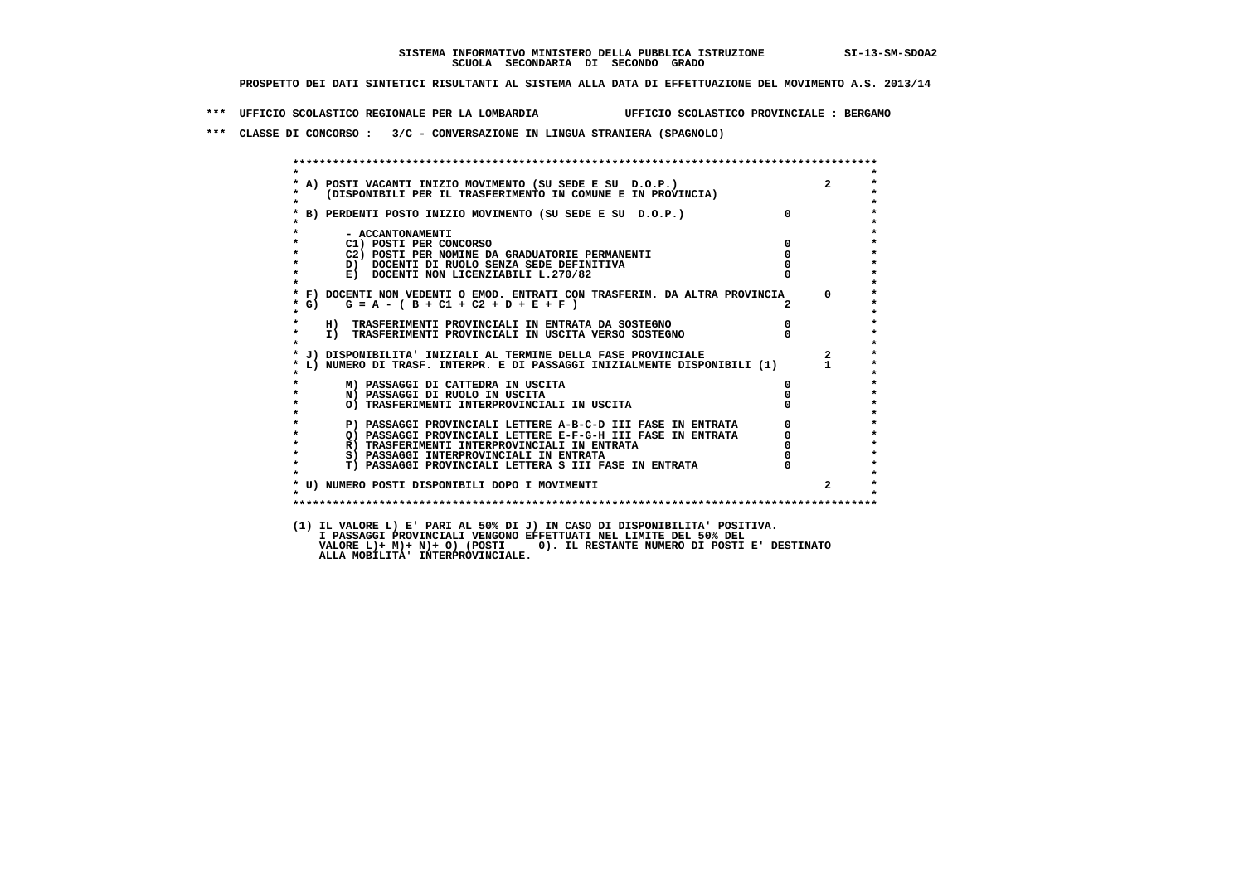**\*\*\* UFFICIO SCOLASTICO REGIONALE PER LA LOMBARDIA UFFICIO SCOLASTICO PROVINCIALE : BERGAMO**

 **\*\*\* CLASSE DI CONCORSO : 3/C - CONVERSAZIONE IN LINGUA STRANIERA (SPAGNOLO)**

|        | * A) POSTI VACANTI INIZIO MOVIMENTO (SU SEDE E SU D.O.P.)<br>* (DISPONIBILI PER IL TRASFERIMENTO IN COMUNE E IN PROVINCIA) |                         |                         |
|--------|----------------------------------------------------------------------------------------------------------------------------|-------------------------|-------------------------|
|        | B) PERDENTI POSTO INIZIO MOVIMENTO (SU SEDE E SU D.O.P.)                                                                   | $\Omega$                |                         |
|        | - ACCANTONAMENTI                                                                                                           |                         |                         |
|        | C1) POSTI PER CONCORSO                                                                                                     | $^{\circ}$              |                         |
|        | C2) POSTI PER NOMINE DA GRADUATORIE PERMANENTI                                                                             | $\mathbf{0}$            |                         |
|        | D) DOCENTI DI RUOLO SENZA SEDE DEFINITIVA                                                                                  |                         |                         |
|        | E) DOCENTI NON LICENZIABILI L.270/82                                                                                       |                         |                         |
|        | * F) DOCENTI NON VEDENTI O EMOD. ENTRATI CON TRASFERIM. DA ALTRA PROVINCIA                                                 |                         | $\Omega$                |
| $*$ G) | $G = A - (B + C1 + C2 + D + E + F)$                                                                                        |                         |                         |
|        | H) TRASFERIMENTI PROVINCIALI IN ENTRATA DA SOSTEGNO                                                                        | $\overline{\mathbf{0}}$ |                         |
|        | I) TRASFERIMENTI PROVINCIALI IN USCITA VERSO SOSTEGNO                                                                      |                         |                         |
|        | * J) DISPONIBILITA' INIZIALI AL TERMINE DELLA FASE PROVINCIALE                                                             |                         | $\overline{\mathbf{2}}$ |
|        | L) NUMERO DI TRASF. INTERPR. E DI PASSAGGI INIZIALMENTE DISPONIBILI (1) 1                                                  |                         |                         |
|        | M) PASSAGGI DI CATTEDRA IN USCITA                                                                                          |                         |                         |
|        | N) PASSAGGI DI RUOLO IN USCITA                                                                                             |                         |                         |
|        | O) TRASFERIMENTI INTERPROVINCIALI IN USCITA                                                                                |                         |                         |
|        | P) PASSAGGI PROVINCIALI LETTERE A-B-C-D III FASE IN ENTRATA<br>Q) PASSAGGI PROVINCIALI LETTERE E-F-G-H III FASE IN ENTRATA |                         |                         |
|        |                                                                                                                            |                         |                         |
|        | R) TRASFERIMENTI INTERPROVINCIALI IN ENTRATA                                                                               |                         |                         |
|        | S) PASSAGGI INTERPROVINCIALI IN ENTRATA                                                                                    |                         |                         |
|        | T) PASSAGGI PROVINCIALI LETTERA S III FASE IN ENTRATA                                                                      |                         |                         |
|        | * U) NUMERO POSTI DISPONIBILI DOPO I MOVIMENTI                                                                             |                         | $\mathbf{2}$            |
|        |                                                                                                                            |                         |                         |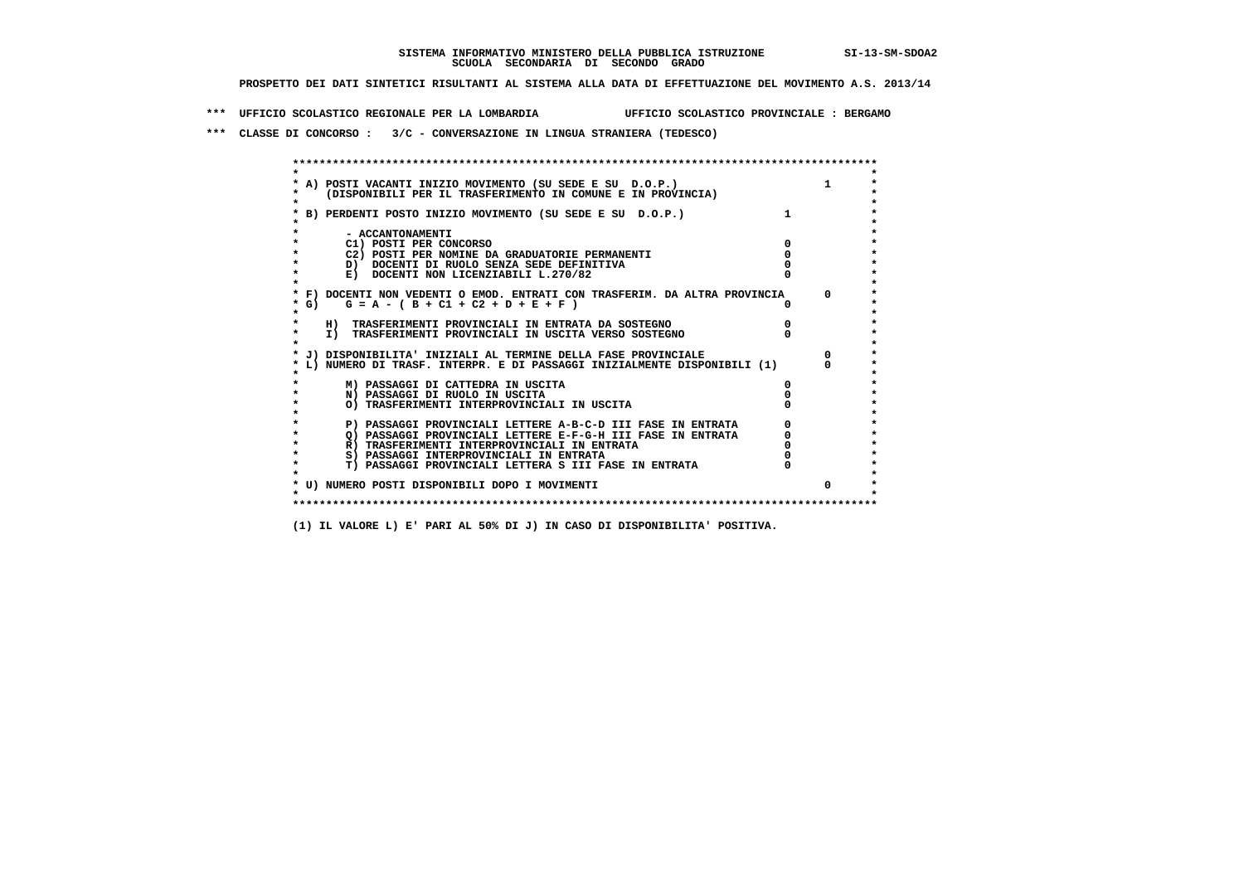**\*\*\* UFFICIO SCOLASTICO REGIONALE PER LA LOMBARDIA UFFICIO SCOLASTICO PROVINCIALE : BERGAMO**

 **\*\*\* CLASSE DI CONCORSO : 3/C - CONVERSAZIONE IN LINGUA STRANIERA (TEDESCO)**

|        | A) POSTI VACANTI INIZIO MOVIMENTO (SU SEDE E SU D.O.P.)                    |              |
|--------|----------------------------------------------------------------------------|--------------|
|        | (DISPONIBILI PER IL TRASFERIMENTO IN COMUNE E IN PROVINCIA)                |              |
|        | B) PERDENTI POSTO INIZIO MOVIMENTO (SU SEDE E SU D.O.P.)                   |              |
|        | - ACCANTONAMENTI                                                           |              |
|        | C1) POSTI PER CONCORSO                                                     |              |
|        | C2) POSTI PER NOMINE DA GRADUATORIE PERMANENTI                             |              |
|        | D) DOCENTI DI RUOLO SENZA SEDE DEFINITIVA                                  |              |
|        | E) DOCENTI NON LICENZIABILI L.270/82                                       |              |
|        | * F) DOCENTI NON VEDENTI O EMOD. ENTRATI CON TRASFERIM. DA ALTRA PROVINCIA | $\mathsf{n}$ |
| * G) + | $G = A - (B + C1 + C2 + D + E + F)$                                        |              |
|        | H) TRASFERIMENTI PROVINCIALI IN ENTRATA DA SOSTEGNO                        |              |
|        | I) TRASFERIMENTI PROVINCIALI IN USCITA VERSO SOSTEGNO                      |              |
|        | J) DISPONIBILITA' INIZIALI AL TERMINE DELLA FASE PROVINCIALE               |              |
|        | L) NUMERO DI TRASF. INTERPR. E DI PASSAGGI INIZIALMENTE DISPONIBILI (1)    |              |
|        | M) PASSAGGI DI CATTEDRA IN USCITA                                          |              |
|        | N) PASSAGGI DI RUOLO IN USCITA                                             |              |
|        | O) TRASFERIMENTI INTERPROVINCIALI IN USCITA                                |              |
|        | P) PASSAGGI PROVINCIALI LETTERE A-B-C-D III FASE IN ENTRATA                |              |
|        | O) PASSAGGI PROVINCIALI LETTERE E-F-G-H III FASE IN ENTRATA                |              |
|        | R) TRASFERIMENTI INTERPROVINCIALI IN ENTRATA                               |              |
|        | S) PASSAGGI INTERPROVINCIALI IN ENTRATA                                    |              |
|        | T) PASSAGGI PROVINCIALI LETTERA S III FASE IN ENTRATA                      |              |
|        | * U) NUMERO POSTI DISPONIBILI DOPO I MOVIMENTI                             |              |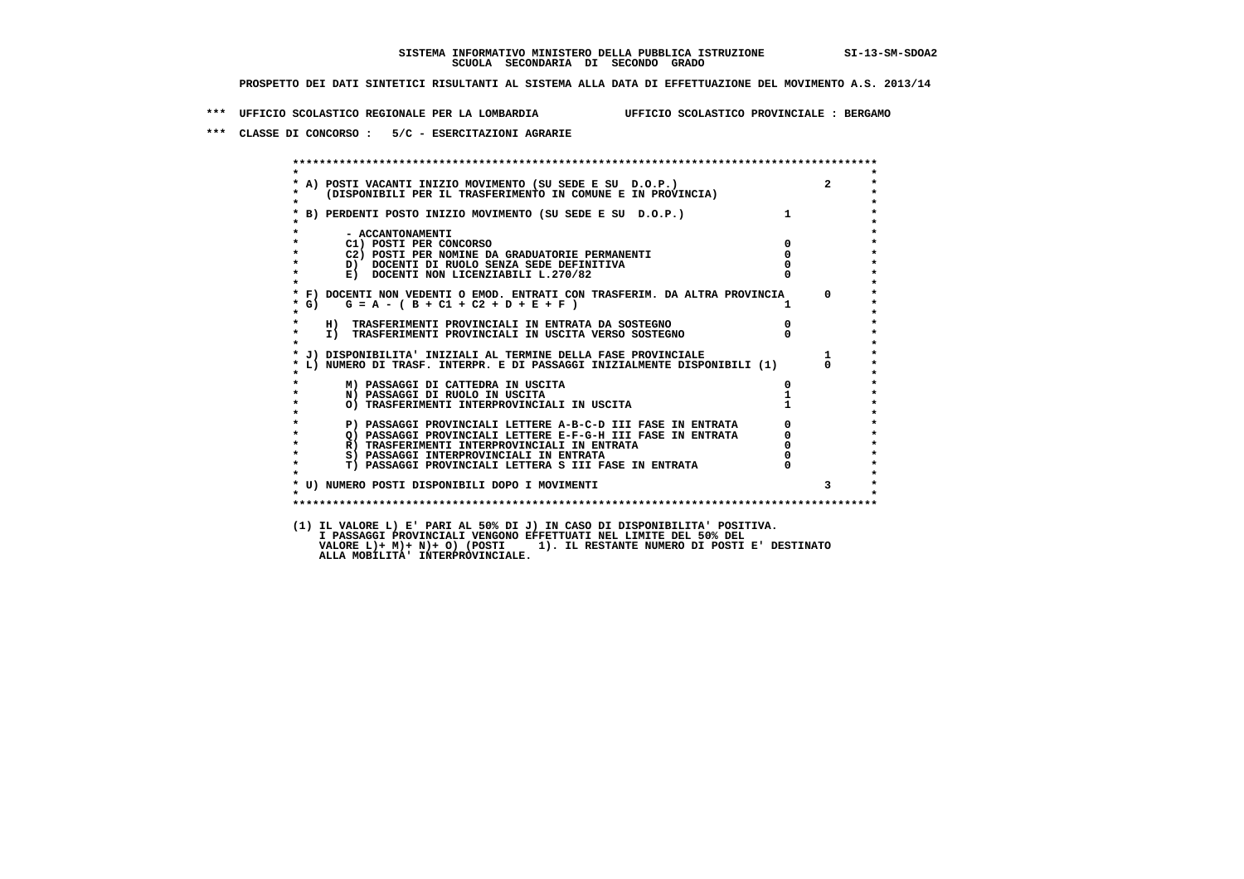**\*\*\* UFFICIO SCOLASTICO REGIONALE PER LA LOMBARDIA UFFICIO SCOLASTICO PROVINCIALE : BERGAMO**

 **\*\*\* CLASSE DI CONCORSO : 5/C - ESERCITAZIONI AGRARIE**

 **\*\*\*\*\*\*\*\*\*\*\*\*\*\*\*\*\*\*\*\*\*\*\*\*\*\*\*\*\*\*\*\*\*\*\*\*\*\*\*\*\*\*\*\*\*\*\*\*\*\*\*\*\*\*\*\*\*\*\*\*\*\*\*\*\*\*\*\*\*\*\*\*\*\*\*\*\*\*\*\*\*\*\*\*\*\*\*\* \* \*** $\ddot{\phantom{1}}$  **\* A) POSTI VACANTI INIZIO MOVIMENTO (SU SEDE E SU D.O.P.) 2 \* \* (DISPONIBILI PER IL TRASFERIMENTO IN COMUNE E IN PROVINCIA) \* \* \* \* B) PERDENTI POSTO INIZIO MOVIMENTO (SU SEDE E SU D.O.P.) 1 \* \* \* \* - ACCANTONAMENTI \* \* C1) POSTI PER CONCORSO 0 \* \* C2) POSTI PER NOMINE DA GRADUATORIE PERMANENTI 0 \*D)** DOCENTI DI RUOLO SENZA SEDE DEFINITIVA  $\overline{a}$  0  $\overline{b}$  0  $\overline{c}$  0  $\overline{c}$  0  $\overline{c}$  0  $\overline{a}$  0  $\overline{c}$ **E) DOCENTI NON LICENZIABILI L.270/82 \* \* \* F) DOCENTI NON VEDENTI O EMOD. ENTRATI CON TRASFERIM. DA ALTRA PROVINCIA 0 \***  $\star$  **G)** G = A - ( B + C1 + C2 + D + E + F )  **\* \* \* H) TRASFERIMENTI PROVINCIALI IN ENTRATA DA SOSTEGNO 0 \* \* I) TRASFERIMENTI PROVINCIALI IN USCITA VERSO SOSTEGNO 0 \* \* \* \* J) DISPONIBILITA' INIZIALI AL TERMINE DELLA FASE PROVINCIALE 1 \* \* L) NUMERO DI TRASF. INTERPR. E DI PASSAGGI INIZIALMENTE DISPONIBILI (1) 0 \* \* \* \* M) PASSAGGI DI CATTEDRA IN USCITA 0 \* \* N) PASSAGGI DI RUOLO IN USCITA 1 \*O) TRASFERIMENTI INTERPROVINCIALI IN USCITA \* \* P) PASSAGGI PROVINCIALI LETTERE A-B-C-D III FASE IN ENTRATA** 0 <sup>0</sup> **DASSAGGI PROVINCIALI LETTERE E-F-G-H** III FASE IN ENTRATA 0 <sup>0</sup> **2) PASSAGGI PROVINCIALI LETTERE E-F-G-H III FASE IN ENTRATA 6 0 R**) TRASFERIMENTI INTERPROVINCIALI IN ENTRATA 6 **0 R**) TRASFERIMENTI INTERPROVINCIALI IN ENTRATA  $\begin{bmatrix} 0 & 0 \\ 0 & 0 \\ 0 & 0 \end{bmatrix}$  **\* S) PASSAGGI INTERPROVINCIALI IN ENTRATA 0 \*** $\ddot{\phantom{1}}$  **\* T) PASSAGGI PROVINCIALI LETTERA S III FASE IN ENTRATA 0 \*** $\star$  **\* \* \* U) NUMERO POSTI DISPONIBILI DOPO I MOVIMENTI 3 \* \* \* \*\*\*\*\*\*\*\*\*\*\*\*\*\*\*\*\*\*\*\*\*\*\*\*\*\*\*\*\*\*\*\*\*\*\*\*\*\*\*\*\*\*\*\*\*\*\*\*\*\*\*\*\*\*\*\*\*\*\*\*\*\*\*\*\*\*\*\*\*\*\*\*\*\*\*\*\*\*\*\*\*\*\*\*\*\*\*\* (1) IL VALORE L) E' PARI AL 50% DI J) IN CASO DI DISPONIBILITA' POSITIVA. VALORE L)+ M)+ N)+ O) (POSTI 1). IL RESTANTE NUMERO DI POSTI E' DESTINATO ALLA MOBILITA' INTERPROVINCIALE. I PASSAGGI PROVINCIALI VENGONO EFFETTUATI NEL LIMITE DEL 50% DEL**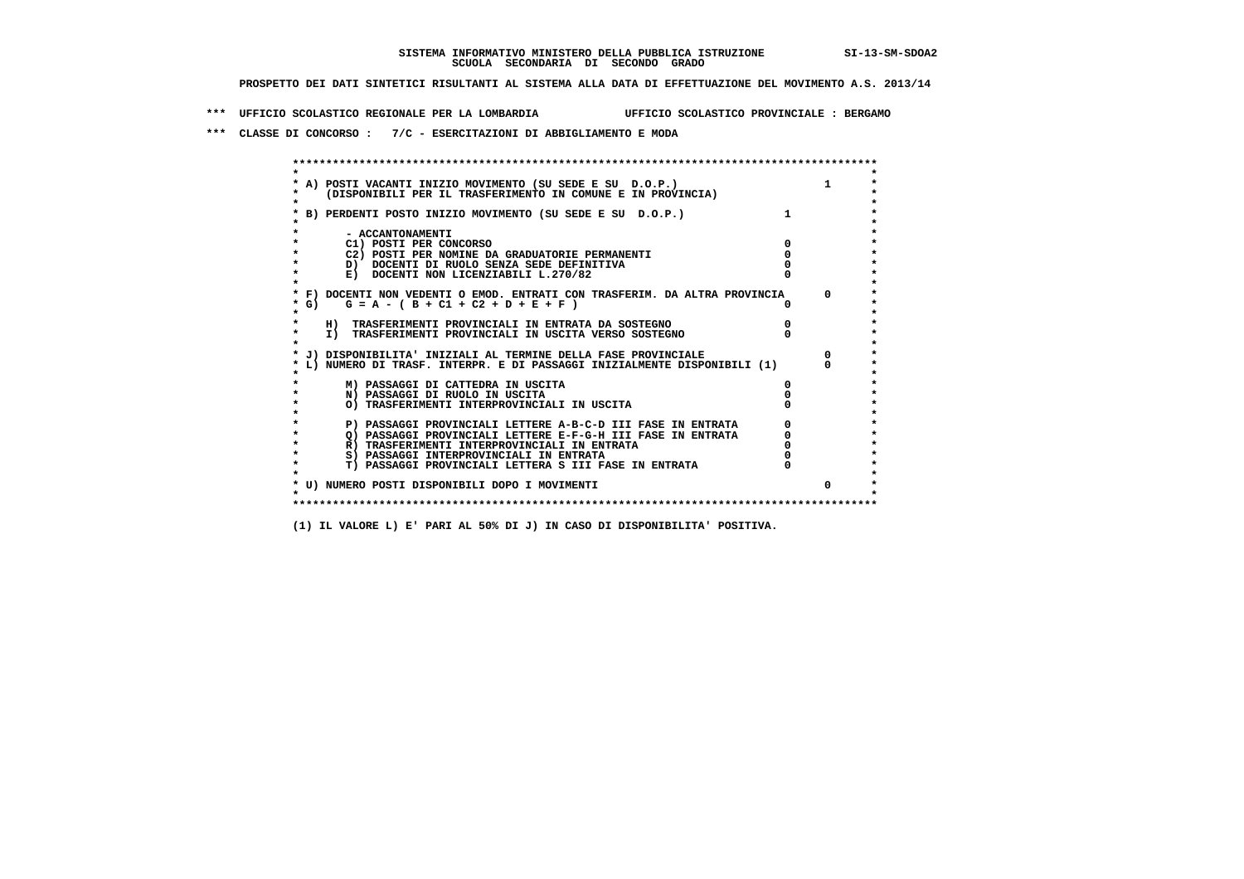**\*\*\* UFFICIO SCOLASTICO REGIONALE PER LA LOMBARDIA UFFICIO SCOLASTICO PROVINCIALE : BERGAMO**

 **\*\*\* CLASSE DI CONCORSO : 7/C - ESERCITAZIONI DI ABBIGLIAMENTO E MODA**

| A) POSTI VACANTI INIZIO MOVIMENTO (SU SEDE E SU D.O.P.)<br>(DISPONIBILI PER IL TRASFERIMENTO IN COMUNE E IN PROVINCIA)<br>B) PERDENTI POSTO INIZIO MOVIMENTO (SU SEDE E SU D.O.P.)<br>- ACCANTONAMENTI<br>C1) POSTI PER CONCORSO<br>C2) POSTI PER NOMINE DA GRADUATORIE PERMANENTI<br>D) DOCENTI DI RUOLO SENZA SEDE DEFINITIVA<br>E) DOCENTI NON LICENZIABILI L.270/82<br>* F) DOCENTI NON VEDENTI O EMOD. ENTRATI CON TRASFERIM. DA ALTRA PROVINCIA<br>* G) $G = A - (B + C1 + C2 + D + E + F)$ | $\Omega$ |
|---------------------------------------------------------------------------------------------------------------------------------------------------------------------------------------------------------------------------------------------------------------------------------------------------------------------------------------------------------------------------------------------------------------------------------------------------------------------------------------------------|----------|
|                                                                                                                                                                                                                                                                                                                                                                                                                                                                                                   |          |
|                                                                                                                                                                                                                                                                                                                                                                                                                                                                                                   |          |
|                                                                                                                                                                                                                                                                                                                                                                                                                                                                                                   |          |
|                                                                                                                                                                                                                                                                                                                                                                                                                                                                                                   |          |
|                                                                                                                                                                                                                                                                                                                                                                                                                                                                                                   |          |
|                                                                                                                                                                                                                                                                                                                                                                                                                                                                                                   |          |
|                                                                                                                                                                                                                                                                                                                                                                                                                                                                                                   |          |
|                                                                                                                                                                                                                                                                                                                                                                                                                                                                                                   |          |
|                                                                                                                                                                                                                                                                                                                                                                                                                                                                                                   |          |
|                                                                                                                                                                                                                                                                                                                                                                                                                                                                                                   |          |
|                                                                                                                                                                                                                                                                                                                                                                                                                                                                                                   |          |
|                                                                                                                                                                                                                                                                                                                                                                                                                                                                                                   |          |
| H) TRASFERIMENTI PROVINCIALI IN ENTRATA DA SOSTEGNO                                                                                                                                                                                                                                                                                                                                                                                                                                               |          |
| I) TRASFERIMENTI PROVINCIALI IN USCITA VERSO SOSTEGNO                                                                                                                                                                                                                                                                                                                                                                                                                                             |          |
|                                                                                                                                                                                                                                                                                                                                                                                                                                                                                                   |          |
| J) DISPONIBILITA' INIZIALI AL TERMINE DELLA FASE PROVINCIALE<br>L) NUMERO DI TRASF. INTERPR. E DI PASSAGGI INIZIALMENTE DISPONIBILI (1)                                                                                                                                                                                                                                                                                                                                                           |          |
|                                                                                                                                                                                                                                                                                                                                                                                                                                                                                                   |          |
| M) PASSAGGI DI CATTEDRA IN USCITA                                                                                                                                                                                                                                                                                                                                                                                                                                                                 |          |
| N) PASSAGGI DI RUOLO IN USCITA                                                                                                                                                                                                                                                                                                                                                                                                                                                                    |          |
| O) TRASFERIMENTI INTERPROVINCIALI IN USCITA                                                                                                                                                                                                                                                                                                                                                                                                                                                       |          |
|                                                                                                                                                                                                                                                                                                                                                                                                                                                                                                   |          |
| P) PASSAGGI PROVINCIALI LETTERE A-B-C-D III FASE IN ENTRATA                                                                                                                                                                                                                                                                                                                                                                                                                                       |          |
| O) PASSAGGI PROVINCIALI LETTERE E-F-G-H III FASE IN ENTRATA<br>R) TRASFERIMENTI INTERPROVINCIALI IN ENTRATA                                                                                                                                                                                                                                                                                                                                                                                       |          |
| S) PASSAGGI INTERPROVINCIALI IN ENTRATA                                                                                                                                                                                                                                                                                                                                                                                                                                                           |          |
| T) PASSAGGI PROVINCIALI LETTERA S III FASE IN ENTRATA                                                                                                                                                                                                                                                                                                                                                                                                                                             |          |
|                                                                                                                                                                                                                                                                                                                                                                                                                                                                                                   |          |
| * U) NUMERO POSTI DISPONIBILI DOPO I MOVIMENTI                                                                                                                                                                                                                                                                                                                                                                                                                                                    |          |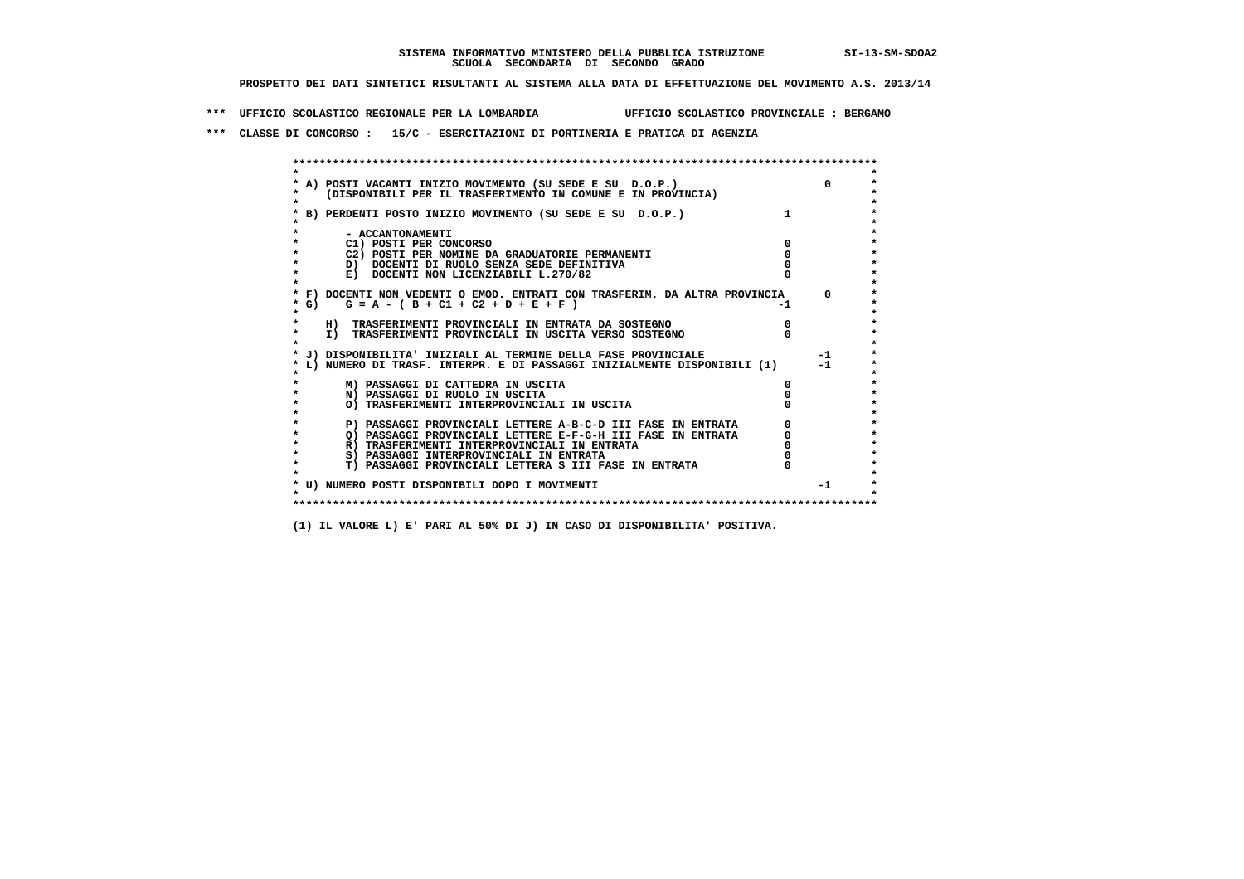**\*\*\* UFFICIO SCOLASTICO REGIONALE PER LA LOMBARDIA UFFICIO SCOLASTICO PROVINCIALE : BERGAMO**

 **\*\*\* CLASSE DI CONCORSO : 15/C - ESERCITAZIONI DI PORTINERIA E PRATICA DI AGENZIA**

 **\*\*\*\*\*\*\*\*\*\*\*\*\*\*\*\*\*\*\*\*\*\*\*\*\*\*\*\*\*\*\*\*\*\*\*\*\*\*\*\*\*\*\*\*\*\*\*\*\*\*\*\*\*\*\*\*\*\*\*\*\*\*\*\*\*\*\*\*\*\*\*\*\*\*\*\*\*\*\*\*\*\*\*\*\*\*\*\* \* \*** $\bullet$  **\* A) POSTI VACANTI INIZIO MOVIMENTO (SU SEDE E SU D.O.P.) 0 \*** $\star$  **\* (DISPONIBILI PER IL TRASFERIMENTO IN COMUNE E IN PROVINCIA) \* \* \* \* B) PERDENTI POSTO INIZIO MOVIMENTO (SU SEDE E SU D.O.P.) 1 \* \* \* \* - ACCANTONAMENTI \* \* C1) POSTI PER CONCORSO 0 \* \* C2) POSTI PER NOMINE DA GRADUATORIE PERMANENTI 0 \*b**  $\overline{D}$  **docenti di RUOLO SENZA SEDE DEFINITIVA**  $\overline{D}$  **0**  $\overline{D}$  **0**  $\overline{D}$  **0**  $\overline{D}$  **0**  $\overline{D}$  **0**  $\overline{D}$  **0**  $\overline{D}$  **0**  $\overline{D}$  **0**  $\overline{D}$  **0**  $\overline{D}$  **0**  $\overline{D}$  **0**  $\overline{D}$  **0**  $\overline{D}$  **0 E) DOCENTI NON LICENZIABILI L.270/82 \* \* \* F) DOCENTI NON VEDENTI O EMOD. ENTRATI CON TRASFERIM. DA ALTRA PROVINCIA 0 \***  $\star$  **G)** G = A - ( B + C1 + C2 + D + E + F)  **\* \* \* H) TRASFERIMENTI PROVINCIALI IN ENTRATA DA SOSTEGNO 0 \* \* I) TRASFERIMENTI PROVINCIALI IN USCITA VERSO SOSTEGNO 0 \* \* \* \* J) DISPONIBILITA' INIZIALI AL TERMINE DELLA FASE PROVINCIALE -1 \* \* L) NUMERO DI TRASF. INTERPR. E DI PASSAGGI INIZIALMENTE DISPONIBILI (1) -1 \* \* \* \* M) PASSAGGI DI CATTEDRA IN USCITA 0 \* \* N) PASSAGGI DI RUOLO IN USCITA 0 \* \* O) TRASFERIMENTI INTERPROVINCIALI IN USCITA 0 \* \* \* P) PASSAGGI PROVINCIALI LETTERE A-B-C-D III FASE IN ENTRATA** 0 <sup>0</sup> **DASSAGGI PROVINCIALI LETTERE E-F-G-H** III FASE IN ENTRATA 0 <sup>0</sup>  **\* Q) PASSAGGI PROVINCIALI LETTERE E-F-G-H III FASE IN ENTRATA 0 \*R)** TRASFERIMENTI INTERPROVINCIALI IN ENTRATA  $\begin{bmatrix} 0 & 0 \\ 0 & 0 \\ 0 & 0 \end{bmatrix}$  PASSAGGI INTERPROVINCIALI IN ENTRATA  $\begin{bmatrix} 0 & 0 \\ 0 & 0 \\ 0 & 0 \end{bmatrix}$ **8) PASSAGGI INTERPROVINCIALI IN ENTRATA 6 \*\*\*** 0 \*\*\*<br> **T) PASSAGGI PROVINCIALI LETTERA S III FASE IN ENTRATA** 0 \*\*\*  $\ddot{\phantom{1}}$  **\* T) PASSAGGI PROVINCIALI LETTERA S III FASE IN ENTRATA 0 \*** $\star$  **\* \* \* U) NUMERO POSTI DISPONIBILI DOPO I MOVIMENTI -1 \* \* \* \*\*\*\*\*\*\*\*\*\*\*\*\*\*\*\*\*\*\*\*\*\*\*\*\*\*\*\*\*\*\*\*\*\*\*\*\*\*\*\*\*\*\*\*\*\*\*\*\*\*\*\*\*\*\*\*\*\*\*\*\*\*\*\*\*\*\*\*\*\*\*\*\*\*\*\*\*\*\*\*\*\*\*\*\*\*\*\***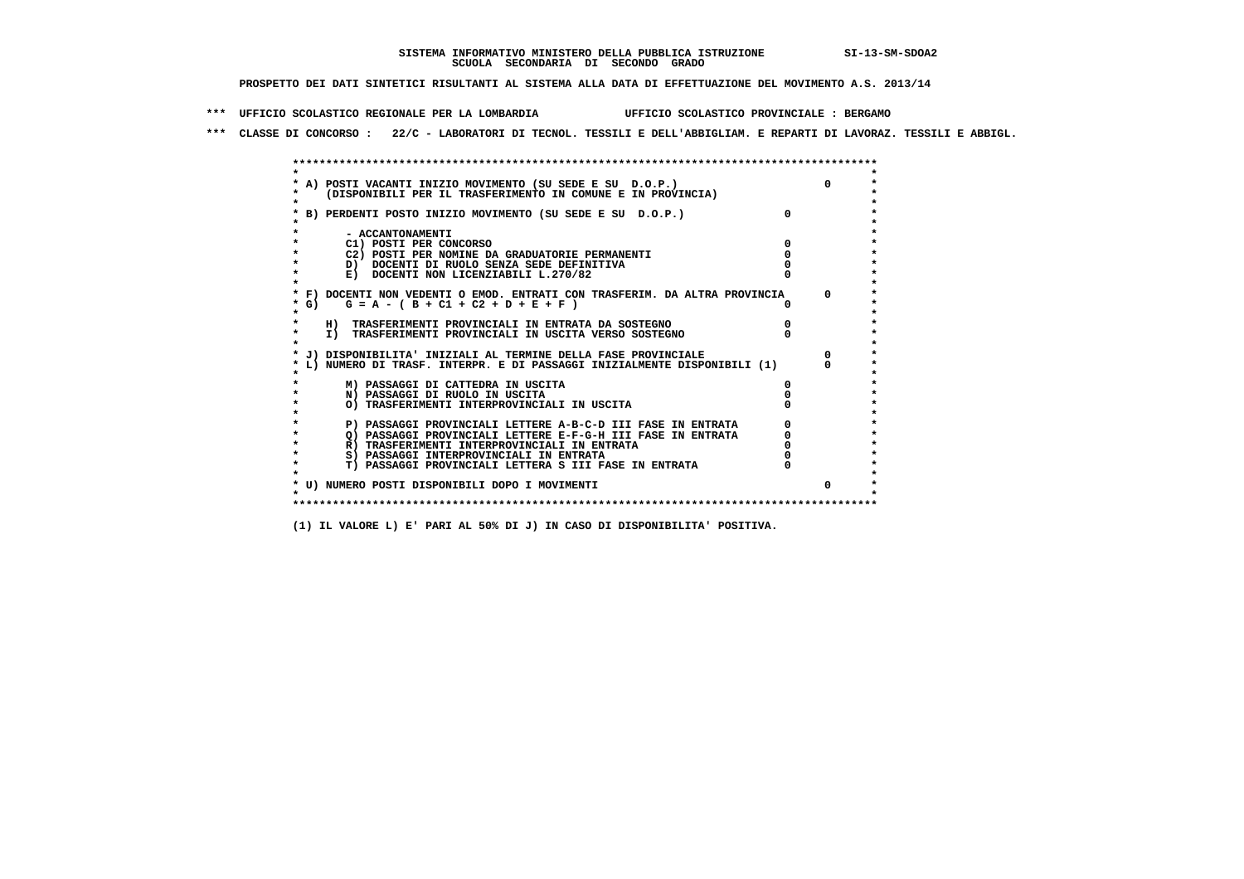**\*\*\* UFFICIO SCOLASTICO REGIONALE PER LA LOMBARDIA UFFICIO SCOLASTICO PROVINCIALE : BERGAMO**

 **\*\*\* CLASSE DI CONCORSO : 22/C - LABORATORI DI TECNOL. TESSILI E DELL'ABBIGLIAM. E REPARTI DI LAVORAZ. TESSILI E ABBIGL.**

|         | A) POSTI VACANTI INIZIO MOVIMENTO (SU SEDE E SU D.O.P.)                    |              |
|---------|----------------------------------------------------------------------------|--------------|
|         | (DISPONIBILI PER IL TRASFERIMENTO IN COMUNE E IN PROVINCIA)                |              |
|         |                                                                            |              |
|         | B) PERDENTI POSTO INIZIO MOVIMENTO (SU SEDE E SU D.O.P.)                   |              |
|         | - ACCANTONAMENTI                                                           |              |
|         | C1) POSTI PER CONCORSO                                                     |              |
|         | C2) POSTI PER NOMINE DA GRADUATORIE PERMANENTI                             |              |
|         | D) DOCENTI DI RUOLO SENZA SEDE DEFINITIVA                                  |              |
|         | E) DOCENTI NON LICENZIABILI L.270/82                                       |              |
|         | * F) DOCENTI NON VEDENTI O EMOD. ENTRATI CON TRASFERIM. DA ALTRA PROVINCIA | $\Omega$     |
| $*$ G)  | $G = A - (B + C1 + C2 + D + E + F)$                                        |              |
|         |                                                                            |              |
|         | H) TRASFERIMENTI PROVINCIALI IN ENTRATA DA SOSTEGNO                        |              |
| $\star$ | I) TRASFERIMENTI PROVINCIALI IN USCITA VERSO SOSTEGNO                      |              |
|         |                                                                            |              |
|         | J) DISPONIBILITA' INIZIALI AL TERMINE DELLA FASE PROVINCIALE               |              |
|         | L) NUMERO DI TRASF. INTERPR. E DI PASSAGGI INIZIALMENTE DISPONIBILI (1)    |              |
|         |                                                                            |              |
|         | M) PASSAGGI DI CATTEDRA IN USCITA                                          |              |
|         | N) PASSAGGI DI RUOLO IN USCITA                                             |              |
|         | O) TRASFERIMENTI INTERPROVINCIALI IN USCITA                                |              |
|         | P) PASSAGGI PROVINCIALI LETTERE A-B-C-D III FASE IN ENTRATA                |              |
|         | O) PASSAGGI PROVINCIALI LETTERE E-F-G-H III FASE IN ENTRATA                |              |
|         | R) TRASFERIMENTI INTERPROVINCIALI IN ENTRATA                               |              |
|         | S) PASSAGGI INTERPROVINCIALI IN ENTRATA                                    |              |
| $\star$ | T) PASSAGGI PROVINCIALI LETTERA S III FASE IN ENTRATA                      |              |
|         |                                                                            |              |
|         | * U) NUMERO POSTI DISPONIBILI DOPO I MOVIMENTI                             | <sup>n</sup> |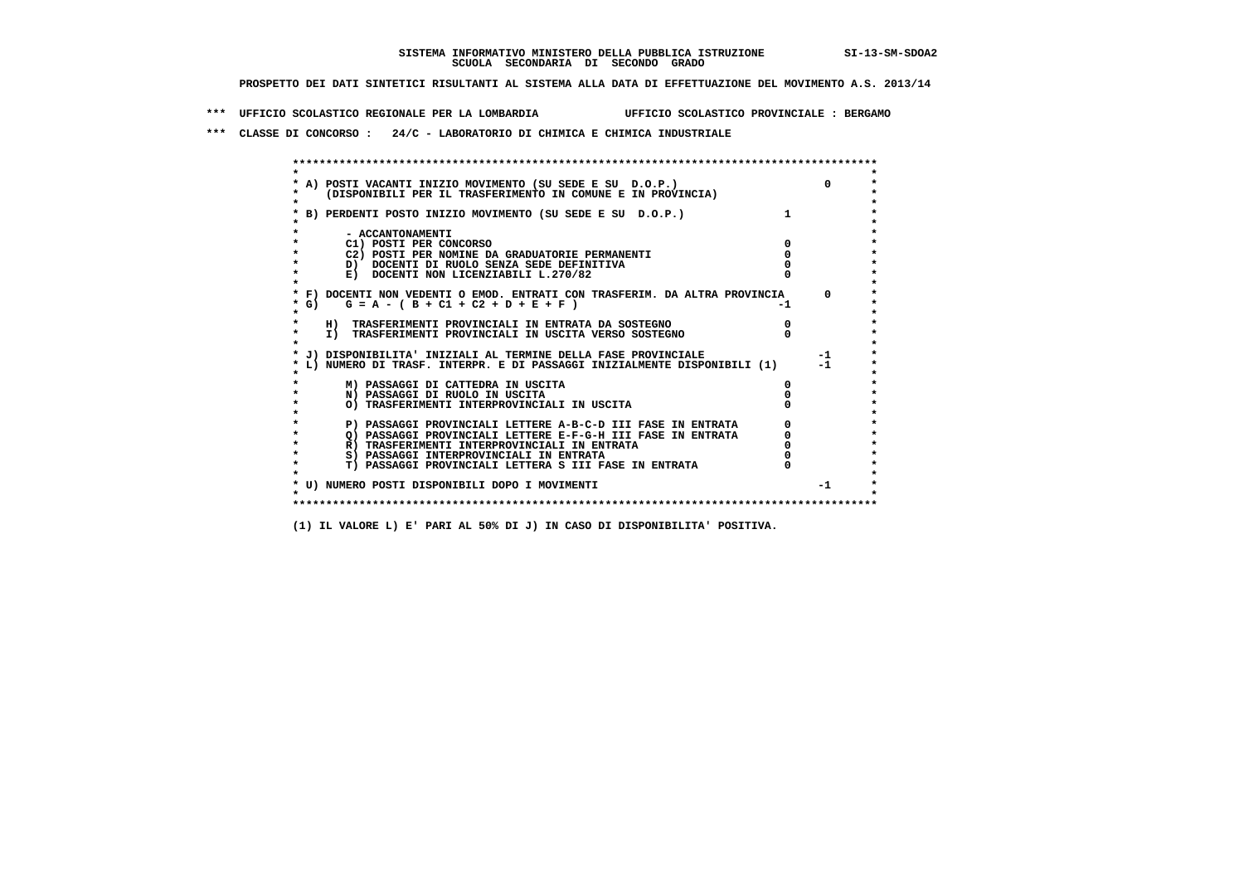**\*\*\* UFFICIO SCOLASTICO REGIONALE PER LA LOMBARDIA UFFICIO SCOLASTICO PROVINCIALE : BERGAMO**

 **\*\*\* CLASSE DI CONCORSO : 24/C - LABORATORIO DI CHIMICA E CHIMICA INDUSTRIALE**

 **\*\*\*\*\*\*\*\*\*\*\*\*\*\*\*\*\*\*\*\*\*\*\*\*\*\*\*\*\*\*\*\*\*\*\*\*\*\*\*\*\*\*\*\*\*\*\*\*\*\*\*\*\*\*\*\*\*\*\*\*\*\*\*\*\*\*\*\*\*\*\*\*\*\*\*\*\*\*\*\*\*\*\*\*\*\*\*\* \* \*** $\bullet$  **\* A) POSTI VACANTI INIZIO MOVIMENTO (SU SEDE E SU D.O.P.) 0 \*** $\star$  **\* (DISPONIBILI PER IL TRASFERIMENTO IN COMUNE E IN PROVINCIA) \* \* \* \* B) PERDENTI POSTO INIZIO MOVIMENTO (SU SEDE E SU D.O.P.) 1 \* \* \* \* - ACCANTONAMENTI \* \* C1) POSTI PER CONCORSO 0 \* \* C2) POSTI PER NOMINE DA GRADUATORIE PERMANENTI 0 \*D)** DOCENTI DI RUOLO SENZA SEDE DEFINITIVA  $\overline{a}$  0  $\overline{b}$  0  $\overline{c}$  0  $\overline{c}$  0  $\overline{c}$  0  $\overline{a}$  0  $\overline{b}$ **E) DOCENTI NON LICENZIABILI L.270/82 \* \* \* F) DOCENTI NON VEDENTI O EMOD. ENTRATI CON TRASFERIM. DA ALTRA PROVINCIA 0 \***  $\star$  **G)** G = A - ( B + C1 + C2 + D + E + F)  **\* \* \* H) TRASFERIMENTI PROVINCIALI IN ENTRATA DA SOSTEGNO 0 \* \* I) TRASFERIMENTI PROVINCIALI IN USCITA VERSO SOSTEGNO 0 \* \* \* \* J) DISPONIBILITA' INIZIALI AL TERMINE DELLA FASE PROVINCIALE -1 \* \* L) NUMERO DI TRASF. INTERPR. E DI PASSAGGI INIZIALMENTE DISPONIBILI (1) -1 \* \* \* \* M) PASSAGGI DI CATTEDRA IN USCITA 0 \* \* N) PASSAGGI DI RUOLO IN USCITA 0 \* \* O) TRASFERIMENTI INTERPROVINCIALI IN USCITA 0 \* \* \* P) PASSAGGI PROVINCIALI LETTERE A-B-C-D III FASE IN ENTRATA** 0 <sup>0</sup> **DASSAGGI PROVINCIALI LETTERE E-F-G-H** III FASE IN ENTRATA 0 <sup>0</sup>  **\* Q) PASSAGGI PROVINCIALI LETTERE E-F-G-H III FASE IN ENTRATA 0 \*R)** TRASFERIMENTI INTERPROVINCIALI IN ENTRATA  $\begin{bmatrix} 0 & 0 \\ 0 & 0 \\ 0 & 0 \end{bmatrix}$  PASSAGGI INTERPROVINCIALI IN ENTRATA  $\begin{bmatrix} 0 & 0 \\ 0 & 0 \\ 0 & 0 \end{bmatrix}$  **\* S) PASSAGGI INTERPROVINCIALI IN ENTRATA 0 \*** $\ddot{\phantom{1}}$  **\* T) PASSAGGI PROVINCIALI LETTERA S III FASE IN ENTRATA 0 \*** $\star$  **\* \* \* U) NUMERO POSTI DISPONIBILI DOPO I MOVIMENTI -1 \* \* \* \*\*\*\*\*\*\*\*\*\*\*\*\*\*\*\*\*\*\*\*\*\*\*\*\*\*\*\*\*\*\*\*\*\*\*\*\*\*\*\*\*\*\*\*\*\*\*\*\*\*\*\*\*\*\*\*\*\*\*\*\*\*\*\*\*\*\*\*\*\*\*\*\*\*\*\*\*\*\*\*\*\*\*\*\*\*\*\***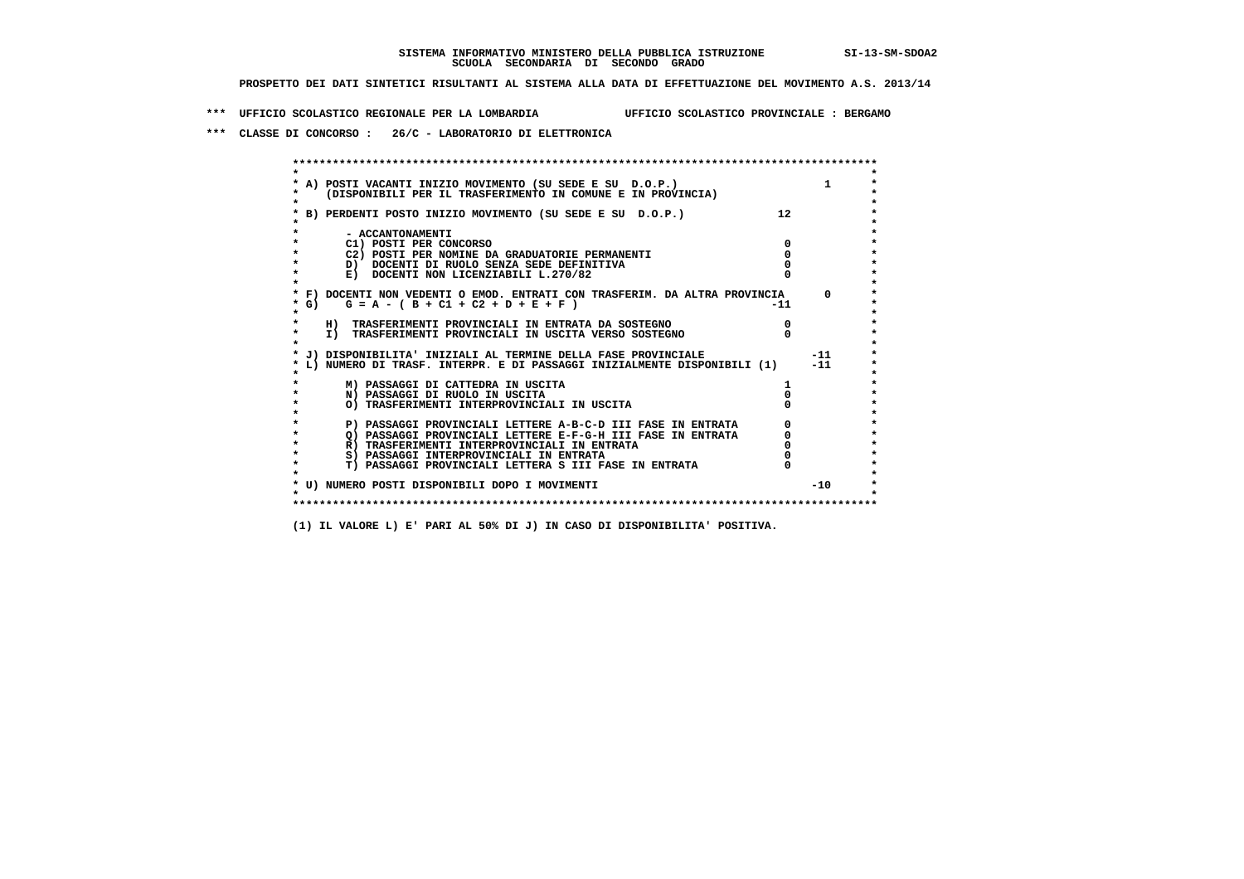**\*\*\* UFFICIO SCOLASTICO REGIONALE PER LA LOMBARDIA UFFICIO SCOLASTICO PROVINCIALE : BERGAMO**

 **\*\*\* CLASSE DI CONCORSO : 26/C - LABORATORIO DI ELETTRONICA**

|        | A) POSTI VACANTI INIZIO MOVIMENTO (SU SEDE E SU D.O.P.)<br>(DISPONIBILI PER IL TRASFERIMENTO IN COMUNE E IN PROVINCIA) |       | $\mathbf{1}$ |
|--------|------------------------------------------------------------------------------------------------------------------------|-------|--------------|
|        | B) PERDENTI POSTO INIZIO MOVIMENTO (SU SEDE E SU D.O.P.)                                                               | 12    |              |
|        | - ACCANTONAMENTI                                                                                                       |       |              |
|        | C1) POSTI PER CONCORSO<br>C2) POSTI PER NOMINE DA GRADUATORIE PERMANENTI                                               |       |              |
|        | D) DOCENTI DI RUOLO SENZA SEDE DEFINITIVA                                                                              |       |              |
|        | E) DOCENTI NON LICENZIABILI L.270/82                                                                                   |       |              |
| $*$ G) | * F) DOCENTI NON VEDENTI O EMOD. ENTRATI CON TRASFERIM. DA ALTRA PROVINCIA<br>$G = A - (B + C1 + C2 + D + E + F)$      | $-11$ | $\Omega$     |
|        |                                                                                                                        |       |              |
|        | H) TRASFERIMENTI PROVINCIALI IN ENTRATA DA SOSTEGNO                                                                    |       |              |
|        | I) TRASFERIMENTI PROVINCIALI IN USCITA VERSO SOSTEGNO                                                                  |       |              |
|        | J) DISPONIBILITA' INIZIALI AL TERMINE DELLA FASE PROVINCIALE                                                           |       | $-11$        |
|        | L) NUMERO DI TRASF. INTERPR. E DI PASSAGGI INIZIALMENTE DISPONIBILI (1)                                                |       | $-11$        |
|        | M) PASSAGGI DI CATTEDRA IN USCITA                                                                                      |       |              |
|        | N) PASSAGGI DI RUOLO IN USCITA                                                                                         |       |              |
|        | O) TRASFERIMENTI INTERPROVINCIALI IN USCITA                                                                            |       |              |
|        | P) PASSAGGI PROVINCIALI LETTERE A-B-C-D III FASE IN ENTRATA                                                            |       |              |
|        | O) PASSAGGI PROVINCIALI LETTERE E-F-G-H III FASE IN ENTRATA                                                            |       |              |
|        | R) TRASFERIMENTI INTERPROVINCIALI IN ENTRATA                                                                           |       |              |
|        | S) PASSAGGI INTERPROVINCIALI IN ENTRATA                                                                                |       |              |
|        | T) PASSAGGI PROVINCIALI LETTERA S III FASE IN ENTRATA                                                                  |       |              |
|        | * U) NUMERO POSTI DISPONIBILI DOPO I MOVIMENTI                                                                         |       | $-10$        |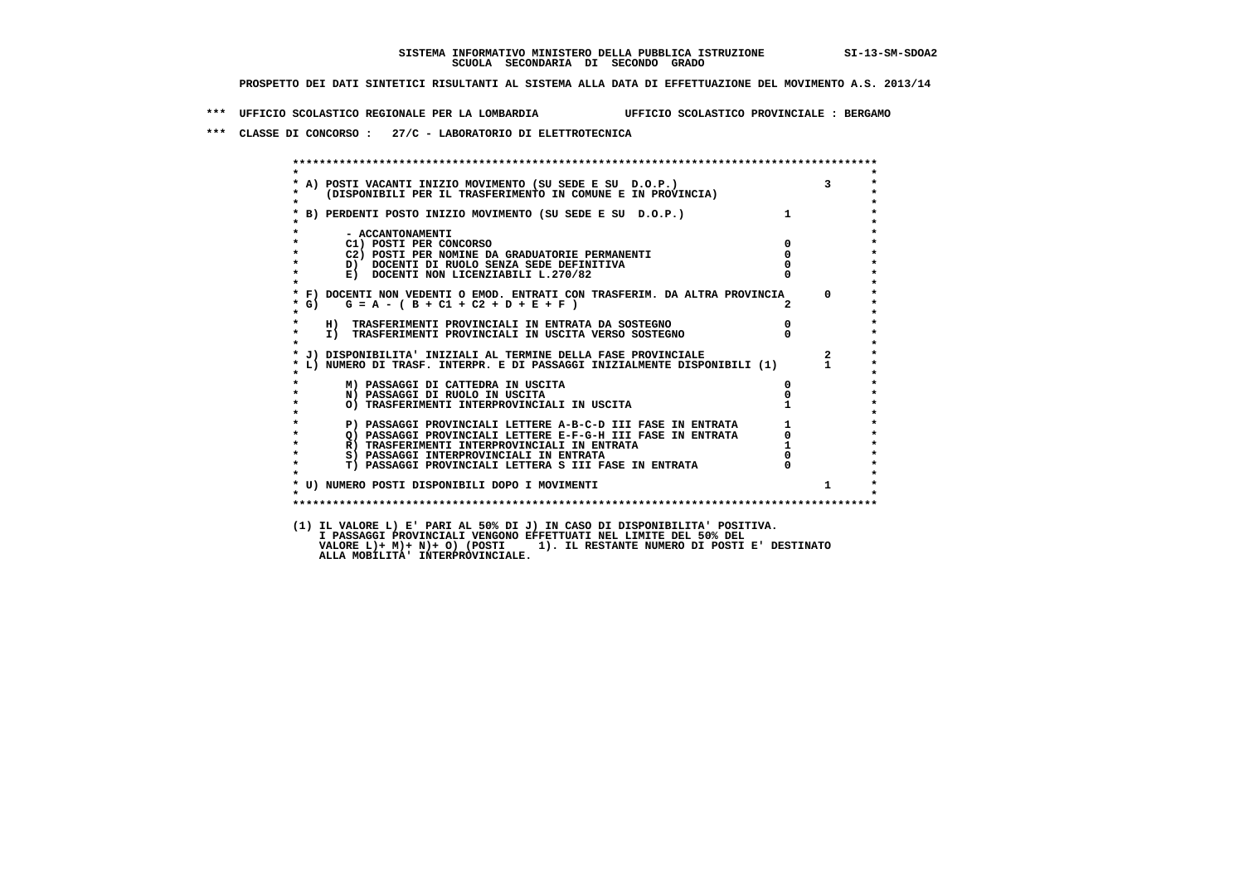**\*\*\* UFFICIO SCOLASTICO REGIONALE PER LA LOMBARDIA UFFICIO SCOLASTICO PROVINCIALE : BERGAMO**

 **\*\*\* CLASSE DI CONCORSO : 27/C - LABORATORIO DI ELETTROTECNICA**

|                    | FOSTI VACANTI INIZIO MOVIMENTO (SU SEDE E SU D.O.P.) 3<br>(DISPONIBILI PER IL TRASFERIMENTO IN COMUNE E IN PROVINCIA)<br>A) POSTI VACANTI INIZIO MOVIMENTO (SU SEDE E SU D.O.P.) |                                                 |                         |
|--------------------|----------------------------------------------------------------------------------------------------------------------------------------------------------------------------------|-------------------------------------------------|-------------------------|
|                    | B) PERDENTI POSTO INIZIO MOVIMENTO (SU SEDE E SU D.O.P.)                                                                                                                         |                                                 |                         |
|                    | - ACCANTONAMENTI                                                                                                                                                                 |                                                 |                         |
|                    | C1) POSTI PER CONCORSO                                                                                                                                                           | $\Omega$                                        |                         |
|                    | C2) POSTI PER NOMINE DA GRADUATORIE PERMANENTI                                                                                                                                   | $^{\circ}$                                      |                         |
|                    | D) DOCENTI DI RUOLO SENZA SEDE DEFINITIVA                                                                                                                                        |                                                 |                         |
|                    | E) DOCENTI NON LICENZIABILI L.270/82                                                                                                                                             |                                                 |                         |
|                    | * F) DOCENTI NON VEDENTI O EMOD. ENTRATI CON TRASFERIM. DA ALTRA PROVINCIA                                                                                                       |                                                 | $\Omega$                |
| $*$ G)<br>$\star$  | $G = A - (B + C1 + C2 + D + E + F)$                                                                                                                                              |                                                 |                         |
| $\star$            | H) TRASFERIMENTI PROVINCIALI IN ENTRATA DA SOSTEGNO                                                                                                                              |                                                 |                         |
| $\star$<br>$\star$ | I) TRASFERIMENTI PROVINCIALI IN USCITA VERSO SOSTEGNO                                                                                                                            |                                                 |                         |
|                    | * J) DISPONIBILITA' INIZIALI AL TERMINE DELLA FASE PROVINCIALE                                                                                                                   |                                                 | $\overline{\mathbf{2}}$ |
|                    | L) NUMERO DI TRASF. INTERPR. E DI PASSAGGI INIZIALMENTE DISPONIBILI (1)                                                                                                          |                                                 | $\mathbf 1$             |
|                    | M) PASSAGGI DI CATTEDRA IN USCITA                                                                                                                                                |                                                 |                         |
|                    | N) PASSAGGI DI RUOLO IN USCITA                                                                                                                                                   |                                                 |                         |
|                    | O) TRASFERIMENTI INTERPROVINCIALI IN USCITA                                                                                                                                      |                                                 |                         |
|                    | P) PASSAGGI PROVINCIALI LETTERE A-B-C-D III FASE IN ENTRATA                                                                                                                      | $\begin{array}{c} 1 \\ 0 \\ 1 \\ 0 \end{array}$ |                         |
| $\star$            | Q) PASSAGGI PROVINCIALI LETTERE E-F-G-H III FASE IN ENTRATA                                                                                                                      |                                                 |                         |
| $\star$            | R) TRASFERIMENTI INTERPROVINCIALI IN ENTRATA                                                                                                                                     |                                                 |                         |
| $\star$            | S) PASSAGGI INTERPROVINCIALI IN ENTRATA                                                                                                                                          |                                                 |                         |
| $\star$            | T) PASSAGGI PROVINCIALI LETTERA S III FASE IN ENTRATA                                                                                                                            |                                                 |                         |
|                    | * U) NUMERO POSTI DISPONIBILI DOPO I MOVIMENTI                                                                                                                                   |                                                 | $\mathbf{1}$            |
| $\mathbf{r}$       |                                                                                                                                                                                  |                                                 |                         |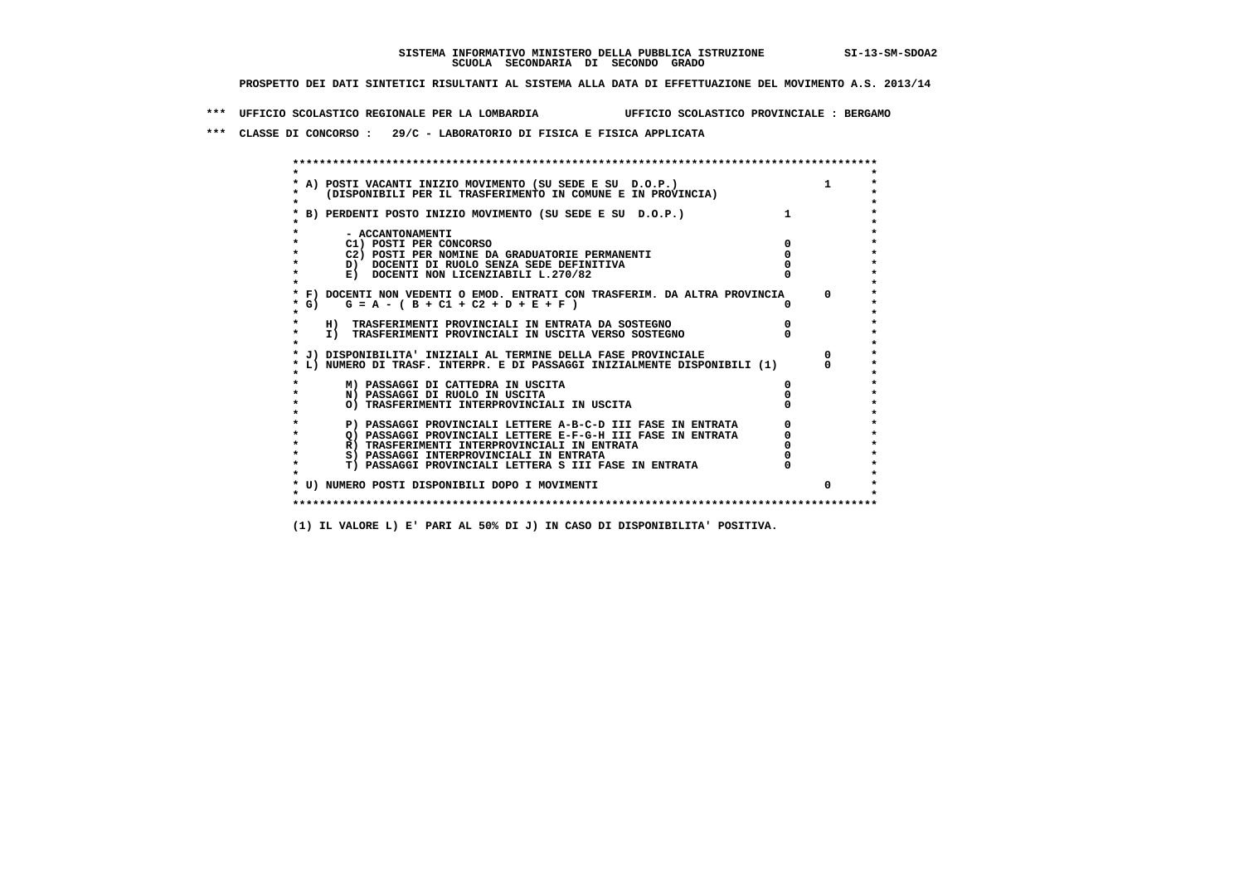**\*\*\* UFFICIO SCOLASTICO REGIONALE PER LA LOMBARDIA UFFICIO SCOLASTICO PROVINCIALE : BERGAMO**

 **\*\*\* CLASSE DI CONCORSO : 29/C - LABORATORIO DI FISICA E FISICA APPLICATA**

| A) POSTI VACANTI INIZIO MOVIMENTO (SU SEDE E SU D.O.P.)<br>(DISPONIBILI PER IL TRASFERIMENTO IN COMUNE E IN PROVINCIA) |            |
|------------------------------------------------------------------------------------------------------------------------|------------|
|                                                                                                                        |            |
| B) PERDENTI POSTO INIZIO MOVIMENTO (SU SEDE E SU D.O.P.)                                                               |            |
|                                                                                                                        |            |
| - ACCANTONAMENTI<br>C1) POSTI PER CONCORSO                                                                             |            |
| C2) POSTI PER NOMINE DA GRADUATORIE PERMANENTI                                                                         |            |
| D) DOCENTI DI RUOLO SENZA SEDE DEFINITIVA                                                                              |            |
| E) DOCENTI NON LICENZIABILI L.270/82                                                                                   |            |
|                                                                                                                        |            |
| * F) DOCENTI NON VEDENTI O EMOD. ENTRATI CON TRASFERIM. DA ALTRA PROVINCIA                                             | $^{\circ}$ |
| $G = A - (B + C1 + C2 + D + E + F)$<br>* G) +                                                                          |            |
|                                                                                                                        |            |
| H) TRASFERIMENTI PROVINCIALI IN ENTRATA DA SOSTEGNO                                                                    |            |
| I) TRASFERIMENTI PROVINCIALI IN USCITA VERSO SOSTEGNO                                                                  |            |
|                                                                                                                        |            |
| J) DISPONIBILITA' INIZIALI AL TERMINE DELLA FASE PROVINCIALE                                                           |            |
| L) NUMERO DI TRASF. INTERPR. E DI PASSAGGI INIZIALMENTE DISPONIBILI (1)                                                |            |
|                                                                                                                        |            |
| M) PASSAGGI DI CATTEDRA IN USCITA                                                                                      |            |
| N) PASSAGGI DI RUOLO IN USCITA                                                                                         |            |
| O) TRASFERIMENTI INTERPROVINCIALI IN USCITA                                                                            |            |
|                                                                                                                        |            |
| P) PASSAGGI PROVINCIALI LETTERE A-B-C-D III FASE IN ENTRATA                                                            |            |
| O) PASSAGGI PROVINCIALI LETTERE E-F-G-H III FASE IN ENTRATA                                                            |            |
| R) TRASFERIMENTI INTERPROVINCIALI IN ENTRATA                                                                           |            |
| S) PASSAGGI INTERPROVINCIALI IN ENTRATA                                                                                |            |
| <b>T) PASSAGGI PROVINCIALI LETTERA S III FASE IN ENTRATA</b>                                                           |            |
|                                                                                                                        | $\Omega$   |
| * U) NUMERO POSTI DISPONIBILI DOPO I MOVIMENTI                                                                         |            |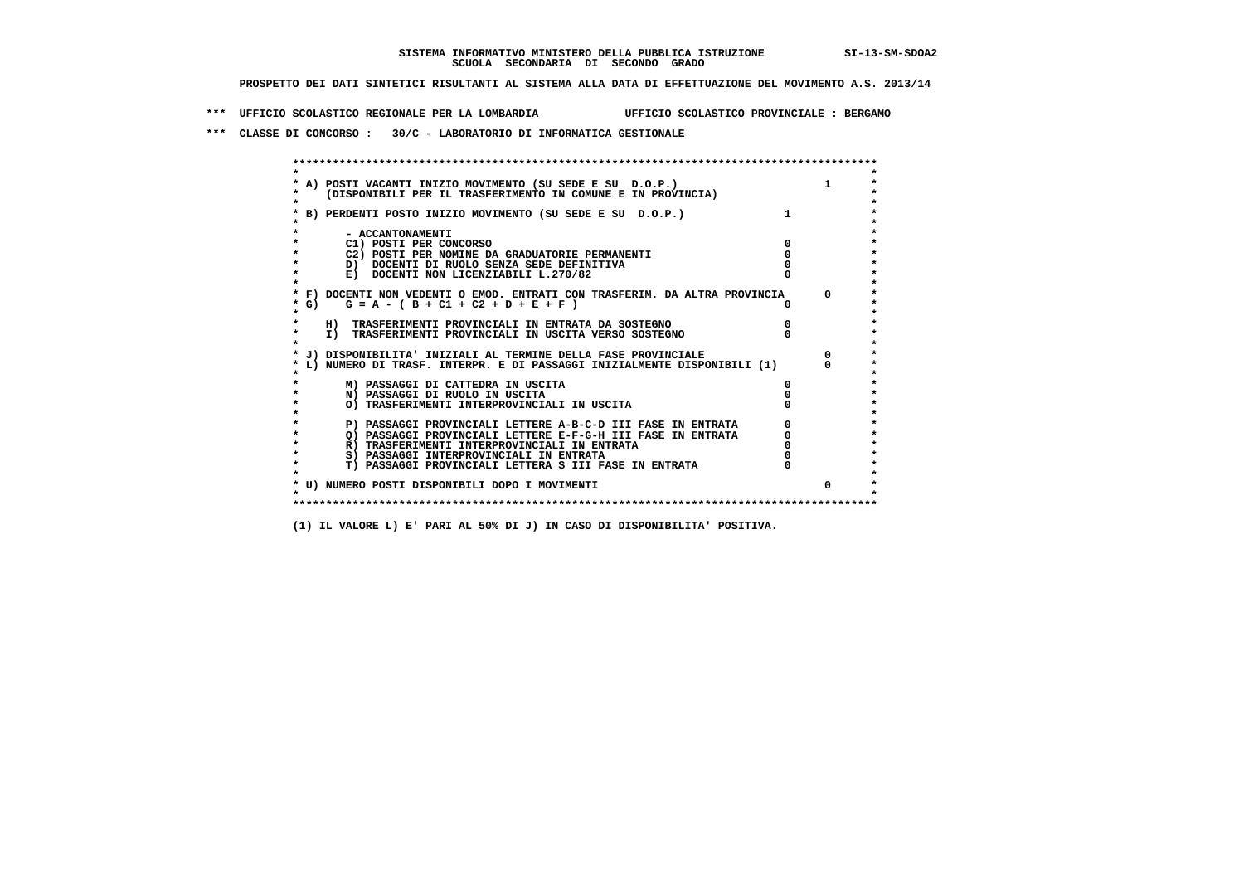**\*\*\* UFFICIO SCOLASTICO REGIONALE PER LA LOMBARDIA UFFICIO SCOLASTICO PROVINCIALE : BERGAMO**

 **\*\*\* CLASSE DI CONCORSO : 30/C - LABORATORIO DI INFORMATICA GESTIONALE**

| A) POSTI VACANTI INIZIO MOVIMENTO (SU SEDE E SU D.O.P.)                    |              |
|----------------------------------------------------------------------------|--------------|
| (DISPONIBILI PER IL TRASFERIMENTO IN COMUNE E IN PROVINCIA)                |              |
|                                                                            |              |
| B) PERDENTI POSTO INIZIO MOVIMENTO (SU SEDE E SU D.O.P.)                   |              |
|                                                                            |              |
| - ACCANTONAMENTI                                                           |              |
| C1) POSTI PER CONCORSO                                                     |              |
| C2) POSTI PER NOMINE DA GRADUATORIE PERMANENTI                             |              |
| D) DOCENTI DI RUOLO SENZA SEDE DEFINITIVA                                  |              |
| E) DOCENTI NON LICENZIABILI L.270/82                                       |              |
|                                                                            |              |
| * F) DOCENTI NON VEDENTI O EMOD. ENTRATI CON TRASFERIM. DA ALTRA PROVINCIA | $\Omega$     |
| G) $G = A - (B + C1 + C2 + D + E + F)$                                     |              |
|                                                                            |              |
| H) TRASFERIMENTI PROVINCIALI IN ENTRATA DA SOSTEGNO                        |              |
| I) TRASFERIMENTI PROVINCIALI IN USCITA VERSO SOSTEGNO                      |              |
|                                                                            |              |
| J) DISPONIBILITA' INIZIALI AL TERMINE DELLA FASE PROVINCIALE               |              |
| L) NUMERO DI TRASF. INTERPR. E DI PASSAGGI INIZIALMENTE DISPONIBILI (1)    |              |
|                                                                            |              |
| M) PASSAGGI DI CATTEDRA IN USCITA                                          |              |
| N) PASSAGGI DI RUOLO IN USCITA                                             |              |
| O) TRASFERIMENTI INTERPROVINCIALI IN USCITA                                |              |
|                                                                            |              |
| P) PASSAGGI PROVINCIALI LETTERE A-B-C-D III FASE IN ENTRATA                |              |
| O) PASSAGGI PROVINCIALI LETTERE E-F-G-H III FASE IN ENTRATA                |              |
| R) TRASFERIMENTI INTERPROVINCIALI IN ENTRATA                               |              |
| S) PASSAGGI INTERPROVINCIALI IN ENTRATA                                    |              |
| T) PASSAGGI PROVINCIALI LETTERA S III FASE IN ENTRATA                      |              |
|                                                                            |              |
| * U) NUMERO POSTI DISPONIBILI DOPO I MOVIMENTI                             | <sup>0</sup> |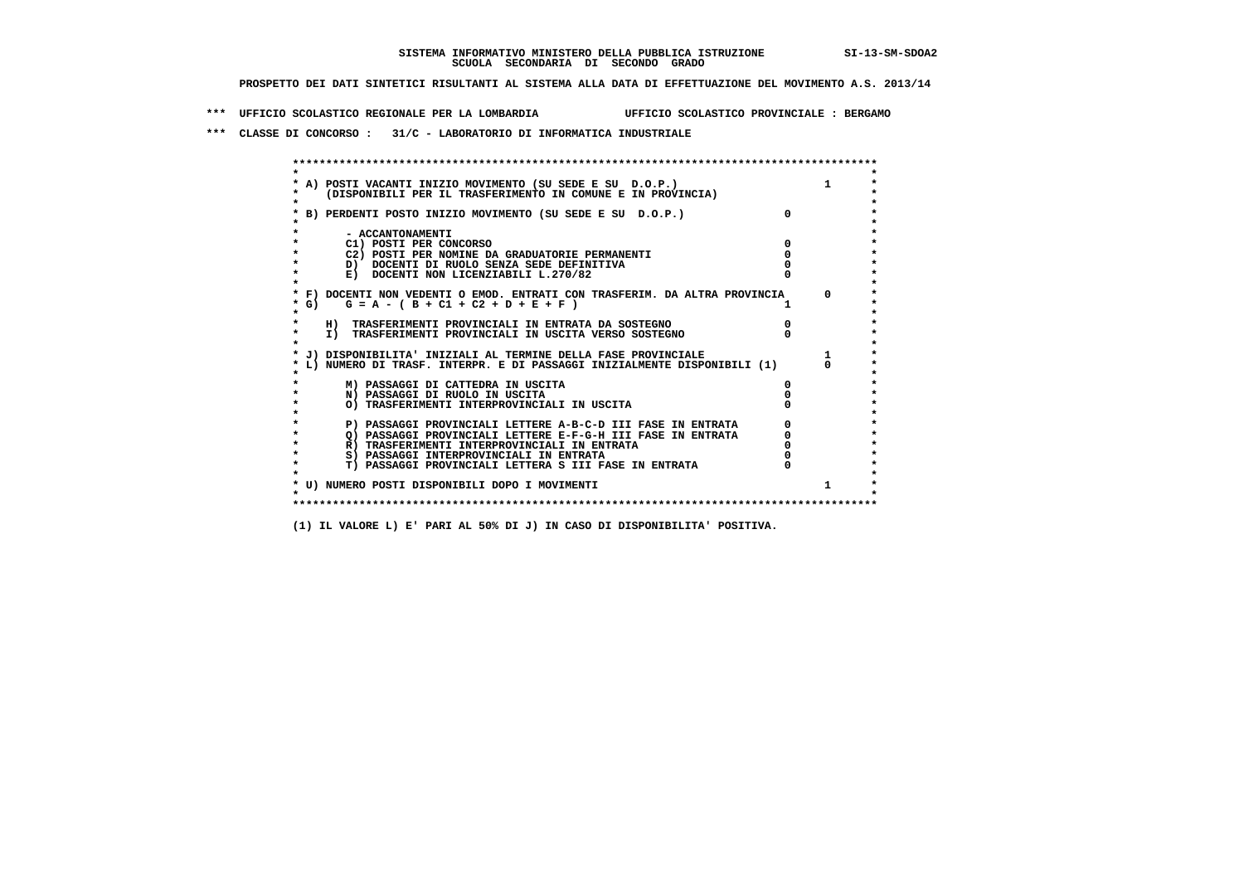**\*\*\* UFFICIO SCOLASTICO REGIONALE PER LA LOMBARDIA UFFICIO SCOLASTICO PROVINCIALE : BERGAMO**

 **\*\*\* CLASSE DI CONCORSO : 31/C - LABORATORIO DI INFORMATICA INDUSTRIALE**

|         | A) POSTI VACANTI INIZIO MOVIMENTO (SU SEDE E SU D.O.P.)                       |            |
|---------|-------------------------------------------------------------------------------|------------|
|         | (DISPONIBILI PER IL TRASFERIMENTO IN COMUNE E IN PROVINCIA)                   |            |
|         |                                                                               |            |
|         | B) PERDENTI POSTO INIZIO MOVIMENTO (SU SEDE E SU D.O.P.)                      |            |
|         |                                                                               |            |
|         | - ACCANTONAMENTI                                                              |            |
|         | C1) POSTI PER CONCORSO                                                        |            |
|         | C2) POSTI PER NOMINE DA GRADUATORIE PERMANENTI                                |            |
|         | D) DOCENTI DI RUOLO SENZA SEDE DEFINITIVA                                     |            |
|         | E) DOCENTI NON LICENZIABILI L.270/82                                          |            |
|         | * F) DOCENTI NON VEDENTI O EMOD. ENTRATI CON TRASFERIM. DA ALTRA PROVINCIA    | $^{\circ}$ |
|         | * G) $G = A - (B + C1 + C2 + D + E + F)$                                      |            |
| $\star$ |                                                                               |            |
|         | H) TRASFERIMENTI PROVINCIALI IN ENTRATA DA SOSTEGNO                           |            |
|         | I) TRASFERIMENTI PROVINCIALI IN USCITA VERSO SOSTEGNO                         |            |
|         |                                                                               |            |
|         | * J) DISPONIBILITA' INIZIALI AL TERMINE DELLA FASE PROVINCIALE                |            |
|         | L) NUMERO DI TRASF. INTERPR. E DI PASSAGGI INIZIALMENTE DISPONIBILI (1)       |            |
|         |                                                                               |            |
|         | M) PASSAGGI DI CATTEDRA IN USCITA                                             |            |
|         | N) PASSAGGI DI RUOLO IN USCITA<br>O) TRASFERIMENTI INTERPROVINCIALI IN USCITA |            |
|         |                                                                               |            |
|         | P) PASSAGGI PROVINCIALI LETTERE A-B-C-D III FASE IN ENTRATA                   |            |
|         | O) PASSAGGI PROVINCIALI LETTERE E-F-G-H III FASE IN ENTRATA                   |            |
|         | R) TRASFERIMENTI INTERPROVINCIALI IN ENTRATA                                  |            |
|         | S) PASSAGGI INTERPROVINCIALI IN ENTRATA                                       |            |
|         | T) PASSAGGI PROVINCIALI LETTERA S III FASE IN ENTRATA                         |            |
|         |                                                                               |            |
|         | * U) NUMERO POSTI DISPONIBILI DOPO I MOVIMENTI                                |            |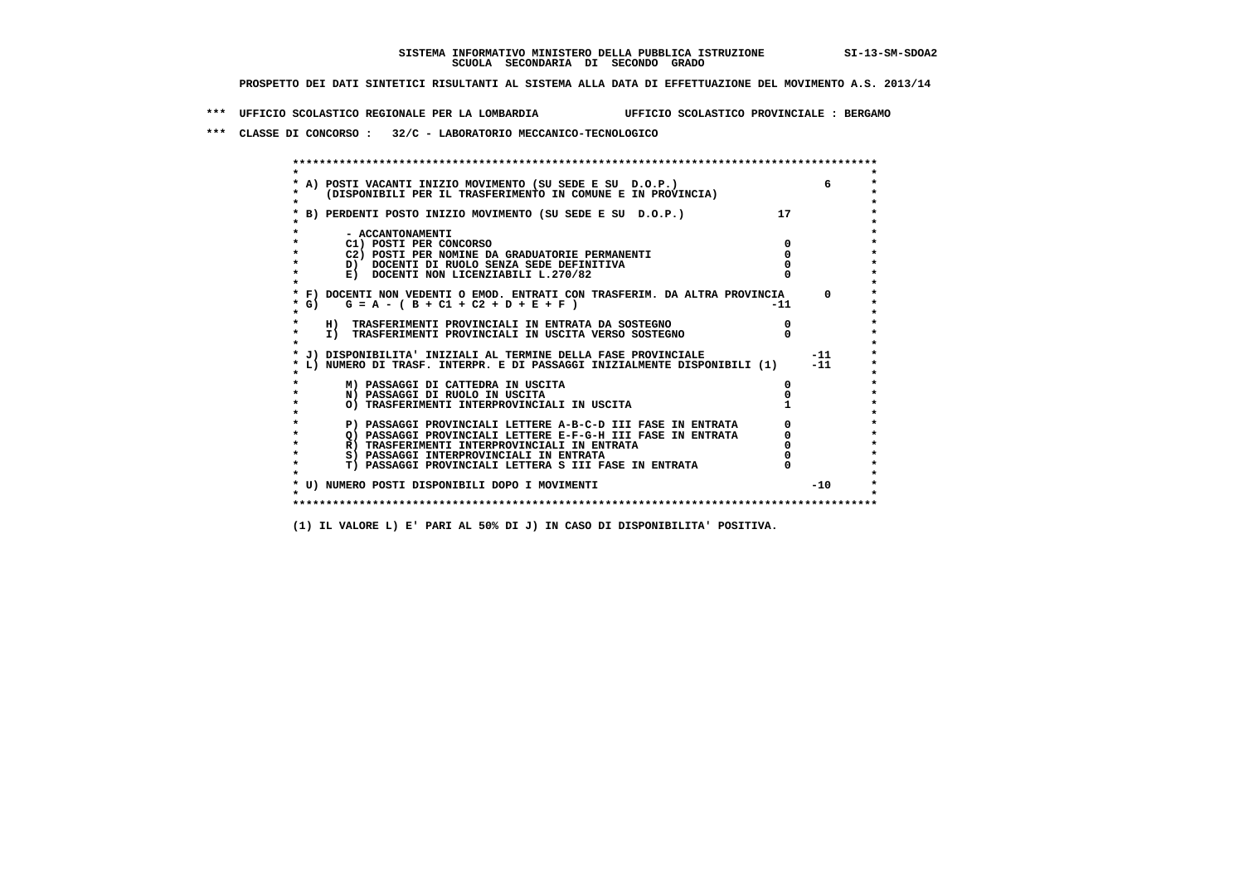**\*\*\* UFFICIO SCOLASTICO REGIONALE PER LA LOMBARDIA UFFICIO SCOLASTICO PROVINCIALE : BERGAMO**

 **\*\*\* CLASSE DI CONCORSO : 32/C - LABORATORIO MECCANICO-TECNOLOGICO**

| * A) POSTI VACANTI INIZIO MOVIMENTO (SU SEDE E SU D.O.P.)<br>(DISPONIBILI PER IL TRASFERIMENTO IN COMUNE E IN PROVINCIA) |     |            |
|--------------------------------------------------------------------------------------------------------------------------|-----|------------|
|                                                                                                                          |     |            |
| B) PERDENTI POSTO INIZIO MOVIMENTO (SU SEDE E SU D.O.P.)                                                                 | 17  |            |
|                                                                                                                          |     |            |
| - ACCANTONAMENTI                                                                                                         |     |            |
| C1) POSTI PER CONCORSO                                                                                                   |     |            |
| C2) POSTI PER NOMINE DA GRADUATORIE PERMANENTI                                                                           |     |            |
| D) DOCENTI DI RUOLO SENZA SEDE DEFINITIVA                                                                                |     |            |
| E) DOCENTI NON LICENZIABILI L.270/82                                                                                     |     |            |
| * F) DOCENTI NON VEDENTI O EMOD. ENTRATI CON TRASFERIM. DA ALTRA PROVINCIA                                               |     | $^{\circ}$ |
| $G = A - (B + C1 + C2 + D + E + F)$<br>* G) =                                                                            | -11 |            |
| $\star$                                                                                                                  |     |            |
| H) TRASFERIMENTI PROVINCIALI IN ENTRATA DA SOSTEGNO                                                                      |     |            |
| $\star$<br>I) TRASFERIMENTI PROVINCIALI IN USCITA VERSO SOSTEGNO                                                         |     |            |
|                                                                                                                          |     |            |
| * J) DISPONIBILITA' INIZIALI AL TERMINE DELLA FASE PROVINCIALE                                                           |     | $-11$      |
| L) NUMERO DI TRASF. INTERPR. E DI PASSAGGI INIZIALMENTE DISPONIBILI (1)                                                  |     | $-11$      |
| M) PASSAGGI DI CATTEDRA IN USCITA                                                                                        |     |            |
| N) PASSAGGI DI RUOLO IN USCITA                                                                                           |     |            |
| O) TRASFERIMENTI INTERPROVINCIALI IN USCITA                                                                              |     |            |
|                                                                                                                          |     |            |
| P) PASSAGGI PROVINCIALI LETTERE A-B-C-D III FASE IN ENTRATA                                                              |     |            |
| O) PASSAGGI PROVINCIALI LETTERE E-F-G-H III FASE IN ENTRATA                                                              |     |            |
| $\star$<br>R) TRASFERIMENTI INTERPROVINCIALI IN ENTRATA                                                                  |     |            |
| $\star$<br>S) PASSAGGI INTERPROVINCIALI IN ENTRATA                                                                       |     |            |
| $\star$<br>T) PASSAGGI PROVINCIALI LETTERA S III FASE IN ENTRATA                                                         |     |            |
|                                                                                                                          |     |            |
| * U) NUMERO POSTI DISPONIBILI DOPO I MOVIMENTI                                                                           |     | $-10$      |
|                                                                                                                          |     |            |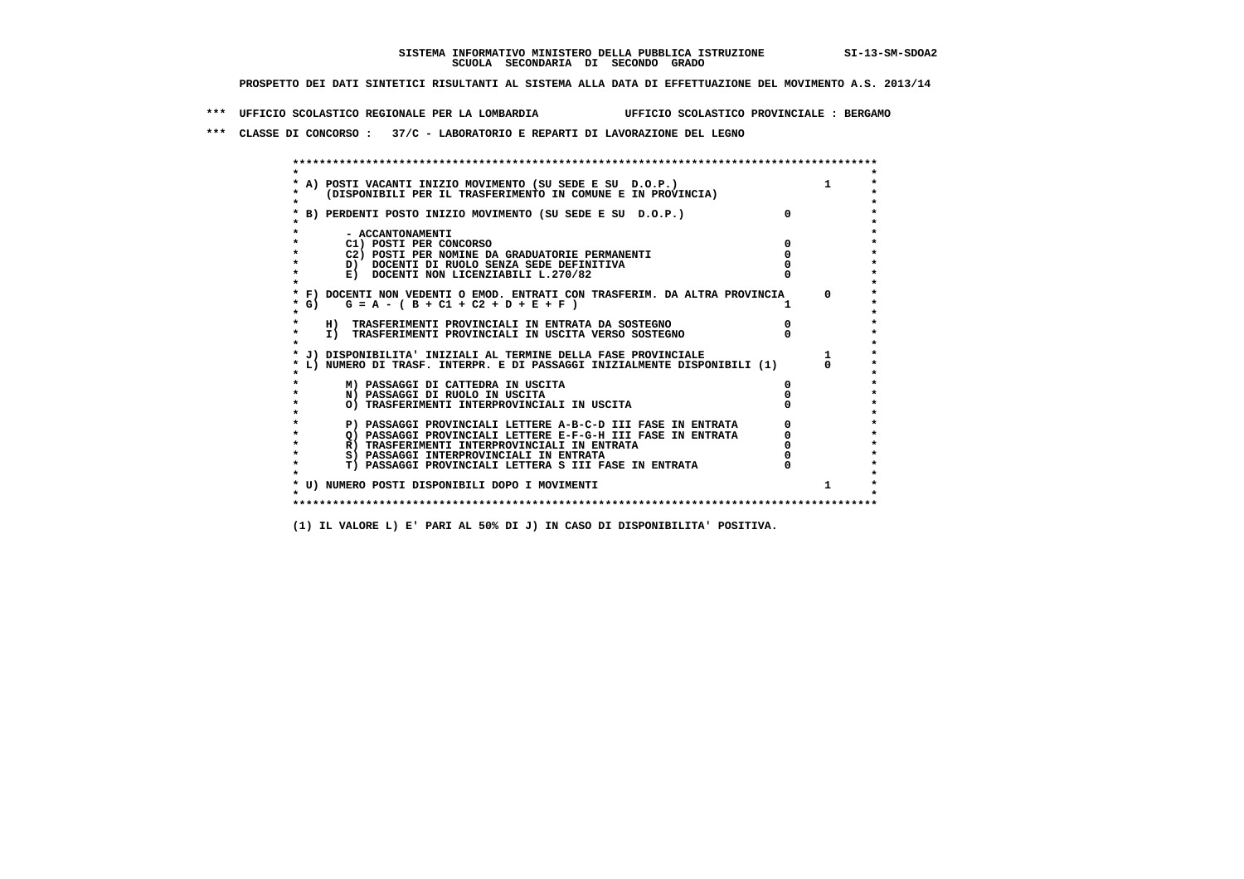**\*\*\* UFFICIO SCOLASTICO REGIONALE PER LA LOMBARDIA UFFICIO SCOLASTICO PROVINCIALE : BERGAMO**

 **\*\*\* CLASSE DI CONCORSO : 37/C - LABORATORIO E REPARTI DI LAVORAZIONE DEL LEGNO**

 **\*\*\*\*\*\*\*\*\*\*\*\*\*\*\*\*\*\*\*\*\*\*\*\*\*\*\*\*\*\*\*\*\*\*\*\*\*\*\*\*\*\*\*\*\*\*\*\*\*\*\*\*\*\*\*\*\*\*\*\*\*\*\*\*\*\*\*\*\*\*\*\*\*\*\*\*\*\*\*\*\*\*\*\*\*\*\*\* \* \*** $\bullet$  **\* A) POSTI VACANTI INIZIO MOVIMENTO (SU SEDE E SU D.O.P.) 1 \*** $\star$  **\* (DISPONIBILI PER IL TRASFERIMENTO IN COMUNE E IN PROVINCIA) \*** $\bullet$  **\* \* \* B) PERDENTI POSTO INIZIO MOVIMENTO (SU SEDE E SU D.O.P.) 0 \* \* \* \* - ACCANTONAMENTI \* \* C1) POSTI PER CONCORSO 0 \* \* C2) POSTI PER NOMINE DA GRADUATORIE PERMANENTI 0 \*D)** DOCENTI DI RUOLO SENZA SEDE DEFINITIVA  $\overline{a}$  0  $\overline{b}$  0  $\overline{c}$  0  $\overline{c}$  0  $\overline{c}$  0  $\overline{a}$  0  $\overline{b}$ **E) DOCENTI NON LICENZIABILI L.270/82 \* \* \* F) DOCENTI NON VEDENTI O EMOD. ENTRATI CON TRASFERIM. DA ALTRA PROVINCIA 0 \***  $\star$  **G)** G = A - ( B + C1 + C2 + D + E + F )  **\* \* \* H) TRASFERIMENTI PROVINCIALI IN ENTRATA DA SOSTEGNO 0 \* \* I) TRASFERIMENTI PROVINCIALI IN USCITA VERSO SOSTEGNO 0 \* \* \* \* J) DISPONIBILITA' INIZIALI AL TERMINE DELLA FASE PROVINCIALE 1 \* \* L) NUMERO DI TRASF. INTERPR. E DI PASSAGGI INIZIALMENTE DISPONIBILI (1) 0 \* \* \* \* M) PASSAGGI DI CATTEDRA IN USCITA 0 \* \* N) PASSAGGI DI RUOLO IN USCITA 0 \* \* O) TRASFERIMENTI INTERPROVINCIALI IN USCITA 0 \* \* \* P) PASSAGGI PROVINCIALI LETTERE A-B-C-D III FASE IN ENTRATA** 0 <sup>0</sup> **DASSAGGI PROVINCIALI LETTERE E-F-G-H** III FASE IN ENTRATA 0 <sup>0</sup>  **\* Q) PASSAGGI PROVINCIALI LETTERE E-F-G-H III FASE IN ENTRATA 0 \*R)** TRASFERIMENTI INTERPROVINCIALI IN ENTRATA  $\begin{bmatrix} 0 & 0 \\ 0 & 0 \\ 0 & 0 \end{bmatrix}$  PASSAGGI INTERPROVINCIALI IN ENTRATA  $\begin{bmatrix} 0 & 0 \\ 0 & 0 \\ 0 & 0 \end{bmatrix}$ **8) PASSAGGI INTERPROVINCIALI IN ENTRATA 6 \*\*\*** 0 \*\*\*<br> **T) PASSAGGI PROVINCIALI LETTERA S III FASE IN ENTRATA** 0 \*\*\*  $\ddot{\phantom{1}}$  **\* T) PASSAGGI PROVINCIALI LETTERA S III FASE IN ENTRATA 0 \*** $\star$  **\* \* \* U) NUMERO POSTI DISPONIBILI DOPO I MOVIMENTI 1 \* \* \* \*\*\*\*\*\*\*\*\*\*\*\*\*\*\*\*\*\*\*\*\*\*\*\*\*\*\*\*\*\*\*\*\*\*\*\*\*\*\*\*\*\*\*\*\*\*\*\*\*\*\*\*\*\*\*\*\*\*\*\*\*\*\*\*\*\*\*\*\*\*\*\*\*\*\*\*\*\*\*\*\*\*\*\*\*\*\*\***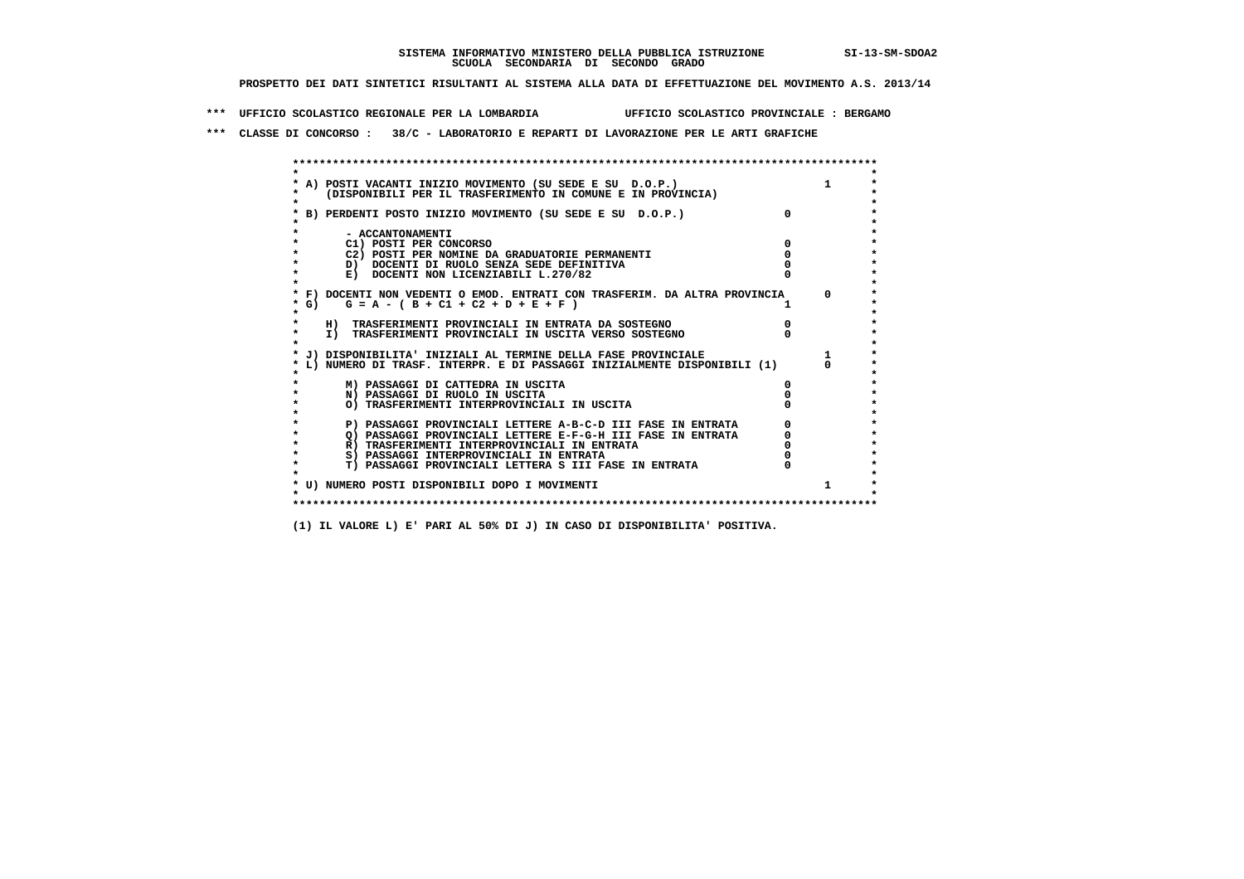**\*\*\* UFFICIO SCOLASTICO REGIONALE PER LA LOMBARDIA UFFICIO SCOLASTICO PROVINCIALE : BERGAMO**

 **\*\*\* CLASSE DI CONCORSO : 38/C - LABORATORIO E REPARTI DI LAVORAZIONE PER LE ARTI GRAFICHE**

 **\*\*\*\*\*\*\*\*\*\*\*\*\*\*\*\*\*\*\*\*\*\*\*\*\*\*\*\*\*\*\*\*\*\*\*\*\*\*\*\*\*\*\*\*\*\*\*\*\*\*\*\*\*\*\*\*\*\*\*\*\*\*\*\*\*\*\*\*\*\*\*\*\*\*\*\*\*\*\*\*\*\*\*\*\*\*\*\* \* \*** $\bullet$  **\* A) POSTI VACANTI INIZIO MOVIMENTO (SU SEDE E SU D.O.P.) 1 \*** $\star$  **\* (DISPONIBILI PER IL TRASFERIMENTO IN COMUNE E IN PROVINCIA) \*** $\bullet$  **\* \* \* B) PERDENTI POSTO INIZIO MOVIMENTO (SU SEDE E SU D.O.P.) 0 \* \* \* \* - ACCANTONAMENTI \* \* C1) POSTI PER CONCORSO 0 \* \* C2) POSTI PER NOMINE DA GRADUATORIE PERMANENTI 0 \*b**  $\overline{D}$  **docenti di RUOLO SENZA SEDE DEFINITIVA**  $\overline{D}$  **0**  $\overline{D}$  **0**  $\overline{D}$  **0**  $\overline{D}$  **0**  $\overline{D}$  **0**  $\overline{D}$  **0**  $\overline{D}$  **0**  $\overline{D}$  **0**  $\overline{D}$  **0**  $\overline{D}$  **0**  $\overline{D}$  **0**  $\overline{D}$  **0**  $\overline{D}$  **0 E) DOCENTI NON LICENZIABILI L.270/82 \* \* \* F) DOCENTI NON VEDENTI O EMOD. ENTRATI CON TRASFERIM. DA ALTRA PROVINCIA 0 \***  $\star$  **G)** G = A - ( B + C1 + C2 + D + E + F )  **\* \* \* H) TRASFERIMENTI PROVINCIALI IN ENTRATA DA SOSTEGNO 0 \* \* I) TRASFERIMENTI PROVINCIALI IN USCITA VERSO SOSTEGNO 0 \* \* \* \* J) DISPONIBILITA' INIZIALI AL TERMINE DELLA FASE PROVINCIALE 1 \* \* L) NUMERO DI TRASF. INTERPR. E DI PASSAGGI INIZIALMENTE DISPONIBILI (1) 0 \* \* \* \* M) PASSAGGI DI CATTEDRA IN USCITA 0 \* \* N) PASSAGGI DI RUOLO IN USCITA 0 \* \* O) TRASFERIMENTI INTERPROVINCIALI IN USCITA 0 \* \* \* P) PASSAGGI PROVINCIALI LETTERE A-B-C-D III FASE IN ENTRATA** 0 <sup>0</sup> **DASSAGGI PROVINCIALI LETTERE E-F-G-H** III FASE IN ENTRATA 0 <sup>0</sup>  $\star$  **\* Q) PASSAGGI PROVINCIALI LETTERE E-F-G-H III FASE IN ENTRATA 0 \* \* R) TRASFERIMENTI INTERPROVINCIALI IN ENTRATA 0 \*8) PASSAGGI INTERPROVINCIALI IN ENTRATA 6 \*\*\*** 0 \*\*\*<br> **T) PASSAGGI PROVINCIALI LETTERA S III FASE IN ENTRATA** 0 \*\*\*  $\ddot{\phantom{1}}$  **\* T) PASSAGGI PROVINCIALI LETTERA S III FASE IN ENTRATA 0 \*** $\star$  **\* \* \* U) NUMERO POSTI DISPONIBILI DOPO I MOVIMENTI 1 \* \* \* \*\*\*\*\*\*\*\*\*\*\*\*\*\*\*\*\*\*\*\*\*\*\*\*\*\*\*\*\*\*\*\*\*\*\*\*\*\*\*\*\*\*\*\*\*\*\*\*\*\*\*\*\*\*\*\*\*\*\*\*\*\*\*\*\*\*\*\*\*\*\*\*\*\*\*\*\*\*\*\*\*\*\*\*\*\*\*\***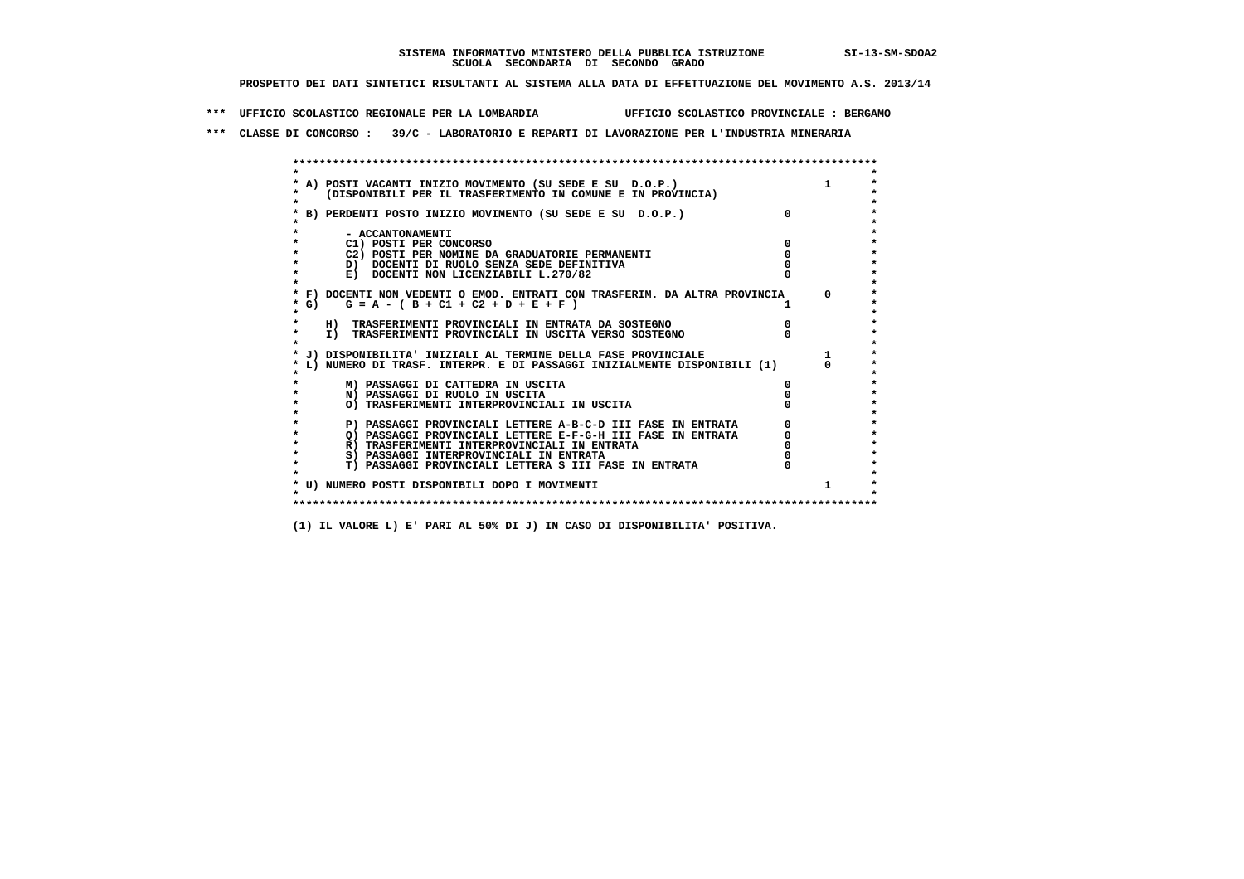**\*\*\* UFFICIO SCOLASTICO REGIONALE PER LA LOMBARDIA UFFICIO SCOLASTICO PROVINCIALE : BERGAMO**

 **\*\*\* CLASSE DI CONCORSO : 39/C - LABORATORIO E REPARTI DI LAVORAZIONE PER L'INDUSTRIA MINERARIA**

| * A) POSTI VACANTI INIZIO MOVIMENTO (SU SEDE E SU D.O.P.)                  |          |
|----------------------------------------------------------------------------|----------|
| (DISPONIBILI PER IL TRASFERIMENTO IN COMUNE E IN PROVINCIA)                |          |
| * B) PERDENTI POSTO INIZIO MOVIMENTO (SU SEDE E SU D.O.P.)                 | $\Omega$ |
|                                                                            |          |
| - ACCANTONAMENTI                                                           |          |
| C1) POSTI PER CONCORSO                                                     |          |
| C2) POSTI PER NOMINE DA GRADUATORIE PERMANENTI                             |          |
| D) DOCENTI DI RUOLO SENZA SEDE DEFINITIVA                                  |          |
| E) DOCENTI NON LICENZIABILI L.270/82                                       |          |
| * F) DOCENTI NON VEDENTI O EMOD. ENTRATI CON TRASFERIM. DA ALTRA PROVINCIA |          |
| $*$ G)<br>$G = A - (B + C1 + C2 + D + E + F)$                              |          |
|                                                                            |          |
| H) TRASFERIMENTI PROVINCIALI IN ENTRATA DA SOSTEGNO                        |          |
| I) TRASFERIMENTI PROVINCIALI IN USCITA VERSO SOSTEGNO                      |          |
|                                                                            |          |
| J) DISPONIBILITA' INIZIALI AL TERMINE DELLA FASE PROVINCIALE               |          |
| L) NUMERO DI TRASF. INTERPR. E DI PASSAGGI INIZIALMENTE DISPONIBILI (1)    |          |
| M) PASSAGGI DI CATTEDRA IN USCITA                                          |          |
| N) PASSAGGI DI RUOLO IN USCITA                                             |          |
| O) TRASFERIMENTI INTERPROVINCIALI IN USCITA                                |          |
|                                                                            |          |
| P) PASSAGGI PROVINCIALI LETTERE A-B-C-D III FASE IN ENTRATA                |          |
| Q) PASSAGGI PROVINCIALI LETTERE E-F-G-H III FASE IN ENTRATA                |          |
| R) TRASFERIMENTI INTERPROVINCIALI IN ENTRATA                               |          |
| S) PASSAGGI INTERPROVINCIALI IN ENTRATA                                    |          |
| T) PASSAGGI PROVINCIALI LETTERA S III FASE IN ENTRATA                      |          |
|                                                                            |          |
| * U) NUMERO POSTI DISPONIBILI DOPO I MOVIMENTI                             |          |
|                                                                            |          |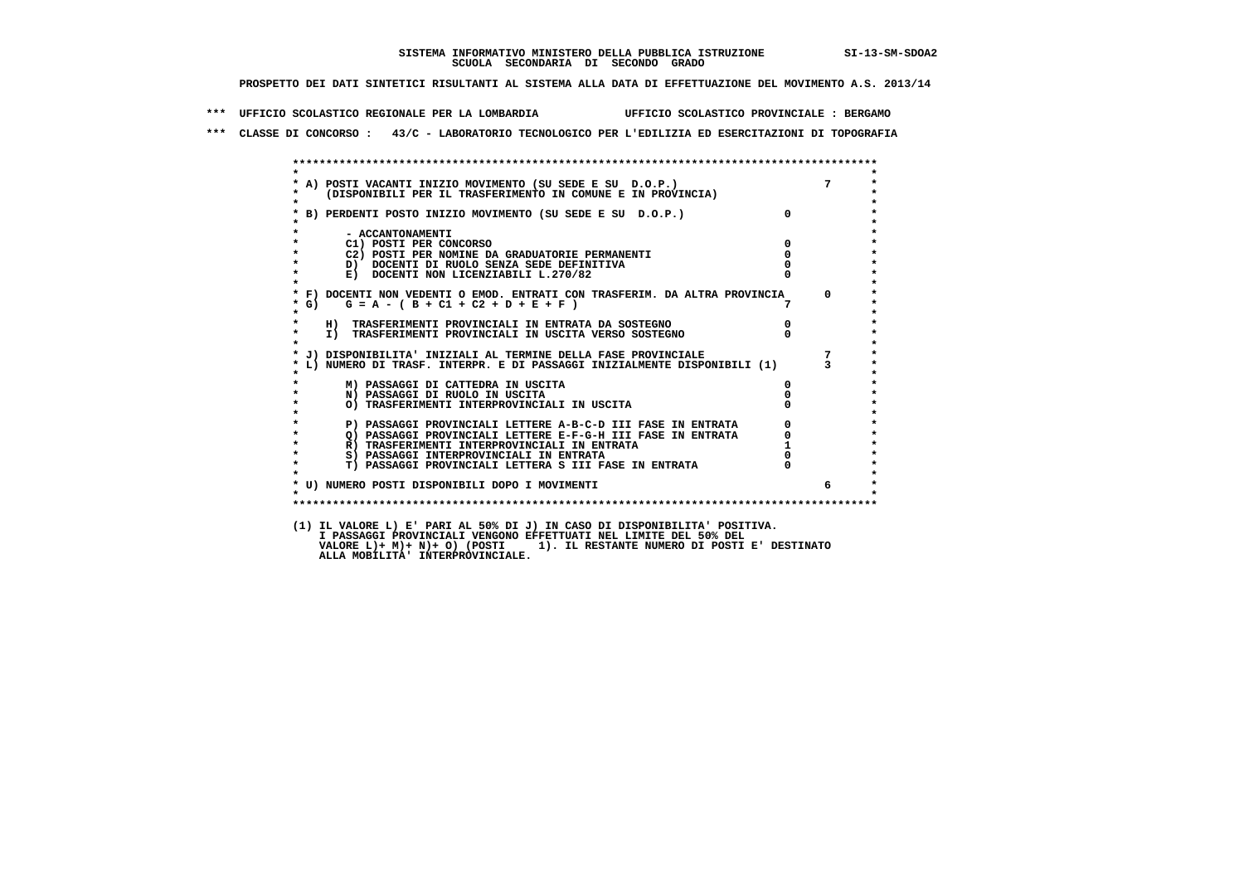**\*\*\* UFFICIO SCOLASTICO REGIONALE PER LA LOMBARDIA UFFICIO SCOLASTICO PROVINCIALE : BERGAMO**

 **\*\*\* CLASSE DI CONCORSO : 43/C - LABORATORIO TECNOLOGICO PER L'EDILIZIA ED ESERCITAZIONI DI TOPOGRAFIA**

| $\star$            |                                                                                                                                                             |                                  |    |
|--------------------|-------------------------------------------------------------------------------------------------------------------------------------------------------------|----------------------------------|----|
|                    |                                                                                                                                                             |                                  |    |
|                    | * A) POSTI VACANTI INIZIO MOVIMENTO (SU SEDE E SU D.O.P.) 7<br>* (DISPONIBILI PER IL TRASFERIMENTO IN COMUNE E IN PROVINCIA) *                              |                                  |    |
| $\star$            |                                                                                                                                                             | $\overline{0}$                   |    |
|                    | * B) PERDENTI POSTO INIZIO MOVIMENTO (SU SEDE E SU D.O.P.)                                                                                                  |                                  |    |
|                    |                                                                                                                                                             |                                  |    |
| $\star$            | - ACCANTONAMENTI<br>$\overline{\mathbf{0}}$                                                                                                                 |                                  |    |
| $\star$            | C1) POSTI PER CONCORSO<br>C2) POSTI PER NOMINE DA GRADUATORIE PERMANENTI                                                                                    | $\Omega$                         |    |
| $\star$            | D) DOCENTI DI RUOLO SENZA SEDE DEFINITIVA                                                                                                                   |                                  |    |
| $\star$            | E) DOCENTI NON LICENZIABILI L.270/82                                                                                                                        |                                  |    |
| $\star$            |                                                                                                                                                             |                                  |    |
|                    | * F) DOCENTI NON VEDENTI O EMOD. ENTRATI CON TRASFERIM. DA ALTRA PROVINCIA 0                                                                                |                                  |    |
| $*$ G)             | $G = A - (B + C1 + C2 + D + E + F)$                                                                                                                         |                                  |    |
| $\star$            |                                                                                                                                                             |                                  |    |
| $\star$            | H) TRASFERIMENTI PROVINCIALI IN ENTRATA DA SOSTEGNO                                                                                                         | $\begin{matrix}0\\0\end{matrix}$ |    |
| $\star$            | I) TRASFERIMENTI PROVINCIALI IN USCITA VERSO SOSTEGNO                                                                                                       |                                  |    |
| $\mathbf{r}$       |                                                                                                                                                             |                                  |    |
|                    | * J) DISPONIBILITA' INIZIALI AL TERMINE DELLA FASE PROVINCIALE (1) 7<br>* L) NUMERO DI TRASF. INTERPR. E DI PASSAGGI INIZIALMENTE DISPONIBILI (1) 3         |                                  |    |
|                    |                                                                                                                                                             |                                  |    |
|                    |                                                                                                                                                             |                                  |    |
|                    | M) PASSAGGI DI CATTEDRA IN USCITA                                                                                                                           | $\mathbf{0}$                     |    |
| $\star$            | N) PASSAGGI DI RUOLO IN USCITA                                                                                                                              |                                  |    |
| $\star$<br>$\star$ | O) TRASFERIMENTI INTERPROVINCIALI IN USCITA                                                                                                                 |                                  |    |
| $\star$            | P) PASSAGGI PROVINCIALI LETTERE A-B-C-D III FASE IN ENTRATA                                                                                                 |                                  |    |
| $\star$            |                                                                                                                                                             |                                  |    |
| $\star$            | Q) PASSAGGI PROVINCIALI LETTERE E-F-G-H III FASE IN ENTRATA<br>R) TRASFERIMENTI INTERPROVINCIALI IN ENTRATA<br>R) TRASFERIMENTI INTERPROVINCIALI IN ENTRATA |                                  |    |
| $\star$            | S) PASSAGGI INTERPROVINCIALI IN ENTRATA                                                                                                                     |                                  |    |
| $\star$            | <b>T) PASSAGGI PROVINCIALI LETTERA S III FASE IN ENTRATA</b>                                                                                                |                                  |    |
|                    |                                                                                                                                                             |                                  |    |
|                    | * U) NUMERO POSTI DISPONIBILI DOPO I MOVIMENTI                                                                                                              |                                  | б. |
| $\cdot$            |                                                                                                                                                             |                                  |    |
|                    |                                                                                                                                                             |                                  |    |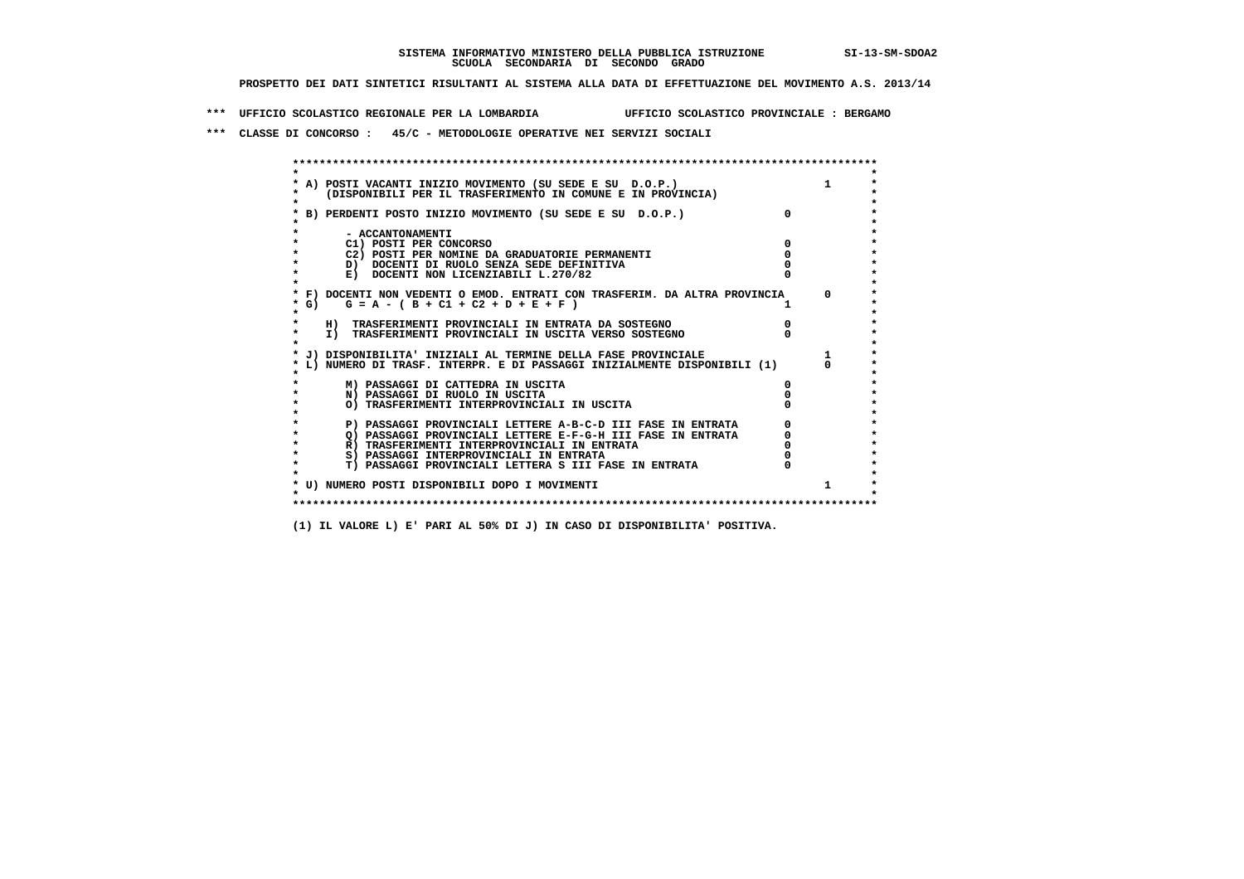**\*\*\* UFFICIO SCOLASTICO REGIONALE PER LA LOMBARDIA UFFICIO SCOLASTICO PROVINCIALE : BERGAMO**

 **\*\*\* CLASSE DI CONCORSO : 45/C - METODOLOGIE OPERATIVE NEI SERVIZI SOCIALI**

|        | A) POSTI VACANTI INIZIO MOVIMENTO (SU SEDE E SU D.O.P.)                    |              |
|--------|----------------------------------------------------------------------------|--------------|
|        | (DISPONIBILI PER IL TRASFERIMENTO IN COMUNE E IN PROVINCIA)                |              |
|        | B) PERDENTI POSTO INIZIO MOVIMENTO (SU SEDE E SU D.O.P.)                   |              |
|        | - ACCANTONAMENTI                                                           |              |
|        | C1) POSTI PER CONCORSO                                                     |              |
|        | C2) POSTI PER NOMINE DA GRADUATORIE PERMANENTI                             |              |
|        | D) DOCENTI DI RUOLO SENZA SEDE DEFINITIVA                                  |              |
|        | E) DOCENTI NON LICENZIABILI L.270/82                                       |              |
|        | * F) DOCENTI NON VEDENTI O EMOD. ENTRATI CON TRASFERIM. DA ALTRA PROVINCIA | $\mathsf{a}$ |
| * G) + | $G = A - (B + C1 + C2 + D + E + F)$                                        |              |
|        | H) TRASFERIMENTI PROVINCIALI IN ENTRATA DA SOSTEGNO                        |              |
|        | I) TRASFERIMENTI PROVINCIALI IN USCITA VERSO SOSTEGNO                      |              |
|        | J) DISPONIBILITA' INIZIALI AL TERMINE DELLA FASE PROVINCIALE               |              |
|        | L) NUMERO DI TRASF. INTERPR. E DI PASSAGGI INIZIALMENTE DISPONIBILI (1)    |              |
|        | M) PASSAGGI DI CATTEDRA IN USCITA                                          |              |
|        | N) PASSAGGI DI RUOLO IN USCITA                                             |              |
|        | O) TRASFERIMENTI INTERPROVINCIALI IN USCITA                                |              |
|        | P) PASSAGGI PROVINCIALI LETTERE A-B-C-D III FASE IN ENTRATA                |              |
|        | O) PASSAGGI PROVINCIALI LETTERE E-F-G-H III FASE IN ENTRATA                |              |
|        | R) TRASFERIMENTI INTERPROVINCIALI IN ENTRATA                               |              |
|        | S) PASSAGGI INTERPROVINCIALI IN ENTRATA                                    |              |
|        | T) PASSAGGI PROVINCIALI LETTERA S III FASE IN ENTRATA                      |              |
|        |                                                                            |              |
|        | * U) NUMERO POSTI DISPONIBILI DOPO I MOVIMENTI                             |              |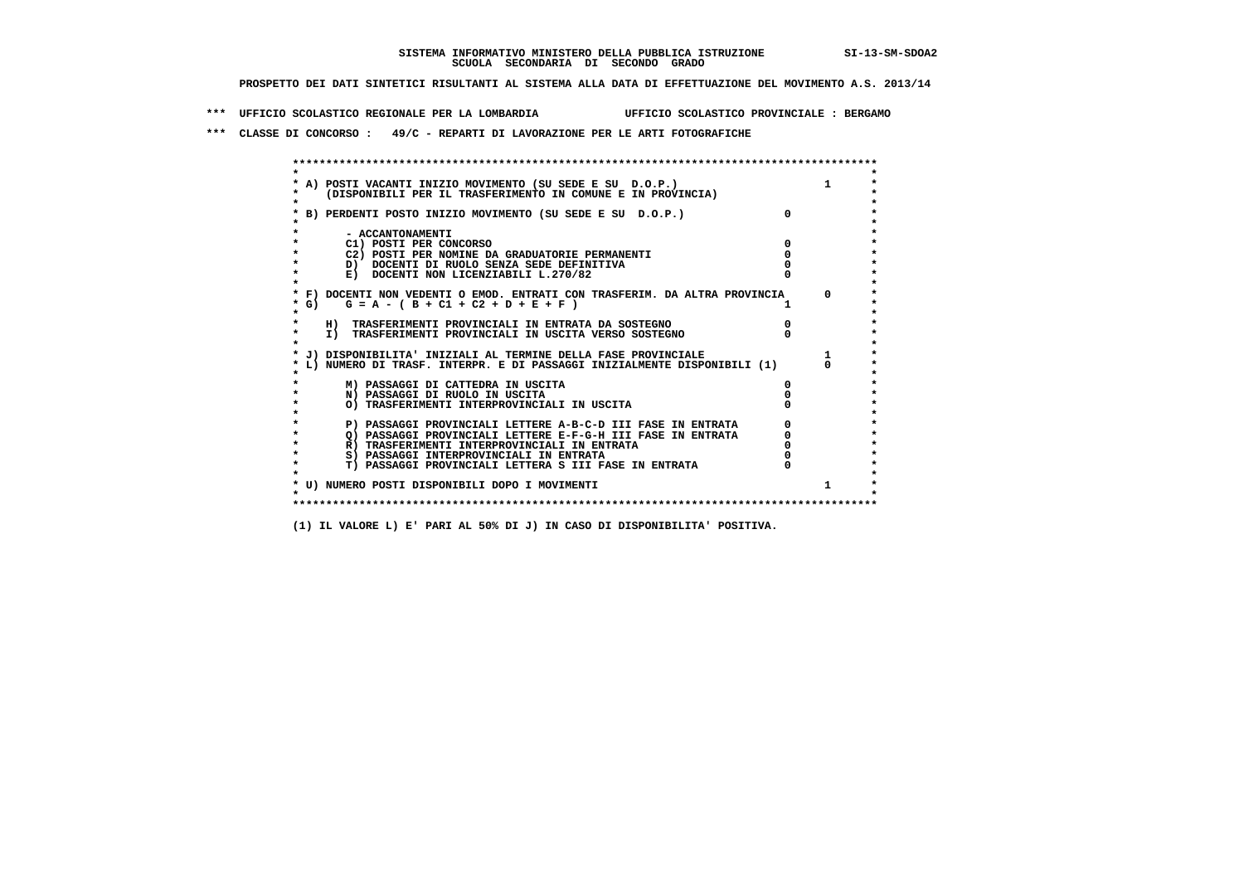**\*\*\* UFFICIO SCOLASTICO REGIONALE PER LA LOMBARDIA UFFICIO SCOLASTICO PROVINCIALE : BERGAMO**

 **\*\*\* CLASSE DI CONCORSO : 49/C - REPARTI DI LAVORAZIONE PER LE ARTI FOTOGRAFICHE**

 **\*\*\*\*\*\*\*\*\*\*\*\*\*\*\*\*\*\*\*\*\*\*\*\*\*\*\*\*\*\*\*\*\*\*\*\*\*\*\*\*\*\*\*\*\*\*\*\*\*\*\*\*\*\*\*\*\*\*\*\*\*\*\*\*\*\*\*\*\*\*\*\*\*\*\*\*\*\*\*\*\*\*\*\*\*\*\*\* \* \*** $\bullet$  **\* A) POSTI VACANTI INIZIO MOVIMENTO (SU SEDE E SU D.O.P.) 1 \*** $\star$  **\* (DISPONIBILI PER IL TRASFERIMENTO IN COMUNE E IN PROVINCIA) \*** $\bullet$  **\* \* \* B) PERDENTI POSTO INIZIO MOVIMENTO (SU SEDE E SU D.O.P.) 0 \* \* \* \* - ACCANTONAMENTI \* \* C1) POSTI PER CONCORSO 0 \* \* C2) POSTI PER NOMINE DA GRADUATORIE PERMANENTI 0 \*D)** DOCENTI DI RUOLO SENZA SEDE DEFINITIVA  $\overline{a}$  0  $\overline{b}$  0  $\overline{c}$  0  $\overline{c}$  0  $\overline{c}$  0  $\overline{a}$  0  $\overline{b}$ **E) DOCENTI NON LICENZIABILI L.270/82 \* \* \* F) DOCENTI NON VEDENTI O EMOD. ENTRATI CON TRASFERIM. DA ALTRA PROVINCIA 0 \***  $\star$  **G)** G = A - ( B + C1 + C2 + D + E + F )  **\* \* \* H) TRASFERIMENTI PROVINCIALI IN ENTRATA DA SOSTEGNO 0 \* \* I) TRASFERIMENTI PROVINCIALI IN USCITA VERSO SOSTEGNO 0 \* \* \* \* J) DISPONIBILITA' INIZIALI AL TERMINE DELLA FASE PROVINCIALE 1 \* \* L) NUMERO DI TRASF. INTERPR. E DI PASSAGGI INIZIALMENTE DISPONIBILI (1) 0 \* \* \* \* M) PASSAGGI DI CATTEDRA IN USCITA 0 \* \* N) PASSAGGI DI RUOLO IN USCITA 0 \* \* O) TRASFERIMENTI INTERPROVINCIALI IN USCITA 0 \* \* \* P) PASSAGGI PROVINCIALI LETTERE A-B-C-D III FASE IN ENTRATA** 0 <sup>0</sup> **DASSAGGI PROVINCIALI LETTERE E-F-G-H** III FASE IN ENTRATA 0 <sup>0</sup>  $\star$  **\* Q) PASSAGGI PROVINCIALI LETTERE E-F-G-H III FASE IN ENTRATA 0 \*R)** TRASFERIMENTI INTERPROVINCIALI IN ENTRATA  $\begin{bmatrix} 0 & 0 \\ 0 & 0 \\ 0 & 0 \end{bmatrix}$  PASSAGGI INTERPROVINCIALI IN ENTRATA  $\begin{bmatrix} 0 & 0 \\ 0 & 0 \\ 0 & 0 \end{bmatrix}$ **8) PASSAGGI INTERPROVINCIALI IN ENTRATA 6 \*\*\*** 0 \*\*\*<br> **T) PASSAGGI PROVINCIALI LETTERA S III FASE IN ENTRATA** 0 \*\*\*  $\ddot{\phantom{1}}$  **\* T) PASSAGGI PROVINCIALI LETTERA S III FASE IN ENTRATA 0 \*** $\star$  **\* \* \* U) NUMERO POSTI DISPONIBILI DOPO I MOVIMENTI 1 \* \* \* \*\*\*\*\*\*\*\*\*\*\*\*\*\*\*\*\*\*\*\*\*\*\*\*\*\*\*\*\*\*\*\*\*\*\*\*\*\*\*\*\*\*\*\*\*\*\*\*\*\*\*\*\*\*\*\*\*\*\*\*\*\*\*\*\*\*\*\*\*\*\*\*\*\*\*\*\*\*\*\*\*\*\*\*\*\*\*\***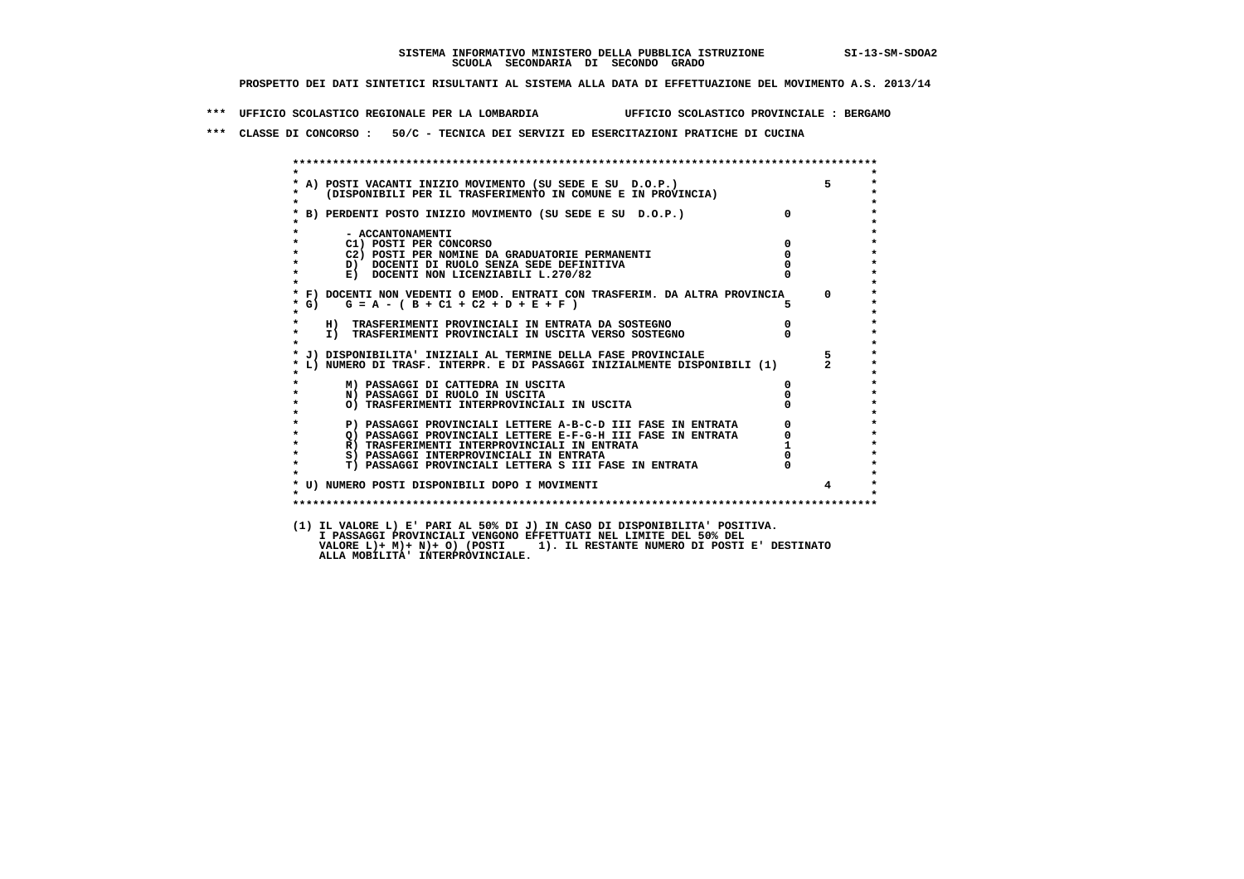**\*\*\* UFFICIO SCOLASTICO REGIONALE PER LA LOMBARDIA UFFICIO SCOLASTICO PROVINCIALE : BERGAMO**

 **\*\*\* CLASSE DI CONCORSO : 50/C - TECNICA DEI SERVIZI ED ESERCITAZIONI PRATICHE DI CUCINA**

 **\*\*\*\*\*\*\*\*\*\*\*\*\*\*\*\*\*\*\*\*\*\*\*\*\*\*\*\*\*\*\*\*\*\*\*\*\*\*\*\*\*\*\*\*\*\*\*\*\*\*\*\*\*\*\*\*\*\*\*\*\*\*\*\*\*\*\*\*\*\*\*\*\*\*\*\*\*\*\*\*\*\*\*\*\*\*\*\* \* \* \* A) POSTI VACANTI INIZIO MOVIMENTO (SU SEDE E SU D.O.P.) 5 \* \* (DISPONIBILI PER IL TRASFERIMENTO IN COMUNE E IN PROVINCIA) \* \* \* \* B) PERDENTI POSTO INIZIO MOVIMENTO (SU SEDE E SU D.O.P.) 0 \* \* \* \* - ACCANTONAMENTI \* \* C1) POSTI PER CONCORSO 0 \* \* C2) POSTI PER NOMINE DA GRADUATORIE PERMANENTI 0 \*b b** docenti di RUOLO SENZA SEDE DEFINITIVA  $\overline{D}$  **b**  $\overline{D}$  0  $\overline{D}$  0  $\overline{D}$  0  $\overline{D}$  0  $\overline{D}$  0  $\overline{D}$  0  $\overline{D}$  0  $\overline{D}$  0  $\overline{D}$  0  $\overline{D}$  0  $\overline{D}$  0  $\overline{D}$  0  $\overline{D}$  0  $\overline{D}$  0  $\overline{D}$ **E) DOCENTI NON LICENZIABILI L.270/82 \* \* \* F) DOCENTI NON VEDENTI O EMOD. ENTRATI CON TRASFERIM. DA ALTRA PROVINCIA 0 \***  $\star$  **G)** G = A - ( B + C1 + C2 + D + E + F )  **\* \* \* H) TRASFERIMENTI PROVINCIALI IN ENTRATA DA SOSTEGNO 0 \* \* I) TRASFERIMENTI PROVINCIALI IN USCITA VERSO SOSTEGNO 0 \* \* \* \* J) DISPONIBILITA' INIZIALI AL TERMINE DELLA FASE PROVINCIALE 5 \* \* L) NUMERO DI TRASF. INTERPR. E DI PASSAGGI INIZIALMENTE DISPONIBILI (1) 2 \* \* \* \* M) PASSAGGI DI CATTEDRA IN USCITA 0 \* \* N) PASSAGGI DI RUOLO IN USCITA 0 \* \* O) TRASFERIMENTI INTERPROVINCIALI IN USCITA 0 \* \* \* P) PASSAGGI PROVINCIALI LETTERE A-B-C-D III FASE IN ENTRATA** 0 <sup>0</sup> **DASSAGGI PROVINCIALI LETTERE E-F-G-H** III FASE IN ENTRATA 0 <sup>0</sup> **2) PASSAGGI PROVINCIALI LETTERE E-F-G-H III FASE IN ENTRATA 6**  $\overline{Q}$  **PASSAGGI PROVINCIALI LETTERE E-F-G-H III FASE IN ENTRATA** 0 **R) TRASFERIMENTI INTERPROVINCIALI IN ENTRATA 1**<br> **8**) PASSAGGI INTERPROVINCIALI IN ENTRATA **1 8) PASSAGGI INTERPROVINCIALI IN ENTRATA 6 \*\*\*** 0 \*\*\*<br> **T) PASSAGGI PROVINCIALI LETTERA S III FASE IN ENTRATA** 0 \*\*\*  $\ddot{\phantom{1}}$  **\* T) PASSAGGI PROVINCIALI LETTERA S III FASE IN ENTRATA 0 \*** $\star$  **\* \* \* U) NUMERO POSTI DISPONIBILI DOPO I MOVIMENTI 4 \* \* \* \*\*\*\*\*\*\*\*\*\*\*\*\*\*\*\*\*\*\*\*\*\*\*\*\*\*\*\*\*\*\*\*\*\*\*\*\*\*\*\*\*\*\*\*\*\*\*\*\*\*\*\*\*\*\*\*\*\*\*\*\*\*\*\*\*\*\*\*\*\*\*\*\*\*\*\*\*\*\*\*\*\*\*\*\*\*\*\* (1) IL VALORE L) E' PARI AL 50% DI J) IN CASO DI DISPONIBILITA' POSITIVA. I PASSAGGI PROVINCIALI VENGONO EFFETTUATI NEL LIMITE DEL 50% DEL VALORE L)+ M)+ N)+ O) (POSTI 1). IL RESTANTE NUMERO DI POSTI E' DESTINATO ALLA MOBILITA' INTERPROVINCIALE.**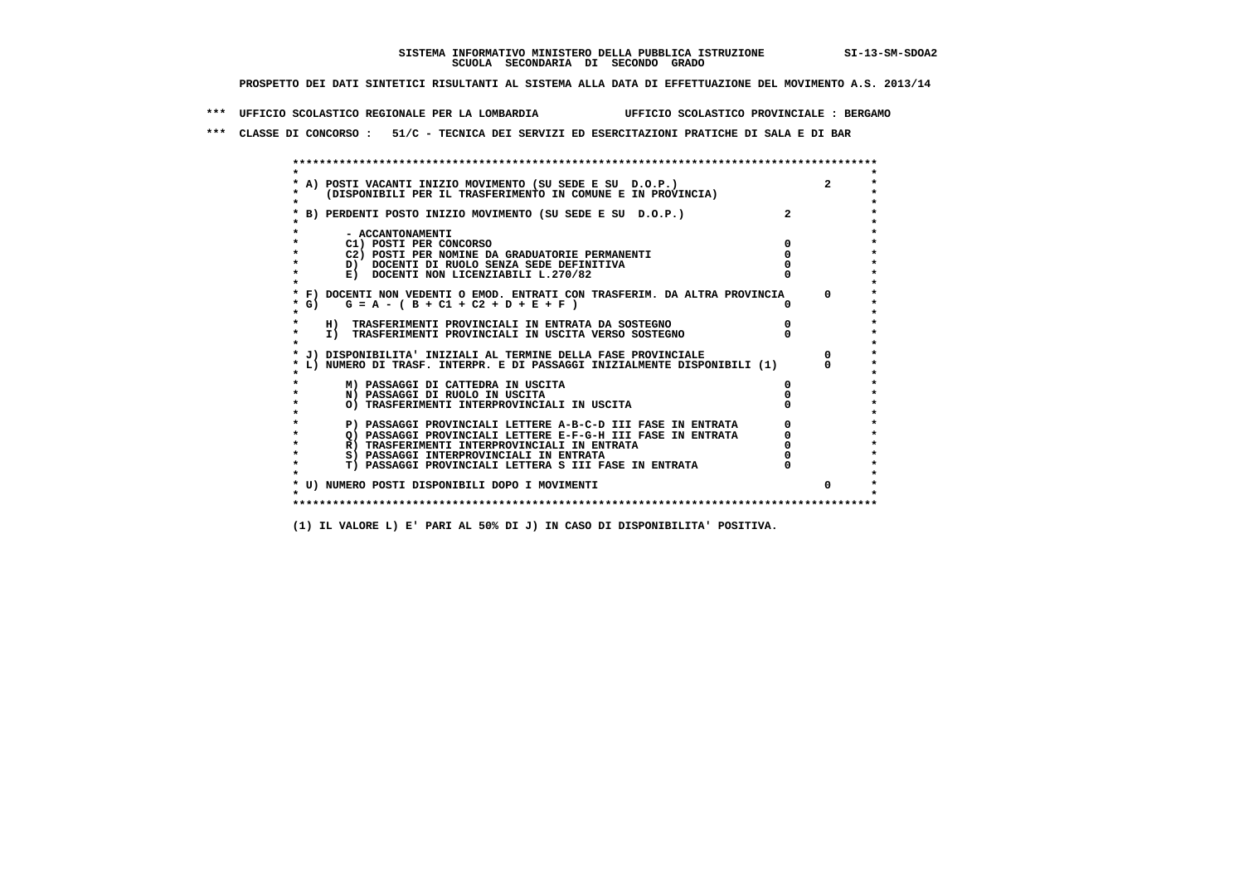**\*\*\* UFFICIO SCOLASTICO REGIONALE PER LA LOMBARDIA UFFICIO SCOLASTICO PROVINCIALE : BERGAMO**

 **\*\*\* CLASSE DI CONCORSO : 51/C - TECNICA DEI SERVIZI ED ESERCITAZIONI PRATICHE DI SALA E DI BAR**

 **\*\*\*\*\*\*\*\*\*\*\*\*\*\*\*\*\*\*\*\*\*\*\*\*\*\*\*\*\*\*\*\*\*\*\*\*\*\*\*\*\*\*\*\*\*\*\*\*\*\*\*\*\*\*\*\*\*\*\*\*\*\*\*\*\*\*\*\*\*\*\*\*\*\*\*\*\*\*\*\*\*\*\*\*\*\*\*\* \* \*** $\ddot{\phantom{0}}$  **\* A) POSTI VACANTI INIZIO MOVIMENTO (SU SEDE E SU D.O.P.) 2 \*** $\star$  **\* (DISPONIBILI PER IL TRASFERIMENTO IN COMUNE E IN PROVINCIA) \*** $\bullet$  **\* \* \* B) PERDENTI POSTO INIZIO MOVIMENTO (SU SEDE E SU D.O.P.) 2 \* \* \* \* - ACCANTONAMENTI \* \* C1) POSTI PER CONCORSO 0 \* \* C2) POSTI PER NOMINE DA GRADUATORIE PERMANENTI 0 \*b**  $\overline{D}$  **docenti di RUOLO SENZA SEDE DEFINITIVA**  $\overline{D}$  **0**  $\overline{D}$  **0**  $\overline{D}$  **0**  $\overline{D}$  **0**  $\overline{D}$  **0**  $\overline{D}$  **0**  $\overline{D}$  **0**  $\overline{D}$  **0**  $\overline{D}$  **0**  $\overline{D}$  **0**  $\overline{D}$  **0**  $\overline{D}$  **0**  $\overline{D}$  **0 E) DOCENTI NON LICENZIABILI L.270/82 \* \* \* F) DOCENTI NON VEDENTI O EMOD. ENTRATI CON TRASFERIM. DA ALTRA PROVINCIA 0 \* \* G) G = A - ( B + C1 + C2 + D + E + F ) 0 \* \* \* \* H) TRASFERIMENTI PROVINCIALI IN ENTRATA DA SOSTEGNO 0 \* \* I) TRASFERIMENTI PROVINCIALI IN USCITA VERSO SOSTEGNO 0 \* \* \* \* J) DISPONIBILITA' INIZIALI AL TERMINE DELLA FASE PROVINCIALE 0 \* \* L) NUMERO DI TRASF. INTERPR. E DI PASSAGGI INIZIALMENTE DISPONIBILI (1) 0 \* \* \* \* M) PASSAGGI DI CATTEDRA IN USCITA 0 \* \* N) PASSAGGI DI RUOLO IN USCITA 0 \* \* O) TRASFERIMENTI INTERPROVINCIALI IN USCITA 0 \* \* \*** $\star$  **P) PASSAGGI PROVINCIALI LETTERE A-B-C-D III FASE IN ENTRATA** 0 <sup>0</sup> **DASSAGGI PROVINCIALI LETTERE E-F-G-H** III FASE IN ENTRATA 0 <sup>0</sup>  $\star$  **\* Q) PASSAGGI PROVINCIALI LETTERE E-F-G-H III FASE IN ENTRATA 0 \*R)** TRASFERIMENTI INTERPROVINCIALI IN ENTRATA  $\begin{bmatrix} 0 & 0 \\ 0 & 0 \\ 0 & 0 \end{bmatrix}$  PASSAGGI INTERPROVINCIALI IN ENTRATA  $\begin{bmatrix} 0 & 0 \\ 0 & 0 \\ 0 & 0 \end{bmatrix}$ **8) PASSAGGI INTERPROVINCIALI IN ENTRATA 6 \*\*\*** 0 \*\*\*<br> **T) PASSAGGI PROVINCIALI LETTERA S III FASE IN ENTRATA** 0 \*\*\*  $\ddot{\phantom{1}}$  **\* T) PASSAGGI PROVINCIALI LETTERA S III FASE IN ENTRATA 0 \*** $\star$  **\* \* \* U) NUMERO POSTI DISPONIBILI DOPO I MOVIMENTI 0 \* \* \* \*\*\*\*\*\*\*\*\*\*\*\*\*\*\*\*\*\*\*\*\*\*\*\*\*\*\*\*\*\*\*\*\*\*\*\*\*\*\*\*\*\*\*\*\*\*\*\*\*\*\*\*\*\*\*\*\*\*\*\*\*\*\*\*\*\*\*\*\*\*\*\*\*\*\*\*\*\*\*\*\*\*\*\*\*\*\*\***